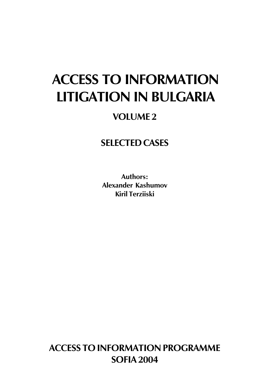# **ACCESS TO INFORMATION LITIGATION IN BULGARIA**

# **VOLUME 2**

# **SELECTED CASES**

Authors: Alexander Kashumov **Kiril Terzijski** 

**ACCESS TO INFORMATION PROGRAMME SOFIA 2004**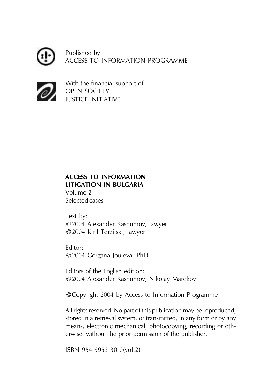Published by ACCESS TO INFORMATION PROGRAMME



With the financial support of **OPEN SOCIETY IUSTICE INITIATIVE** 

### **ACCESS TO INFORMATION** LITIGATION IN BULGARIA

Volume 2 Selected cases

Text by: ©2004 Alexander Kashumov, lawyer © 2004 Kiril Terziiski, lawyer

Fditor: © 2004 Gergana Jouleva, PhD

Editors of the English edition: ©2004 Alexander Kashumov, Nikolay Marekov

© Copyright 2004 by Access to Information Programme

All rights reserved. No part of this publication may be reproduced, stored in a retrieval system, or transmitted, in any form or by any means, electronic mechanical, photocopying, recording or otherwise, without the prior permission of the publisher.

ISBN 954-9953-30-0(vol.2)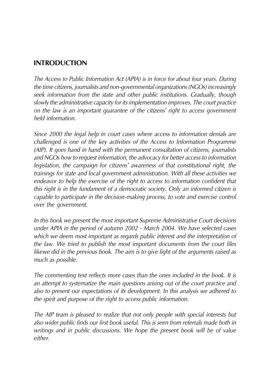### **INTRODUCTION**

The Access to Public Information Act (APIA) is in force for about four years. During the time citizens, journalists and non-governmental organizations (NGOs) increasingly seek information from the state and other public institutions. Gradually, though slowly the administrative capacity for its implementation improves. The court practice on the law is an important quarantee of the citizens' right to access government held information

Since 2000 the legal help in court cases where access to information denials are challenged is one of the key activities of the Access to Information Programme (AIP). It goes hand in hand with the permanent consultation of citizens, journalists and NGOs how to request information, the advocacy for better access to information legislation, the campaign for citizens' awareness of that constitutional right, the trainings for state and local government administration. With all these activities we endeavor to help the exercise of the right to access to information confident that this right is in the fundament of a democratic society. Only an informed citizen is capable to participate in the decision-making process, to vote and exercise control over the government.

In this book we present the most important Supreme Administrative Court decisions under APIA in the period of autumn 2002 - March 2004. We have selected cases which we deem most important as regards public interest and the interpretation of the law. We tried to publish the most important documents from the court files likewe did in the previous book. The aim is to give light of the arguments raised as much as possible.

The commenting text reflects more cases than the ones included in the book. It is an attempt to systematize the main questions arising out of the court practice and also to present our expectations of its development. In this analysis we adhered to the spirit and purpose of the right to access public information.

The AIP team is pleased to realize that not only people with special interests but also wider public finds our first book useful. This is seen from referrals made both in writings and in public discussions. We hope the present book will be of value  $\overline{p}$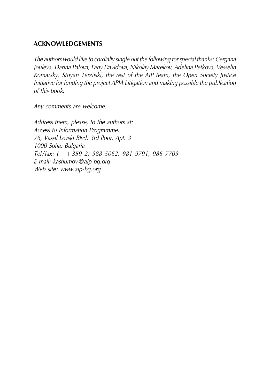#### **ACKNOWLEDGEMENTS**

The authors would like to cordially single out the following for special thanks: Gergana Jouleva, Darina Palova, Fany Davidova, Nikolay Marekov, Adelina Petkova, Vesselin Komarsky, Stoyan Terziiski, the rest of the AIP team, the Open Society Justice Initiative for funding the project APIA Litigation and making possible the publication of this book.

Any comments are welcome.

Address them, please, to the authors at: Access to Information Programme, 76, Vassil Levski Blvd. 3rd floor, Apt. 3 1000 Sofia, Bulgaria Tel/fax: (+ + 359 2) 988 5062, 981 9791, 986 7709 E-mail: kashumov@aip-bq.orq Web site: www.aip-bq.org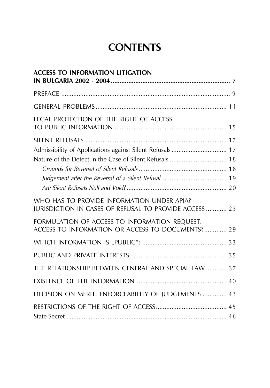# **CONTENTS**

| <b>ACCESS TO INFORMATION LITIGATION</b>                                                                             |
|---------------------------------------------------------------------------------------------------------------------|
|                                                                                                                     |
|                                                                                                                     |
| LEGAL PROTECTION OF THE RIGHT OF ACCESS                                                                             |
| Admissibility of Applications against Silent Refusals 17<br>Nature of the Defect in the Case of Silent Refusals  18 |
|                                                                                                                     |
| WHO HAS TO PROVIDE INFORMATION UNDER APIA?<br>JURISDICTION IN CASES OF REFUSAL TO PROVIDE ACCESS  23                |
| FORMULATION OF ACCESS TO INFORMATION REQUEST.<br>ACCESS TO INFORMATION OR ACCESS TO DOCUMENTS? 29                   |
|                                                                                                                     |
|                                                                                                                     |
| THE RELATIONSHIP BETWEEN GENERAL AND SPECIAL LAW  37                                                                |
|                                                                                                                     |
| DECISION ON MERIT. ENFORCEABILITY OF JUDGEMENTS  43                                                                 |
|                                                                                                                     |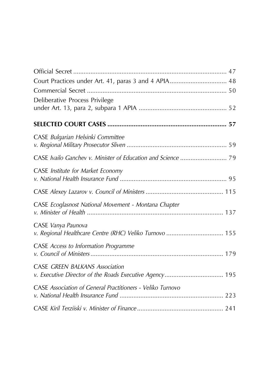| Court Practices under Art. 41, paras 3 and 4 APIA 48       |
|------------------------------------------------------------|
|                                                            |
| Deliberative Process Privilege                             |
|                                                            |
|                                                            |
| CASE Bulgarian Helsinki Committee                          |
|                                                            |
|                                                            |
| CASE Institute for Market Economy                          |
|                                                            |
|                                                            |
| CASE Ecoglasnost National Movement - Montana Chapter       |
|                                                            |
| CASE Vanya Paunova                                         |
| v. Regional Healthcare Centre (RHC) Veliko Turnovo  155    |
| <b>CASE</b> Access to Information Programme                |
|                                                            |
| <b>CASE GREEN BALKANS Association</b>                      |
| v. Executive Director of the Roads Executive Agency 195    |
| CASE Association of General Practitioners - Veliko Turnovo |
|                                                            |
|                                                            |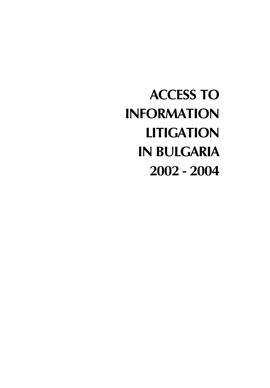**ACCESS TO INFORMATION LITIGATION IN BULGARIA** 2002 - 2004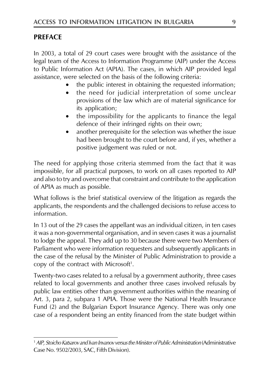### **PREFACE**

In 2003, a total of 29 court cases were brought with the assistance of the legal team of the Access to Information Programme (AIP) under the Access to Public Information Act (APIA). The cases, in which AIP provided legal assistance, were selected on the basis of the following criteria:

- the public interest in obtaining the requested information;
- the need for judicial interpretation of some unclear provisions of the law which are of material significance for its application;
- the impossibility for the applicants to finance the legal defence of their infringed rights on their own;
- another prerequisite for the selection was whether the issue had been brought to the court before and, if yes, whether a positive judgement was ruled or not.

The need for applying those criteria stemmed from the fact that it was impossible, for all practical purposes, to work on all cases reported to AIP and also to try and overcome that constraint and contribute to the application of APIA as much as possible.

What follows is the brief statistical overview of the litigation as regards the applicants, the respondents and the challenged decisions to refuse access to information

In 13 out of the 29 cases the appellant was an individual citizen, in ten cases it was a non-governmental organisation, and in seven cases it was a journalist to lodge the appeal. They add up to 30 because there were two Members of Parliament who were information requesters and subsequently applicants in the case of the refusal by the Minister of Public Administration to provide a copy of the contract with Microsoft<sup>1</sup>.

Twenty-two cases related to a refusal by a government authority, three cases related to local governments and another three cases involved refusals by public law entities other than government authorities within the meaning of Art. 3, para 2, subpara 1 APIA. Those were the National Health Insurance Fund (2) and the Bulgarian Export Insurance Agency. There was only one case of a respondent being an entity financed from the state budget within

<sup>&</sup>lt;sup>1</sup> AIP, Stoicho Katsarov and Ivan Invanov versus the Minister of Public Administration (Administrative Case No. 9502/2003, SAC, Fifth Division).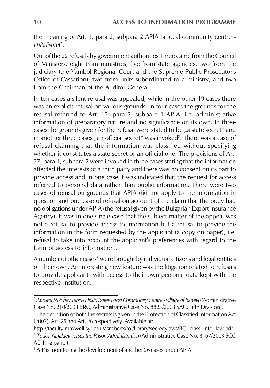the meaning of Art. 3, para 2, subpara 2 APIA (a local community centre  $chital ishte)^2$ .

Out of the 22 refusals by government authorities, three came from the Council of Ministers, eight from ministries, five from state agencies, two from the judiciary (the Yambol Regional Court and the Supreme Public Prosecutor's Office of Cassation), two from units subordinated to a ministry, and two from the Chairman of the Auditor General.

In ten cases a silent refusal was appealed, while in the other 19 cases there was an explicit refusal on various grounds. In four cases the grounds for the refusal referred to Art. 13, para 2, subpara 1 APIA, i.e. administrative information of preparatory nature and no significance on its own. In three cases the grounds given for the refusal were stated to be "a state secret" and in another three cases "an official secret" was invoked<sup>3</sup>. There was a case of refusal claiming that the information was classified without specifying whether it constitutes a state secret or an official one. The provisions of Art. 37, para 1, subpara 2 were invoked in three cases stating that the information affected the interests of a third party and there was no consent on its part to provide access and in one case it was indicated that the request for access referred to personal data rather than public information. There were two cases of refusal on grounds that APIA did not apply to the information in question and one case of refusal on account of the claim that the body had no obligations under APIA (the refusal given by the Bulgarian Export Insurance Agency). It was in one single case that the subject-matter of the appeal was not a refusal to provide access to information but a refusal to provide the information in the form requested by the applicant (a copy on paper), i.e. refusal to take into account the applicant's preferences with regard to the form of access to information<sup>4</sup>.

A number of other cases<sup>5</sup> were brought by individual citizens and legal entities on their own. An interesting new feature was the litigation related to refusals to provide applicants with access to their own personal data kept with the respective institution.

<sup>&</sup>lt;sup>2</sup> Apostol Stoichev versus Hristo Botev Local Community Centre - village of Banevo (Administrative Case No. 210/2003 BRC, Administrative Case No. 8825/2003 SAC, Fifth Division).

<sup>&</sup>lt;sup>3</sup> The definition of both the secrets is given in the Protection of Classified Information Act (2002), Art. 25 and Art. 26 respectively. Available at:

http://faculty.maxwell.syr.edu/asroberts/foi/library/secrecylaws/BG\_class\_info\_law.pdf <sup>4</sup> Todor Yanakiev versus the Prison Administration (Administrative Case No. 3167/2003 SCC AD III-g panel).

<sup>&</sup>lt;sup>5</sup> AIP is monitoring the development of another 26 cases under APIA.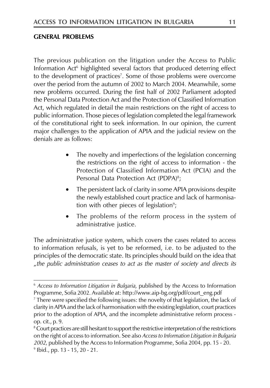#### **GENERAL PROBLEMS**

The previous publication on the litigation under the Access to Public Information Act<sup>6</sup> highlighted several factors that produced deterring effect to the development of practices<sup>7</sup>. Some of those problems were overcome over the period from the autumn of 2002 to March 2004. Meanwhile, some new problems occurred. During the first half of 2002 Parliament adopted the Personal Data Protection Act and the Protection of Classified Information Act, which regulated in detail the main restrictions on the right of access to public information. Those pieces of legislation completed the legal framework of the constitutional right to seek information. In our opinion, the current major challenges to the application of APIA and the judicial review on the denials are as follows:

- The novelty and imperfections of the legislation concerning the restrictions on the right of access to information - the Protection of Classified Information Act (PCIA) and the Personal Data Protection Act (PDPA)<sup>8</sup>;
- The persistent lack of clarity in some APIA provisions despite the newly established court practice and lack of harmonisation with other pieces of legislation<sup>9</sup>;
- The problems of the reform process in the system of administrative justice.

The administrative justice system, which covers the cases related to access to information refusals, is yet to be reformed, i.e. to be adjusted to the principles of the democratic state. Its principles should build on the idea that "the public administration ceases to act as the master of society and directs its

<sup>&</sup>lt;sup>6</sup> Access to Information Litigation in Bulgaria, published by the Access to Information Programme, Sofia 2002. Available at: http://www.aip-bg.org/pdf/court\_eng.pdf

<sup>&</sup>lt;sup>7</sup> There were specified the following issues: the novelty of that legislation, the lack of clarity in APIA and the lack of harmonisation with the existing legislation, court practices prior to the adoption of APIA, and the incomplete administrative reform process op. cit., p. 9.

<sup>&</sup>lt;sup>8</sup> Court practices are still hesitant to support the restrictive interpretation of the restrictions on the right of access to information. See also Access to Information Litigation in Bulgaria 2002, published by the Access to Information Programme, Sofia 2004, pp. 15 - 20. <sup>9</sup> Ibid., pp. 13 - 15, 20 - 21.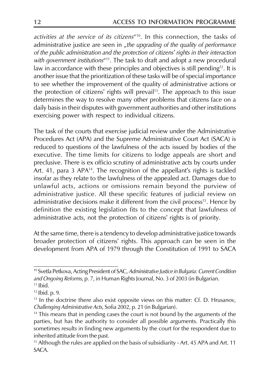activities at the service of its citizens<sup>"10</sup>. In this connection, the tasks of administrative justice are seen in "the upgrading of the quality of performance of the public administration and the protection of citizens' rights in their interaction with government institutions"<sup>11</sup>. The task to draft and adopt a new procedural law in accordance with these principles and objectives is still pending<sup>12</sup>. It is another issue that the prioritization of these tasks will be of special importance to see whether the improvement of the quality of administrative actions or the protection of citizens' rights will prevail<sup>13</sup>. The approach to this issue determines the way to resolve many other problems that citizens face on a daily basis in their disputes with government authorities and other institutions exercising power with respect to individual citizens.

The task of the courts that exercise judicial review under the Administrative Procedures Act (APA) and the Supreme Administrative Court Act (SACA) is reduced to questions of the lawfulness of the acts issued by bodies of the executive. The time limits for citizens to lodge appeals are short and preclusive. There is ex officio scrutiny of administrative acts by courts under Art. 41, para 3 APA<sup>14</sup>. The recognition of the appellant's rights is tackled insofar as they relate to the lawfulness of the appealed act. Damages due to unlawful acts, actions or omissions remain beyond the purview of administrative justice. All these specific features of judicial review on administrative decisions make it different from the civil process<sup>15</sup>. Hence by definition the existing legislation fits to the concept that lawfulness of administrative acts, not the protection of citizens' rights is of priority.

At the same time, there is a tendency to develop administrative justice towards broader protection of citizens' rights. This approach can be seen in the development from APA of 1979 through the Constitution of 1991 to SACA

<sup>&</sup>lt;sup>10</sup> Svetla Petkova, Acting President of SAC, Administrative Justice in Bulgaria: Current Condition and Ongoing Reforms, p. 7, in Human Rights Journal, No. 3 of 2003 (in Bulgarian.  $11$  Ibid.

<sup>&</sup>lt;sup>12</sup> Ibid. p. 9.

<sup>&</sup>lt;sup>13</sup> In the doctrine there also exist opposite views on this matter: Cf. D. Hrusanov, Challenging Administrative Acts, Sofia 2002, p. 21 (in Bulgarian).

<sup>&</sup>lt;sup>14</sup> This means that in pending cases the court is not bound by the arguments of the parties, but has the authority to consider all possible arguments. Practically this sometimes results in finding new arguments by the court for the respondent due to inherited attitude from the past.

<sup>&</sup>lt;sup>15</sup> Although the rules are applied on the basis of subsidiarity - Art. 45 APA and Art. 11 SACA.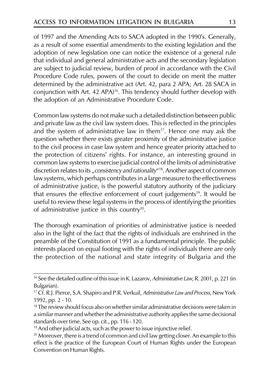of 1997 and the Amending Acts to SACA adopted in the 1990's. Generally, as a result of some essential amendments to the existing legislation and the adoption of new legislation one can notice the existence of a general rule that individual and general administrative acts and the secondary legislation are subject to judicial review, burden of proof in accordance with the Civil Procedure Code rules, powers of the court to decide on merit the matter determined by the administrative act (Art. 42, para 2 APA; Art. 28 SACA in conjunction with Art. 42 APA)<sup>16</sup>. This tendency should further develop with the adoption of an Administrative Procedure Code.

Common law systems do not make such a detailed distinction between public and private law as the civil law system does. This is reflected in the principles and the system of administrative law in them<sup>17</sup>. Hence one may ask the question whether there exists greater proximity of the administrative justice to the civil process in case law system and hence greater priority attached to the protection of citizens' rights. For instance, an interesting ground in common law systems to exercise judicial control of the limits of administrative discretion relates to its "consistency and rationality"<sup>18</sup>. Another aspect of common law systems, which perhaps contributes in a large measure to the effectiveness of administrative justice, is the powerful statutory authority of the judiciary that ensures the effective enforcement of court judgements<sup>19</sup>. It would be useful to review these legal systems in the process of identifying the priorities of administrative justice in this country<sup>20</sup>.

The thorough examination of priorities of administrative justice is needed also in the light of the fact that the rights of individuals are enshrined in the preamble of the Constitution of 1991 as a fundamental principle. The public interests placed on equal footing with the rights of individuals there are only the protection of the national and state integrity of Bulgaria and the

<sup>&</sup>lt;sup>16</sup> See the detailed outline of this issue in K. Lazarov, Administrative Law, R. 2001, p. 221 (in Bulgarian).

<sup>&</sup>lt;sup>17</sup> Cf. R.J. Pierce, S.A. Shapiro and P.R. Verkuil, Administrative Law and Process, New York 1992, pp. 2 - 10.

<sup>&</sup>lt;sup>18</sup> The review should focus also on whether similar administrative decisions were taken in a similar manner and whether the administrative authority applies the same decisional standards over time. See op. cit., pp. 116 - 120.

<sup>&</sup>lt;sup>19</sup> And other judicial acts, such as the power to issue injunctive relief.

<sup>&</sup>lt;sup>20</sup> Moreover, there is a trend of common and civil law getting closer. An example to this effect is the practice of the European Court of Human Rights under the European Convention on Human Rights.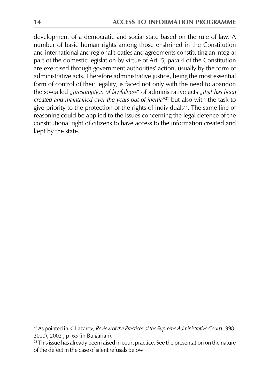development of a democratic and social state based on the rule of law. A number of basic human rights among those enshrined in the Constitution and international and regional treaties and agreements constituting an integral part of the domestic legislation by virtue of Art. 5, para 4 of the Constitution are exercised through government authorities' action, usually by the form of administrative acts. Therefore administrative justice, being the most essential form of control of their legality, is faced not only with the need to abandon the so-called "presumption of lawfulness" of administrative acts "that has been created and maintained over the years out of inertia"<sup>21</sup> but also with the task to give priority to the protection of the rights of individuals<sup>22</sup>. The same line of reasoning could be applied to the issues concerning the legal defence of the constitutional right of citizens to have access to the information created and kept by the state.

<sup>&</sup>lt;sup>21</sup> As pointed in K. Lazarov, Review of the Practices of the Supreme Administrative Court (1998-2000), 2002, p. 65 (in Bulgarian).

<sup>&</sup>lt;sup>22</sup> This issue has already been raised in court practice. See the presentation on the nature of the defect in the case of silent refusals below.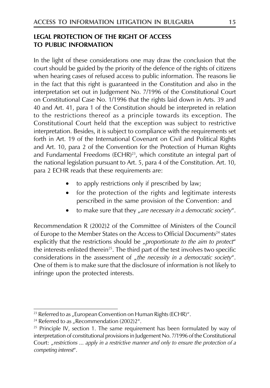#### **LEGAL PROTECTION OF THE RIGHT OF ACCESS TO PUBLIC INFORMATION**

In the light of these considerations one may draw the conclusion that the court should be guided by the priority of the defence of the rights of citizens when hearing cases of refused access to public information. The reasons lie in the fact that this right is guaranteed in the Constitution and also in the interpretation set out in Judgement No. 7/1996 of the Constitutional Court on Constitutional Case No. 1/1996 that the rights laid down in Arts. 39 and 40 and Art. 41, para 1 of the Constitution should be interpreted in relation to the restrictions thereof as a principle towards its exception. The Constitutional Court held that the exception was subject to restrictive interpretation. Besides, it is subject to compliance with the requirements set forth in Art. 19 of the International Covenant on Civil and Political Rights and Art. 10, para 2 of the Convention for the Protection of Human Rights and Fundamental Freedoms (ECHR)<sup>23</sup>, which constitute an integral part of the national legislation pursuant to Art. 5, para 4 of the Constitution. Art. 10, para 2 ECHR reads that these requirements are:

- to apply restrictions only if prescribed by law;  $\bullet$
- for the protection of the rights and legitimate interests perscribed in the same provision of the Convention: and
- to make sure that they "are necessary in a democratic society".  $\bullet$

Recommendation R (2002)2 of the Committee of Ministers of the Council of Europe to the Member States on the Access to Official Documents<sup>24</sup> states explicitly that the restrictions should be "proportionate to the aim to protect" the interests enlisted therein<sup>25</sup>. The third part of the test involves two specific considerations in the assessment of "the necessity in a democratic society". One of them is to make sure that the disclosure of information is not likely to infringe upon the protected interests.

<sup>&</sup>lt;sup>23</sup> Referred to as "European Convention on Human Rights (ECHR)".

<sup>&</sup>lt;sup>24</sup> Referred to as "Recommendation  $(2002)2^{\alpha}$ .

<sup>&</sup>lt;sup>25</sup> Principle IV, section 1. The same requirement has been formulated by way of interpretation of constitutional provisions in Judgement No. 7/1996 of the Constitutional Court: "restrictions ... apply in a restrictive manner and only to ensure the protection of a competing interest".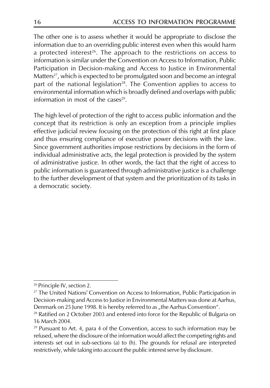The other one is to assess whether it would be appropriate to disclose the information due to an overriding public interest even when this would harm a protected interest<sup>26</sup>. The approach to the restrictions on access to information is similar under the Convention on Access to Information. Public Participation in Decision-making and Access to Justice in Environmental Matters<sup>27</sup>, which is expected to be promulgated soon and become an integral part of the national legislation<sup>28</sup>. The Convention applies to access to environmental information which is broadly defined and overlaps with public information in most of the cases $29$ .

The high level of protection of the right to access public information and the concept that its restriction is only an exception from a principle implies effective judicial review focusing on the protection of this right at first place and thus ensuring compliance of executive power decisions with the law. Since government authorities impose restrictions by decisions in the form of individual administrative acts, the legal protection is provided by the system of administrative justice. In other words, the fact that the right of access to public information is guaranteed through administrative justice is a challenge to the further development of that system and the prioritization of its tasks in a democratic society.

<sup>&</sup>lt;sup>26</sup> Principle IV, section 2.

<sup>&</sup>lt;sup>27</sup> The United Nations' Convention on Access to Information, Public Participation in Decision-making and Access to Justice in Environmental Matters was done at Aarhus, Denmark on 25 June 1998. It is hereby referred to as "the Aarhus Convention".

<sup>&</sup>lt;sup>28</sup> Ratified on 2 October 2003 and entered into force for the Republic of Bulgaria on 16 March 2004.

 $29$  Pursuant to Art. 4, para 4 of the Convention, access to such information may be refused, where the disclosure of the information would affect the competing rights and interests set out in sub-sections (a) to (h). The grounds for refusal are interpreted restrictively, while taking into account the public interest serve by disclosure.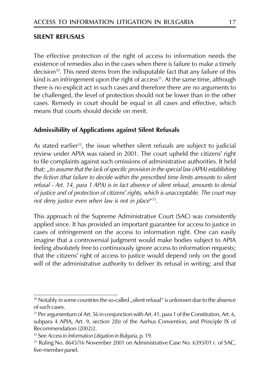#### **SILENT REFUSALS**

The effective protection of the right of access to information needs the existence of remedies also in the cases when there is failure to make a timely decision<sup>30</sup>. This need stems from the indisputable fact that any failure of this kind is an infringement upon the right of access<sup>31</sup>. At the same time, although there is no explicit act in such cases and therefore there are no arguments to be challenged, the level of protection should not be lower than in the other cases. Remedy in court should be equal in all cases and effective, which means that courts should decide on merit.

#### Admissibility of Applications against Silent Refusals

As stated earlier<sup>32</sup>, the issue whether silent refusals are subject to judicial review under APIA was raised in 2001. The court upheld the citizens' right to file complaints against such omissions of administrative authorities. It held that: "to assume that the lack of specific provision in the special law (APIA) establishing the fiction (that failure to decide within the prescribed time limits amounts to silent refusal - Art. 14, para 1 APA) is in fact absence of silent refusal, amounts to denial of justice and of protection of citizens' rights, which is unacceptable. The court may not deny justice even when law is not in place"33.

This approach of the Supreme Administrative Court (SAC) was consistently applied since. It has provided an important guarantee for access to justice in cases of infringement on the access to information right. One can easily imagine that a controversial judgment would make bodies subject to APIA feeling absolutely free to continuously ignore access to information requests; that the citizens' right of access to justice would depend only on the good will of the administrative authority to deliver its refusal in writing; and that

<sup>&</sup>lt;sup>30</sup> Notably in some countries the so-called "silent refusal" is unknown due to the absence of such cases.

<sup>&</sup>lt;sup>31</sup> Per argumentum of Art. 56 in conjunction with Art. 41, para 1 of the Constitution, Art. 6, subpara 4 APIA, Art. 9, section 2(b) of the Aarhus Convention, and Principle IX of Recommendation (2002)2.

<sup>&</sup>lt;sup>32</sup> See Access to Information Litigation in Bulgaria, p. 19.

<sup>33</sup> Ruling No. 8645/16 November 2001 on Administrative Case No. 6393/01 r. of SAC, five-member panel.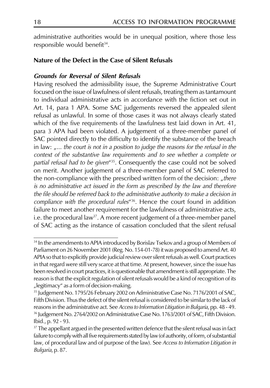administrative authorities would be in unequal position, where those less responsible would benefit<sup>34</sup>.

#### Nature of the Defect in the Case of Silent Refusals

#### **Grounds for Reversal of Silent Refusals**

Having resolved the admissibility issue, the Supreme Administrative Court focused on the issue of lawfulness of silent refusals, treating them as tantamount to individual administrative acts in accordance with the fiction set out in Art. 14, para 1 APA. Some SAC judgements reversed the appealed silent refusal as unlawful. In some of those cases it was not always clearly stated which of the five requirements of the lawfulness test laid down in Art. 41, para 3 APA had been violated. A judgement of a three-member panel of SAC pointed directly to the difficulty to identify the substance of the breach in law: "... the court is not in a position to judge the reasons for the refusal in the context of the substantive law requirements and to see whether a complete or partial refusal had to be given"<sup>35</sup>. Consequently the case could not be solved on merit. Another judgement of a three-member panel of SAC referred to the non-compliance with the prescribed written form of the decision: "there is no administrative act issued in the form as prescribed by the law and therefore the file should be referred back to the administrative authority to make a decision in compliance with the procedural rules<sup>"36</sup>. Hence the court found in addition failure to meet another requirement for the lawfulness of administrative acts, i.e. the procedural law<sup>37</sup>. A more recent judgement of a three-member panel of SAC acting as the instance of cassation concluded that the silent refusal

<sup>&</sup>lt;sup>34</sup> In the amendments to APIA introduced by Borislav Tsekov and a group of Members of Parliament on 26 November 2001 (Reg. No. 154-01-78) it was proposed to amend Art. 40 APIA so that to explicitly provide judicial review over silent refusals as well. Court practices in that regard were still very scarce at that time. At present, however, since the issue has been resolved in court practices, it is questionable that amendment is still appropriate. The reason is that the explicit regulation of silent refusals would be a kind of recognition of its "legitimacy" as a form of decision-making.

<sup>&</sup>lt;sup>35</sup> Judgement No. 1795/26 February 2002 on Administrative Case No. 7176/2001 of SAC, Fifth Division. Thus the defect of the silent refusal is considered to be similar to the lack of reasons in the administrative act. See Access to Information Litigation in Bulgaria, pp. 48 - 49. <sup>36</sup> Judgement No. 2764/2002 on Administrative Case No. 1763/2001 of SAC, Fifth Division. Ibid., p. 92 - 93.

<sup>&</sup>lt;sup>37</sup> The appellant argued in the presented written defence that the silent refusal was in fact failure to comply with all five requirements stated by law (of authority, of form, of substantial law, of procedural law and of purpose of the law). See Access to Information Litigation in Bulgaria, p. 87.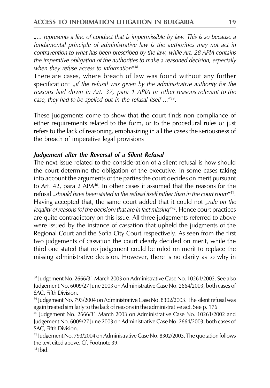"... represents a line of conduct that is impermissible by law. This is so because a fundamental principle of administrative law is the authorities may not act in contravention to what has been prescribed by the law, while Art. 28 APIA contains the imperative obligation of the authorities to make a reasoned decision, especially when they refuse access to information"<sup>38</sup>.

There are cases, where breach of law was found without any further specification: "if the refusal was given by the administrative authority for the reasons laid down in Art. 37, para 1 APIA or other reasons relevant to the case, they had to be spelled out in the refusal itself ...<sup>"39</sup>.

These judgements come to show that the court finds non-compliance of either requirements related to the form, or to the procedural rules or just refers to the lack of reasoning, emphasizing in all the cases the seriousness of the breach of imperative legal provisions

#### Judgement after the Reversal of a Silent Refusal

The next issue related to the consideration of a silent refusal is how should the court determine the obligation of the executive. In some cases taking into account the arguments of the parties the court decides on merit pursuant to Art. 42, para 2 APA<sup>40</sup>. In other cases it assumed that the reasons for the refusal, should have been stated in the refusal itself rather than in the court room<sup>441</sup>. Having accepted that, the same court added that it could not "rule on the legality of reasons (of the decision) that are in fact missing"<sup>42</sup>. Hence court practices are quite contradictory on this issue. All three judgements referred to above were issued by the instance of cassation that upheld the judgments of the Regional Court and the Sofia City Court respectively. As seen from the first two judgements of cassation the court clearly decided on merit, while the third one stated that no judgement could be ruled on merit to replace the missing administrative decision. However, there is no clarity as to why in

<sup>&</sup>lt;sup>38</sup> Judgement No. 2666/31 March 2003 on Administrative Case No. 10261/2002. See also Judgement No. 6009/27 June 2003 on Administrative Case No. 2664/2003, both cases of SAC, Fifth Division.

<sup>&</sup>lt;sup>39</sup> Judgement No. 793/2004 on Administrative Case No. 8302/2003. The silent refusal was again treated similarly to the lack of reasons in the administrative act. See p. 176

<sup>&</sup>lt;sup>40</sup> Judgement No. 2666/31 March 2003 on Administrative Case No. 10261/2002 and Judgement No. 6009/27 June 2003 on Administrative Case No. 2664/2003, both cases of SAC, Fifth Division.

<sup>&</sup>lt;sup>41</sup> Judgement No. 793/2004 on Administrative Case No. 8302/2003. The quotation follows the text cited above. Cf. Footnote 39.

 $42$  Ibid.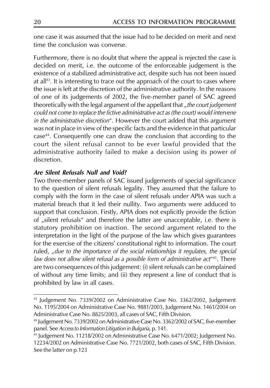one case it was assumed that the issue had to be decided on merit and next time the conclusion was converse.

Furthermore, there is no doubt that where the appeal is rejected the case is decided on merit, i.e. the outcome of the enforceable judgement is the existence of a stabilized administrative act, despite such has not been issued at all $43$ . It is interesting to trace out the approach of the court to cases where the issue is left at the discretion of the administrative authority. In the reasons of one of its judgements of 2002, the five-member panel of SAC agreed theoretically with the legal argument of the appellant that "the court judgement could not come to replace the fictive administrative act as (the court) would intervene in the administrative discretion". However the court added that this argument was not in place in view of the specific facts and the evidence in that particular case<sup>44</sup>. Consequently one can draw the conclusion that according to the court the silent refusal cannot to be ever lawful provided that the administrative authority failed to make a decision using its power of discretion

#### **Are Silent Refusals Null and Void?**

Two three-member panels of SAC issued judgements of special significance to the question of silent refusals legality. They assumed that the failure to comply with the form in the case of silent refusals under APIA was such a material breach that it led their nullity. Two arguments were adduced to support that conclusion. Firstly, APIA does not explicitly provide the fiction of "silent refusals" and therefore the latter are unacceptable, i.e. there is statutory prohibition on inaction. The second argument related to the interpretation in the light of the purpose of the law which gives guarantees for the exercise of the citizens' constitutional right to information. The court ruled, "due to the importance of the social relationships it requlates, the special law does not allow silent refusal as a possible form of administrative act<sup>445</sup>. There are two consequences of this judgement: (i) silent refusals can be complained of without any time limits; and (ii) they represent a line of conduct that is prohibited by law in all cases.

<sup>&</sup>lt;sup>43</sup> Judgement No. 7339/2002 on Administrative Case No. 3362/2002, Judgement No. 1195/2004 on Administrative Case No. 9881/2003, Judgement No. 1461/2004 on Administrative Case No. 8825/2003, all cases of SAC, Fifth Division.

<sup>&</sup>lt;sup>44</sup> Judgement No. 7339/2002 on Administrative Case No. 3362/2002 of SAC, five-member panel. See Access to Information Litigation in Bulgaria, p. 141.

<sup>&</sup>lt;sup>45</sup> Judgement No. 11218/2002 on Administrative Case No. 6471/2002; Judgement No. 12234/2002 on Administrative Case No. 7721/2002, both cases of SAC, Fifth Division. See the latter on p.123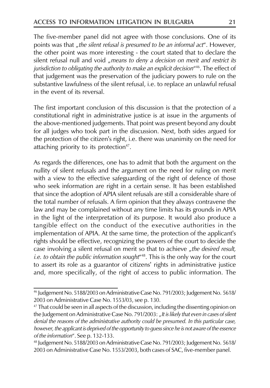The five-member panel did not agree with those conclusions. One of its points was that "the silent refusal is presumed to be an informal act". However, the other point was more interesting - the court stated that to declare the silent refusal null and void "means to deny a decision on merit and restrict its jurisdiction to obligating the authority to make an explicit decision"<sup>46</sup>. The effect of that judgement was the preservation of the judiciary powers to rule on the substantive lawfulness of the silent refusal, i.e. to replace an unlawful refusal in the event of its reversal.

The first important conclusion of this discussion is that the protection of a constitutional right in administrative justice is at issue in the arguments of the above-mentioned judgements. That point was present beyond any doubt for all judges who took part in the discussion. Next, both sides argued for the protection of the citizen's right, i.e. there was unanimity on the need for attaching priority to its protection<sup>47</sup>.

As regards the differences, one has to admit that both the argument on the nullity of silent refusals and the argument on the need for ruling on merit with a view to the effective safeguarding of the right of defence of those who seek information are right in a certain sense. It has been established that since the adoption of APIA silent refusals are still a considerable share of the total number of refusals. A firm opinion that they always contravene the law and may be complained without any time limits has its grounds in APIA in the light of the interpretation of its purpose. It would also produce a tangible effect on the conduct of the executive authorities in the implementation of APIA. At the same time, the protection of the applicant's rights should be effective, recognizing the powers of the court to decide the case involving a silent refusal on merit so that to achieve "the desired result, i.e. to obtain the public information sought<sup>448</sup>. This is the only way for the court to assert its role as a guarantor of citizens' rights in administrative justice and, more specifically, of the right of access to public information. The

<sup>&</sup>lt;sup>46</sup> Judgement No. 5188/2003 on Administrative Case No. 791/2003; Judgement No. 5618/ 2003 on Administrative Case No. 1553/03, see p. 130.

<sup>&</sup>lt;sup>47</sup> That could be seen in all aspects of the discussion, including the dissenting opinion on the Judgement on Administrative Case No. 791/2003: "It is likely that even in cases of silent denial the reasons of the administrative authority could be presumed. In this particular case, however, the applicant is deprived of the opportunity to quess since he is not aware of the essence of the information". See p. 132-133.

<sup>&</sup>lt;sup>48</sup> Judgement No. 5188/2003 on Administrative Case No. 791/2003; Judgement No. 5618/ 2003 on Administrative Case No. 1553/2003, both cases of SAC, five-member panel.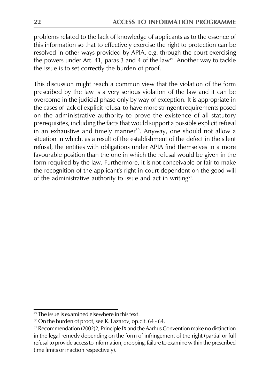problems related to the lack of knowledge of applicants as to the essence of this information so that to effectively exercise the right to protection can be resolved in other ways provided by APIA, e.g. through the court exercising the powers under Art. 41, paras 3 and 4 of the law<sup>49</sup>. Another way to tackle the issue is to set correctly the burden of proof.

This discussion might reach a common view that the violation of the form prescribed by the law is a very serious violation of the law and it can be overcome in the judicial phase only by way of exception. It is appropriate in the cases of lack of explicit refusal to have more stringent requirements posed on the administrative authority to prove the existence of all statutory prerequisites, including the facts that would support a possible explicit refusal in an exhaustive and timely manner<sup>50</sup>. Anyway, one should not allow a situation in which, as a result of the establishment of the defect in the silent refusal, the entities with obligations under APIA find themselves in a more favourable position than the one in which the refusal would be given in the form required by the law. Furthermore, it is not conceivable or fair to make the recognition of the applicant's right in court dependent on the good will of the administrative authority to issue and act in writing<sup>51</sup>.

<sup>&</sup>lt;sup>49</sup> The issue is examined elsewhere in this text.

<sup>&</sup>lt;sup>50</sup> On the burden of proof, see K. Lazarov, op.cit. 64 - 64.

<sup>&</sup>lt;sup>51</sup> Recommendation (2002)2, Principle IX and the Aarhus Convention make no distinction in the legal remedy depending on the form of infringement of the right (partial or full refusal to provide access to information, dropping, failure to examine within the prescribed time limits or inaction respectively).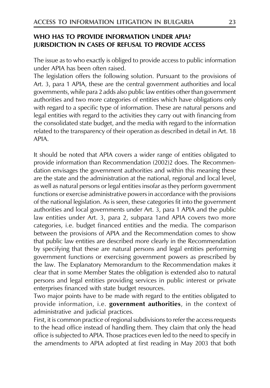#### WHO HAS TO PROVIDE INFORMATION UNDER APIA? **JURISDICTION IN CASES OF REFUSAL TO PROVIDE ACCESS**

The issue as to who exactly is obliged to provide access to public information under APIA has been often raised.

The legislation offers the following solution. Pursuant to the provisions of Art. 3, para 1 APIA, these are the central government authorities and local governments, while para 2 adds also public law entities other than government authorities and two more categories of entities which have obligations only with regard to a specific type of information. These are natural persons and legal entities with regard to the activities they carry out with financing from the consolidated state budget, and the media with regard to the information related to the transparency of their operation as described in detail in Art. 18 APIA

It should be noted that APIA covers a wider range of entities obligated to provide information than Recommendation (2002)2 does. The Recommendation envisages the government authorities and within this meaning these are the state and the administration at the national, regional and local level, as well as natural persons or legal entities insofar as they perform government functions or exercise administrative powers in accordance with the provisions of the national legislation. As is seen, these categories fit into the government authorities and local governments under Art. 3, para 1 APIA and the public law entities under Art. 3, para 2, subpara 1 and APIA covers two more categories, i.e. budget financed entities and the media. The comparison between the provisions of APIA and the Recommendation comes to show that public law entities are described more clearly in the Recommendation by specifying that these are natural persons and legal entities performing government functions or exercising government powers as prescribed by the law. The Explanatory Memorandum to the Recommendation makes it clear that in some Member States the obligation is extended also to natural persons and legal entities providing services in public interest or private enterprises financed with state budget resources.

Two major points have to be made with regard to the entities obligated to provide information, i.e. government authorities, in the context of administrative and judicial practices.

First, it is common practice of regional subdivisions to refer the access requests to the head office instead of handling them. They claim that only the head office is subjected to APIA. Those practices even led to the need to specify in the amendments to APIA adopted at first reading in May 2003 that both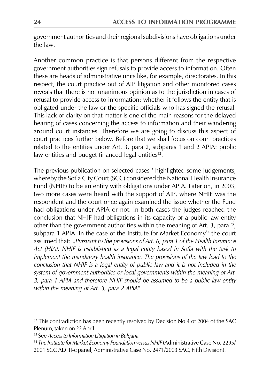government authorities and their regional subdivisions have obligations under the law.

Another common practice is that persons different from the respective government authorities sign refusals to provide access to information. Often these are heads of administrative units like, for example, directorates. In this respect, the court practice out of AIP litigation and other monitored cases reveals that there is not unanimous opinion as to the jurisdiction in cases of refusal to provide access to information; whether it follows the entity that is obligated under the law or the specific officials who has signed the refusal. This lack of clarity on that matter is one of the main reasons for the delayed hearing of cases concerning the access to information and their wandering around court instances. Therefore we are going to discuss this aspect of court practices further below. Before that we shall focus on court practices related to the entities under Art. 3, para 2, subparas 1 and 2 APIA: public law entities and budget financed legal entities<sup>52</sup>.

The previous publication on selected cases<sup>53</sup> highlighted some judgements, whereby the Sofia City Court (SCC) considered the National Health Insurance Fund (NHIF) to be an entity with obligations under APIA. Later on, in 2003, two more cases were heard with the support of AIP, where NHIF was the respondent and the court once again examined the issue whether the Fund had obligations under APIA or not. In both cases the judges reached the conclusion that NHIF had obligations in its capacity of a public law entity other than the government authorities within the meaning of Art. 3, para 2, subpara 1 APIA. In the case of the Institute for Market Economy<sup>54</sup> the court assumed that: "Pursuant to the provisions of Art. 6, para 1 of the Health Insurance Act (HIA), NHIF is established as a legal entity based in Sofia with the task to implement the mandatory health insurance. The provisions of the law lead to the conclusion that NHIF is a legal entity of public law and it is not included in the system of government authorities or local governments within the meaning of Art. 3, para 1 APIA and therefore NHIF should be assumed to be a public law entity within the meaning of Art. 3, para 2 APIA".

<sup>&</sup>lt;sup>52</sup> This contradiction has been recently resolved by Decision No 4 of 2004 of the SAC Plenum, taken on 22 April.

<sup>&</sup>lt;sup>53</sup> See Access to Information Litigation in Bulgaria.

<sup>54</sup> The Institute for Market Economy Foundation versus NHIF (Administrative Case No. 2295/ 2001 SCC AD III-c panel, Administrative Case No. 2471/2003 SAC, Fifth Division).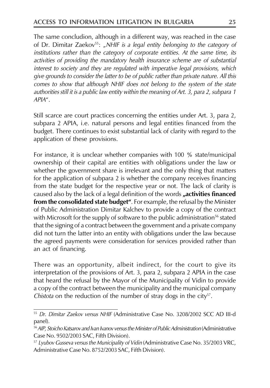The same concludion, although in a different way, was reached in the case of Dr. Dimitar Zaekov<sup>55</sup>: "NHIF is a legal entity belonging to the category of institutions rather than the category of corporate entities. At the same time, its activities of providing the mandatory health insurance scheme are of substantial interest to society and they are requlated with imperative legal provisions, which give grounds to consider the latter to be of public rather than private nature. All this comes to show that although NHIF does not belong to the system of the state authorities still it is a public law entity within the meaning of Art. 3, para 2, subpara 1  $APIA''$ 

Still scarce are court practices concerning the entities under Art. 3, para 2, subpara 2 APIA, i.e. natural persons and legal entities financed from the budget. There continues to exist substantial lack of clarity with regard to the application of these provisions.

For instance, it is unclear whether companies with 100 % state/municipal ownership of their capital are entities with obligations under the law or whether the government share is irrelevant and the only thing that matters for the application of subpara 2 is whether the company receives financing from the state budget for the respective year or not. The lack of clarity is caused also by the lack of a legal definition of the words "activities financed from the consolidated state budget". For example, the refusal by the Minister of Public Administration Dimitar Kalchev to provide a copy of the contract with Microsoft for the supply of software to the public administration<sup>56</sup> stated that the signing of a contract between the government and a private company did not turn the latter into an entity with obligations under the law because the agreed payments were consideration for services provided rather than an act of financing.

There was an opportunity, albeit indirect, for the court to give its interpretation of the provisions of Art. 3, para 2, subpara 2 APIA in the case that heard the refusal by the Mayor of the Municipality of Vidin to provide a copy of the contract between the municipality and the municipal company Chistota on the reduction of the number of stray dogs in the city $57$ .

<sup>&</sup>lt;sup>55</sup> Dr. Dimitar Zaekov versus NHIF (Administrative Case No. 3208/2002 SCC AD III-d panel).

<sup>&</sup>lt;sup>56</sup> AIP, Stoicho Katsarov and Ivan Ivanov versus the Minister of Public Administration (Administrative Case No. 9502/2003 SAC, Fifth Division).

<sup>&</sup>lt;sup>57</sup> Lyubov Gusseva versus the Municipality of Vidin (Administrative Case No. 35/2003 VRC, Administrative Case No. 8752/2003 SAC, Fifth Division).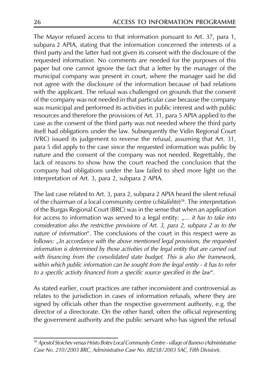The Mayor refused access to that information pursuant to Art. 37, para 1, subpara 2 APIA, stating that the information concerned the interests of a third party and the latter had not given its consent with the disclosure of the requested information. No comments are needed for the purposes of this paper but one cannot ignore the fact that a letter by the manager of the municipal company was present in court, where the manager said he did not agree with the disclosure of the information because of bad relations with the applicant. The refusal was challenged on grounds that the consent of the company was not needed in that particular case because the company was municipal and performed its activities in public interest and with public resources and therefore the provisions of Art. 31, para 5 APIA applied to the case as the consent of the third party was not needed where the third party itself had obligations under the law. Subsequently the Vidin Regional Court (VRC) issued its judgement to reverse the refusal, assuming that Art. 31, para 5 did apply to the case since the requested information was public by nature and the consent of the company was not needed. Regrettably, the lack of reasons to show how the court reached the conclusion that the company had obligations under the law failed to shed more light on the interpretation of Art. 3, para 2, subpara 2 APIA.

The last case related to Art. 3, para 2, subpara 2 APIA heard the silent refusal of the chairman of a local community centre (chitalishte)<sup>58</sup>. The interpretation of the Burgas Regional Court (BRC) was in the sense that when an application for access to information was served to a legal entity: "... it has to take into consideration also the restrictive provisions of Art. 3, para 2, subpara 2 as to the nature of information". The conclusions of the court in this respect were as follows: "In accordance with the above mentioned legal provisions, the requested information is determined by those activities of the legal entity that are carried out with financing from the consolidated state budget. This is also the framework, within which public information can be sought from the legal entity - it has to refer to a specific activity financed from a specific source specified in the law".

As stated earlier, court practices are rather inconsistent and controversial as relates to the jurisdiction in cases of information refusals, where they are signed by officials other than the respective government authority, e.g. the director of a directorate. On the other hand, often the official representing the government authority and the public servant who has signed the refusal

<sup>58</sup> Apostol Stoichev versus Hristo Botev Local Community Centre - village of Banevo (Administrative Case No. 210/2003 BRC, Administrative Case No. 88258/2003 SAC, Fifth Division).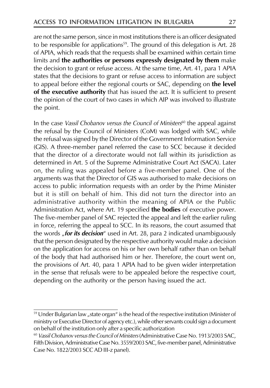are not the same person, since in most institutions there is an officer designated to be responsible for applications<sup>59</sup>. The ground of this delegation is Art. 28 of APIA, which reads that the requests shall be examined within certain time limits and the authorities or persons expressly designated by them make the decision to grant or refuse access. At the same time, Art. 41, para 1 APIA states that the decisions to grant or refuse access to information are subject to appeal before either the regional courts or SAC, depending on the level of the executive authority that has issued the act. It is sufficient to present the opinion of the court of two cases in which AIP was involved to illustrate the point.

In the case Vassil Chobanov versus the Council of Ministers<sup>60</sup> the appeal against the refusal by the Council of Ministers (CoM) was lodged with SAC, while the refusal was signed by the Director of the Government Information Service (GIS). A three-member panel referred the case to SCC because it decided that the director of a directorate would not fall within its jurisdiction as determined in Art. 5 of the Supreme Administrative Court Act (SACA). Later on, the ruling was appealed before a five-member panel. One of the arguments was that the Director of GIS was authorised to make decisions on access to public information requests with an order by the Prime Minister but it is still on behalf of him. This did not turn the director into an administrative authority within the meaning of APIA or the Public Administration Act, where Art. 19 specified the bodies of executive power. The five-member panel of SAC rejected the appeal and left the earlier ruling in force, referring the appeal to SCC. In its reasons, the court assumed that the words **"for its decision**" used in Art. 28, para 2 indicated unambiguously that the person designated by the respective authority would make a decision on the application for access on his or her own behalf rather than on behalf of the body that had authorised him or her. Therefore, the court went on, the provisions of Art. 40, para 1 APIA had to be given wider interpretation in the sense that refusals were to be appealed before the respective court, depending on the authority or the person having issued the act.

<sup>&</sup>lt;sup>59</sup> Under Bulgarian law "state organ" is the head of the respective institution (Minister of ministry or Executive Director of agency etc.), while other servants could sign a document on behalf of the institution only after a specific authorization

<sup>&</sup>lt;sup>60</sup> Vassil Chobanov versus the Council of Ministers (Administrative Case No. 1913/2003 SAC, Fifth Division, Administrative Case No. 3559/2003 SAC, five-member panel, Administrative Case No. 1822/2003 SCC AD III-z panel).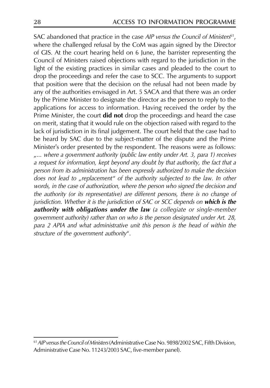SAC abandoned that practice in the case AIP versus the Council of Ministers<sup>61</sup>, where the challenged refusal by the CoM was again signed by the Director of GIS. At the court hearing held on 6 June, the barrister representing the Council of Ministers raised objections with regard to the jurisdiction in the light of the existing practices in similar cases and pleaded to the court to drop the proceedings and refer the case to SCC. The arguments to support that position were that the decision on the refusal had not been made by any of the authorities envisaged in Art. 5 SACA and that there was an order by the Prime Minister to designate the director as the person to reply to the applications for access to information. Having received the order by the Prime Minister, the court did not drop the proceedings and heard the case on merit, stating that it would rule on the objection raised with regard to the lack of jurisdiction in its final judgement. The court held that the case had to be heard by SAC due to the subject-matter of the dispute and the Prime Minister's order presented by the respondent. The reasons were as follows: "... where a government authority (public law entity under Art. 3, para 1) receives a request for information, kept beyond any doubt by that authority, the fact that a person from its administration has been expressly authorized to make the decision does not lead to "replacement" of the authority subjected to the law. In other words, in the case of authorization, where the person who signed the decision and the authority (or its representative) are different persons, there is no change of jurisdiction. Whether it is the jurisdiction of SAC or SCC depends on which is the authority with obligations under the law (a collegiate or single-member government authority) rather than on who is the person designated under Art. 28, para 2 APIA and what administrative unit this person is the head of within the structure of the government authority".

<sup>&</sup>lt;sup>61</sup> AIP versus the Council of Ministers (Administrative Case No. 9898/2002 SAC, Fifth Division, Administrative Case No. 11243/2003 SAC, five-member panel).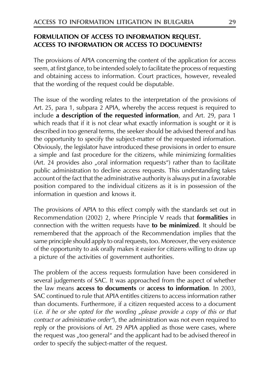#### FORMULATION OF ACCESS TO INFORMATION REQUEST. **ACCESS TO INFORMATION OR ACCESS TO DOCUMENTS?**

The provisions of APIA concerning the content of the application for access seem, at first glance, to be intended solely to facilitate the process of requesting and obtaining access to information. Court practices, however, revealed that the wording of the request could be disputable.

The issue of the wording relates to the interpretation of the provisions of Art. 25, para 1, subpara 2 APIA, whereby the access request is required to include a description of the requested information, and Art. 29, para 1 which reads that if it is not clear what exactly information is sought or it is described in too general terms, the seeker should be advised thereof and has the opportunity to specify the subject-matter of the requested information. Obviously, the legislator have introduced these provisions in order to ensure a simple and fast procedure for the citizens, while minimizing formalities (Art. 24 provides also "oral information requests") rather than to facilitate public administration to decline access requests. This understanding takes account of the fact that the administrative authority is always put in a favorable position compared to the individual citizens as it is in possession of the information in question and knows it.

The provisions of APIA to this effect comply with the standards set out in Recommendation (2002) 2, where Principle V reads that formalities in connection with the written requests have to be minimized. It should be remembered that the approach of the Recommendation implies that the same principle should apply to oral requests, too. Moreover, the very existence of the opportunity to ask orally makes it easier for citizens willing to draw up a picture of the activities of government authorities.

The problem of the access requests formulation have been considered in several judgements of SAC. It was approached from the aspect of whether the law means access to documents or access to information. In 2003, SAC continued to rule that APIA entitles citizens to access information rather than documents. Furthermore, if a citizen requested access to a document (i.e. if he or she opted for the wording "please provide a copy of this or that contract or administrative order"), the administration was not even required to reply or the provisions of Art. 29 APIA applied as those were cases, where the request was "too general" and the applicant had to be advised thereof in order to specify the subject-matter of the request.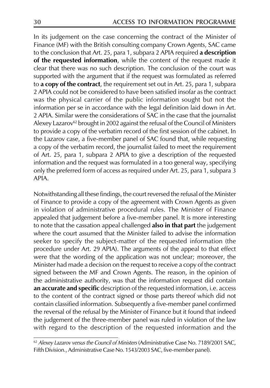In its judgement on the case concerning the contract of the Minister of Finance (MF) with the British consulting company Crown Agents, SAC came to the conclusion that Art. 25, para 1, subpara 2 APIA required a description of the requested information, while the content of the request made it clear that there was no such description. The conclusion of the court was supported with the argument that if the request was formulated as referred to a copy of the contract, the requirement set out in Art. 25, para 1, subpara 2 APIA could not be considered to have been satisfied insofar as the contract was the physical carrier of the public information sought but not the information per se in accordance with the legal definition laid down in Art. 2 APIA. Similar were the considerations of SAC in the case that the journalist Alexey Lazarov<sup>62</sup> brought in 2002 against the refusal of the Council of Ministers to provide a copy of the verbatim record of the first session of the cabinet. In the Lazarov case, a five-member panel of SAC found that, while requesting a copy of the verbatim record, the journalist failed to meet the requirement of Art. 25, para 1, subpara 2 APIA to give a description of the requested information and the request was formulated in a too general way, specifying only the preferred form of access as required under Art. 25, para 1, subpara 3 APIA.

Notwithstanding all these findings, the court reversed the refusal of the Minister of Finance to provide a copy of the agreement with Crown Agents as given in violation of administrative procedural rules. The Minister of Finance appealed that judgement before a five-member panel. It is more interesting to note that the cassation appeal challenged also in that part the judgement where the court assumed that the Minister failed to advise the information seeker to specify the subject-matter of the requested information (the procedure under Art. 29 APIA). The arguments of the appeal to that effect were that the wording of the application was not unclear; moreover, the Minister had made a decision on the request to receive a copy of the contract signed between the MF and Crown Agents. The reason, in the opinion of the administrative authority, was that the information request did contain an accurate and specific description of the requested information, i.e. access to the content of the contract signed or those parts thereof which did not contain classified information. Subsequently a five-member panel confirmed the reversal of the refusal by the Minister of Finance but it found that indeed the judgement of the three-member panel was ruled in violation of the law with regard to the description of the requested information and the

<sup>&</sup>lt;sup>62</sup> Alexey Lazarov versus the Council of Ministers (Administrative Case No. 7189/2001 SAC, Fifth Division., Administrative Case No. 1543/2003 SAC, five-member panel).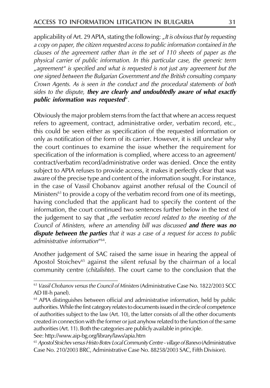applicability of Art. 29 APIA, stating the following: "It is obvious that by requesting a copy on paper, the citizen requested access to public information contained in the clauses of the agreement rather than in the set of 110 sheets of paper as the physical carrier of public information. In this particular case, the generic term "agreement" is specified and what is requested is not just any agreement but the one signed between the Bulgarian Government and the British consulting company Crown Agents. As is seen in the conduct and the procedural statements of both sides to the dispute, they are clearly and undoubtedly aware of what exactly public information was requested".

Obviously the major problem stems from the fact that where an access request refers to agreement, contract, administrative order, verbatim record, etc., this could be seen either as specification of the requested information or only as notification of the form of its carrier. However, it is still unclear why the court continues to examine the issue whether the requirement for specification of the information is complied, where access to an agreement/ contract/verbatim record/administrative order was denied. Once the entity subject to APIA refuses to provide access, it makes it perfectly clear that was aware of the precise type and content of the information sought. For instance, in the case of Vassil Chobanov against another refusal of the Council of Ministers<sup>63</sup> to provide a copy of the verbatim record from one of its meetings, having concluded that the applicant had to specify the content of the information, the court continued two sentences further below in the text of the judgement to say that "the verbatim record related to the meeting of the Council of Ministers, where an amending bill was discussed and there was no **dispute between the parties** that it was a case of a request for access to public administrative information"<sup>64</sup>.

Another judgement of SAC raised the same issue in hearing the appeal of Apostol Stoichev<sup>65</sup> against the silent refusal by the chairman of a local community centre (*chitalishte*). The court came to the conclusion that the

See: http://www.aip-bg.org/library/laws/apia.htm

<sup>&</sup>lt;sup>63</sup> Vassil Chobanov versus the Council of Ministers (Administrative Case No. 1822/2003 SCC) AD III-h panel).

<sup>&</sup>lt;sup>64</sup> APIA distinguishes between official and administrative information, held by public authorities. While the first category relates to documents issued in the circle of competence of authorities subject to the law (Art. 10), the latter consists of all the other documents created in connection with the former or just anyhow related to the function of the same authorities (Art. 11). Both the categories are publicly available in principle.

<sup>65</sup> Apostol Stoichev versus Hristo Botev Local Community Centre - village of Banevo (Administrative Case No. 210/2003 BRC, Administrative Case No. 88258/2003 SAC, Fifth Division).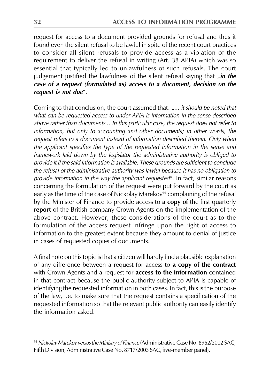request for access to a document provided grounds for refusal and thus it found even the silent refusal to be lawful in spite of the recent court practices to consider all silent refusals to provide access as a violation of the requirement to deliver the refusal in writing (Art. 38 APIA) which was so essential that typically led to unlawfulness of such refusals. The court judgement justified the lawfulness of the silent refusal saying that "in the case of a request (formulated as) access to a document, decision on the request is not due".

Coming to that conclusion, the court assumed that: "... it should be noted that what can be requested access to under APIA is information in the sense described above rather than documents... In this particular case, the request does not refer to information, but only to accounting and other documents; in other words, the request refers to a document instead of information described therein. Only when the applicant specifies the type of the requested information in the sense and framework laid down by the legislator the administrative authority is obliged to provide it if the said information is available. These grounds are sufficient to conclude the refusal of the administrative authority was lawful because it has no obligation to provide information in the way the applicant requested". In fact, similar reasons concerning the formulation of the request were put forward by the court as early as the time of the case of Nickolay Marekov<sup>66</sup> complaining of the refusal by the Minister of Finance to provide access to **a copy of** the first quarterly report of the British company Crown Agents on the implementation of the above contract. However, these considerations of the court as to the formulation of the access request infringe upon the right of access to information to the greatest extent because they amount to denial of justice in cases of requested copies of documents.

A final note on this topic is that a citizen will hardly find a plausible explanation of any difference between a request for access to a copy of the contract with Crown Agents and a request for access to the information contained in that contract because the public authority subject to APIA is capable of identifying the requested information in both cases. In fact, this is the purpose of the law, i.e. to make sure that the request contains a specification of the requested information so that the relevant public authority can easily identify the information asked.

<sup>&</sup>lt;sup>66</sup> Nickolay Marekov versus the Ministry of Finance (Administrative Case No. 8962/2002 SAC, Fifth Division, Administrative Case No. 8717/2003 SAC, five-member panel).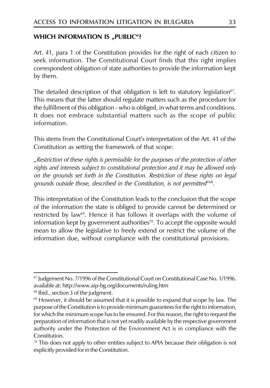#### **WHICH INFORMATION IS "PUBLIC"?**

Art. 41, para 1 of the Constitution provides for the right of each citizen to seek information. The Constitutional Court finds that this right implies correspondent obligation of state authorities to provide the information kept by them.

The detailed description of that obligation is left to statutory legislation<sup>67</sup>. This means that the latter should regulate matters such as the procedure for the fulfillment of this obligation - who is obliged, in what terms and conditions. It does not embrace substantial matters such as the scope of public information

This stems from the Constitutional Court's interpretation of the Art. 41 of the Constitution as setting the framework of that scope:

"Restriction of these rights is permissible for the purposes of the protection of other rights and interests subject to constitutional protection and it may be allowed only on the grounds set forth in the Constitution. Restriction of these rights on legal grounds outside those, described in the Constitution, is not permitted"<sup>68</sup>.

This interpretation of the Constitution leads to the conclusion that the scope of the information the state is obliged to provide cannot be determined or restricted by law<sup>69</sup>. Hence it has follows it overlaps with the volume of information kept by government authorities<sup>70</sup>. To accept the opposite would mean to allow the legislative to freely extend or restrict the volume of the information due, without compliance with the constitutional provisions.

<sup>&</sup>lt;sup>67</sup> Judgement No. 7/1996 of the Constitutional Court on Constitutional Case No. 1/1996. available at: http://www.aip-bg.org/documents/ruling.htm

<sup>&</sup>lt;sup>68</sup> Ibid., section 3 of the judgment.

<sup>&</sup>lt;sup>69</sup> However, it should be assumed that it is possible to expand that scope by law. The purpose of the Constitution is to provide minimum guarantees for the right to information, for which the minimum scope has to be ensured. For this reason, the right to request the preparation of information that is not yet readily available by the respective government authority under the Protection of the Environment Act is in compliance with the Constitution.

 $\frac{70}{10}$  This does not apply to other entities subject to APIA because their obligation is not explicitly provided for in the Constitution.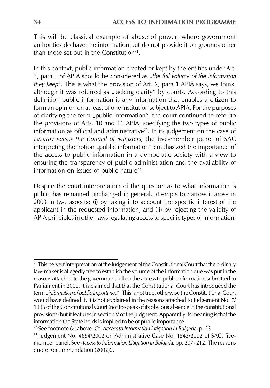This will be classical example of abuse of power, where government authorities do have the information but do not provide it on grounds other than those set out in the Constitution<sup>71</sup>.

In this context, public information created or kept by the entities under Art. 3, para.1 of APIA should be considered as "the full volume of the information they keep". This is what the provision of Art. 2, para 1 APIA says, we think, although it was referred as "lacking clarity" by courts. According to this definition public information is any information that enables a citizen to form an opinion on at least of one institution subject to APIA. For the purposes of clarifying the term "public information", the court continued to refer to the provisions of Arts. 10 and 11 APIA, specifying the two types of public information as official and administrative<sup> $72$ </sup>. In its judgement on the case of Lazarov versus the Council of Ministers, the five-member panel of SAC interpreting the notion "public information" emphasized the importance of the access to public information in a democratic society with a view to ensuring the transparency of public administration and the availability of information on issues of public nature<sup>73</sup>.

Despite the court interpretation of the question as to what information is public has remained unchanged in general, attempts to narrow it arose in 2003 in two aspects: (i) by taking into account the specific interest of the applicant in the requested information, and (ii) by rejecting the validity of APIA principles in other laws regulating access to specific types of information.

<sup>&</sup>lt;sup>71</sup> This pervert interpretation of the Judgement of the Constitutional Court that the ordinary law-maker is allegedly free to establish the volume of the information due was put in the reasons attached to the government bill on the access to public information submitted to Parliament in 2000. It is claimed that that the Constitutional Court has introduced the term "information of public importance". This is not true, otherwise the Constitutional Court would have defined it. It is not explained in the reasons attached to Judgement No. 7/ 1996 of the Constitutional Court (not to speak of its obvious absence in the constitutional provisions) but it features in section V of the judgment. Apparently its meaning is that the information the State holds is implied to be of public importance.

<sup>&</sup>lt;sup>72</sup> See footnote 64 above. Cf. Access to Information Litigation in Bulgaria, p. 23.

<sup>&</sup>lt;sup>73</sup> Judgement No. 4694/2002 on Administrative Case No. 1543/2002 of SAC, fivemember panel. See Access to Information Litigation in Bulgaria, pp. 207-212. The reasons quote Recommendation (2002)2.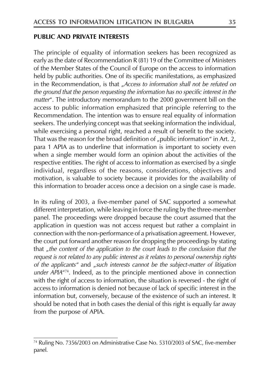#### **PUBLIC AND PRIVATE INTERESTS**

The principle of equality of information seekers has been recognized as early as the date of Recommendation R (81) 19 of the Committee of Ministers of the Member States of the Council of Europe on the access to information held by public authorities. One of its specific manifestations, as emphasized in the Recommendation, is that "Access to information shall not be refuted on the ground that the person requesting the information has no specific interest in the matter". The introductory memorandum to the 2000 government bill on the access to public information emphasized that principle referring to the Recommendation. The intention was to ensure real equality of information seekers. The underlying concept was that seeking information the individual, while exercising a personal right, reached a result of benefit to the society. That was the reason for the broad definition of "public information" in Art. 2, para 1 APIA as to underline that information is important to society even when a single member would form an opinion about the activities of the respective entities. The right of access to information as exercised by a single individual, regardless of the reasons, considerations, objectives and motivation, is valuable to society because it provides for the availability of this information to broader access once a decision on a single case is made.

In its ruling of 2003, a five-member panel of SAC supported a somewhat different interpretation, while leaving in force the ruling by the three-member panel. The proceedings were dropped because the court assumed that the application in question was not access request but rather a complaint in connection with the non-performance of a privatisation agreement. However, the court put forward another reason for dropping the proceedings by stating that "the content of the application to the court leads to the conclusion that the request is not related to any public interest as it relates to personal ownership rights of the applicants" and "such interests cannot be the subject-matter of litigation under APIA<sup>474</sup>. Indeed, as to the principle mentioned above in connection with the right of access to information, the situation is reversed - the right of access to information is denied not because of lack of specific interest in the information but, conversely, because of the existence of such an interest. It should be noted that in both cases the denial of this right is equally far away from the purpose of APIA.

<sup>&</sup>lt;sup>74</sup> Ruling No. 7356/2003 on Administrative Case No. 5310/2003 of SAC, five-member panel.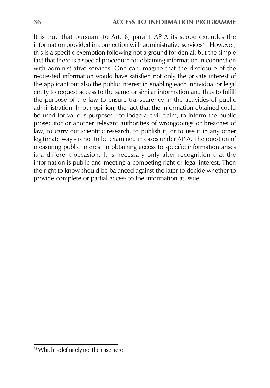It is true that pursuant to Art. 8, para 1 APIA its scope excludes the information provided in connection with administrative services<sup>75</sup>. However, this is a specific exemption following not a ground for denial, but the simple fact that there is a special procedure for obtaining information in connection with administrative services. One can imagine that the disclosure of the requested information would have satisfied not only the private interest of the applicant but also the public interest in enabling each individual or legal entity to request access to the same or similar information and thus to fulfill the purpose of the law to ensure transparency in the activities of public administration. In our opinion, the fact that the information obtained could be used for various purposes - to lodge a civil claim, to inform the public prosecutor or another relevant authorities of wrongdoings or breaches of law, to carry out scientific research, to publish it, or to use it in any other legitimate way - is not to be examined in cases under APIA. The question of measuring public interest in obtaining access to specific information arises is a different occasion. It is necessary only after recognition that the information is public and meeting a competing right or legal interest. Then the right to know should be balanced against the later to decide whether to provide complete or partial access to the information at issue.

<sup>&</sup>lt;sup>75</sup> Which is definitely not the case here.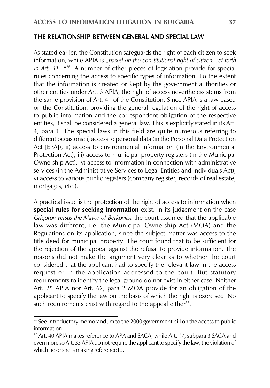#### THE RELATIONSHIP BETWEEN GENERAL AND SPECIAL LAW

As stated earlier, the Constitution safeguards the right of each citizen to seek information, while APIA is "based on the constitutional right of citizens set forth in Art.  $41...^{476}$ . A number of other pieces of legislation provide for special rules concerning the access to specific types of information. To the extent that the information is created or kept by the government authorities or other entities under Art. 3 APIA, the right of access nevertheless stems from the same provision of Art. 41 of the Constitution. Since APIA is a law based on the Constitution, providing the general regulation of the right of access to public information and the correspondent obligation of the respective entities, it shall be considered a general law. This is explicitly stated in its Art. 4, para 1. The special laws in this field are quite numerous referring to different occasions: i) access to personal data (in the Personal Data Protection Act [EPA]), ii) access to environmental information (in the Environmental Protection Act), iii) access to municipal property registers (in the Municipal Ownership Act), iv) access to information in connection with administrative services (in the Administrative Services to Legal Entities and Individuals Act), v) access to various public registers (company register, records of real estate, mortgages, etc.).

A practical issue is the protection of the right of access to information when special rules for seeking information exist. In its judgement on the case Grigorov versus the Mayor of Berkovitsa the court assumed that the applicable law was different, i.e. the Municipal Ownership Act (MOA) and the Regulations on its application, since the subject-matter was access to the title deed for municipal property. The court found that to be sufficient for the rejection of the appeal against the refusal to provide information. The reasons did not make the argument very clear as to whether the court considered that the applicant had to specify the relevant law in the access request or in the application addressed to the court. But statutory requirements to identify the legal ground do not exist in either case. Neither Art. 25 APIA nor Art. 62, para 2 MOA provide for an obligation of the applicant to specify the law on the basis of which the right is exercised. No such requirements exist with regard to the appeal either<sup>77</sup>.

<sup>&</sup>lt;sup>76</sup> See Introductory memorandum to the 2000 government bill on the access to public information.

<sup>&</sup>lt;sup>77</sup> Art. 40 APIA makes reference to APA and SACA, while Art. 17, subpara 3 SACA and even more so Art. 33 APIA do not require the applicant to specify the law, the violation of which he or she is making reference to.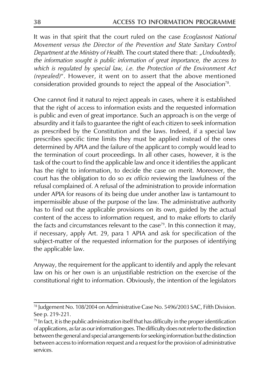It was in that spirit that the court ruled on the case Ecoglasnost National Movement versus the Director of the Prevention and State Sanitary Control Department at the Ministry of Health. The court stated there that: "Undoubtedly, the information sought is public information of great importance, the access to which is regulated by special law, i.e. the Protection of the Environment Act (repealed)". However, it went on to assert that the above mentioned consideration provided grounds to reject the appeal of the Association<sup>78</sup>.

One cannot find it natural to reject appeals in cases, where it is established that the right of access to information exists and the requested information is public and even of great importance. Such an approach is on the verge of absurdity and it fails to guarantee the right of each citizen to seek information as prescribed by the Constitution and the laws. Indeed, if a special law prescribes specific time limits they must be applied instead of the ones determined by APIA and the failure of the applicant to comply would lead to the termination of court proceedings. In all other cases, however, it is the task of the court to find the applicable law and once it identifies the applicant has the right to information, to decide the case on merit. Moreover, the court has the obligation to do so ex officio reviewing the lawfulness of the refusal complained of. A refusal of the administration to provide information under APIA for reasons of its being due under another law is tantamount to impermissible abuse of the purpose of the law. The administrative authority has to find out the applicable provisions on its own, guided by the actual content of the access to information request, and to make efforts to clarify the facts and circumstances relevant to the case<sup>79</sup>. In this connection it may, if necessary, apply Art. 29, para 1 APIA and ask for specification of the subject-matter of the requested information for the purposes of identifying the applicable law.

Anyway, the requirement for the applicant to identify and apply the relevant law on his or her own is an unjustifiable restriction on the exercise of the constitutional right to information. Obviously, the intention of the legislators

<sup>&</sup>lt;sup>78</sup> Judgement No. 108/2004 on Administrative Case No. 5496/2003 SAC, Fifth Division. See p. 219-221.

 $\frac{79}{10}$  In fact, it is the public administration itself that has difficulty in the proper identification of applications, as far as our information goes. The difficulty does not refer to the distinction between the general and special arrangements for seeking information but the distinction between access to information request and a request for the provision of administrative services.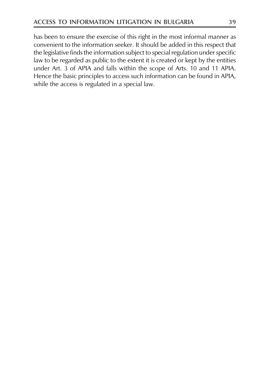has been to ensure the exercise of this right in the most informal manner as convenient to the information seeker. It should be added in this respect that the legislative finds the information subject to special regulation under specific law to be regarded as public to the extent it is created or kept by the entities under Art. 3 of APIA and falls within the scope of Arts. 10 and 11 APIA. Hence the basic principles to access such information can be found in APIA, while the access is regulated in a special law.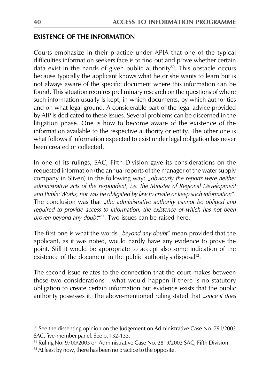#### **EXISTENCE OF THE INFORMATION**

Courts emphasize in their practice under APIA that one of the typical difficulties information seekers face is to find out and prove whether certain data exist in the hands of given public authority<sup>80</sup>. This obstacle occurs because typically the applicant knows what he or she wants to learn but is not always aware of the specific document where this information can be found. This situation requires preliminary research on the questions of where such information usually is kept, in which documents, by which authorities and on what legal ground. A considerable part of the legal advice provided by AIP is dedicated to these issues. Several problems can be discerned in the litigation phase. One is how to become aware of the existence of the information available to the respective authority or entity. The other one is what follows if information expected to exist under legal obligation has never been created or collected.

In one of its rulings, SAC, Fifth Division gave its considerations on the requested information (the annual reports of the manager of the water supply company in Sliven) in the following way: "obviously the reports were neither administrative acts of the respondent, i.e. the Minister of Regional Development and Public Works, nor was he obligated by law to create or keep such information". The conclusion was that "the administrative authority cannot be obliged and required to provide access to information, the existence of which has not been proven beyond any doubt<sup>481</sup>. Two issues can be raised here.

The first one is what the words "beyond any doubt" mean provided that the applicant, as it was noted, would hardly have any evidence to prove the point. Still it would be appropriate to accept also some indication of the existence of the document in the public authority's disposal<sup>82</sup>.

The second issue relates to the connection that the court makes between these two considerations - what would happen if there is no statutory obligation to create certain information but evidence exists that the public authority possesses it. The above-mentioned ruling stated that "since it does

<sup>&</sup>lt;sup>80</sup> See the dissenting opinion on the Judgement on Administrative Case No. 791/2003 SAC, five-member panel. See p. 132-133.

<sup>&</sup>lt;sup>81</sup> Ruling No. 9700/2003 on Administrative Case No. 2819/2003 SAC, Fifth Division.

<sup>&</sup>lt;sup>82</sup> At least by now, there has been no practice to the opposite.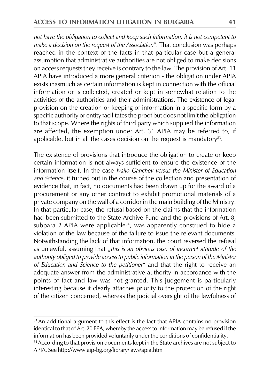not have the obligation to collect and keep such information, it is not competent to make a decision on the request of the Association". That conclusion was perhaps reached in the context of the facts in that particular case but a general assumption that administrative authorities are not obliged to make decisions on access requests they receive is contrary to the law. The provision of Art. 11 APIA have introduced a more general criterion - the obligation under APIA exists inasmuch as certain information is kept in connection with the official information or is collected, created or kept in somewhat relation to the activities of the authorities and their administrations. The existence of legal provision on the creation or keeping of information in a specific form by a specific authority or entity facilitates the proof but does not limit the obligation to that scope. Where the rights of third party which supplied the information are affected, the exemption under Art. 31 APIA may be referred to, if applicable, but in all the cases decision on the request is mandatory $83$ .

The existence of provisions that introduce the obligation to create or keep certain information is not always sufficient to ensure the existence of the information itself. In the case Ivailo Ganchev versus the Minister of Education and Science, it turned out in the course of the collection and presentation of evidence that, in fact, no documents had been drawn up for the award of a procurement or any other contract to exhibit promotional materials of a private company on the wall of a corridor in the main building of the Ministry. In that particular case, the refusal based on the claims that the information had been submitted to the State Archive Fund and the provisions of Art. 8, subpara 2 APIA were applicable<sup>84</sup>, was apparently construed to hide a violation of the law because of the failure to issue the relevant documents. Notwithstanding the lack of that information, the court reversed the refusal as unlawful, assuming that "this is an obvious case of incorrect attitude of the authority obliged to provide access to public information in the person of the Minister of Education and Science to the petitioner" and that the right to receive an adequate answer from the administrative authority in accordance with the points of fact and law was not granted. This judgement is particularly interesting because it clearly attaches priority to the protection of the right of the citizen concerned, whereas the judicial oversight of the lawfulness of

<sup>&</sup>lt;sup>83</sup> An additional argument to this effect is the fact that APIA contains no provision identical to that of Art. 20 EPA, whereby the access to information may be refused if the information has been provided voluntarily under the conditions of confidentiality. <sup>84</sup> According to that provision documents kept in the State archives are not subject to APIA. See http://www.aip-bg.org/library/laws/apia.htm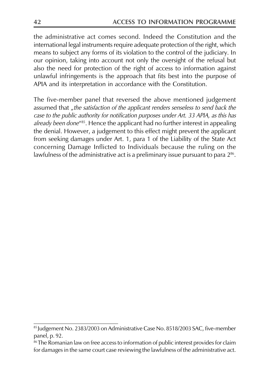the administrative act comes second. Indeed the Constitution and the international legal instruments require adequate protection of the right, which means to subject any forms of its violation to the control of the judiciary. In our opinion, taking into account not only the oversight of the refusal but also the need for protection of the right of access to information against unlawful infringements is the approach that fits best into the purpose of APIA and its interpretation in accordance with the Constitution.

The five-member panel that reversed the above mentioned judgement assumed that "the satisfaction of the applicant renders senseless to send back the case to the public authority for notification purposes under Art. 33 APIA, as this has already been done"<sup>85</sup>. Hence the applicant had no further interest in appealing the denial. However, a judgement to this effect might prevent the applicant from seeking damages under Art. 1, para 1 of the Liability of the State Act concerning Damage Inflicted to Individuals because the ruling on the lawfulness of the administrative act is a preliminary issue pursuant to para 2<sup>86</sup>.

<sup>85</sup> Judgement No. 2383/2003 on Administrative Case No. 8518/2003 SAC, five-member panel, p. 92.

<sup>&</sup>lt;sup>86</sup> The Romanian law on free access to information of public interest provides for claim for damages in the same court case reviewing the lawfulness of the administrative act.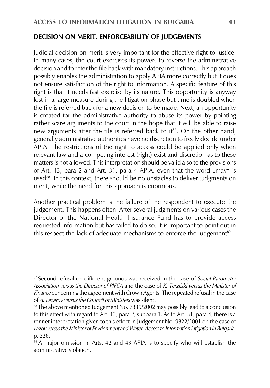#### DECISION ON MERIT. ENFORCEABILITY OF JUDGEMENTS

Judicial decision on merit is very important for the effective right to justice. In many cases, the court exercises its powers to reverse the administrative decision and to refer the file back with mandatory instructions. This approach possibly enables the administration to apply APIA more correctly but it does not ensure satisfaction of the right to information. A specific feature of this right is that it needs fast exercise by its nature. This opportunity is anyway lost in a large measure during the litigation phase but time is doubled when the file is referred back for a new decision to be made. Next, an opportunity is created for the administrative authority to abuse its power by pointing rather scare arguments to the court in the hope that it will be able to raise new arguments after the file is referred back to it<sup>87</sup>. On the other hand, generally administrative authorities have no discretion to freely decide under APIA. The restrictions of the right to access could be applied only when relevant law and a competing interest (right) exist and discretion as to these matters is not allowed. This interpretation should be valid also to the provisions of Art. 13, para 2 and Art. 31, para 4 APIA, even that the word "may" is used<sup>88</sup>. In this context, there should be no obstacles to deliver judgments on merit, while the need for this approach is enormous.

Another practical problem is the failure of the respondent to execute the judgement. This happens often. After several judgments on various cases the Director of the National Health Insurance Fund has to provide access requested information but has failed to do so. It is important to point out in this respect the lack of adequate mechanisms to enforce the judgement<sup>89</sup>.

<sup>&</sup>lt;sup>87</sup> Second refusal on different grounds was received in the case of Social Barometer Association versus the Director of PIFCA and the case of K. Terziiski versus the Minister of Finance concerning the agreement with Crown Agents. The repeated refusal in the case of A. Lazarov versus the Council of Ministers was silent.

<sup>&</sup>lt;sup>88</sup> The above mentioned Judgement No. 7339/2002 may possibly lead to a conclusion to this effect with regard to Art. 13, para 2, subpara 1. As to Art. 31, para 4, there is a rennet interpretation given to this effect in Judgement No. 9822/2001 on the case of Lazov versus the Minister of Envrionment and Water. Access to Information Litigation in Bulgaria, p. 226.

<sup>&</sup>lt;sup>89</sup> A major omission in Arts. 42 and 43 APIA is to specify who will establish the administrative violation.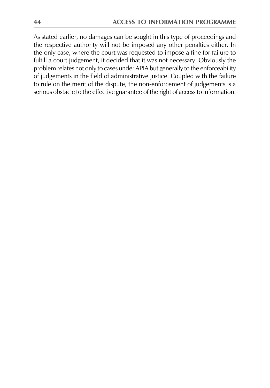As stated earlier, no damages can be sought in this type of proceedings and the respective authority will not be imposed any other penalties either. In the only case, where the court was requested to impose a fine for failure to fulfill a court judgement, it decided that it was not necessary. Obviously the problem relates not only to cases under APIA but generally to the enforceability of judgements in the field of administrative justice. Coupled with the failure to rule on the merit of the dispute, the non-enforcement of judgements is a serious obstacle to the effective guarantee of the right of access to information.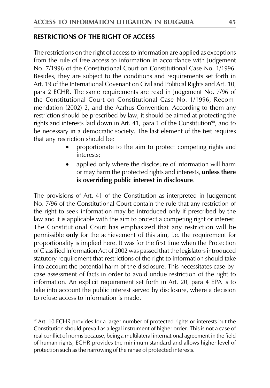#### **RESTRICTIONS OF THE RIGHT OF ACCESS**

The restrictions on the right of access to information are applied as exceptions from the rule of free access to information in accordance with Judgement No. 7/1996 of the Constitutional Court on Constitutional Case No. 1/1996. Besides, they are subject to the conditions and requirements set forth in Art. 19 of the International Covenant on Civil and Political Rights and Art. 10, para 2 ECHR. The same requirements are read in Judgement No. 7/96 of the Constitutional Court on Constitutional Case No. 1/1996, Recommendation (2002) 2, and the Aarhus Convention. According to them any restriction should be prescribed by law; it should be aimed at protecting the rights and interests laid down in Art. 41, para 1 of the Constitution<sup>90</sup>, and to be necessary in a democratic society. The last element of the test requires that any restriction should be:

- proportionate to the aim to protect competing rights and interests;
- applied only where the disclosure of information will harm or may harm the protected rights and interests, **unless there** is overriding public interest in disclosure.

The provisions of Art. 41 of the Constitution as interpreted in Judgement No. 7/96 of the Constitutional Court contain the rule that any restriction of the right to seek information may be introduced only if prescribed by the law and it is applicable with the aim to protect a competing right or interest. The Constitutional Court has emphasized that any restriction will be permissible only for the achievement of this aim, i.e. the requirement for proportionality is implied here. It was for the first time when the Protection of Classified Information Act of 2002 was passed that the legislators introduced statutory requirement that restrictions of the right to information should take into account the potential harm of the disclosure. This necessitates case-bycase assessment of facts in order to avoid undue restriction of the right to information. An explicit requirement set forth in Art. 20, para 4 EPA is to take into account the public interest served by disclosure, where a decision to refuse access to information is made.

<sup>&</sup>lt;sup>90</sup> Art. 10 ECHR provides for a larger number of protected rights or interests but the Constitution should prevail as a legal instrument of higher order. This is not a case of real conflict of norms because, being a multilateral international agreement in the field of human rights, ECHR provides the minimum standard and allows higher level of protection such as the narrowing of the range of protected interests.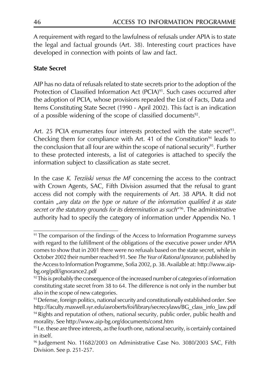A requirement with regard to the lawfulness of refusals under APIA is to state the legal and factual grounds (Art. 38). Interesting court practices have developed in connection with points of law and fact.

# **State Secret**

AIP has no data of refusals related to state secrets prior to the adoption of the Protection of Classified Information Act (PCIA)<sup>91</sup>. Such cases occurred after the adoption of PCIA, whose provisions repealed the List of Facts, Data and Items Constituting State Secret (1990 - April 2002). This fact is an indication of a possible widening of the scope of classified documents<sup>92</sup>.

Art. 25 PCIA enumerates four interests protected with the state secret<sup>93</sup>. Checking them for compliance with Art. 41 of the Constitution<sup>94</sup> leads to the conclusion that all four are within the scope of national security<sup>95</sup>. Further to these protected interests, a list of categories is attached to specify the information subject to classification as state secret.

In the case K. Terziiski versus the MF concerning the access to the contract with Crown Agents, SAC, Fifth Division assumed that the refusal to grant access did not comply with the requirements of Art. 38 APIA. It did not contain "any data on the type or nature of the information qualified it as state secret or the statutory grounds for its determination as such<sup>496</sup>. The administrative authority had to specify the category of information under Appendix No. 1

<sup>&</sup>lt;sup>91</sup> The comparison of the findings of the Access to Information Programme surveys with regard to the fulfillment of the obligations of the executive power under APIA comes to show that in 2001 there were no refusals based on the state secret, while in October 2002 their number reached 91. See The Year of Rational Ignorance, published by the Access to Information Programme, Sofia 2002, p. 38. Available at: http://www.aipbg.org/pdf/ignorance2.pdf

<sup>&</sup>lt;sup>92</sup> This is probably the consequence of the increased number of categories of information constituting state secret from 38 to 64. The difference is not only in the number but also in the scope of new categories.

<sup>93</sup> Defense, foreign politics, national security and constitutionally established order. See http://faculty.maxwell.syr.edu/asroberts/foi/library/secrecylaws/BG\_class\_info\_law.pdf <sup>94</sup> Rights and reputation of others, national security, public order, public health and morality. See http://www.aip-bg.org/documents/const.htm

<sup>&</sup>lt;sup>95</sup> I.e. these are three interests, as the fourth one, national security, is certainly contained in itself.

<sup>&</sup>lt;sup>96</sup> Judgement No. 11682/2003 on Administrative Case No. 3080/2003 SAC, Fifth Division. See p. 251-257.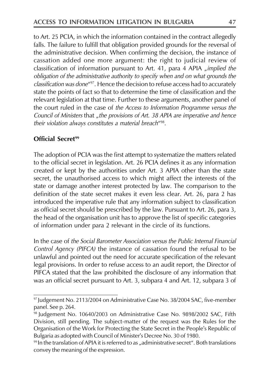to Art. 25 PCIA, in which the information contained in the contract allegedly falls. The failure to fulfill that obligation provided grounds for the reversal of the administrative decision. When confirming the decision, the instance of cassation added one more argument: the right to judicial review of classification of information pursuant to Art. 41, para 4 APIA "implied the obligation of the administrative authority to specify when and on what grounds the classification was done"<sup>97</sup>. Hence the decision to refuse access had to accurately state the points of fact so that to determine the time of classification and the relevant legislation at that time. Further to these arguments, another panel of the court ruled in the case of the Access to Information Programme versus the Council of Ministers that "the provisions of Art. 38 APIA are imperative and hence their violation always constitutes a material breach<sup>498</sup>.

#### Official Secret<sup>99</sup>

The adoption of PCIA was the first attempt to systematize the matters related to the official secret in legislation. Art. 26 PCIA defines it as any information created or kept by the authorities under Art. 3 APIA other than the state secret, the unauthorised access to which might affect the interests of the state or damage another interest protected by law. The comparison to the definition of the state secret makes it even less clear. Art. 26, para 2 has introduced the imperative rule that any information subject to classification as official secret should be prescribed by the law. Pursuant to Art. 26, para 3, the head of the organisation unit has to approve the list of specific categories of information under para 2 relevant in the circle of its functions.

In the case of the Social Barometer Association versus the Public Internal Financial Control Agency (PIFCA) the instance of cassation found the refusal to be unlawful and pointed out the need for accurate specification of the relevant legal provisions. In order to refuse access to an audit report, the Director of PIFCA stated that the law prohibited the disclosure of any information that was an official secret pursuant to Art. 3, subpara 4 and Art. 12, subpara 3 of

<sup>&</sup>lt;sup>97</sup> Judgement No. 2113/2004 on Administrative Case No. 38/2004 SAC, five-member panel. See p. 264.

<sup>&</sup>lt;sup>98</sup> Judgement No. 10640/2003 on Administrative Case No. 9898/2002 SAC, Fifth Division, still pending. The subject-matter of the request was the Rules for the Organisation of the Work for Protecting the State Secret in the People's Republic of Bulgaria as adopted with Council of Minister's Decree No. 30 of 1980.

 $99$  In the translation of APIA it is referred to as "administrative secret". Both translations convey the meaning of the expression.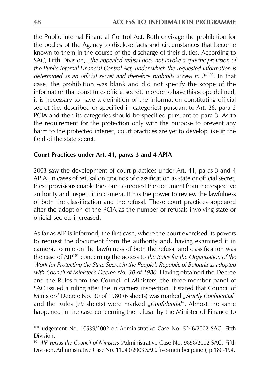the Public Internal Financial Control Act. Both envisage the prohibition for the bodies of the Agency to disclose facts and circumstances that become known to them in the course of the discharge of their duties. According to SAC, Fifth Division, "the appealed refusal does not invoke a specific provision of the Public Internal Financial Control Act, under which the requested information is determined as an official secret and therefore prohibits access to  $it^{\mu_{100}}$ . In that case, the prohibition was blank and did not specify the scope of the information that constitutes official secret. In order to have this scope defined, it is necessary to have a definition of the information constituting official secret (i.e. described or specified in categories) pursuant to Art. 26, para 2 PCIA and then its categories should be specified pursuant to para 3. As to the requirement for the protection only with the purpose to prevent any harm to the protected interest, court practices are yet to develop like in the field of the state secret.

# Court Practices under Art. 41, paras 3 and 4 APIA

2003 saw the development of court practices under Art. 41, paras 3 and 4 APIA. In cases of refusal on grounds of classification as state or official secret, these provisions enable the court to request the document from the respective authority and inspect it in camera. It has the power to review the lawfulness of both the classification and the refusal. These court practices appeared after the adoption of the PCIA as the number of refusals involving state or official secrets increased.

As far as AIP is informed, the first case, where the court exercised its powers to request the document from the authority and, having examined it in camera, to rule on the lawfulness of both the refusal and classification was the case of AIP<sup>101</sup> concerning the access to the Rules for the Organisation of the Work for Protecting the State Secret in the People's Republic of Bulgaria as adopted with Council of Minister's Decree No. 30 of 1980. Having obtained the Decree and the Rules from the Council of Ministers, the three-member panel of SAC issued a ruling after the in camera inspection. It stated that Council of Ministers' Decree No. 30 of 1980 (6 sheets) was marked "Strictly Confidential" and the Rules (79 sheets) were marked "Confidential". Almost the same happened in the case concerning the refusal by the Minister of Finance to

<sup>100</sup> Judgement No. 10539/2002 on Administrative Case No. 5246/2002 SAC, Fifth Division.

<sup>101</sup> AIP versus the Council of Ministers (Administrative Case No. 9898/2002 SAC, Fifth Division, Administrative Case No. 11243/2003 SAC, five-member panel), p.180-194.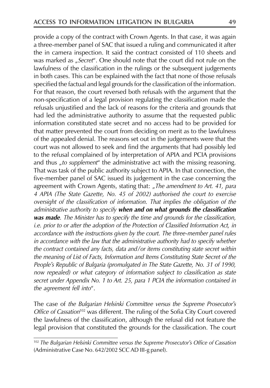provide a copy of the contract with Crown Agents. In that case, it was again a three-member panel of SAC that issued a ruling and communicated it after the in camera inspection. It said the contract consisted of 110 sheets and was marked as "Secret". One should note that the court did not rule on the lawfulness of the classification in the rulings or the subsequent judgements in both cases. This can be explained with the fact that none of those refusals specified the factual and legal grounds for the classification of the information. For that reason, the court reversed both refusals with the argument that the non-specification of a legal provision regulating the classification made the refusals unjustified and the lack of reasons for the criteria and grounds that had led the administrative authority to assume that the requested public information constituted state secret and no access had to be provided for that matter prevented the court from deciding on merit as to the lawfulness of the appealed denial. The reasons set out in the judgements were that the court was not allowed to seek and find the arguments that had possibly led to the refusal complained of by interpretation of APIA and PCIA provisions and thus "to supplement" the administrative act with the missing reasoning. That was task of the public authority subject to APIA. In that connection, the five-member panel of SAC issued its judgement in the case concerning the agreement with Crown Agents, stating that: "The amendment to Art. 41, para 4 APIA (The State Gazette, No. 45 of 2002) authorised the court to exercise oversight of the classification of information. That implies the obligation of the administrative authority to specify when and on what grounds the classification was made. The Minister has to specify the time and grounds for the classification, i.e. prior to or after the adoption of the Protection of Classified Information Act, in accordance with the instructions given by the court. The three-member panel rules in accordance with the law that the administrative authority had to specify whether the contract contained any facts, data and/or items constituting state secret within the meaning of List of Facts, Information and Items Constituting State Secret of the People's Republic of Bulgaria (promulgated in The State Gazette, No. 31 of 1990, now repealed) or what category of information subject to classification as state secret under Appendix No. 1 to Art. 25, para 1 PCIA the information contained in the agreement fell into".

The case of the Bulgarian Helsinki Committee versus the Supreme Prosecutor's Office of Cassation<sup>102</sup> was different. The ruling of the Sofia City Court covered the lawfulness of the classification, although the refusal did not feature the legal provision that constituted the grounds for the classification. The court

<sup>&</sup>lt;sup>102</sup> The Bulgarian Helsinki Committee versus the Supreme Prosecutor's Office of Cassation (Administrative Case No. 642/2002 SCC AD III-g panel).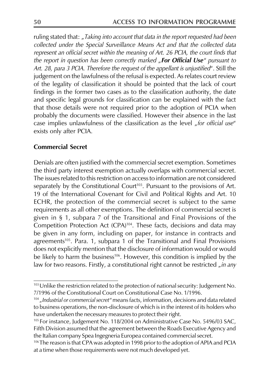ruling stated that: "Taking into account that data in the report requested had been collected under the Special Surveillance Means Act and that the collected data represent an official secret within the meaning of Art. 26 PCIA, the court finds that the report in question has been correctly marked "For Official Use" pursuant to Art. 28, para 3 PCIA. Therefore the request of the appellant is unjustified". Still the judgement on the lawfulness of the refusal is expected. As relates court review of the legality of classification it should be pointed that the lack of court findings in the former two cases as to the classification authority, the date and specific legal grounds for classification can be explained with the fact that those details were not required prior to the adoption of PCIA when probably the documents were classified. However their absence in the last case implies unlawfulness of the classification as the level "for official use" exists only after PCIA.

#### **Commercial Secret**

Denials are often justified with the commercial secret exemption. Sometimes the third party interest exemption actually overlaps with commercial secret. The issues related to this restriction on access to information are not considered separately by the Constitutional Court<sup>103</sup>. Pursuant to the provisions of Art. 19 of the International Covenant for Civil and Political Rights and Art. 10 ECHR, the protection of the commercial secret is subject to the same requirements as all other exemptions. The definition of commercial secret is given in § 1, subpara 7 of the Transitional and Final Provisions of the Competition Protection Act (CPA)<sup>104</sup>. These facts, decisions and data may be given in any form, including on paper, for instance in contracts and agreements<sup>105</sup>. Para. 1, subpara 1 of the Transitional and Final Provisions does not explicitly mention that the disclosure of information would or would be likely to harm the business<sup>106</sup>. However, this condition is implied by the law for two reasons. Firstly, a constitutional right cannot be restricted "in any

<sup>&</sup>lt;sup>103</sup> Unlike the restriction related to the protection of national security: Judgement No. 7/1996 of the Constitutional Court on Constitutional Case No. 1/1996.

<sup>&</sup>lt;sup>104</sup> "Industrial or commercial secret" means facts, information, decisions and data related to business operations, the non-disclosure of which is in the interest of its holders who have undertaken the necessary measures to protect their right.

<sup>&</sup>lt;sup>105</sup> For instance, Judgement No. 118/2004 on Administrative Case No. 5496/03 SAC, Fifth Division assumed that the agreement between the Roads Executive Agency and the Italian company Spea Ingegneria Europea contained commercial secret.

<sup>&</sup>lt;sup>106</sup> The reason is that CPA was adopted in 1998 prior to the adoption of APIA and PCIA at a time when those requirements were not much developed yet.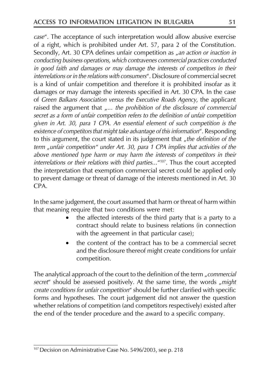case". The acceptance of such interpretation would allow abusive exercise of a right, which is prohibited under Art. 57, para 2 of the Constitution. Secondly, Art. 30 CPA defines unfair competition as "an action or inaction in conducting business operations, which contravenes commercial practices conducted in good faith and damages or may damage the interests of competitors in their interrelations or in the relations with consumers". Disclosure of commercial secret is a kind of unfair competition and therefore it is prohibited insofar as it damages or may damage the interests specified in Art. 30 CPA. In the case of Green Balkans Association versus the Executive Roads Agency, the applicant raised the argument that "... the prohibition of the disclosure of commercial secret as a form of unfair competition refers to the definition of unfair competition given in Art. 30, para 1 CPA. An essential element of such competition is the existence of competitors that might take advantage of this information". Responding to this argument, the court stated in its judgement that "the definition of the term "unfair competition" under Art. 30, para 1 CPA implies that activities of the above mentioned type harm or may harm the interests of competitors in their interrelations or their relations with third parties... "107. Thus the court accepted the interpretation that exemption commercial secret could be applied only to prevent damage or threat of damage of the interests mentioned in Art. 30  $CPA$ 

In the same judgement, the court assumed that harm or threat of harm within that meaning require that two conditions were met:

- the affected interests of the third party that is a party to a contract should relate to business relations (in connection with the agreement in that particular case);
- the content of the contract has to be a commercial secret and the disclosure thereof might create conditions for unfair competition.

The analytical approach of the court to the definition of the term "*commercial* secret" should be assessed positively. At the same time, the words "might create conditions for unfair competition" should be further clarified with specific forms and hypotheses. The court judgement did not answer the question whether relations of competition (and competitors respectively) existed after the end of the tender procedure and the award to a specific company.

<sup>&</sup>lt;sup>107</sup> Decision on Administrative Case No. 5496/2003, see p. 218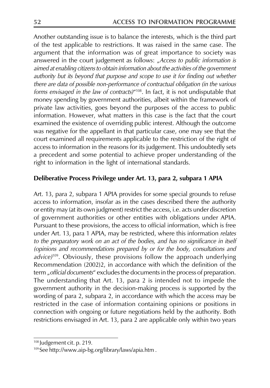Another outstanding issue is to balance the interests, which is the third part of the test applicable to restrictions. It was raised in the same case. The argument that the information was of great importance to society was answered in the court judgement as follows: "Access to public information is aimed at enabling citizens to obtain information about the activities of the government authority but its beyond that purpose and scope to use it for finding out whether there are data of possible non-performance of contractual obligation (in the various forms envisaged in the law of contracts)"<sup>108</sup>. In fact, it is not undisputable that money spending by government authorities, albeit within the framework of private law activities, goes beyond the purposes of the access to public information. However, what matters in this case is the fact that the court examined the existence of overriding public interest. Although the outcome was negative for the appellant in that particular case, one may see that the court examined all requirements applicable to the restriction of the right of access to information in the reasons for its judgement. This undoubtedly sets a precedent and some potential to achieve proper understanding of the right to information in the light of international standards.

# Deliberative Process Privilege under Art. 13, para 2, subpara 1 APIA

Art. 13, para 2, subpara 1 APIA provides for some special grounds to refuse access to information, insofar as in the cases described there the authority or entity may (at its own judgment) restrict the access, i.e. acts under discretion of government authorities or other entities with obligations under APIA. Pursuant to these provisions, the access to official information, which is free under Art. 13, para 1 APIA, may be restricted, where this information relates to the preparatory work on an act of the bodies, and has no significance in itself (opinions and recommendations prepared by or for the body, consultations and advice)<sup>109</sup>. Obviously, these provisions follow the approach underlying Recommendation (2002)2, in accordance with which the definition of the term "official documents" excludes the documents in the process of preparation. The understanding that Art. 13, para 2 is intended not to impede the government authority in the decision-making process is supported by the wording of para 2, subpara 2, in accordance with which the access may be restricted in the case of information containing opinions or positions in connection with ongoing or future negotiations held by the authority. Both restrictions envisaged in Art. 13, para 2 are applicable only within two years

<sup>108</sup> Judgement cit. p. 219.

<sup>&</sup>lt;sup>109</sup> See http://www.aip-bg.org/library/laws/apia.htm.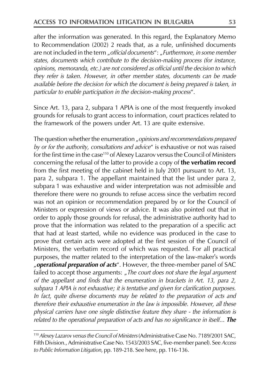after the information was generated. In this regard, the Explanatory Memo to Recommendation (2002) 2 reads that, as a rule, unfinished documents are not included in the term "official documents": "Furthermore, in some member states, documents which contribute to the decision-making process (for instance, opinions, memoranda, etc.) are not considered as official until the decision to which they refer is taken. However, in other member states, documents can be made available before the decision for which the document is being prepared is taken, in particular to enable participation in the decision-making process".

Since Art. 13, para 2, subpara 1 APIA is one of the most frequently invoked grounds for refusals to grant access to information, court practices related to the framework of the powers under Art. 13 are quite extensive.

The question whether the enumeration "opinions and recommendations prepared by or for the authority, consultations and advice" is exhaustive or not was raised for the first time in the case<sup>110</sup> of Alexey Lazarov versus the Council of Ministers concerning the refusal of the latter to provide a copy of the verbatim record from the first meeting of the cabinet held in July 2001 pursuant to Art. 13, para 2, subpara 1. The appellant maintained that the list under para 2, subpara 1 was exhaustive and wider interpretation was not admissible and therefore there were no grounds to refuse access since the verbatim record was not an opinion or recommendation prepared by or for the Council of Ministers or expression of views or advice. It was also pointed out that in order to apply those grounds for refusal, the administrative authority had to prove that the information was related to the preparation of a specific act that had at least started, while no evidence was produced in the case to prove that certain acts were adopted at the first session of the Council of Ministers, the verbatim record of which was requested. For all practical purposes, the matter related to the interpretation of the law-maker's words "operational preparation of acts". However, the three-member panel of SAC failed to accept those arguments: "The court does not share the legal argument of the appellant and finds that the enumeration in brackets in Art. 13, para 2, subpara 1 APIA is not exhaustive; it is tentative and given for clarification purposes. In fact, quite diverse documents may be related to the preparation of acts and therefore their exhaustive enumeration in the law is impossible. However, all these physical carriers have one single distinctive feature they share - the information is related to the operational preparation of acts and has no significance in itself... The

<sup>&</sup>lt;sup>110</sup> Alexey Lazarov versus the Council of Ministers (Administrative Case No. 7189/2001 SAC, Fifth Division., Administrative Case No. 1543/2003 SAC, five-member panel). See Access to Public Information Litigation, pp. 189-218. See here, pp. 116-136.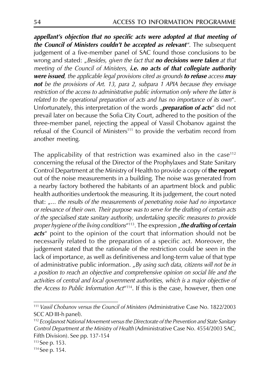appellant's objection that no specific acts were adopted at that meeting of the Council of Ministers couldn't be accepted as relevant". The subsequent judgement of a five-member panel of SAC found those conclusions to be wrong and stated: "Besides, given the fact that no decisions were taken at that meeting of the Council of Ministers, i.e. no acts of that collegiate authority were issued, the applicable legal provisions cited as grounds to refuse access may not be the provisions of Art. 13, para 2, subpara 1 APIA because they envisage restriction of the access to administrative public information only where the latter is related to the operational preparation of acts and has no importance of its own". Unfortunately, this interpretation of the words "preparation of acts" did not prevail later on because the Sofia City Court, adhered to the position of the three-member panel, rejecting the appeal of Vassil Chobanov against the refusal of the Council of Ministers<sup>111</sup> to provide the verbatim record from another meeting.

The applicability of that restriction was examined also in the case<sup>112</sup> concerning the refusal of the Director of the Prophylaxes and State Sanitary Control Department at the Ministry of Health to provide a copy of the report out of the noise measurements in a building. The noise was generated from a nearby factory bothered the habitants of an apartment block and public health authorities undertook the measuring. It its judgement, the court noted that: "... the results of the measurements of penetrating noise had no importance or relevance of their own. Their purpose was to serve for the drafting of certain acts of the specialised state sanitary authority, undertaking specific measures to provide proper hygiene of the living conditions<sup>"113</sup>. The expression "the drafting of certain acts" point to the opinion of the court that information should not be necessarily related to the preparation of a specific act. Moreover, the judgement stated that the rationale of the restriction could be seen in the lack of importance, as well as definitiveness and long-term value of that type of administrative public information. "By using such data, citizens will not be in a position to reach an objective and comprehensive opinion on social life and the activities of central and local government authorities, which is a major objective of the Access to Public Information Act<sup>"114</sup>. If this is the case, however, then one

<sup>111</sup> Vassil Chobanov versus the Council of Ministers (Administrative Case No. 1822/2003 SCC AD III-h panel).

<sup>&</sup>lt;sup>112</sup> Ecoglasnost National Movement versus the Directorate of the Prevention and State Sanitary Control Department at the Ministry of Health (Administrative Case No. 4554/2003 SAC, Fifth Division). See pp. 137-154

 $113$  See p. 153.

<sup>&</sup>lt;sup>114</sup> See p. 154.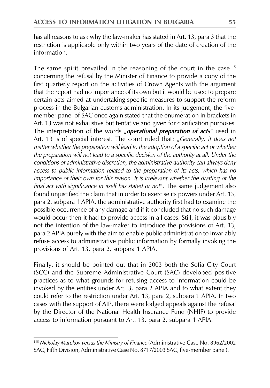has all reasons to ask why the law-maker has stated in Art. 13, para 3 that the restriction is applicable only within two years of the date of creation of the information.

The same spirit prevailed in the reasoning of the court in the case<sup>115</sup> concerning the refusal by the Minister of Finance to provide a copy of the first quarterly report on the activities of Crown Agents with the argument that the report had no importance of its own but it would be used to prepare certain acts aimed at undertaking specific measures to support the reform process in the Bulgarian customs administration. In its judgement, the fivemember panel of SAC once again stated that the enumeration in brackets in Art. 13 was not exhaustive but tentative and given for clarification purposes. The interpretation of the words "operational preparation of acts" used in Art. 13 is of special interest. The court ruled that: "Generally, it does not matter whether the preparation will lead to the adoption of a specific act or whether the preparation will not lead to a specific decision of the authority at all. Under the conditions of administrative discretion, the administrative authority can always deny access to public information related to the preparation of its acts, which has no importance of their own for this reason. It is irrelevant whether the drafting of the final act with significance in itself has stated or not". The same judgement also found unjustified the claim that in order to exercise its powers under Art. 13, para 2, subpara 1 APIA, the administrative authority first had to examine the possible occurrence of any damage and if it concluded that no such damage would occur then it had to provide access in all cases. Still, it was plausibly not the intention of the law-maker to introduce the provisions of Art. 13, para 2 APIA purely with the aim to enable public administration to invariably refuse access to administrative public information by formally invoking the provisions of Art. 13, para 2, subpara 1 APIA.

Finally, it should be pointed out that in 2003 both the Sofia City Court (SCC) and the Supreme Administrative Court (SAC) developed positive practices as to what grounds for refusing access to information could be invoked by the entities under Art. 3, para 2 APIA and to what extent they could refer to the restriction under Art. 13, para 2, subpara 1 APIA. In two cases with the support of AIP, there were lodged appeals against the refusal by the Director of the National Health Insurance Fund (NHIF) to provide access to information pursuant to Art. 13, para 2, subpara 1 APIA.

<sup>&</sup>lt;sup>115</sup> Nickolay Marekov versus the Ministry of Finance (Administrative Case No. 8962/2002 SAC, Fifth Division, Administrative Case No. 8717/2003 SAC, five-member panel).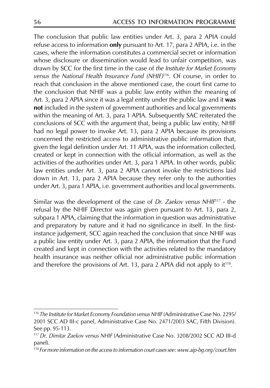The conclusion that public law entities under Art. 3, para 2 APIA could refuse access to information only pursuant to Art. 17, para 2 APIA, i.e. in the cases, where the information constitutes a commercial secret or information whose disclosure or dissemination would lead to unfair competition, was drawn by SCC for the first time in the case of the Institute for Market Economy versus the National Health Insurance Fund (NHIF)<sup>116</sup>. Of course, in order to reach that conclusion in the above mentioned case, the court first came to the conclusion that NHIF was a public law entity within the meaning of Art. 3, para 2 APIA since it was a legal entity under the public law and it was not included in the system of government authorities and local governments within the meaning of Art. 3, para 1 APIA. Subsequently SAC reiterated the conclusions of SCC with the argument that, being a public law entity, NHIF had no legal power to invoke Art. 13, para 2 APIA because its provisions concerned the restricted access to administrative public information that, given the legal definition under Art. 11 APIA, was the information collected, created or kept in connection with the official information, as well as the activities of the authorities under Art. 3, para 1 APIA. In other words, public law entities under Art. 3, para 2 APIA cannot invoke the restrictions laid down in Art. 13, para 2 APIA because they refer only to the authorities under Art. 3, para 1 APIA, i.e. government authorities and local governments.

Similar was the development of the case of Dr. Zaekov versus NHIF<sup>17</sup> - the refusal by the NHIF Director was again given pursuant to Art. 13, para 2, subpara 1 APIA, claiming that the information in question was administrative and preparatory by nature and it had no significance in itself. In the firstinstance judgement, SCC again reached the conclusion that since NHIF was a public law entity under Art. 3, para 2 APIA, the information that the Fund created and kept in connection with the activities related to the mandatory health insurance was neither official nor administrative public information and therefore the provisions of Art. 13, para 2 APIA did not apply to  $it^{118}$ .

<sup>&</sup>lt;sup>116</sup> The Institute for Market Economy Foundation versus NHIF (Administrative Case No. 2295/ 2001 SCC AD III-c panel, Administrative Case No. 2471/2003 SAC, Fifth Division). See pp. 95-113.

<sup>&</sup>lt;sup>117</sup> Dr. Dimitar Zaekov versus NHIF (Administrative Case No. 3208/2002 SCC AD III-d panel).

<sup>&</sup>lt;sup>118</sup> For more information on the access to information court cases see: www.aip-bq.org/court.htm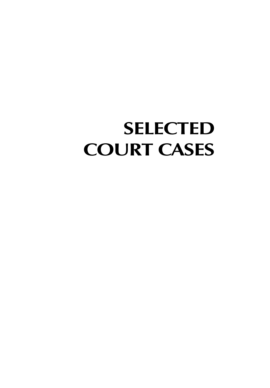# **SELECTED COURT CASES**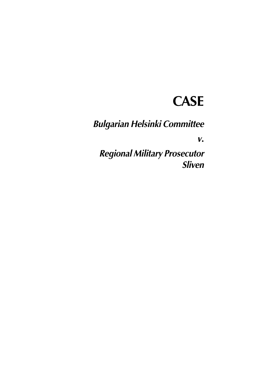# **CASE**

**Bulgarian Helsinki Committee** 

 $V_{\bullet}$ 

**Regional Military Prosecutor** Sliven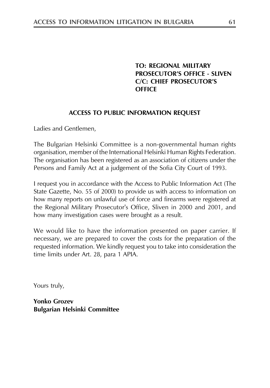# **TO: REGIONAL MILITARY PROSECUTOR'S OFFICE - SLIVEN C/C: CHIEF PROSECUTOR'S OFFICE**

#### **ACCESS TO PUBLIC INFORMATION REQUEST**

Ladies and Gentlemen,

The Bulgarian Helsinki Committee is a non-governmental human rights organisation, member of the International Helsinki Human Rights Federation. The organisation has been registered as an association of citizens under the Persons and Family Act at a judgement of the Sofia City Court of 1993.

I request you in accordance with the Access to Public Information Act (The State Gazette, No. 55 of 2000) to provide us with access to information on how many reports on unlawful use of force and firearms were registered at the Regional Military Prosecutor's Office, Sliven in 2000 and 2001, and how many investigation cases were brought as a result.

We would like to have the information presented on paper carrier. If necessary, we are prepared to cover the costs for the preparation of the requested information. We kindly request you to take into consideration the time limits under Art. 28, para 1 APIA.

Yours truly,

**Yonko Grozev Bulgarian Helsinki Committee**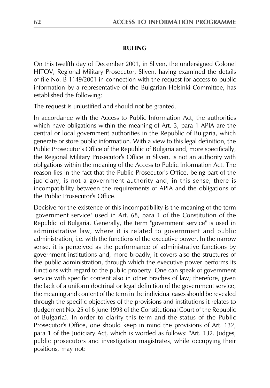#### **RULING**

On this twelfth day of December 2001, in Sliven, the undersigned Colonel HITOV, Regional Military Prosecutor, Sliven, having examined the details of file No. B-1149/2001 in connection with the request for access to public information by a representative of the Bulgarian Helsinki Committee, has established the following:

The request is unjustified and should not be granted.

In accordance with the Access to Public Information Act, the authorities which have obligations within the meaning of Art. 3, para 1 APIA are the central or local government authorities in the Republic of Bulgaria, which generate or store public information. With a view to this legal definition, the Public Prosecutor's Office of the Republic of Bulgaria and, more specifically, the Regional Military Prosecutor's Office in Sliven, is not an authority with obligations within the meaning of the Access to Public Information Act. The reason lies in the fact that the Public Prosecutor's Office, being part of the judiciary, is not a government authority and, in this sense, there is incompatibility between the requirements of APIA and the obligations of the Public Prosecutor's Office.

Decisive for the existence of this incompatibility is the meaning of the term "government service" used in Art. 68, para 1 of the Constitution of the Republic of Bulgaria. Generally, the term "government service" is used in administrative law, where it is related to government and public administration, i.e. with the functions of the executive power. In the narrow sense, it is perceived as the performance of administrative functions by government institutions and, more broadly, it covers also the structures of the public administration, through which the executive power performs its functions with regard to the public property. One can speak of government service with specific content also in other braches of law; therefore, given the lack of a uniform doctrinal or legal definition of the government service, the meaning and content of the term in the individual cases should be revealed through the specific objectives of the provisions and institutions it relates to (Judgement No. 25 of 6 June 1993 of the Constitutional Court of the Republic of Bulgaria). In order to clarify this term and the status of the Public Prosecutor's Office, one should keep in mind the provisions of Art. 132, para 1 of the Judiciary Act, which is worded as follows: "Art. 132. Judges, public prosecutors and investigation magistrates, while occupying their positions, may not: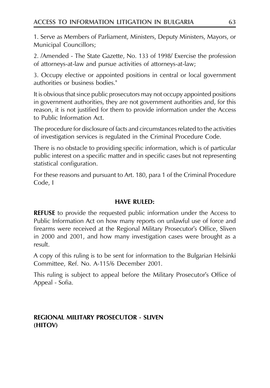1. Serve as Members of Parliament, Ministers, Deputy Ministers, Mayors, or **Municipal Councillors;** 

2. /Amended - The State Gazette, No. 133 of 1998/ Exercise the profession of attorneys-at-law and pursue activities of attorneys-at-law;

3. Occupy elective or appointed positions in central or local government authorities or business bodies."

It is obvious that since public prosecutors may not occupy appointed positions in government authorities, they are not government authorities and, for this reason, it is not justified for them to provide information under the Access to Public Information Act.

The procedure for disclosure of facts and circumstances related to the activities of investigation services is regulated in the Criminal Procedure Code.

There is no obstacle to providing specific information, which is of particular public interest on a specific matter and in specific cases but not representing statistical configuration.

For these reasons and pursuant to Art. 180, para 1 of the Criminal Procedure Code, I

#### **HAVE RULED:**

**REFUSE** to provide the requested public information under the Access to Public Information Act on how many reports on unlawful use of force and firearms were received at the Regional Military Prosecutor's Office, Sliven in 2000 and 2001, and how many investigation cases were brought as a result.

A copy of this ruling is to be sent for information to the Bulgarian Helsinki Committee, Ref. No. A-115/6 December 2001.

This ruling is subject to appeal before the Military Prosecutor's Office of Appeal - Sofia.

# **REGIONAL MILITARY PROSECUTOR - SLIVEN** (HITOV)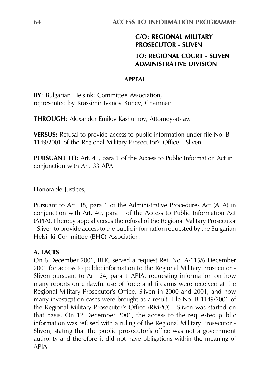# **C/O: REGIONAL MILITARY PROSECUTOR - SLIVEN**

#### **TO: REGIONAL COURT - SLIVEN ADMINISTRATIVE DIVISION**

#### **APPFAI**

BY: Bulgarian Helsinki Committee Association, represented by Krassimir Ivanov Kunev, Chairman

**THROUGH:** Alexander Emilov Kashumov, Attorney-at-law

**VERSUS:** Refusal to provide access to public information under file No. B-1149/2001 of the Regional Military Prosecutor's Office - Sliven

**PURSUANT TO:** Art. 40, para 1 of the Access to Public Information Act in conjunction with Art. 33 APA

Honorable Justices,

Pursuant to Art. 38, para 1 of the Administrative Procedures Act (APA) in conjunction with Art. 40, para 1 of the Access to Public Information Act (APIA), I hereby appeal versus the refusal of the Regional Military Prosecutor - Sliven to provide access to the public information requested by the Bulgarian Helsinki Committee (BHC) Association.

#### A. FACTS

On 6 December 2001, BHC served a request Ref. No. A-115/6 December 2001 for access to public information to the Regional Military Prosecutor -Sliven pursuant to Art. 24, para 1 APIA, requesting information on how many reports on unlawful use of force and firearms were received at the Regional Military Prosecutor's Office, Sliven in 2000 and 2001, and how many investigation cases were brought as a result. File No. B-1149/2001 of the Regional Military Prosecutor's Office (RMPO) - Sliven was started on that basis. On 12 December 2001, the access to the requested public information was refused with a ruling of the Regional Military Prosecutor -Sliven, stating that the public prosecutor's office was not a government authority and therefore it did not have obligations within the meaning of APIA.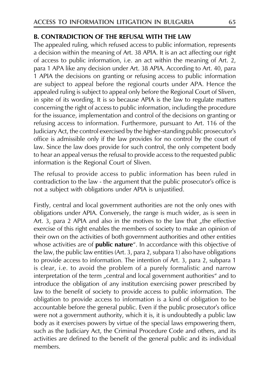#### **B. CONTRADICTION OF THE REFUSAL WITH THE LAW**

The appealed ruling, which refused access to public information, represents a decision within the meaning of Art. 38 APIA. It is an act affecting our right of access to public information, i.e. an act within the meaning of Art. 2, para 1 APA like any decision under Art. 38 APIA. According to Art. 40, para 1 APIA the decisions on granting or refusing access to public information are subject to appeal before the regional courts under APA. Hence the appealed ruling is subject to appeal only before the Regional Court of Sliven, in spite of its wording. It is so because APIA is the law to regulate matters concerning the right of access to public information, including the procedure for the issuance, implementation and control of the decisions on granting or refusing access to information. Furthermore, pursuant to Art. 116 of the Judiciary Act, the control exercised by the higher-standing public prosecutor's office is admissible only if the law provides for no control by the court of law. Since the law does provide for such control, the only competent body to hear an appeal versus the refusal to provide access to the requested public information is the Regional Court of Sliven.

The refusal to provide access to public information has been ruled in contradiction to the law - the argument that the public prosecutor's office is not a subject with obligations under APIA is unjustified.

Firstly, central and local government authorities are not the only ones with obligations under APIA. Conversely, the range is much wider, as is seen in Art. 3, para 2 APIA and also in the motives to the law that "the effective exercise of this right enables the members of society to make an opinion of their own on the activities of both government authorities and other entities whose activities are of **public nature**". In accordance with this objective of the law, the public law entities (Art. 3, para 2, subpara 1) also have obligations to provide access to information. The intention of Art. 3, para 2, subpara 1 is clear, i.e. to avoid the problem of a purely formalistic and narrow interpretation of the term "central and local government authorities" and to introduce the obligation of any institution exercising power prescribed by law to the benefit of society to provide access to public information. The obligation to provide access to information is a kind of obligation to be accountable before the general public. Even if the public prosecutor's office were not a government authority, which it is, it is undoubtedly a public law body as it exercises powers by virtue of the special laws empowering them, such as the Judiciary Act, the Criminal Procedure Code and others, and its activities are defined to the benefit of the general public and its individual members.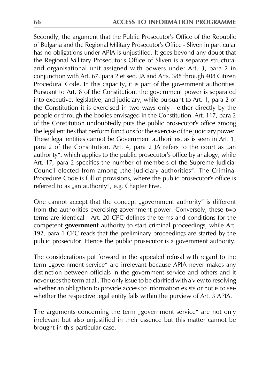Secondly, the argument that the Public Prosecutor's Office of the Republic of Bulgaria and the Regional Military Prosecutor's Office - Sliven in particular has no obligations under APIA is unjustified. It goes beyond any doubt that the Regional Military Prosecutor's Office of Sliven is a separate structural and organisational unit assigned with powers under Art. 3, para 2 in conjunction with Art. 67, para 2 et seq. JA and Arts. 388 through 408 Citizen Procedural Code. In this capacity, it is part of the government authorities. Pursuant to Art. 8 of the Constitution, the government power is separated into executive, legislative, and judiciary, while pursuant to Art. 1, para 2 of the Constitution it is exercised in two ways only - either directly by the people or through the bodies envisaged in the Constitution. Art. 117, para 2 of the Constitution undoubtedly puts the public prosecutor's office among the legal entities that perform functions for the exercise of the judiciary power. These legal entities cannot be Government authorities, as is seen in Art. 1, para 2 of the Constitution. Art. 4, para 2 JA refers to the court as "an authority", which applies to the public prosecutor's office by analogy, while Art. 17, para 2 specifies the number of members of the Supreme Judicial Council elected from among "the judiciary authorities". The Criminal Procedure Code is full of provisions, where the public prosecutor's office is referred to as "an authority", e.g. Chapter Five.

One cannot accept that the concept "government authority" is different from the authorities exercising government power. Conversely, these two terms are identical - Art. 20 CPC defines the terms and conditions for the competent government authority to start criminal proceedings, while Art. 192, para 1 CPC reads that the preliminary proceedings are started by the public prosecutor. Hence the public prosecutor is a government authority.

The considerations put forward in the appealed refusal with regard to the term "government service" are irrelevant because APIA never makes any distinction between officials in the government service and others and it never uses the term at all. The only issue to be clarified with a view to resolving whether an obligation to provide access to information exists or not is to see whether the respective legal entity falls within the purview of Art. 3 APIA.

The arguments concerning the term "government service" are not only irrelevant but also unjustified in their essence but this matter cannot be brought in this particular case.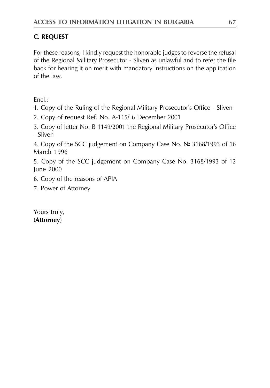# **C. REQUEST**

For these reasons, I kindly request the honorable judges to reverse the refusal of the Regional Military Prosecutor - Sliven as unlawful and to refer the file back for hearing it on merit with mandatory instructions on the application of the law.

 $Encl \cdot$ 

1. Copy of the Ruling of the Regional Military Prosecutor's Office - Sliven

2. Copy of request Ref. No. A-115/ 6 December 2001

3. Copy of letter No. B 1149/2001 the Regional Military Prosecutor's Office - Sliven

4. Copy of the SCC judgement on Company Case No. № 3168/1993 of 16 **March 1996** 

5. Copy of the SCC judgement on Company Case No. 3168/1993 of 12 June 2000

- 6. Copy of the reasons of APIA
- 7. Power of Attorney

Yours truly, (Attorney)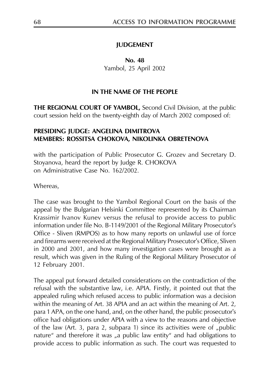#### **IUDGEMENT**

No. 48 Yambol, 25 April 2002

#### IN THE NAME OF THE PEOPLE

THE REGIONAL COURT OF YAMBOL, Second Civil Division, at the public court session held on the twenty-eighth day of March 2002 composed of:

#### PRESIDING JUDGE: ANGELINA DIMITROVA MEMBERS: ROSSITSA CHOKOVA, NIKOLINKA OBRETENOVA

with the participation of Public Prosecutor G. Grozev and Secretary D. Stoyanova, heard the report by Judge R. CHOKOVA on Administrative Case No. 162/2002.

Whereas,

The case was brought to the Yambol Regional Court on the basis of the appeal by the Bulgarian Helsinki Committee represented by its Chairman Krassimir Ivanov Kunev versus the refusal to provide access to public information under file No. B-1149/2001 of the Regional Military Prosecutor's Office - Sliven (RMPOS) as to how many reports on unlawful use of force and firearms were received at the Regional Military Prosecutor's Office, Sliven in 2000 and 2001, and how many investigation cases were brought as a result, which was given in the Ruling of the Regional Military Prosecutor of 12 February 2001.

The appeal put forward detailed considerations on the contradiction of the refusal with the substantive law, i.e. APIA. Firstly, it pointed out that the appealed ruling which refused access to public information was a decision within the meaning of Art. 38 APIA and an act within the meaning of Art. 2, para 1 APA, on the one hand, and, on the other hand, the public prosecutor's office had obligations under APIA with a view to the reasons and objective of the law (Art. 3, para 2, subpara 1) since its activities were of "public nature" and therefore it was "a public law entity" and had obligations to provide access to public information as such. The court was requested to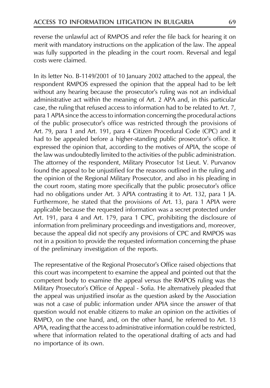reverse the unlawful act of RMPOS and refer the file back for hearing it on merit with mandatory instructions on the application of the law. The appeal was fully supported in the pleading in the court room. Reversal and legal costs were claimed

In its letter No. B-1149/2001 of 10 January 2002 attached to the appeal, the respondent RMPOS expressed the opinion that the appeal had to be left without any hearing because the prosecutor's ruling was not an individual administrative act within the meaning of Art. 2 APA and, in this particular case, the ruling that refused access to information had to be related to Art. 7, para 1 APIA since the access to information concerning the procedural actions of the public prosecutor's office was restricted through the provisions of Art. 79, para 1 and Art. 191, para 4 Citizen Procedural Code (CPC) and it had to be appealed before a higher-standing public prosecutor's office. It expressed the opinion that, according to the motives of APIA, the scope of the law was undoubtedly limited to the activities of the public administration. The attorney of the respondent, Military Prosecutor 1st Lieut. V. Purvanov found the appeal to be unjustified for the reasons outlined in the ruling and the opinion of the Regional Military Prosecutor, and also in his pleading in the court room, stating more specifically that the public prosecutor's office had no obligations under Art. 3 APIA contrasting it to Art. 132, para 1 JA. Furthermore, he stated that the provisions of Art. 13, para 1 APIA were applicable because the requested information was a secret protected under Art. 191, para 4 and Art. 179, para 1 CPC, prohibiting the disclosure of information from preliminary proceedings and investigations and, moreover, because the appeal did not specify any provisions of CPC and RMPOS was not in a position to provide the requested information concerning the phase of the preliminary investigation of the reports.

The representative of the Regional Prosecutor's Office raised objections that this court was incompetent to examine the appeal and pointed out that the competent body to examine the appeal versus the RMPOS ruling was the Military Prosecutor's Office of Appeal - Sofia. He alternatively pleaded that the appeal was unjustified insofar as the question asked by the Association was not a case of public information under APIA since the answer of that question would not enable citizens to make an opinion on the activities of RMPO, on the one hand, and, on the other hand, he referred to Art. 13 APIA, reading that the access to administrative information could be restricted, where that information related to the operational drafting of acts and had no importance of its own.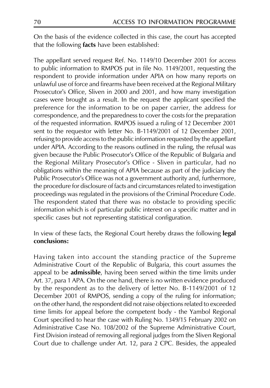On the basis of the evidence collected in this case, the court has accepted that the following facts have been established:

The appellant served request Ref. No. 1149/10 December 2001 for access to public information to RMPOS put in file No. 1149/2001, requesting the respondent to provide information under APIA on how many reports on unlawful use of force and firearms have been received at the Regional Military Prosecutor's Office, Sliven in 2000 and 2001, and how many investigation cases were brought as a result. In the request the applicant specified the preference for the information to be on paper carrier, the address for correspondence, and the preparedness to cover the costs for the preparation of the requested information. RMPOS issued a ruling of 12 December 2001 sent to the requestor with letter No. B-1149/2001 of 12 December 2001, refusing to provide access to the public information requested by the appellant under APIA. According to the reasons outlined in the ruling, the refusal was given because the Public Prosecutor's Office of the Republic of Bulgaria and the Regional Military Prosecutor's Office - Sliven in particular, had no obligations within the meaning of APIA because as part of the judiciary the Public Prosecutor's Office was not a government authority and, furthermore, the procedure for disclosure of facts and circumstances related to investigation proceedings was regulated in the provisions of the Criminal Procedure Code. The respondent stated that there was no obstacle to providing specific information which is of particular public interest on a specific matter and in specific cases but not representing statistical configuration.

In view of these facts, the Regional Court hereby draws the following **legal** conclusions:

Having taken into account the standing practice of the Supreme Administrative Court of the Republic of Bulgaria, this court assumes the appeal to be admissible, having been served within the time limits under Art. 37, para 1 APA. On the one hand, there is no written evidence produced by the respondent as to the delivery of letter No. B-1149/2001 of 12 December 2001 of RMPOS, sending a copy of the ruling for information; on the other hand, the respondent did not raise objections related to exceeded time limits for appeal before the competent body - the Yambol Regional Court specified to hear the case with Ruling No. 1349/15 February 2002 on Administrative Case No. 108/2002 of the Supreme Administrative Court, First Division instead of removing all regional judges from the Sliven Regional Court due to challenge under Art. 12, para 2 CPC. Besides, the appealed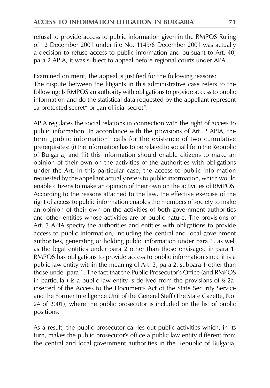refusal to provide access to public information given in the RMPOS Ruling of 12 December 2001 under file No. 1149/6 December 2001 was actually a decision to refuse access to public information and pursuant to Art. 40, para 2 APIA, it was subject to appeal before regional courts under APA.

Examined on merit, the appeal is justified for the following reasons: The dispute between the litigants in this administrative case refers to the following: Is RMPOS an authority with obligations to provide access to public information and do the statistical data requested by the appellant represent "a protected secret" or "an official secret".

APIA regulates the social relations in connection with the right of access to public information. In accordance with the provisions of Art. 2 APIA, the term "public information" calls for the existence of two cumulative prerequisites: (i) the information has to be related to social life in the Republic of Bulgaria, and (ii) this information should enable citizens to make an opinion of their own on the activities of the authorities with obligations under the Art. In this particular case, the access to public information requested by the appellant actually refers to public information, which would enable citizens to make an opinion of their own on the activities of RMPOS. According to the reasons attached to the law, the effective exercise of the right of access to public information enables the members of society to make an opinion of their own on the activities of both government authorities and other entities whose activities are of public nature. The provisions of Art. 3 APIA specify the authorities and entities with obligations to provide access to public information, including the central and local government authorities, generating or holding public information under para 1, as well as the legal entities under para 2 other than those envisaged in para 1. RMPOS has obligations to provide access to public information since it is a public law entity within the meaning of Art. 3, para 2, subpara 1 other than those under para 1. The fact that the Public Prosecutor's Office (and RMPOS in particular) is a public law entity is derived from the provisions of  $\S$  2ainserted of the Access to the Documents Act of the State Security Service and the Former Intelligence Unit of the General Staff (The State Gazette, No. 24 of 2001), where the public prosecutor is included on the list of public positions.

As a result, the public prosecutor carries out public activities which, in its turn, makes the public prosecutor's office a public law entity different from the central and local government authorities in the Republic of Bulgaria,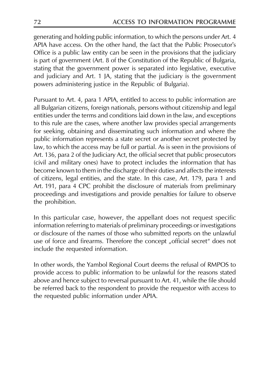generating and holding public information, to which the persons under Art. 4 APIA have access. On the other hand, the fact that the Public Prosecutor's Office is a public law entity can be seen in the provisions that the judiciary is part of government (Art. 8 of the Constitution of the Republic of Bulgaria, stating that the government power is separated into legislative, executive and judiciary and Art. 1 JA, stating that the judiciary is the government powers administering justice in the Republic of Bulgaria).

Pursuant to Art. 4, para 1 APIA, entitled to access to public information are all Bulgarian citizens, foreign nationals, persons without citizenship and legal entities under the terms and conditions laid down in the law, and exceptions to this rule are the cases, where another law provides special arrangements for seeking, obtaining and disseminating such information and where the public information represents a state secret or another secret protected by law, to which the access may be full or partial. As is seen in the provisions of Art. 136, para 2 of the Judiciary Act, the official secret that public prosecutors (civil and military ones) have to protect includes the information that has become known to them in the discharge of their duties and affects the interests of citizens, legal entities, and the state. In this case, Art. 179, para 1 and Art. 191, para 4 CPC prohibit the disclosure of materials from preliminary proceedings and investigations and provide penalties for failure to observe the prohibition.

In this particular case, however, the appellant does not request specific information referring to materials of preliminary proceedings or investigations or disclosure of the names of those who submitted reports on the unlawful use of force and firearms. Therefore the concept "official secret" does not include the requested information.

In other words, the Yambol Regional Court deems the refusal of RMPOS to provide access to public information to be unlawful for the reasons stated above and hence subject to reversal pursuant to Art. 41, while the file should be referred back to the respondent to provide the requestor with access to the requested public information under APIA.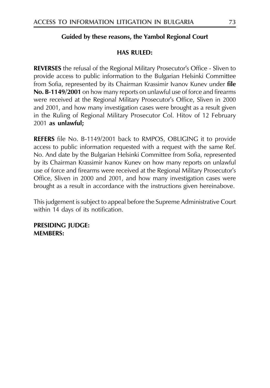## Guided by these reasons, the Yambol Regional Court

## **HAS RULED:**

**REVERSES** the refusal of the Regional Military Prosecutor's Office - Sliven to provide access to public information to the Bulgarian Helsinki Committee from Sofia, represented by its Chairman Krassimir Ivanov Kunev under file No. B-1149/2001 on how many reports on unlawful use of force and firearms were received at the Regional Military Prosecutor's Office, Sliven in 2000 and 2001, and how many investigation cases were brought as a result given in the Ruling of Regional Military Prosecutor Col. Hitov of 12 February 2001 as unlawful;

**REFERS** file No. B-1149/2001 back to RMPOS, OBLIGING it to provide access to public information requested with a request with the same Ref. No. And date by the Bulgarian Helsinki Committee from Sofia, represented by its Chairman Krassimir Ivanov Kunev on how many reports on unlawful use of force and firearms were received at the Regional Military Prosecutor's Office, Sliven in 2000 and 2001, and how many investigation cases were brought as a result in accordance with the instructions given hereinabove.

This judgement is subject to appeal before the Supreme Administrative Court within 14 days of its notification.

**PRESIDING JUDGE: MEMBERS:**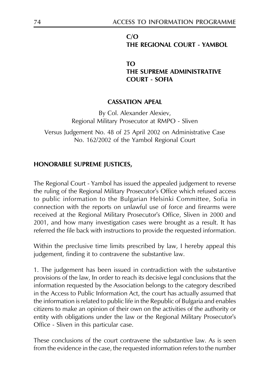## $C/O$ THE REGIONAL COURT - YAMBOL

## TΩ THE SUPREME ADMINISTRATIVE **COURT - SOFIA**

## **CASSATION APEAL**

By Col. Alexander Alexiev, Regional Military Prosecutor at RMPO - Sliven

Versus Judgement No. 48 of 25 April 2002 on Administrative Case No. 162/2002 of the Yambol Regional Court

## HONORABLE SUPREME JUSTICES,

The Regional Court - Yambol has issued the appealed judgement to reverse the ruling of the Regional Military Prosecutor's Office which refused access to public information to the Bulgarian Helsinki Committee, Sofia in connection with the reports on unlawful use of force and firearms were received at the Regional Military Prosecutor's Office, Sliven in 2000 and 2001, and how many investigation cases were brought as a result. It has referred the file back with instructions to provide the requested information.

Within the preclusive time limits prescribed by law, I hereby appeal this judgement, finding it to contravene the substantive law.

1. The judgement has been issued in contradiction with the substantive provisions of the law, In order to reach its decisive legal conclusions that the information requested by the Association belongs to the category described in the Access to Public Information Act, the court has actually assumed that the information is related to public life in the Republic of Bulgaria and enables citizens to make an opinion of their own on the activities of the authority or entity with obligations under the law or the Regional Military Prosecutor's Office - Sliven in this particular case.

These conclusions of the court contravene the substantive law. As is seen from the evidence in the case, the requested information refers to the number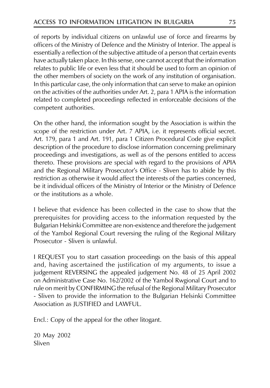of reports by individual citizens on unlawful use of force and firearms by officers of the Ministry of Defence and the Ministry of Interior. The appeal is essentially a reflection of the subjective attitude of a person that certain events have actually taken place. In this sense, one cannot accept that the information relates to public life or even less that it should be used to form an opinion of the other members of society on the work of any institution of organisation. In this particular case, the only information that can serve to make an opinion on the activities of the authorities under Art. 2, para 1 APIA is the information related to completed proceedings reflected in enforceable decisions of the competent authorities.

On the other hand, the information sought by the Association is within the scope of the restriction under Art. 7 APIA, i.e. it represents official secret. Art. 179, para 1 and Art. 191, para 1 Citizen Procedural Code give explicit description of the procedure to disclose information concerning preliminary proceedings and investigations, as well as of the persons entitled to access thereto. These provisions are special with regard to the provisions of APIA and the Regional Military Prosecutor's Office - Sliven has to abide by this restriction as otherwise it would affect the interests of the parties concerned, be it individual officers of the Ministry of Interior or the Ministry of Defence or the institutions as a whole.

I believe that evidence has been collected in the case to show that the prerequisites for providing access to the information requested by the Bulgarian Helsinki Committee are non-existence and therefore the judgement of the Yambol Regional Court reversing the ruling of the Regional Military Prosecutor - Sliven is unlawful.

I REQUEST you to start cassation proceedings on the basis of this appeal and, having ascertained the justification of my arguments, to issue a judgement REVERSING the appealed judgement No. 48 of 25 April 2002 on Administrative Case No. 162/2002 of the Yambol Rwgional Court and to rule on merit by CONFIRMING the refusal of the Regional Military Prosecutor - Sliven to provide the information to the Bulgarian Helsinki Committee Association as JUSTIFIED and LAWFUL.

Encl.: Copy of the appeal for the other litogant.

20 May 2002 Sliven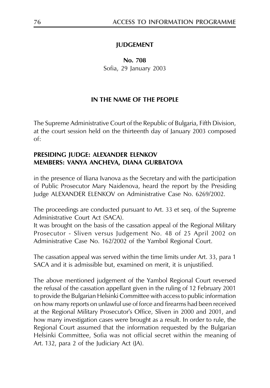## **IUDGEMENT**

No. 708 Sofia, 29 January 2003

## IN THE NAME OF THE PEOPLE

The Supreme Administrative Court of the Republic of Bulgaria, Fifth Division, at the court session held on the thirteenth day of January 2003 composed  $\alpha f$ 

#### PRESIDING JUDGE: ALEXANDER ELENKOV MEMBERS: VANYA ANCHEVA, DIANA GURBATOVA

in the presence of Iliana Ivanova as the Secretary and with the participation of Public Prosecutor Mary Naidenova, heard the report by the Presiding Judge ALEXANDER ELENKOV on Administrative Case No. 6269/2002.

The proceedings are conducted pursuant to Art. 33 et seq. of the Supreme Administrative Court Act (SACA).

It was brought on the basis of the cassation appeal of the Regional Military Prosecutor - Sliven versus Judgement No. 48 of 25 April 2002 on Administrative Case No. 162/2002 of the Yambol Regional Court.

The cassation appeal was served within the time limits under Art. 33, para 1 SACA and it is admissible but, examined on merit, it is unjustified.

The above mentioned judgement of the Yambol Regional Court reversed the refusal of the cassation appellant given in the ruling of 12 February 2001 to provide the Bulgarian Helsinki Committee with access to public information on how many reports on unlawful use of force and firearms had been received at the Regional Military Prosecutor's Office, Sliven in 2000 and 2001, and how many investigation cases were brought as a result. In order to rule, the Regional Court assumed that the information requested by the Bulgarian Helsinki Committee, Sofia was not official secret within the meaning of Art. 132, para 2 of the Judiciary Act (JA).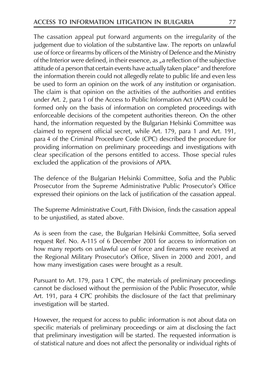The cassation appeal put forward arguments on the irregularity of the judgement due to violation of the substantive law. The reports on unlawful use of force or firearms by officers of the Ministry of Defence and the Ministry of the Interior were defined, in their essence, as "a reflection of the subjective attitude of a person that certain events have actually taken place" and therefore the information therein could not allegedly relate to public life and even less be used to form an opinion on the work of any institution or organisation. The claim is that opinion on the activities of the authorities and entities under Art. 2, para 1 of the Access to Public Information Act (APIA) could be formed only on the basis of information on completed proceedings with enforceable decisions of the competent authorities thereon. On the other hand, the information requested by the Bulgarian Helsinki Committee was claimed to represent official secret, while Art. 179, para 1 and Art. 191, para 4 of the Criminal Procedure Code (CPC) described the procedure for providing information on preliminary proceedings and investigations with clear specification of the persons entitled to access. Those special rules excluded the application of the provisions of APIA.

The defence of the Bulgarian Helsinki Committee, Sofia and the Public Prosecutor from the Supreme Administrative Public Prosecutor's Office expressed their opinions on the lack of justification of the cassation appeal.

The Supreme Administrative Court, Fifth Division, finds the cassation appeal to be unjustified, as stated above.

As is seen from the case, the Bulgarian Helsinki Committee, Sofia served request Ref. No. A-115 of 6 December 2001 for access to information on how many reports on unlawful use of force and firearms were received at the Regional Military Prosecutor's Office, Sliven in 2000 and 2001, and how many investigation cases were brought as a result.

Pursuant to Art. 179, para 1 CPC, the materials of preliminary proceedings cannot be disclosed without the permission of the Public Prosecutor, while Art. 191, para 4 CPC prohibits the disclosure of the fact that preliminary investigation will be started.

However, the request for access to public information is not about data on specific materials of preliminary proceedings or aim at disclosing the fact that preliminary investigation will be started. The requested information is of statistical nature and does not affect the personality or individual rights of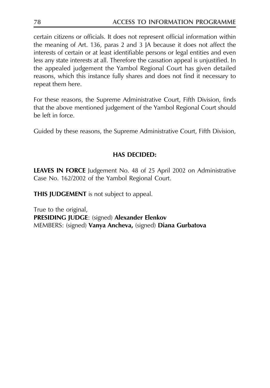certain citizens or officials. It does not represent official information within the meaning of Art. 136, paras 2 and 3 JA because it does not affect the interests of certain or at least identifiable persons or legal entities and even less any state interests at all. Therefore the cassation appeal is unjustified. In the appealed judgement the Yambol Regional Court has given detailed reasons, which this instance fully shares and does not find it necessary to repeat them here.

For these reasons, the Supreme Administrative Court, Fifth Division, finds that the above mentioned judgement of the Yambol Regional Court should be left in force.

Guided by these reasons, the Supreme Administrative Court, Fifth Division,

## **HAS DECIDED:**

**LEAVES IN FORCE** Judgement No. 48 of 25 April 2002 on Administrative Case No. 162/2002 of the Yambol Regional Court.

**THIS JUDGEMENT** is not subject to appeal.

True to the original, PRESIDING JUDGE: (signed) Alexander Elenkov MEMBERS: (signed) Vanya Ancheva, (signed) Diana Gurbatova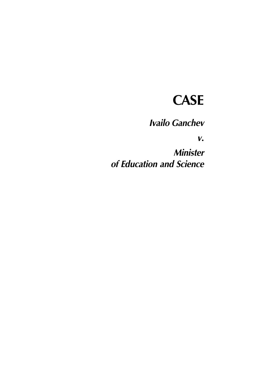# **CASE**

**Ivailo Ganchev** 

 $V_{\bullet}$ 

**Minister** of Education and Science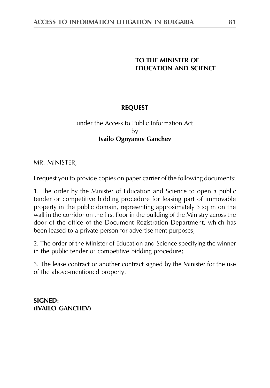## TO THE MINISTER OF **EDUCATION AND SCIENCE**

## **REOUEST**

## under the Access to Public Information Act bv **Ivailo Ognyanov Ganchev**

MR. MINISTER,

I request you to provide copies on paper carrier of the following documents:

1. The order by the Minister of Education and Science to open a public tender or competitive bidding procedure for leasing part of immovable property in the public domain, representing approximately 3 sq m on the wall in the corridor on the first floor in the building of the Ministry across the door of the office of the Document Registration Department, which has been leased to a private person for advertisement purposes;

2. The order of the Minister of Education and Science specifying the winner in the public tender or competitive bidding procedure;

3. The lease contract or another contract signed by the Minister for the use of the above-mentioned property.

**SIGNED:** (IVAILO GANCHEV)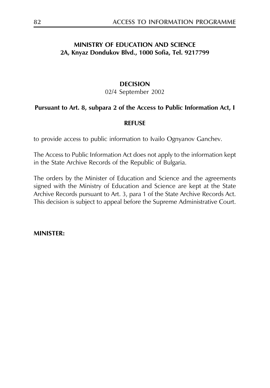## **MINISTRY OF EDUCATION AND SCIENCE** 2A, Knyaz Dondukov Blvd., 1000 Sofia, Tel. 9217799

## **DECISION**

02/4 September 2002

## Pursuant to Art. 8, subpara 2 of the Access to Public Information Act, I

#### **REFUSE**

to provide access to public information to Ivailo Ognyanov Ganchev.

The Access to Public Information Act does not apply to the information kept in the State Archive Records of the Republic of Bulgaria.

The orders by the Minister of Education and Science and the agreements signed with the Ministry of Education and Science are kept at the State Archive Records pursuant to Art. 3, para 1 of the State Archive Records Act. This decision is subject to appeal before the Supreme Administrative Court.

**MINISTER:**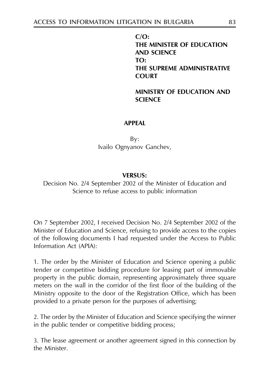$C/O$ : THE MINISTER OF EDUCATION **AND SCIENCE**  $TO:$ THE SUPREME ADMINISTRATIVE **COURT** 

**MINISTRY OF EDUCATION AND SCIENCE** 

#### **APPFAI**

 $Bv:$ Ivailo Ognyanov Ganchev,

#### **VERSUS:**

Decision No. 2/4 September 2002 of the Minister of Education and Science to refuse access to public information

On 7 September 2002, I received Decision No. 2/4 September 2002 of the Minister of Education and Science, refusing to provide access to the copies of the following documents I had requested under the Access to Public Information Act (APIA):

1. The order by the Minister of Education and Science opening a public tender or competitive bidding procedure for leasing part of immovable property in the public domain, representing approximately three square meters on the wall in the corridor of the first floor of the building of the Ministry opposite to the door of the Registration Office, which has been provided to a private person for the purposes of advertising;

2. The order by the Minister of Education and Science specifying the winner in the public tender or competitive bidding process;

3. The lease agreement or another agreement signed in this connection by the Minister.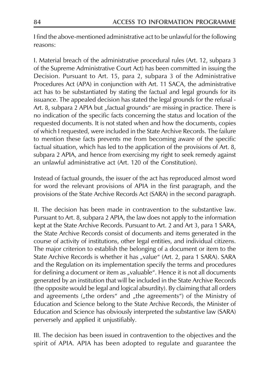I find the above-mentioned administrative act to be unlawful for the following reasons:

I. Material breach of the administrative procedural rules (Art. 12, subpara 3 of the Supreme Administrative Court Act) has been committed in issuing the Decision. Pursuant to Art. 15, para 2, subpara 3 of the Administrative Procedures Act (APA) in conjunction with Art. 11 SACA, the administrative act has to be substantiated by stating the factual and legal grounds for its issuance. The appealed decision has stated the legal grounds for the refusal -Art. 8, subpara 2 APIA but "factual grounds" are missing in practice. There is no indication of the specific facts concerning the status and location of the requested documents. It is not stated when and how the documents, copies of which I requested, were included in the State Archive Records. The failure to mention these facts prevents me from becoming aware of the specific factual situation, which has led to the application of the provisions of Art. 8, subpara 2 APIA, and hence from exercising my right to seek remedy against an unlawful administrative act (Art, 120 of the Constitution).

Instead of factual grounds, the issuer of the act has reproduced almost word for word the relevant provisions of APIA in the first paragraph, and the provisions of the State Archive Records Act (SARA) in the second paragraph.

II. The decision has been made in contravention to the substantive law. Pursuant to Art. 8, subpara 2 APIA, the law does not apply to the information kept at the State Archive Records. Pursuant to Art. 2 and Art 3, para 1 SARA, the State Archive Records consist of documents and items generated in the course of activity of institutions, other legal entities, and individual citizens. The major criterion to establish the belonging of a document or item to the State Archive Records is whether it has "value" (Art. 2, para 1 SARA). SARA and the Regulation on its implementation specify the terms and procedures for defining a document or item as "valuable". Hence it is not all documents generated by an institution that will be included in the State Archive Records (the opposite would be legal and logical absurdity). By claiming that all orders and agreements ("the orders" and "the agreements") of the Ministry of Education and Science belong to the State Archive Records, the Minister of Education and Science has obviously interpreted the substantive law (SARA) perversely and applied it unjustifiably.

III. The decision has been issued in contravention to the objectives and the spirit of APIA. APIA has been adopted to regulate and guarantee the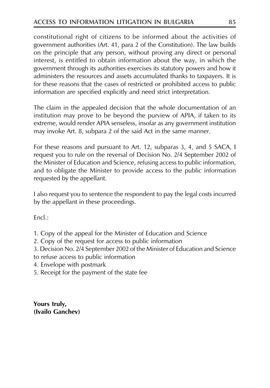constitutional right of citizens to be informed about the activities of government authorities (Art. 41, para 2 of the Constitution). The law builds on the principle that any person, without proving any direct or personal interest, is entitled to obtain information about the way, in which the government through its authorities exercises its statutory powers and how it administers the resources and assets accumulated thanks to taxpayers. It is for these reasons that the cases of restricted or prohibited access to public information are specified explicitly and need strict interpretation.

The claim in the appealed decision that the whole documentation of an institution may prove to be beyond the purview of APIA, if taken to its extreme, would render APIA senseless, insofar as any government institution may invoke Art. 8, subpara 2 of the said Act in the same manner.

For these reasons and pursuant to Art. 12, subparas 3, 4, and 5 SACA, I request you to rule on the reversal of Decision No. 2/4 September 2002 of the Minister of Education and Science, refusing access to public information, and to obligate the Minister to provide access to the public information requested by the appellant.

I also request you to sentence the respondent to pay the legal costs incurred by the appellant in these proceedings.

 $Fncl.$ :

- 1. Copy of the appeal for the Minister of Education and Science
- 2. Copy of the request for access to public information
- 3. Decision No. 2/4 September 2002 of the Minister of Education and Science
- to refuse access to public information
- 4. Envelope with postmark
- 5. Receipt for the payment of the state fee

Yours truly, (Ivailo Ganchev)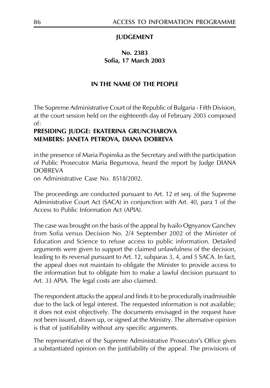## **IUDGEMENT**

## No. 2383 Sofia, 17 March 2003

## IN THE NAME OF THE PEOPLE

The Supreme Administrative Court of the Republic of Bulgaria - Fifth Division, at the court session held on the eighteenth day of February 2003 composed of:

## PRESIDING JUDGE: EKATERINA GRUNCHAROVA MEMBERS: JANETA PETROVA, DIANA DOBREVA

in the presence of Maria Popinska as the Secretary and with the participation of Public Prosecutor Maria Begumova, heard the report by Judge DIANA **DOBREVA** 

on Administrative Case No. 8518/2002.

The proceedings are conducted pursuant to Art. 12 et seq. of the Supreme Administrative Court Act (SACA) in conjunction with Art. 40, para 1 of the Access to Public Information Act (APIA).

The case was brought on the basis of the appeal by Ivailo Ognyanov Ganchev from Sofia versus Decision No. 2/4 September 2002 of the Minister of Education and Science to refuse access to public information. Detailed arguments were given to support the claimed unlawfulness of the decision, leading to its reversal pursuant to Art. 12, subparas 3, 4, and 5 SACA. In fact, the appeal does not maintain to obligate the Minister to provide access to the information but to obligate him to make a lawful decision pursuant to Art. 33 APIA. The legal costs are also claimed.

The respondent attacks the appeal and finds it to be procedurally inadmissible due to the lack of legal interest. The requested information is not available; it does not exist objectively. The documents envisaged in the request have not been issued, drawn up, or signed at the Ministry. The alternative opinion is that of justifiability without any specific arguments.

The representative of the Supreme Administrative Prosecutor's Office gives a substantiated opinion on the justifiability of the appeal. The provisions of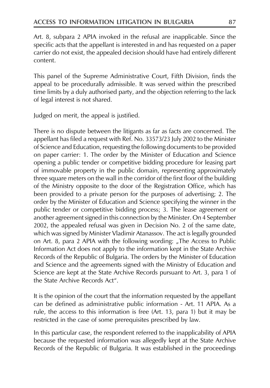Art. 8, subpara 2 APIA invoked in the refusal are inapplicable. Since the specific acts that the appellant is interested in and has requested on a paper carrier do not exist, the appealed decision should have had entirely different content

This panel of the Supreme Administrative Court, Fifth Division, finds the appeal to be procedurally admissible. It was served within the prescribed time limits by a duly authorised party, and the objection referring to the lack of legal interest is not shared.

Judged on merit, the appeal is justified.

There is no dispute between the litigants as far as facts are concerned. The appellant has filed a request with Ref. No. 33573/23 July 2002 to the Minister of Science and Education, requesting the following documents to be provided on paper carrier: 1. The order by the Minister of Education and Science opening a public tender or competitive bidding procedure for leasing part of immovable property in the public domain, representing approximately three square meters on the wall in the corridor of the first floor of the building of the Ministry opposite to the door of the Registration Office, which has been provided to a private person for the purposes of advertising; 2. The order by the Minister of Education and Science specifying the winner in the public tender or competitive bidding process; 3. The lease agreement or another agreement signed in this connection by the Minister. On 4 September 2002, the appealed refusal was given in Decision No. 2 of the same date, which was signed by Minister Vladimir Atanassov. The act is legally grounded on Art. 8, para 2 APIA with the following wording: "The Access to Public Information Act does not apply to the information kept in the State Archive Records of the Republic of Bulgaria. The orders by the Minister of Education and Science and the agreements signed with the Ministry of Education and Science are kept at the State Archive Records pursuant to Art. 3, para 1 of the State Archive Records Act".

It is the opinion of the court that the information requested by the appellant can be defined as administrative public information - Art. 11 APIA. As a rule, the access to this information is free (Art. 13, para 1) but it may be restricted in the case of some prerequisites prescribed by law.

In this particular case, the respondent referred to the inapplicability of APIA because the requested information was allegedly kept at the State Archive Records of the Republic of Bulgaria. It was established in the proceedings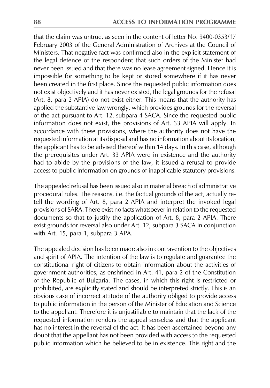that the claim was untrue, as seen in the content of letter No. 9400-0353/17 February 2003 of the General Administration of Archives at the Council of Ministers. That negative fact was confirmed also in the explicit statement of the legal defence of the respondent that such orders of the Minister had never been issued and that there was no lease agreement signed. Hence it is impossible for something to be kept or stored somewhere if it has never been created in the first place. Since the requested public information does not exist objectively and it has never existed, the legal grounds for the refusal (Art. 8, para 2 APIA) do not exist either. This means that the authority has applied the substantive law wrongly, which provides grounds for the reversal of the act pursuant to Art. 12, subpara 4 SACA. Since the requested public information does not exist, the provisions of Art. 33 APIA will apply. In accordance with these provisions, where the authority does not have the requested information at its disposal and has no information about its location, the applicant has to be advised thereof within 14 days. In this case, although the prerequisites under Art. 33 APIA were in existence and the authority had to abide by the provisions of the law, it issued a refusal to provide access to public information on grounds of inapplicable statutory provisions.

The appealed refusal has been issued also in material breach of administrative procedural rules. The reasons, i.e. the factual grounds of the act, actually retell the wording of Art. 8, para 2 APIA and interpret the invoked legal provisions of SARA. There exist no facts whatsoever in relation to the requested documents so that to justify the application of Art. 8, para 2 APIA. There exist grounds for reversal also under Art. 12, subpara 3 SACA in conjunction with Art. 15, para 1, subpara 3 APA.

The appealed decision has been made also in contravention to the objectives and spirit of APIA. The intention of the law is to regulate and guarantee the constitutional right of citizens to obtain information about the activities of government authorities, as enshrined in Art. 41, para 2 of the Constitution of the Republic of Bulgaria. The cases, in which this right is restricted or prohibited, are explicitly stated and should be interpreted strictly. This is an obvious case of incorrect attitude of the authority obliged to provide access to public information in the person of the Minister of Education and Science to the appellant. Therefore it is unjustifiable to maintain that the lack of the requested information renders the appeal senseless and that the applicant has no interest in the reversal of the act. It has been ascertained beyond any doubt that the appellant has not been provided with access to the requested public information which he believed to be in existence. This right and the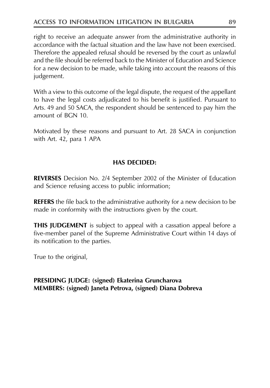## **ACCESS TO INFORMATION LITIGATION IN BULGARIA**

right to receive an adequate answer from the administrative authority in accordance with the factual situation and the law have not been exercised. Therefore the appealed refusal should be reversed by the court as unlawful and the file should be referred back to the Minister of Education and Science for a new decision to be made, while taking into account the reasons of this judgement.

With a view to this outcome of the legal dispute, the request of the appellant to have the legal costs adjudicated to his benefit is justified. Pursuant to Arts. 49 and 50 SACA, the respondent should be sentenced to pay him the amount of BGN 10.

Motivated by these reasons and pursuant to Art. 28 SACA in conjunction with Art. 42, para 1 APA

## **HAS DECIDED:**

**REVERSES** Decision No. 2/4 September 2002 of the Minister of Education and Science refusing access to public information;

**REFERS** the file back to the administrative authority for a new decision to be made in conformity with the instructions given by the court.

**THIS JUDGEMENT** is subject to appeal with a cassation appeal before a five-member panel of the Supreme Administrative Court within 14 days of its notification to the parties.

True to the original,

#### **PRESIDING JUDGE:** (signed) Ekaterina Gruncharova MEMBERS: (signed) Janeta Petrova, (signed) Diana Dobreva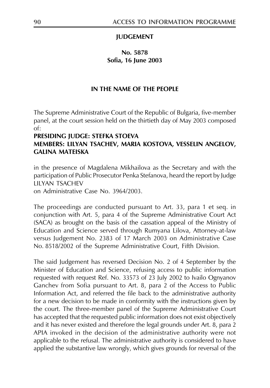#### **JUDGEMENT**

## No. 5878 Sofia. 16 Iune 2003

#### IN THE NAME OF THE PEOPLE

The Supreme Administrative Court of the Republic of Bulgaria, five-member panel, at the court session held on the thirtieth day of May 2003 composed  $of:$ 

## PRESIDING JUDGE: STEFKA STOEVA MEMBERS: LILYAN TSACHEV, MARIA KOSTOVA, VESSELIN ANGELOV, **GALINA MATFISKA**

in the presence of Magdalena Mikhailova as the Secretary and with the participation of Public Prosecutor Penka Stefanova, heard the report by Judge **LILYAN TSACHEV** 

on Administrative Case No. 3964/2003.

The proceedings are conducted pursuant to Art. 33, para 1 et seq. in conjunction with Art. 5, para 4 of the Supreme Administrative Court Act (SACA) as brought on the basis of the cassation appeal of the Ministry of Education and Science served through Rumyana Lilova, Attorney-at-law versus Judgement No. 2383 of 17 March 2003 on Administrative Case No. 8518/2002 of the Supreme Administrative Court, Fifth Division.

The said Judgement has reversed Decision No. 2 of 4 September by the Minister of Education and Science, refusing access to public information requested with request Ref. No. 33573 of 23 July 2002 to Ivailo Ognyanov Ganchev from Sofia pursuant to Art. 8, para 2 of the Access to Public Information Act, and referred the file back to the administrative authority for a new decision to be made in conformity with the instructions given by the court. The three-member panel of the Supreme Administrative Court has accepted that the requested public information does not exist objectively and it has never existed and therefore the legal grounds under Art. 8, para 2 APIA invoked in the decision of the administrative authority were not applicable to the refusal. The administrative authority is considered to have applied the substantive law wrongly, which gives grounds for reversal of the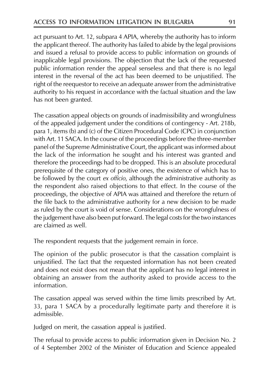act pursuant to Art. 12, subpara 4 APIA, whereby the authority has to inform the applicant thereof. The authority has failed to abide by the legal provisions and issued a refusal to provide access to public information on grounds of inapplicable legal provisions. The objection that the lack of the requested public information render the appeal senseless and that there is no legal interest in the reversal of the act has been deemed to be unjustified. The right of the reequestor to receive an adequate answer from the administrative authority to his request in accordance with the factual situation and the law has not been granted.

The cassation appeal objects on grounds of inadmissibility and wrongfulness of the appealed judgement under the conditions of contingency - Art. 218b, para 1, items (b) and (c) of the Citizen Procedural Code (CPC) in conjunction with Art. 11 SACA. In the course of the proceedings before the three-member panel of the Supreme Administrative Court, the applicant was informed about the lack of the information he sought and his interest was granted and therefore the proceedings had to be dropped. This is an absolute procedural prerequisite of the category of positive ones, the existence of which has to be followed by the court ex officio, although the administrative authority as the respondent also raised objections to that effect. In the course of the proceedings, the objective of APIA was attained and therefore the return of the file back to the administrative authority for a new decision to be made as ruled by the court is void of sense. Considerations on the wrongfulness of the judgement have also been put forward. The legal costs for the two instances are claimed as well

The respondent requests that the judgement remain in force.

The opinion of the public prosecutor is that the cassation complaint is unjustified. The fact that the requested information has not been created and does not exist does not mean that the applicant has no legal interest in obtaining an answer from the authority asked to provide access to the information.

The cassation appeal was served within the time limits prescribed by Art. 33, para 1 SACA by a procedurally legitimate party and therefore it is admissible.

Judged on merit, the cassation appeal is justified.

The refusal to provide access to public information given in Decision No. 2 of 4 September 2002 of the Minister of Education and Science appealed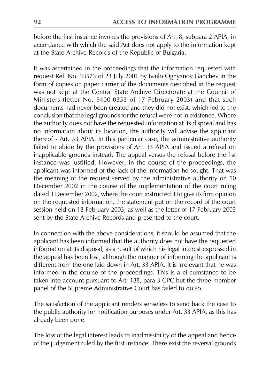before the first instance invokes the provisions of Art. 8, subpara 2 APIA, in accordance with which the said Act does not apply to the information kept at the State Archive Records of the Republic of Bulgaria.

It was ascertained in the proceedings that the information requested with request Ref. No. 33573 of 23 July 2001 by Ivailo Ognyanov Ganchev in the form of copies on paper carrier of the documents described in the request was not kept at the Central State Archive Directorate at the Council of Ministers (letter No. 9400-0353 of 17 February 2003) and that such documents had never been created and they did not exist, which led to the conclusion that the legal grounds for the refusal were not in existence. Where the authority does not have the requested information at its disposal and has no information about its location, the authority will advise the applicant thereof - Art. 33 APIA. In this particular case, the administrative authority failed to abide by the provisions of Art. 33 APIA and issued a refusal on inapplicable grounds instead. The appeal versus the refusal before the fist instance was justified. However, in the course of the proceedings, the applicant was informed of the lack of the information he sought. That was the meaning of the request served by the administrative authority on 10 December 2002 in the course of the implementation of the court ruling dated 3 December 2002, where the court instructed it to give its firm opinion on the requested information, the statement put on the record of the court session held on 18 February 2003, as well as the letter of 17 February 2003 sent by the State Archive Records and presented to the court.

In connection with the above considerations, it should be assumed that the applicant has been informed that the authority does not have the requested information at its disposal, as a result of which his legal interest expressed in the appeal has been lost, although the manner of informing the applicant is different from the one laid down in Art. 33 APIA. It is irrelevant that he was informed in the course of the proceedings. This is a circumstance to be taken into account pursuant to Art. 188, para 3 CPC but the three-member panel of the Supreme Administrative Court has failed to do so.

The satisfaction of the applicant renders senseless to send back the case to the public authority for notification purposes under Art. 33 APIA, as this has already been done.

The loss of the legal interest leads to inadmissibility of the appeal and hence of the judgement ruled by the first instance. There exist the reversal grounds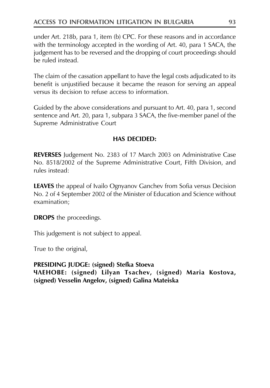under Art. 218b, para 1, item (b) CPC. For these reasons and in accordance with the terminology accepted in the wording of Art. 40, para 1 SACA, the judgement has to be reversed and the dropping of court proceedings should be ruled instead

The claim of the cassation appellant to have the legal costs adjudicated to its benefit is unjustified because it became the reason for serving an appeal versus its decision to refuse access to information.

Guided by the above considerations and pursuant to Art. 40, para 1, second sentence and Art. 20, para 1, subpara 3 SACA, the five-member panel of the Supreme Administrative Court

## HAS DECIDED:

REVERSES Judgement No. 2383 of 17 March 2003 on Administrative Case No. 8518/2002 of the Supreme Administrative Court, Fifth Division, and rules instead:

**LEAVES** the appeal of Ivailo Ognyanov Ganchev from Sofia versus Decision No. 2 of 4 September 2002 of the Minister of Education and Science without examination:

**DROPS** the proceedings.

This judgement is not subject to appeal.

True to the original,

PRESIDING JUDGE: (signed) Stefka Stoeva ЧЛЕНОВЕ: (signed) Lilyan Tsachev, (signed) Maria Kostova, (signed) Vesselin Angelov, (signed) Galina Mateiska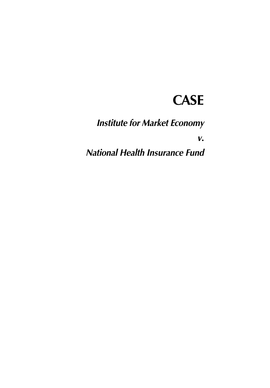# **CASE**

**Institute for Market Economy** 

 $V_{\bullet}$ 

**National Health Insurance Fund**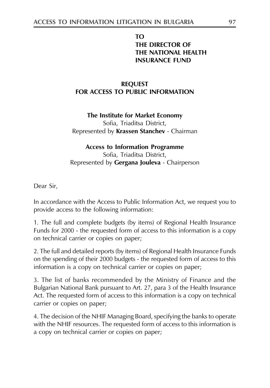## **TO** THE DIRECTOR OF THE NATIONAL HEALTH **INSURANCE FUND**

## **REQUEST** FOR ACCESS TO PUBLIC INFORMATION

## The Institute for Market Economy Sofia, Triaditsa District, Represented by Krassen Stanchev - Chairman

# **Access to Information Programme**

Sofia, Triaditsa District, Represented by Gergana Jouleva - Chairperson

Dear Sir,

In accordance with the Access to Public Information Act, we request you to provide access to the following information:

1. The full and complete budgets (by items) of Regional Health Insurance Funds for 2000 - the requested form of access to this information is a copy on technical carrier or copies on paper;

2. The full and detailed reports (by items) of Regional Health Insurance Funds on the spending of their 2000 budgets - the requested form of access to this information is a copy on technical carrier or copies on paper;

3. The list of banks recommended by the Ministry of Finance and the Bulgarian National Bank pursuant to Art. 27, para 3 of the Health Insurance Act. The requested form of access to this information is a copy on technical carrier or copies on paper;

4. The decision of the NHIF Managing Board, specifying the banks to operate with the NHIF resources. The requested form of access to this information is a copy on technical carrier or copies on paper;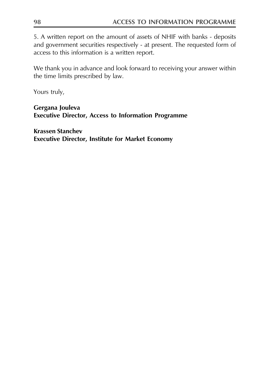5. A written report on the amount of assets of NHIF with banks - deposits and government securities respectively - at present. The requested form of access to this information is a written report.

We thank you in advance and look forward to receiving your answer within the time limits prescribed by law.

Yours truly,

Gergana Jouleva **Executive Director, Access to Information Programme** 

**Krassen Stanchev Executive Director, Institute for Market Economy**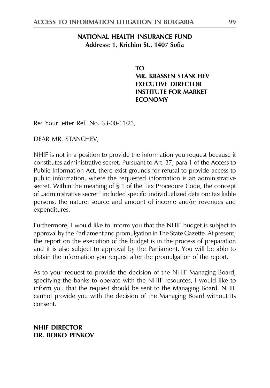#### NATIONAL HEALTH INSURANCE FUND Address: 1, Krichim St., 1407 Sofia

TΩ **MR. KRASSEN STANCHEV EXECUTIVE DIRECTOR INSTITUTE FOR MARKET FCONOMY** 

Re: Your letter Ref. No. 33-00-11/23,

DEAR MR. STANCHEV,

NHIF is not in a position to provide the information you request because it constitutes administrative secret. Pursuant to Art. 37, para 1 of the Access to Public Information Act, there exist grounds for refusal to provide access to public information, where the requested information is an administrative secret. Within the meaning of § 1 of the Tax Procedure Code, the concept of "administrative secret" included specific individualized data on: tax liable persons, the nature, source and amount of income and/or revenues and expenditures.

Furthermore, I would like to inform you that the NHIF budget is subject to approval by the Parliament and promulgation in The State Gazette. At present, the report on the execution of the budget is in the process of preparation and it is also subject to approval by the Parliament. You will be able to obtain the information you request after the promulgation of the report.

As to your request to provide the decision of the NHIF Managing Board, specifying the banks to operate with the NHIF resources, I would like to inform you that the request should be sent to the Managing Board. NHIF cannot provide you with the decision of the Managing Board without its consent

**NHIF DIRECTOR** DR. BOIKO PENKOV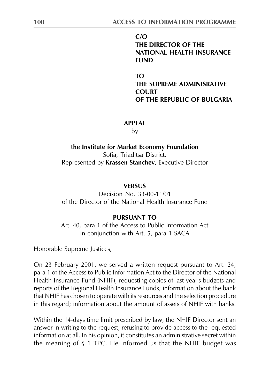$C/O$ THE DIRECTOR OF THE **NATIONAL HEALTH INSURANCE FUND** 

TO<sub>1</sub> THE SUPREME ADMINISRATIVE **COURT** OF THE REPUBLIC OF BUILGARIA

#### **APPFAI**

by

the Institute for Market Economy Foundation Sofia, Triaditsa District, Represented by Krassen Stanchev, Executive Director

#### **VERSUS**

Decision No. 33-00-11/01 of the Director of the National Health Insurance Fund

#### **PURSUANT TO**

Art. 40, para 1 of the Access to Public Information Act in conjunction with Art. 5, para 1 SACA

Honorable Supreme Justices,

On 23 February 2001, we served a written request pursuant to Art. 24, para 1 of the Access to Public Information Act to the Director of the National Health Insurance Fund (NHIF), requesting copies of last year's budgets and reports of the Regional Health Insurance Funds; information about the bank that NHIF has chosen to operate with its resources and the selection procedure in this regard; information about the amount of assets of NHIF with banks.

Within the 14-days time limit prescribed by law, the NHIF Director sent an answer in writing to the request, refusing to provide access to the requested information at all. In his opinion, it constitutes an administrative secret within the meaning of  $\S$  1 TPC. He informed us that the NHIF budget was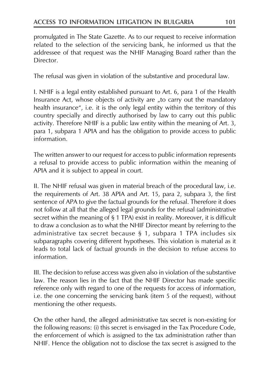promulgated in The State Gazette. As to our request to receive information related to the selection of the servicing bank, he informed us that the addressee of that request was the NHIF Managing Board rather than the Director

The refusal was given in violation of the substantive and procedural law.

I. NHIF is a legal entity established pursuant to Art. 6, para 1 of the Health Insurance Act, whose objects of activity are "to carry out the mandatory health insurance", i.e. it is the only legal entity within the territory of this country specially and directly authorised by law to carry out this public activity. Therefore NHIF is a public law entity within the meaning of Art. 3, para 1, subpara 1 APIA and has the obligation to provide access to public information.

The written answer to our request for access to public information represents a refusal to provide access to public information within the meaning of APIA and it is subject to appeal in court.

II. The NHIF refusal was given in material breach of the procedural law, i.e. the requirements of Art. 38 APIA and Art. 15, para 2, subpara 3, the first sentence of APA to give the factual grounds for the refusal. Therefore it does not follow at all that the alleged legal grounds for the refusal (administrative secret within the meaning of § 1 TPA) exist in reality. Moreover, it is difficult to draw a conclusion as to what the NHIF Director meant by referring to the administrative tax secret because  $\S$  1, subpara 1 TPA includes six subparagraphs covering different hypotheses. This violation is material as it leads to total lack of factual grounds in the decision to refuse access to information.

III. The decision to refuse access was given also in violation of the substantive law. The reason lies in the fact that the NHIF Director has made specific reference only with regard to one of the requests for access of information, i.e. the one concerning the servicing bank (item 5 of the request), without mentioning the other requests.

On the other hand, the alleged administrative tax secret is non-existing for the following reasons: (i) this secret is envisaged in the Tax Procedure Code, the enforcement of which is assigned to the tax administration rather than NHIF. Hence the obligation not to disclose the tax secret is assigned to the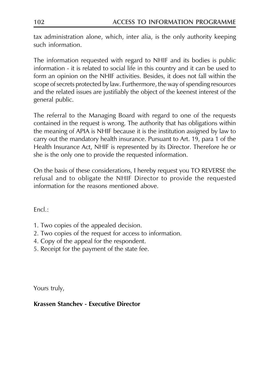tax administration alone, which, inter alia, is the only authority keeping such information.

The information requested with regard to NHIF and its bodies is public information - it is related to social life in this country and it can be used to form an opinion on the NHIF activities. Besides, it does not fall within the scope of secrets protected by law. Furthermore, the way of spending resources and the related issues are justifiably the object of the keenest interest of the general public.

The referral to the Managing Board with regard to one of the requests contained in the request is wrong. The authority that has obligations within the meaning of APIA is NHIF because it is the institution assigned by law to carry out the mandatory health insurance. Pursuant to Art. 19, para 1 of the Health Insurance Act, NHIF is represented by its Director. Therefore he or she is the only one to provide the requested information.

On the basis of these considerations, I hereby request you TO REVERSE the refusal and to obligate the NHIF Director to provide the requested information for the reasons mentioned above

 $Fncl.$ :

- 1. Two copies of the appealed decision.
- 2. Two copies of the request for access to information.
- 4. Copy of the appeal for the respondent.
- 5. Receipt for the payment of the state fee.

Yours truly,

## Krassen Stanchev - Executive Director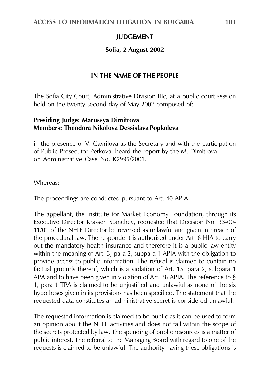## **JUDGEMENT**

## Sofia, 2 August 2002

## IN THE NAME OF THE PEOPLE

The Sofia City Court, Administrative Division IIIc, at a public court session held on the twenty-second day of May 2002 composed of:

## Presiding Judge: Marussya Dimitrova **Members: Theodora Nikolova Dessislava Popkoleva**

in the presence of V. Gavrilova as the Secretary and with the participation of Public Prosecutor Petkova, heard the report by the M. Dimitrova on Administrative Case No. K2995/2001.

Whereas:

The proceedings are conducted pursuant to Art. 40 APIA.

The appellant, the Institute for Market Economy Foundation, through its Executive Director Krassen Stanchev, requested that Decision No. 33-00-11/01 of the NHIF Director be reversed as unlawful and given in breach of the procedural law. The respondent is authorised under Art. 6 HIA to carry out the mandatory health insurance and therefore it is a public law entity within the meaning of Art. 3, para 2, subpara 1 APIA with the obligation to provide access to public information. The refusal is claimed to contain no factual grounds thereof, which is a violation of Art. 15, para 2, subpara 1 APA and to have been given in violation of Art. 38 APIA. The reference to  $\S$ 1, para 1 TPA is claimed to be unjustified and unlawful as none of the six hypotheses given in its provisions has been specified. The statement that the requested data constitutes an administrative secret is considered unlawful.

The requested information is claimed to be public as it can be used to form an opinion about the NHIF activities and does not fall within the scope of the secrets protected by law. The spending of public resources is a matter of public interest. The referral to the Managing Board with regard to one of the requests is claimed to be unlawful. The authority having these obligations is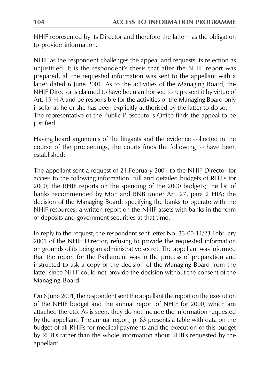NHIF represented by its Director and therefore the latter has the obligation to provide information.

NHIF as the respondent challenges the appeal and requests its rejection as unjustified. It is the respondent's thesis that after the NHIF report was prepared, all the requested information was sent to the appellant with a latter dated 6 June 2001. As to the activities of the Managing Board, the NHIF Director is claimed to have been authorised to represent it by virtue of Art. 19 HIA and be responsible for the activities of the Managing Board only insofar as he or she has been explicitly authorised by the latter to do so. The representative of the Public Prosecutor's Office finds the appeal to be justified.

Having heard arguments of the litigants and the evidence collected in the course of the proceedings, the courts finds the following to have been established:

The appellant sent a request of 21 February 2001 to the NHIF Director for access to the following information: full and detailed budgets of RHIFs for 2000; the RHIF reports on the spending of the 2000 budgets; the list of banks recommended by MoF and BNB under Art. 27, para 2 HIA; the decision of the Managing Board, specifying the banks to operate with the NHIF resources; a written report on the NHIF assets with banks in the form of deposits and government securities at that time.

In reply to the request, the respondent sent letter No. 33-00-11/23 February 2001 of the NHIF Director, refusing to provide the requested information on grounds of its being an administrative secret. The appellant was informed that the report for the Parliament was in the process of preparation and instructed to ask a copy of the decision of the Managing Board from the latter since NHIF could not provide the decision without the consent of the Managing Board.

On 6 June 2001, the respondent sent the appellant the report on the execution of the NHIF budget and the annual report of NHIF for 2000, which are attached thereto. As is seen, they do not include the information requested by the appellant. The annual report, p. 83 presents a table with data on the budget of all RHIFs for medical payments and the execution of this budget by RHIFs rather than the whole information about RHIFs requested by the appellant.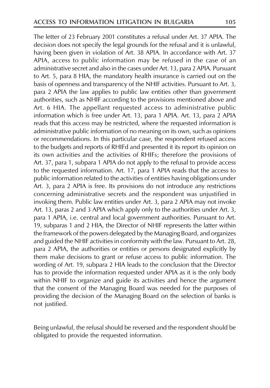The letter of 23 February 2001 constitutes a refusal under Art. 37 APIA. The decision does not specify the legal grounds for the refusal and it is unlawful, having been given in violation of Art. 38 APIA. In accordance with Art. 37 APIA, access to public information may be refused in the case of an administrative secret and also in the cases under Art. 13, para 2 APIA. Pursuant to Art. 5, para 8 HIA, the mandatory health insurance is carried out on the basis of openness and transparency of the NHIF activities. Pursuant to Art. 3, para 2 APIA the law applies to public law entities other than government authorities, such as NHIF according to the provisions mentioned above and Art. 6 HIA. The appellant requested access to administrative public information which is free under Art. 13, para 1 APIA. Art. 13, para 2 APIA reads that this access may be restricted, where the requested information is administrative public information of no meaning on its own, such as opinions or recommendations. In this particular case, the respondent refused access to the budgets and reports of RHIFd and presented it its report its opinion on its own activities and the activities of RHIFs; therefore the provisions of Art. 37, para 1, subpara 1 APIA do not apply to the refusal to provide access to the requested information. Art. 17, para 1 APIA reads that the access to public information related to the activities of entities having obligations under Art. 3, para 2 APIA is free. Its provisions do not introduce any restrictions concerning administrative secrets and the respondent was unjustified in invoking them. Public law entities under Art. 3, para 2 APIA may not invoke Art. 13, paras 2 and 3 APIA which apply only to the authorities under Art. 3, para 1 APIA, i.e. central and local government authorities. Pursuant to Art. 19, subparas 1 and 2 HIA, the Director of NHIF represents the latter within the framework of the powers delegated by the Managing Board, and organizes and guided the NHIF activities in conformity with the law. Pursuant to Art. 28, para 2 APIA, the authorities or entities or persons designated explicitly by them make decisions to grant or refuse access to public information. The wording of Art. 19, subpara 2 HIA leads to the conclusion that the Director has to provide the information requested under APIA as it is the only body within NHIF to organize and guide its activities and hence the argument that the consent of the Managing Board was needed for the purposes of providing the decision of the Managing Board on the selection of banks is not justified.

Being unlawful, the refusal should be reversed and the respondent should be obligated to provide the requested information.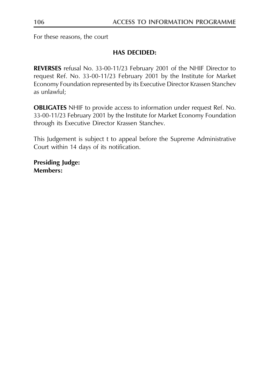For these reasons, the court

## **HAS DECIDED:**

REVERSES refusal No. 33-00-11/23 February 2001 of the NHIF Director to request Ref. No. 33-00-11/23 February 2001 by the Institute for Market Economy Foundation represented by its Executive Director Krassen Stanchev as unlawful;

**OBLIGATES** NHIF to provide access to information under request Ref. No. 33-00-11/23 February 2001 by the Institute for Market Economy Foundation through its Executive Director Krassen Stanchev.

This Judgement is subject t to appeal before the Supreme Administrative Court within 14 days of its notification.

**Presiding Judge: Members:**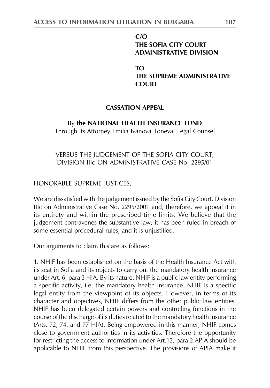## $C/O$ THE SOFIA CITY COURT **ADMINISTRATIVE DIVISION**

TΩ THE SUPREME ADMINISTRATIVE **COURT** 

## **CASSATION APPEAL**

## By the NATIONAL HEALTH INSURANCE FUND

Through its Attorney Emilia Ivanova Toneva, Legal Counsel

## VERSUS THE JUDGEMENT OF THE SOFIA CITY COURT, DIVISION IIIc ON ADMINISTRATIVE CASE No. 2295/01

HONORABLE SUPREME JUSTICES,

We are dissatisfied with the judgement issued by the Sofia City Court, Division Illc on Administrative Case No. 2295/2001 and, therefore, we appeal it in its entirety and within the prescribed time limits. We believe that the judgement contravenes the substantive law; it has been ruled in breach of some essential procedural rules, and it is unjustified.

Our arguments to claim this are as follows:

1. NHIF has been established on the basis of the Health Insurance Act with its seat in Sofia and its objects to carry out the mandatory health insurance under Art. 6, para 3 HIA. By its nature, NHIF is a public law entity performing a specific activity, i.e. the mandatory health insurance. NHIF is a specific legal entity from the viewpoint of its objects. However, in terms of its character and objectives, NHIF differs from the other public law entities. NHIF has been delegated certain powers and controlling functions in the course of the discharge of its duties related to the mandatory health insurance (Arts. 72, 74, and 77 HIA). Being empowered in this manner, NHIF comes close to government authorities in its activities. Therefore the opportunity for restricting the access to information under Art.13, para 2 APIA should be applicable to NHIF from this perspective. The provisions of APIA make it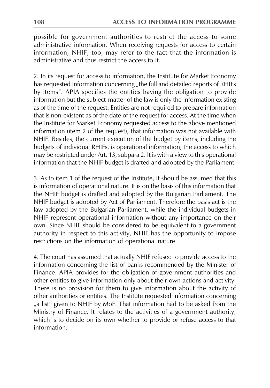possible for government authorities to restrict the access to some administrative information. When receiving requests for access to certain information, NHIF, too, may refer to the fact that the information is administrative and thus restrict the access to it

2. In its request for access to information, the Institute for Market Economy has requested information concerning "the full and detailed reports of RHIFs by items". APIA specifies the entities having the obligation to provide information but the subject-matter of the law is only the information existing as of the time of the request. Entities are not required to prepare information that is non-existent as of the date of the request for access. At the time when the Institute for Market Economy requested access to the above mentioned information (item 2 of the request), that information was not available with NHIF. Besides, the current execution of the budget by items, including the budgets of individual RHIFs, is operational information, the access to which may be restricted under Art. 13, subpara 2. It is with a view to this operational information that the NHIF budget is drafted and adopted by the Parliament.

3. As to item 1 of the request of the Institute, it should be assumed that this is information of operational nature. It is on the basis of this information that the NHIF budget is drafted and adopted by the Bulgarian Parliament. The NHIF budget is adopted by Act of Parliament. Therefore the basis act is the law adopted by the Bulgarian Parliament, while the individual budgets in NHIF represent operational information without any importance on their own. Since NHIF should be considered to be equivalent to a government authority in respect to this activity, NHIF has the opportunity to impose restrictions on the information of operational nature.

4. The court has assumed that actually NHIF refused to provide access to the information concerning the list of banks recommended by the Minister of Finance. APIA provides for the obligation of government authorities and other entities to give information only about their own actions and activity. There is no provision for them to give information about the activity of other authorities or entities. The Institute requested information concerning "a list" given to NHIF by MoF. That information had to be asked from the Ministry of Finance. It relates to the activities of a government authority, which is to decide on its own whether to provide or refuse access to that information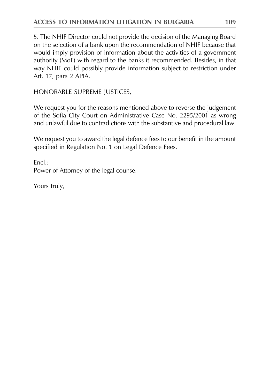5. The NHIF Director could not provide the decision of the Managing Board on the selection of a bank upon the recommendation of NHIF because that would imply provision of information about the activities of a government authority (MoF) with regard to the banks it recommended. Besides, in that way NHIF could possibly provide information subject to restriction under Art. 17, para 2 APIA.

HONORABLE SUPREME JUSTICES,

We request you for the reasons mentioned above to reverse the judgement of the Sofia City Court on Administrative Case No. 2295/2001 as wrong and unlawful due to contradictions with the substantive and procedural law.

We request you to award the legal defence fees to our benefit in the amount specified in Regulation No. 1 on Legal Defence Fees.

 $Encl$ .: Power of Attorney of the legal counsel

Yours truly,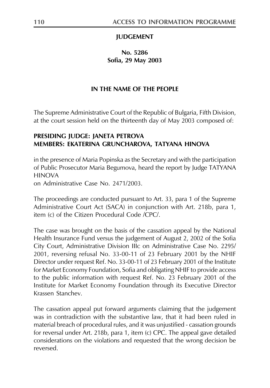#### **JUDGEMENT**

#### No. 5286 Sofia, 29 May 2003

#### IN THE NAME OF THE PEOPLE

The Supreme Administrative Court of the Republic of Bulgaria, Fifth Division, at the court session held on the thirteenth day of May 2003 composed of:

#### PRESIDING JUDGE: JANETA PETROVA MEMBERS: EKATERINA GRUNCHAROVA, TATYANA HINOVA

in the presence of Maria Popinska as the Secretary and with the participation of Public Prosecutor Maria Begumova, heard the report by Judge TATYANA **HINOVA** 

on Administrative Case No. 2471/2003.

The proceedings are conducted pursuant to Art. 33, para 1 of the Supreme Administrative Court Act (SACA) in conjunction with Art. 218b, para 1, item (c) of the Citizen Procedural Code /CPC/

The case was brought on the basis of the cassation appeal by the National Health Insurance Fund versus the judgement of August 2, 2002 of the Sofia City Court, Administrative Division IIIc on Administrative Case No. 2295/ 2001, reversing refusal No. 33-00-11 of 23 February 2001 by the NHIF Director under request Ref. No. 33-00-11 of 23 February 2001 of the Institute for Market Economy Foundation, Sofia and obligating NHIF to provide access to the public information with request Ref. No. 23 February 2001 of the Institute for Market Economy Foundation through its Executive Director Krassen Stanchev

The cassation appeal put forward arguments claiming that the judgement was in contradiction with the substantive law, that it had been ruled in material breach of procedural rules, and it was unjustified - cassation grounds for reversal under Art. 218b, para 1, item (c) CPC. The appeal gave detailed considerations on the violations and requested that the wrong decision be reversed.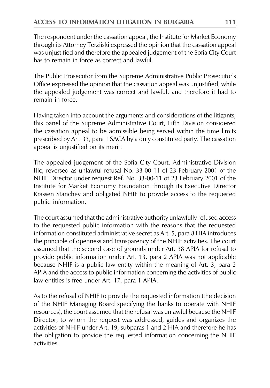The respondent under the cassation appeal, the Institute for Market Economy through its Attorney Terziiski expressed the opinion that the cassation appeal was unjustified and therefore the appealed judgement of the Sofia City Court has to remain in force as correct and lawful

The Public Prosecutor from the Supreme Administrative Public Prosecutor's Office expressed the opinion that the cassation appeal was unjustified, while the appealed judgement was correct and lawful, and therefore it had to remain in force

Having taken into account the arguments and considerations of the litigants, this panel of the Supreme Administrative Court, Fifth Division considered the cassation appeal to be admissible being served within the time limits prescribed by Art. 33, para 1 SACA by a duly constituted party. The cassation appeal is unjustified on its merit.

The appealed judgement of the Sofia City Court, Administrative Division IIIc, reversed as unlawful refusal No. 33-00-11 of 23 February 2001 of the NHIF Director under request Ref. No. 33-00-11 of 23 February 2001 of the Institute for Market Economy Foundation through its Executive Director Krassen Stanchev and obligated NHIF to provide access to the requested public information.

The court assumed that the administrative authority unlawfully refused access to the requested public information with the reasons that the requested information constituted administrative secret as Art. 5, para 8 HIA introduces the principle of openness and transparency of the NHIF activities. The court assumed that the second case of grounds under Art. 38 APIA for refusal to provide public information under Art. 13, para 2 APIA was not applicable because NHIF is a public law entity within the meaning of Art. 3, para 2 APIA and the access to public information concerning the activities of public law entities is free under Art. 17, para 1 APIA.

As to the refusal of NHIF to provide the requested information (the decision of the NHIF Managing Board specifying the banks to operate with NHIF resources), the court assumed that the refusal was unlawful because the NHIF Director, to whom the request was addressed, guides and organizes the activities of NHIF under Art. 19, subparas 1 and 2 HIA and therefore he has the obligation to provide the requested information concerning the NHIF activities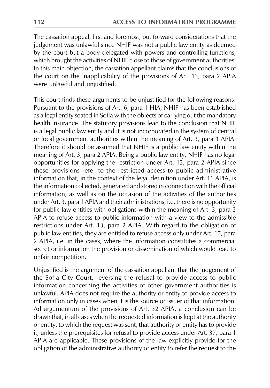The cassation appeal, first and foremost, put forward considerations that the judgement was unlawful since NHIF was not a public law entity as deemed by the court but a body delegated with powers and controlling functions, which brought the activities of NHIF close to those of government authorities. In this main objection, the cassation appellant claims that the conclusions of the court on the inapplicability of the provisions of Art. 13, para 2 APIA were unlawful and unjustified.

This court finds these arguments to be unjustified for the following reasons: Pursuant to the provisions of Art. 6, para 1 HIA, NHIF has been established as a legal entity seated in Sofia with the objects of carrying out the mandatory health insurance. The statutory provisions lead to the conclusion that NHIF is a legal public law entity and it is not incorporated in the system of central or local government authorities within the meaning of Art. 3, para 1 APIA. Therefore it should be assumed that NHIF is a public law entity within the meaning of Art. 3, para 2 APIA. Being a public law entity, NHIF has no legal opportunities for applying the restriction under Art. 13, para 2 APIA since these provisions refer to the restricted access to public administrative information that, in the context of the legal definition under Art. 11 APIA, is the information collected, generated and stored in connection with the official information, as well as on the occasion of the activities of the authorities under Art. 3, para 1 APIA and their administrations, i.e. there is no opportunity for public law entities with obligations within the meaning of Art. 3, para 2 APIA to refuse access to public information with a view to the admissible restrictions under Art. 13, para 2 APIA. With regard to the obligation of public law entities, they are entitled to refuse access only under Art. 17, para 2 APIA, i.e. in the cases, where the information constitutes a commercial secret or information the provision or dissemination of which would lead to unfair competition.

Unjustified is the argument of the cassation appellant that the judgement of the Sofia City Court, reversing the refusal to provide access to public information concerning the activities of other government authorities is unlawful. APIA does not require the authority or entity to provide access to information only in cases when it is the source or issuer of that information. Ad argumentum of the provisions of Art. 32 APIA, a conclusion can be drawn that, in all cases when the requested information is kept at the authority or entity, to which the request was sent, that authority or entity has to provide it, unless the prerequisites for refusal to provide access under Art. 37, para 1 APIA are applicable. These provisions of the law explicitly provide for the obligation of the administrative authority or entity to refer the request to the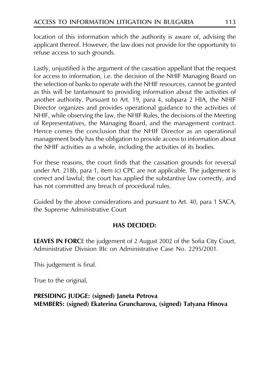location of this information which the authority is aware of, advising the applicant thereof. However, the law does not provide for the opportunity to refuse access to such grounds.

Lastly, unjustified is the argument of the cassation appellant that the request for access to information, i.e. the decision of the NHIF Managing Board on the selection of banks to operate with the NHIF resources, cannot be granted as this will be tantamount to providing information about the activities of another authority. Pursuant to Art. 19, para 4, subpara 2 HIA, the NHIF Director organizes and provides operational guidance to the activities of NHIF, while observing the law, the NHIF Rules, the decisions of the Meeting of Representatives, the Managing Board, and the management contract. Hence comes the conclusion that the NHIF Director as an operational management body has the obligation to provide access to information about the NHIF activities as a whole, including the activities of its bodies.

For these reasons, the court finds that the cassation grounds for reversal under Art. 218b, para 1, item (c) CPC are not applicable. The judgement is correct and lawful; the court has applied the substantive law correctly, and has not committed any breach of procedural rules.

Guided by the above considerations and pursuant to Art. 40, para 1 SACA, the Supreme Administrative Court

## **HAS DECIDED:**

**LEAVES IN FORCE** the judgement of 2 August 2002 of the Sofia City Court, Administrative Division IIIc on Administrative Case No. 2295/2001.

This judgement is final.

True to the original,

PRESIDING JUDGE: (signed) Janeta Petrova MEMBERS: (signed) Ekaterina Gruncharova, (signed) Tatyana Hinova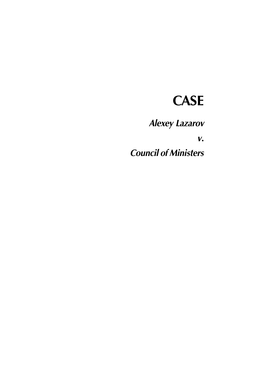# **CASE**

**Alexey Lazarov** 

 $\boldsymbol{V}$ .

**Council of Ministers**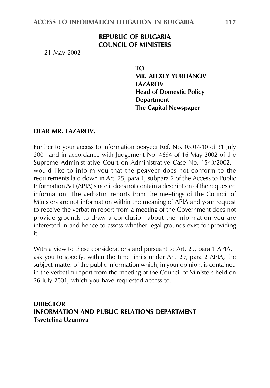### **REPUBLIC OF BULGARIA COUNCIL OF MINISTERS**

21 May 2002

TΩ **MR. ALEXEY YURDANOV IAZAROV Head of Domestic Policy Department The Capital Newspaper** 

#### DEAR MR. LAZAROV,

Further to your access to information pesyect Ref. No. 03.07-10 of 31 July 2001 and in accordance with Judgement No. 4694 of 16 May 2002 of the Supreme Administrative Court on Administrative Case No. 1543/2002, I would like to inform you that the pesyecr does not conform to the requirements laid down in Art. 25, para 1, subpara 2 of the Access to Public Information Act (APIA) since it does not contain a description of the requested information. The verbatim reports from the meetings of the Council of Ministers are not information within the meaning of APIA and your request to receive the verbatim report from a meeting of the Government does not provide grounds to draw a conclusion about the information you are interested in and hence to assess whether legal grounds exist for providing it.

With a view to these considerations and pursuant to Art. 29, para 1 APIA, I ask you to specify, within the time limits under Art. 29, para 2 APIA, the subject-matter of the public information which, in your opinion, is contained in the verbatim report from the meeting of the Council of Ministers held on 26 July 2001, which you have requested access to.

**DIRECTOR INFORMATION AND PUBLIC RELATIONS DEPARTMENT** Tsvetelina Uzunova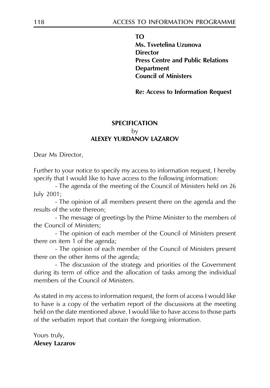**TO** 

Ms. Tsvetelina Uzunova **Director Press Centre and Public Relations Department Council of Ministers** 

**Re: Access to Information Request** 

## **SPECIFICATION** bv **ALEXEY YURDANOV LAZAROV**

Dear Ms Director,

Further to your notice to specify my access to information request, I hereby specify that I would like to have access to the following information:

- The agenda of the meeting of the Council of Ministers held on 26 July 2001;

- The opinion of all members present there on the agenda and the results of the vote thereon:

- The message of greetings by the Prime Minister to the members of the Council of Ministers:

- The opinion of each member of the Council of Ministers present there on item 1 of the agenda;

- The opinion of each member of the Council of Ministers present there on the other items of the agenda;

- The discussion of the strategy and priorities of the Government during its term of office and the allocation of tasks among the individual members of the Council of Ministers.

As stated in my access to information request, the form of access I would like to have is a copy of the verbatim report of the discussions at the meeting held on the date mentioned above. I would like to have access to those parts of the verbatim report that contain the foregoing information.

Yours truly, **Alexey Lazarov**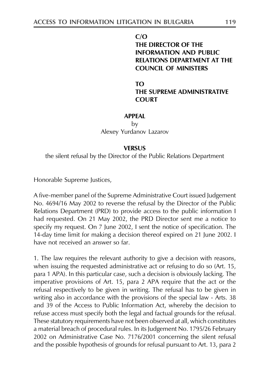$C/O$ THE DIRECTOR OF THE **INFORMATION AND PUBLIC RELATIONS DEPARTMENT AT THE COUNCIL OF MINISTERS** 

 $TO$ THE SUPREME ADMINISTRATIVE **COURT** 

#### **APPFAI**

by

Alexev Yurdanov Lazarov

#### **VERSUS**

the silent refusal by the Director of the Public Relations Department

Honorable Supreme Justices,

A five-member panel of the Supreme Administrative Court issued Judgement No. 4694/16 May 2002 to reverse the refusal by the Director of the Public Relations Department (PRD) to provide access to the public information I had requested. On 21 May 2002, the PRD Director sent me a notice to specify my request. On 7 June 2002, I sent the notice of specification. The 14-day time limit for making a decision thereof expired on 21 June 2002. I have not received an answer so far.

1. The law requires the relevant authority to give a decision with reasons, when issuing the requested administrative act or refusing to do so (Art. 15, para 1 APA). In this particular case, such a decision is obviously lacking. The imperative provisions of Art. 15, para 2 APA require that the act or the refusal respectively to be given in writing. The refusal has to be given in writing also in accordance with the provisions of the special law - Arts. 38 and 39 of the Access to Public Information Act, whereby the decision to refuse access must specify both the legal and factual grounds for the refusal. These statutory requirements have not been observed at all, which constitutes a material breach of procedural rules. In its Judgement No. 1795/26 February 2002 on Administrative Case No. 7176/2001 concerning the silent refusal and the possible hypothesis of grounds for refusal pursuant to Art. 13, para 2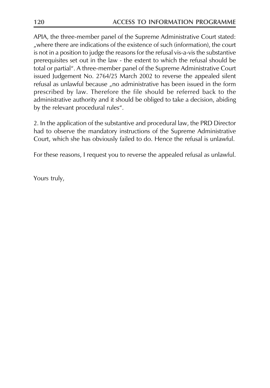APIA, the three-member panel of the Supreme Administrative Court stated: "where there are indications of the existence of such (information), the court is not in a position to judge the reasons for the refusal vis-a-vis the substantive prerequisites set out in the law - the extent to which the refusal should be total or partial". A three-member panel of the Supreme Administrative Court issued Judgement No. 2764/25 March 2002 to reverse the appealed silent refusal as unlawful because "no administrative has been issued in the form prescribed by law. Therefore the file should be referred back to the administrative authority and it should be obliged to take a decision, abiding by the relevant procedural rules".

2. In the application of the substantive and procedural law, the PRD Director had to observe the mandatory instructions of the Supreme Administrative Court, which she has obviously failed to do. Hence the refusal is unlawful.

For these reasons, I request you to reverse the appealed refusal as unlawful.

Yours truly,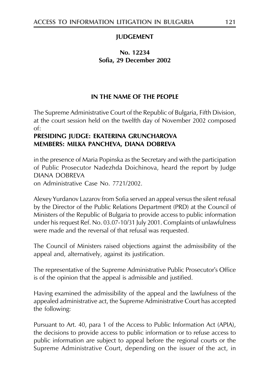### **JUDGEMENT**

## No. 12234 Sofia. 29 December 2002

## IN THE NAME OF THE PEOPLE

The Supreme Administrative Court of the Republic of Bulgaria, Fifth Division, at the court session held on the twelfth day of November 2002 composed  $of:$ 

## PRESIDING JUDGE: EKATERINA GRUNCHAROVA **MEMBERS: MILKA PANCHEVA, DIANA DOBREVA**

in the presence of Maria Popinska as the Secretary and with the participation of Public Prosecutor Nadezhda Doichinova, heard the report by Judge **DIANA DOBREVA** 

on Administrative Case No. 7721/2002.

Alexey Yurdanov Lazarov from Sofia served an appeal versus the silent refusal by the Director of the Public Relations Department (PRD) at the Council of Ministers of the Republic of Bulgaria to provide access to public information under his request Ref. No. 03.07-10/31 July 2001. Complaints of unlawfulness were made and the reversal of that refusal was requested.

The Council of Ministers raised objections against the admissibility of the appeal and, alternatively, against its justification.

The representative of the Supreme Administrative Public Prosecutor's Office is of the opinion that the appeal is admissible and justified.

Having examined the admissibility of the appeal and the lawfulness of the appealed administrative act, the Supreme Administrative Court has accepted the following:

Pursuant to Art. 40, para 1 of the Access to Public Information Act (APIA), the decisions to provide access to public information or to refuse access to public information are subject to appeal before the regional courts or the Supreme Administrative Court, depending on the issuer of the act, in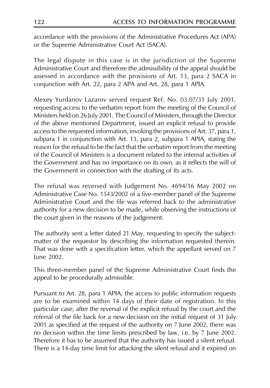accordance with the provisions of the Administrative Procedures Act (APA) or the Supreme Administrative Court Act (SACA).

The legal dispute in this case is in the jurisdiction of the Supreme Administrative Court and therefore the admissibility of the appeal should be assessed in accordance with the provisions of Art. 13, para 2 SACA in conjunction with Art. 22, para 2 APA and Art. 28, para 1 APIA.

Alexey Yurdanov Lazarov served request Ref. No. 03.07/31 July 2001, requesting access to the verbatim report from the meeting of the Council of Ministers held on 26 July 2001. The Council of Ministers, through the Director of the above mentioned Department, issued an explicit refusal to provide access to the requested information, invoking the provisions of Art. 37, para 1, subpara 1 in conjunction with Art. 13, para 2, subpara 1 APIA, stating the reason for the refusal to be the fact that the verbatim report from the meeting of the Council of Ministers is a document related to the internal activities of the Government and has no importance on its own, as it reflects the will of the Government in connection with the drafting of its acts.

The refusal was reversed with Judgement No. 4694/16 May 2002 on Administrative Case No. 1543/2002 of a five-member panel of the Supreme Administrative Court and the file was referred back to the administrative authority for a new decision to be made, while observing the instructions of the court given in the reasons of the judgement.

The authority sent a letter dated 21 May, requesting to specify the subjectmatter of the requestor by describing the information requested therein. That was done with a specification letter, which the appellant served on 7 lune 2002.

This three-member panel of the Supreme Administrative Court finds the appeal to be procedurally admissible.

Pursuant to Art. 28, para 1 APIA, the access to public information requests are to be examined within 14 days of their date of registration. In this particular case, after the reversal of the explicit refusal by the court and the referral of the file back for a new decision on the initial request of 31 July 2001 as specified at the request of the authority on 7 June 2002, there was no decision within the time limits prescribed by law, i.e. by 7 June 2002. Therefore it has to be assumed that the authority has issued a silent refusal. There is a 14-day time limit for attacking the silent refusal and it expired on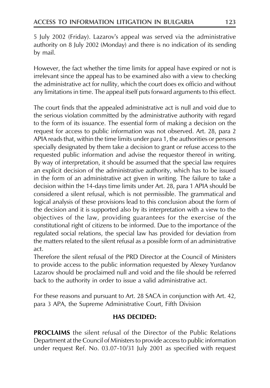5 July 2002 (Friday). Lazarov's appeal was served via the administrative authority on 8 July 2002 (Monday) and there is no indication of its sending by mail.

However, the fact whether the time limits for appeal have expired or not is irrelevant since the appeal has to be examined also with a view to checking the administrative act for nullity, which the court does ex officio and without any limitations in time. The appeal itself puts forward arguments to this effect.

The court finds that the appealed administrative act is null and void due to the serious violation committed by the administrative authority with regard to the form of its issuance. The essential form of making a decision on the request for access to public information was not observed. Art. 28, para 2 APIA reads that, within the time limits under para 1, the authorities or persons specially designated by them take a decision to grant or refuse access to the requested public information and advise the requestor thereof in writing. By way of interpretation, it should be assumed that the special law requires an explicit decision of the administrative authority, which has to be issued in the form of an administrative act given in writing. The failure to take a decision within the 14-days time limits under Art. 28, para 1 APIA should be considered a silent refusal, which is not permissible. The grammatical and logical analysis of these provisions lead to this conclusion about the form of the decision and it is supported also by its interpretation with a view to the objectives of the law, providing guarantees for the exercise of the constitutional right of citizens to be informed. Due to the importance of the regulated social relations, the special law has provided for deviation from the matters related to the silent refusal as a possible form of an administrative act.

Therefore the silent refusal of the PRD Director at the Council of Ministers to provide access to the public information requested by Alexey Yurdanov Lazarov should be proclaimed null and void and the file should be referred back to the authority in order to issue a valid administrative act.

For these reasons and pursuant to Art. 28 SACA in conjunction with Art. 42, para 3 APA, the Supreme Administrative Court, Fifth Division

## **HAS DECIDED:**

**PROCLAIMS** the silent refusal of the Director of the Public Relations Department at the Council of Ministers to provide access to public information under request Ref. No. 03.07-10/31 July 2001 as specified with request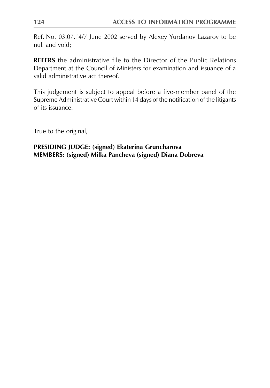Ref. No. 03.07.14/7 June 2002 served by Alexey Yurdanov Lazarov to be null and void:

**REFERS** the administrative file to the Director of the Public Relations Department at the Council of Ministers for examination and issuance of a valid administrative act thereof.

This judgement is subject to appeal before a five-member panel of the Supreme Administrative Court within 14 days of the notification of the litigants of its issuance

True to the original,

## PRESIDING JUDGE: (signed) Ekaterina Gruncharova MEMBERS: (signed) Milka Pancheva (signed) Diana Dobreva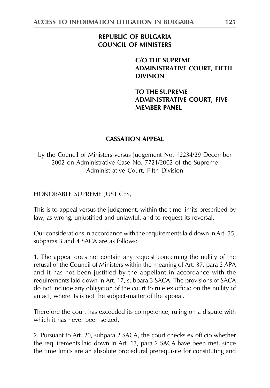## **REPUBLIC OF BULGARIA COUNCIL OF MINISTERS**

## C/O THE SUPREME **ADMINISTRATIVE COURT, FIFTH DIVISION**

**TO THE SUPREME ADMINISTRATIVE COURT, FIVE-MEMBER PANEL** 

## **CASSATION APPEAL**

by the Council of Ministers versus Judgement No. 12234/29 December 2002 on Administrative Case No. 7721/2002 of the Supreme Administrative Court, Fifth Division

HONORABLE SUPREME JUSTICES,

This is to appeal versus the judgement, within the time limits prescribed by law, as wrong, unjustified and unlawful, and to request its reversal.

Our considerations in accordance with the requirements laid down in Art. 35, subparas 3 and 4 SACA are as follows:

1. The appeal does not contain any request concerning the nullity of the refusal of the Council of Ministers within the meaning of Art. 37, para 2 APA and it has not been justified by the appellant in accordance with the requirements laid down in Art. 17, subpara 3 SACA. The provisions of SACA do not include any obligation of the court to rule ex officio on the nullity of an act, where its is not the subject-matter of the appeal.

Therefore the court has exceeded its competence, ruling on a dispute with which it has never been seized.

2. Pursuant to Art. 20, subpara 2 SACA, the court checks ex officio whether the requirements laid down in Art. 13, para 2 SACA have been met, since the time limits are an absolute procedural prerequisite for constituting and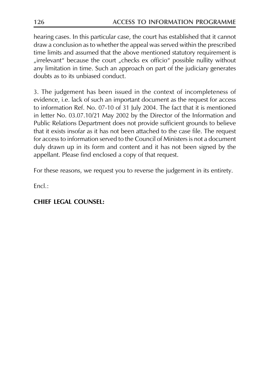hearing cases. In this particular case, the court has established that it cannot draw a conclusion as to whether the appeal was served within the prescribed time limits and assumed that the above mentioned statutory requirement is "irrelevant" because the court "checks ex officio" possible nullity without any limitation in time. Such an approach on part of the judiciary generates doubts as to its unbiased conduct.

3. The judgement has been issued in the context of incompleteness of evidence, i.e. lack of such an important document as the request for access to information Ref. No. 07-10 of 31 July 2004. The fact that it is mentioned in letter No. 03.07.10/21 May 2002 by the Director of the Information and Public Relations Department does not provide sufficient grounds to believe that it exists insofar as it has not been attached to the case file. The request for access to information served to the Council of Ministers is not a document duly drawn up in its form and content and it has not been signed by the appellant. Please find enclosed a copy of that request.

For these reasons, we request you to reverse the judgement in its entirety.

 $Fnc$   $\cdot$ 

## CHIFF LEGAL COUNSEL: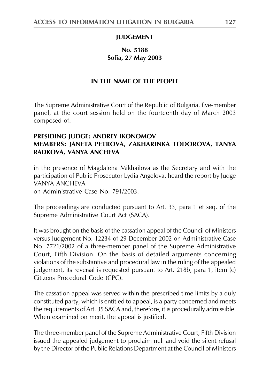#### **IUDGEMENT**

## No. 5188 Sofia. 27 May 2003

#### IN THE NAME OF THE PEOPLE

The Supreme Administrative Court of the Republic of Bulgaria, five-member panel, at the court session held on the fourteenth day of March 2003 composed of:

## PRESIDING JUDGE: ANDREY IKONOMOV MEMBERS: JANETA PETROVA, ZAKHARINKA TODOROVA, TANYA RADKOVA, VANYA ANCHEVA

in the presence of Magdalena Mikhailova as the Secretary and with the participation of Public Prosecutor Lydia Angelova, heard the report by Judge **VANYA ANCHEVA** 

on Administrative Case No. 791/2003.

The proceedings are conducted pursuant to Art. 33, para 1 et seq. of the Supreme Administrative Court Act (SACA).

It was brought on the basis of the cassation appeal of the Council of Ministers versus Judgement No. 12234 of 29 December 2002 on Administrative Case No. 7721/2002 of a three-member panel of the Supreme Administrative Court, Fifth Division. On the basis of detailed arguments concerning violations of the substantive and procedural law in the ruling of the appealed judgement, its reversal is requested pursuant to Art. 218b, para 1, item (c) Citizens Procedural Code (CPC).

The cassation appeal was served within the prescribed time limits by a duly constituted party, which is entitled to appeal, is a party concerned and meets the requirements of Art. 35 SACA and, therefore, it is procedurally admissible. When examined on merit, the appeal is justified.

The three-member panel of the Supreme Administrative Court, Fifth Division issued the appealed judgement to proclaim null and void the silent refusal by the Director of the Public Relations Department at the Council of Ministers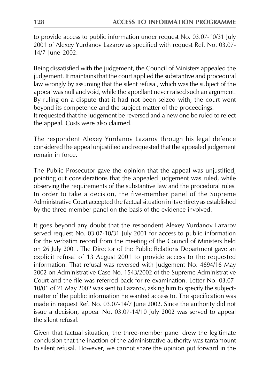to provide access to public information under request No. 03.07-10/31 July 2001 of Alexey Yurdanov Lazarov as specified with request Ref. No. 03.07-14/7 lune 2002.

Being dissatisfied with the judgement, the Council of Ministers appealed the judgement. It maintains that the court applied the substantive and procedural law wrongly by assuming that the silent refusal, which was the subject of the appeal was null and void, while the appellant never raised such an argument. By ruling on a dispute that it had not been seized with, the court went beyond its competence and the subject-matter of the proceedings. It requested that the judgement be reversed and a new one be ruled to reject the appeal. Costs were also claimed.

The respondent Alexey Yurdanov Lazarov through his legal defence considered the appeal unjustified and requested that the appealed judgement remain in force.

The Public Prosecutor gave the opinion that the appeal was unjustified, pointing out considerations that the appealed judgement was ruled, while observing the requirements of the substantive law and the procedural rules. In order to take a decision, the five-member panel of the Supreme Administrative Court accepted the factual situation in its entirety as established by the three-member panel on the basis of the evidence involved.

It goes beyond any doubt that the respondent Alexey Yurdanov Lazarov served request No. 03.07-10/31 July 2001 for access to public information for the verbatim record from the meeting of the Council of Ministers held on 26 July 2001. The Director of the Public Relations Department gave an explicit refusal of 13 August 2001 to provide access to the requested information. That refusal was reversed with Judgement No. 4694/16 May 2002 on Administrative Case No. 1543/2002 of the Supreme Administrative Court and the file was referred back for re-examination. Letter No. 03.07-10/01 of 21 May 2002 was sent to Lazarov, asking him to specify the subjectmatter of the public information he wanted access to. The specification was made in request Ref. No. 03.07-14/7 June 2002. Since the authority did not issue a decision, appeal No. 03.07-14/10 July 2002 was served to appeal the silent refusal

Given that factual situation, the three-member panel drew the legitimate conclusion that the inaction of the administrative authority was tantamount to silent refusal. However, we cannot share the opinion put forward in the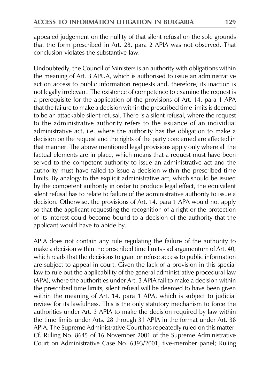appealed judgement on the nullity of that silent refusal on the sole grounds that the form prescribed in Art. 28, para 2 APIA was not observed. That conclusion violates the substantive law.

Undoubtedly, the Council of Ministers is an authority with obligations within the meaning of Art. 3 APUA, which is authorised to issue an administrative act on access to public information requests and, therefore, its inaction is not legally irrelevant. The existence of competence to examine the request is a prerequisite for the application of the provisions of Art. 14, para 1 APA that the failure to make a decision within the prescribed time limits is deemed to be an attackable silent refusal. There is a silent refusal, where the request to the administrative authority refers to the issuance of an individual administrative act, i.e. where the authority has the obligation to make a decision on the request and the rights of the party concerned are affected in that manner. The above mentioned legal provisions apply only where all the factual elements are in place, which means that a request must have been served to the competent authority to issue an administrative act and the authority must have failed to issue a decision within the prescribed time limits. By analogy to the explicit administrative act, which should be issued by the competent authority in order to produce legal effect, the equivalent silent refusal has to relate to failure of the administrative authority to issue a decision. Otherwise, the provisions of Art. 14, para 1 APA would not apply so that the applicant requesting the recognition of a right or the protection of its interest could become bound to a decision of the authority that the applicant would have to abide by.

APIA does not contain any rule regulating the failure of the authority to make a decision within the prescribed time limits - ad argumentum of Art. 40, which reads that the decisions to grant or refuse access to public information are subject to appeal in court. Given the lack of a provision in this special law to rule out the applicability of the general administrative procedural law (APA), where the authorities under Art. 3 APIA fail to make a decision within the prescribed time limits, silent refusal will be deemed to have been given within the meaning of Art. 14, para 1 APA, which is subject to judicial review for its lawfulness. This is the only statutory mechanism to force the authorities under Art. 3 APIA to make the decision required by law within the time limits under Arts. 28 through 31 APIA in the format under Art. 38 APIA. The Supreme Administrative Court has repeatedly ruled on this matter. Cf. Ruling No. 8645 of 16 November 2001 of the Supreme Administrative Court on Administrative Case No. 6393/2001, five-member panel; Ruling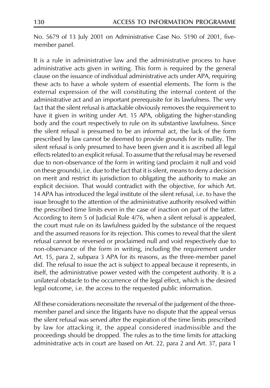No. 5679 of 13 July 2001 on Administrative Case No. 5190 of 2001, fivemember panel.

It is a rule in administrative law and the administrative process to have administrative acts given in writing. This form is required by the general clause on the issuance of individual administrative acts under APA, requiring these acts to have a whole system of essential elements. The form is the external expression of the will constituting the internal content of the administrative act and an important prerequisite for its lawfulness. The very fact that the silent refusal is attackable obviously removes the requirement to have it given in writing under Art. 15 APA, obligating the higher-standing body and the court respectively to rule on its substantive lawfulness. Since the silent refusal is presumed to be an informal act, the lack of the form prescribed by law cannot be deemed to provide grounds for its nullity. The silent refusal is only presumed to have been given and it is ascribed all legal effects related to an explicit refusal. To assume that the refusal may be reversed due to non-observance of the form in writing (and proclaim it null and void on these grounds), i.e. due to the fact that it is silent, means to deny a decision on merit and restrict its jurisdiction to obligating the authority to make an explicit decision. That would contradict with the objective, for which Art. 14 APA has introduced the legal institute of the silent refusal, i.e. to have the issue brought to the attention of the administrative authority resolved within the prescribed time limits even in the case of inaction on part of the latter. According to item 5 of Judicial Rule 4/76, when a silent refusal is appealed, the court must rule on its lawfulness guided by the substance of the request and the assumed reasons for its rejection. This comes to reveal that the silent refusal cannot be reversed or proclaimed null and void respectively due to non-observance of the form in writing, including the requirement under Art. 15, para 2, subpara 3 APA for its reasons, as the three-member panel did. The refusal to issue the act is subject to appeal because it represents, in itself, the administrative power vested with the competent authority. It is a unilateral obstacle to the occurrence of the legal effect, which is the desired legal outcome, i.e. the access to the requested public information.

All these considerations necessitate the reversal of the judgement of the threemember panel and since the litigants have no dispute that the appeal versus the silent refusal was served after the expiration of the time limits prescribed by law for attacking it, the appeal considered inadmissible and the proceedings should be dropped. The rules as to the time limits for attacking administrative acts in court are based on Art. 22, para 2 and Art. 37, para 1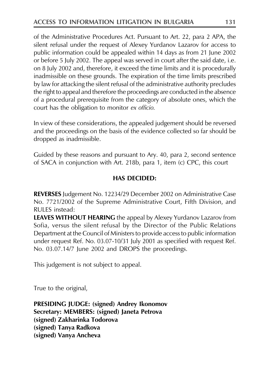of the Administrative Procedures Act. Pursuant to Art. 22, para 2 APA, the silent refusal under the request of Alexey Yurdanov Lazarov for access to public information could be appealed within 14 days as from 21 June 2002 or before 5 July 2002. The appeal was served in court after the said date, i.e. on 8 July 2002 and, therefore, it exceed the time limits and it is procedurally inadmissible on these grounds. The expiration of the time limits prescribed by law for attacking the silent refusal of the administrative authority precludes the right to appeal and therefore the proceedings are conducted in the absence of a procedural prerequisite from the category of absolute ones, which the court has the obligation to monitor ex officio.

In view of these considerations, the appealed judgement should be reversed and the proceedings on the basis of the evidence collected so far should be dropped as inadmissible.

Guided by these reasons and pursuant to Ary. 40, para 2, second sentence of SACA in conjunction with Art. 218b, para 1, item (c) CPC, this court

## **HAS DECIDED:**

REVERSES Judgement No. 12234/29 December 2002 on Administrative Case No. 7721/2002 of the Supreme Administrative Court, Fifth Division, and **RULES** instead:

**LEAVES WITHOUT HEARING** the appeal by Alexey Yurdanov Lazarov from Sofia, versus the silent refusal by the Director of the Public Relations Department at the Council of Ministers to provide access to public information under request Ref. No. 03.07-10/31 July 2001 as specified with request Ref. No. 03.07.14/7 June 2002 and DROPS the proceedings.

This judgement is not subject to appeal.

True to the original,

**PRESIDING JUDGE: (signed) Andrey Ikonomov** Secretary: MEMBERS: (signed) Janeta Petrova (signed) Zakharinka Todorova (signed) Tanya Radkova (signed) Vanya Ancheva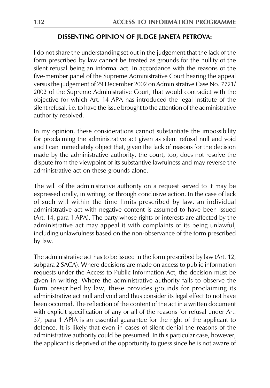#### DISSENTING OPINION OF JUDGE JANETA PETROVA:

I do not share the understanding set out in the judgement that the lack of the form prescribed by law cannot be treated as grounds for the nullity of the silent refusal being an informal act. In accordance with the reasons of the five-member panel of the Supreme Administrative Court hearing the appeal versus the judgement of 29 December 2002 on Administrative Case No. 7721/ 2002 of the Supreme Administrative Court, that would contradict with the objective for which Art. 14 APA has introduced the legal institute of the silent refusal, i.e. to have the issue brought to the attention of the administrative authority resolved.

In my opinion, these considerations cannot substantiate the impossibility for proclaiming the administrative act given as silent refusal null and void and I can immediately object that, given the lack of reasons for the decision made by the administrative authority, the court, too, does not resolve the dispute from the viewpoint of its substantive lawfulness and may reverse the administrative act on these grounds alone.

The will of the administrative authority on a request served to it may be expressed orally, in writing, or through conclusive action. In the case of lack of such will within the time limits prescribed by law, an individual administrative act with negative content is assumed to have been issued (Art. 14, para 1 APA). The party whose rights or interests are affected by the administrative act may appeal it with complaints of its being unlawful, including unlawfulness based on the non-observance of the form prescribed by law.

The administrative act has to be issued in the form prescribed by law (Art. 12, subpara 2 SACA). Where decisions are made on access to public information requests under the Access to Public Information Act, the decision must be given in writing. Where the administrative authority fails to observe the form prescribed by law, these provides grounds for proclaiming its administrative act null and void and thus consider its legal effect to not have been occurred. The reflection of the content of the act in a written document with explicit specification of any or all of the reasons for refusal under Art. 37, para 1 APIA is an essential guarantee for the right of the applicant to defence. It is likely that even in cases of silent denial the reasons of the administrative authority could be presumed. In this particular case, however, the applicant is deprived of the opportunity to guess since he is not aware of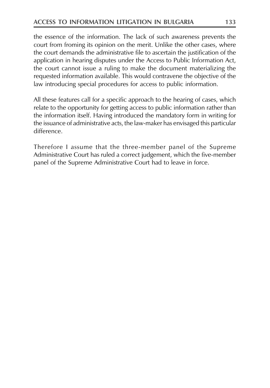the essence of the information. The lack of such awareness prevents the court from froming its opinion on the merit. Unlike the other cases, where the court demands the administrative file to ascertain the justification of the application in hearing disputes under the Access to Public Information Act, the court cannot issue a ruling to make the document materializing the requested information available. This would contravene the objective of the law introducing special procedures for access to public information.

All these features call for a specific approach to the hearing of cases, which relate to the opportunity for getting access to public information rather than the information itself. Having introduced the mandatory form in writing for the issuance of administrative acts, the law-maker has envisaged this particular difference.

Therefore I assume that the three-member panel of the Supreme Administrative Court has ruled a correct judgement, which the five-member panel of the Supreme Administrative Court had to leave in force.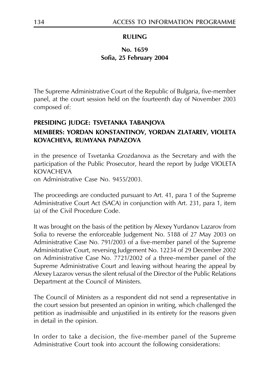## **RULING**

## No. 1659 Sofia, 25 February 2004

The Supreme Administrative Court of the Republic of Bulgaria, five-member panel, at the court session held on the fourteenth day of November 2003 composed of:

## PRESIDING JUDGE: TSVETANKA TABANJOVA

## MEMBERS: YORDAN KONSTANTINOV, YORDAN ZLATAREV, VIOLETA KOVACHEVA, RUMYANA PAPAZOVA

in the presence of Tsvetanka Grozdanova as the Secretary and with the participation of the Public Prosecutor, heard the report by Judge VIOLETA **KOVACHEVA** 

on Administrative Case No. 9455/2003.

The proceedings are conducted pursuant to Art. 41, para 1 of the Supreme Administrative Court Act (SACA) in conjunction with Art. 231, para 1, item (a) of the Civil Procedure Code.

It was brought on the basis of the petition by Alexey Yurdanov Lazarov from Sofia to reverse the enforceable Judgement No. 5188 of 27 May 2003 on Administrative Case No. 791/2003 of a five-member panel of the Supreme Administrative Court, reversing Judgement No. 12234 of 29 December 2002 on Administrative Case No. 7721/2002 of a three-member panel of the Supreme Administrative Court and leaving without hearing the appeal by Alexey Lazarov versus the silent refusal of the Director of the Public Relations Department at the Council of Ministers.

The Council of Ministers as a respondent did not send a representative in the court session but presented an opinion in writing, which challenged the petition as inadmissible and unjustified in its entirety for the reasons given in detail in the opinion.

In order to take a decision, the five-member panel of the Supreme Administrative Court took into account the following considerations: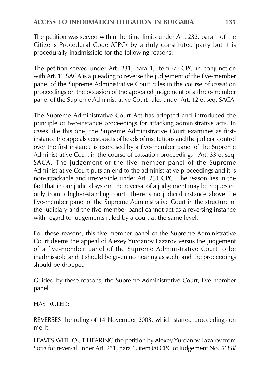The petition was served within the time limits under Art. 232, para 1 of the Citizens Procedural Code /CPC/ by a duly constituted party but it is procedurally inadmissible for the following reasons:

The petition served under Art. 231, para 1, item (a) CPC in conjunction with Art. 11 SACA is a pleading to reverse the judgement of the five-member panel of the Supreme Administrative Court rules in the course of cassation proceedings on the occasion of the appealed judgement of a three-member panel of the Supreme Administrative Court rules under Art. 12 et seq. SACA.

The Supreme Administrative Court Act has adopted and introduced the principle of two-instance proceedings for attacking administrative acts. In cases like this one, the Supreme Administrative Court examines as firstinstance the appeals versus acts of heads of institutions and the judicial control over the first instance is exercised by a five-member panel of the Supreme Administrative Court in the course of cassation proceedings - Art. 33 et seq. SACA. The judgement of the five-member panel of the Supreme Administrative Court puts an end to the administrative proceedings and it is non-attackable and irreversible under Art. 231 CPC. The reason lies in the fact that in our judicial system the reversal of a judgement may be requested only from a higher-standing court. There is no judicial instance above the five-member panel of the Supreme Administrative Court in the structure of the judiciary and the five-member panel cannot act as a reversing instance with regard to judgements ruled by a court at the same level.

For these reasons, this five-member panel of the Supreme Administrative Court deems the appeal of Alexey Yurdanov Lazarov versus the judgement of a five-member panel of the Supreme Administrative Court to be inadmissible and it should be given no hearing as such, and the proceedings should be dropped.

Guided by these reasons, the Supreme Administrative Court, five-member panel

**HAS RULED:** 

REVERSES the ruling of 14 November 2003, which started proceedings on merit;

LEAVES WITHOUT HEARING the petition by Alexey Yurdanov Lazarov from Sofia for reversal under Art. 231, para 1, item (a) CPC of Judgement No. 5188/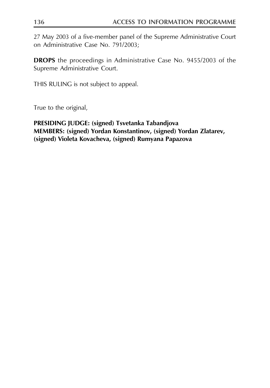27 May 2003 of a five-member panel of the Supreme Administrative Court on Administrative Case No. 791/2003;

**DROPS** the proceedings in Administrative Case No. 9455/2003 of the Supreme Administrative Court.

THIS RULING is not subject to appeal.

True to the original,

## PRESIDING JUDGE: (signed) Tsvetanka Tabandjova MEMBERS: (signed) Yordan Konstantinov, (signed) Yordan Zlatarev, (signed) Violeta Kovacheva, (signed) Rumyana Papazova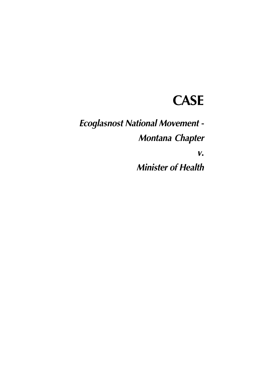## **CASE**

**Ecoglasnost National Movement -**Montana Chapter

 $V_{\bullet}$ 

**Minister of Health**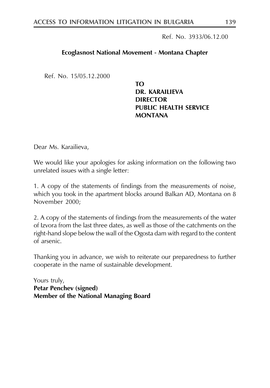Ref. No. 3933/06.12.00

#### Ecoglasnost National Movement - Montana Chapter

Ref. No. 15/05.12.2000

TΩ DR. KARAILIEVA **DIRECTOR PUBLIC HEALTH SERVICE MONTANA** 

Dear Ms. Karailieva,

We would like your apologies for asking information on the following two unrelated issues with a single letter:

1. A copy of the statements of findings from the measurements of noise, which you took in the apartment blocks around Balkan AD, Montana on 8 November 2000:

2. A copy of the statements of findings from the measurements of the water of Izvora from the last three dates, as well as those of the catchments on the right-hand slope below the wall of the Ogosta dam with regard to the content of arsenic.

Thanking you in advance, we wish to reiterate our preparedness to further cooperate in the name of sustainable development.

Yours truly, **Petar Penchev (signed)** Member of the National Managing Board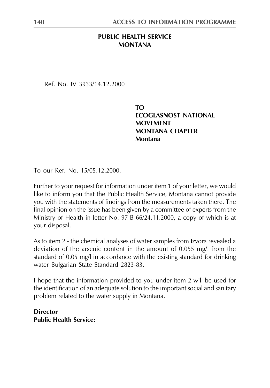## PUBLIC HEALTH SERVICE **MONTANA**

Ref No IV 3933/14 12 2000

TΩ **ECOGLASNOST NATIONAL MOVEMENT MONTANA CHAPTER Montana** 

To our Ref. No. 15/05.12.2000.

Further to your request for information under item 1 of your letter, we would like to inform you that the Public Health Service, Montana cannot provide you with the statements of findings from the measurements taken there. The final opinion on the issue has been given by a committee of experts from the Ministry of Health in letter No. 97-B-66/24.11.2000, a copy of which is at your disposal.

As to item 2 - the chemical analyses of water samples from Izvora revealed a deviation of the arsenic content in the amount of 0.055 mg/l from the standard of 0.05 mg/l in accordance with the existing standard for drinking water Bulgarian State Standard 2823-83.

I hope that the information provided to you under item 2 will be used for the identification of an adequate solution to the important social and sanitary problem related to the water supply in Montana.

**Director Public Health Service:**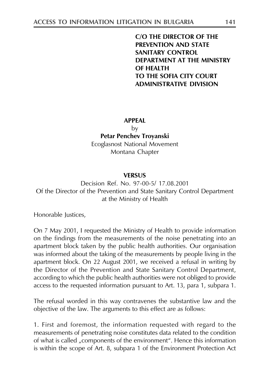**C/O THE DIRECTOR OF THE PREVENTION AND STATE SANITARY CONTROL** DEPARTMENT AT THE MINISTRY **OF HEALTH** TO THE SOFIA CITY COURT **ADMINISTRATIVE DIVISION** 

#### **APPEAL**

by Petar Penchev Troyanski **Ecoglasnost National Movement** 

Montana Chapter

#### **VERSUS**

Decision Ref. No. 97-00-5/17.08.2001 Of the Director of the Prevention and State Sanitary Control Department at the Ministry of Health

Honorable Justices,

On 7 May 2001, I requested the Ministry of Health to provide information on the findings from the measurements of the noise penetrating into an apartment block taken by the public health authorities. Our organisation was informed about the taking of the measurements by people living in the apartment block. On 22 August 2001, we received a refusal in writing by the Director of the Prevention and State Sanitary Control Department, according to which the public health authorities were not obliged to provide access to the requested information pursuant to Art. 13, para 1, subpara 1.

The refusal worded in this way contravenes the substantive law and the objective of the law. The arguments to this effect are as follows:

1. First and foremost, the information requested with regard to the measurements of penetrating noise constitutes data related to the condition of what is called "components of the environment". Hence this information is within the scope of Art. 8, subpara 1 of the Environment Protection Act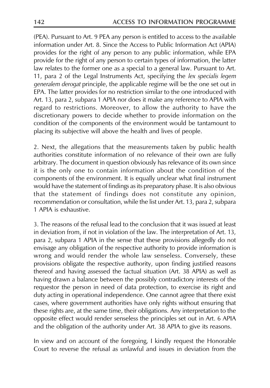(PEA). Pursuant to Art. 9 PEA any person is entitled to access to the available information under Art. 8. Since the Access to Public Information Act (APIA) provides for the right of any person to any public information, while EPA provide for the right of any person to certain types of information, the latter law relates to the former one as a special to a general law. Pursuant to Art. 11, para 2 of the Legal Instruments Act, specifying the lex specialis legem generalem derogat principle, the applicable regime will be the one set out in EPA. The latter provides for no restriction similar to the one introduced with Art. 13, para 2, subpara 1 APIA nor does it make any reference to APIA with regard to restrictions. Moreover, to allow the authority to have the discretionary powers to decide whether to provide information on the condition of the components of the environment would be tantamount to placing its subjective will above the health and lives of people.

2. Next, the allegations that the measurements taken by public health authorities constitute information of no relevance of their own are fully arbitrary. The document in question obviously has relevance of its own since it is the only one to contain information about the condition of the components of the environment. It is equally unclear what final instrument would have the statement of findings as its preparatory phase. It is also obvious that the statement of findings does not constitute any opinion, recommendation or consultation, while the list under Art. 13, para 2, subpara 1 APIA is exhaustive.

3. The reasons of the refusal lead to the conclusion that it was issued at least in deviation from, if not in violation of the law. The interpretation of Art. 13, para 2, subpara 1 APIA in the sense that these provisions allegedly do not envisage any obligation of the respective authority to provide information is wrong and would render the whole law senseless. Conversely, these provisions obligate the respective authority, upon finding justified reasons thereof and having assessed the factual situation (Art. 38 APIA) as well as having drawn a balance between the possibly contradictory interests of the requestor the person in need of data protection, to exercise its right and duty acting in operational independence. One cannot agree that there exist cases, where government authorities have only rights without ensuring that these rights are, at the same time, their obligations. Any interpretation to the opposite effect would render senseless the principles set out in Art. 6 APIA and the obligation of the authority under Art. 38 APIA to give its reasons.

In view and on account of the foregoing, I kindly request the Honorable Court to reverse the refusal as unlawful and issues in deviation from the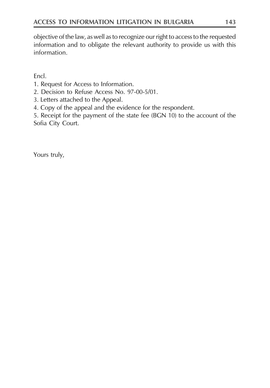objective of the law, as well as to recognize our right to access to the requested information and to obligate the relevant authority to provide us with this information.

Encl.

- 1. Request for Access to Information.
- 2. Decision to Refuse Access No. 97-00-5/01.
- 3. Letters attached to the Appeal.
- 4. Copy of the appeal and the evidence for the respondent.

5. Receipt for the payment of the state fee (BGN 10) to the account of the Sofia City Court.

Yours truly,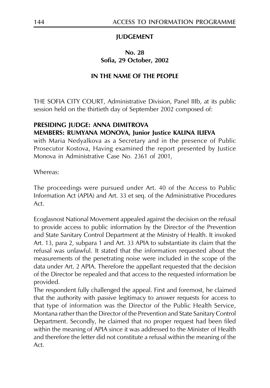## **JUDGEMENT**

### No. 28 Sofia. 29 October. 2002

## IN THE NAME OF THE PEOPLE

THE SOFIA CITY COURT, Administrative Division, Panel IIIb, at its public session held on the thirtieth day of September 2002 composed of:

## PRESIDING JUDGE: ANNA DIMITROVA

## MEMBERS: RUMYANA MONOVA, Junior Justice KALINA ILIEVA

with Maria Nedyalkova as a Secretary and in the presence of Public Prosecutor Kostova, Having examined the report presented by Justice Monova in Administrative Case No. 2361 of 2001,

Whereas:

The proceedings were pursued under Art. 40 of the Access to Public Information Act (APIA) and Art. 33 et seq. of the Administrative Procedures  $Act$ 

Ecoglasnost National Movement appealed against the decision on the refusal to provide access to public information by the Director of the Prevention and State Sanitary Control Department at the Ministry of Health. It invoked Art. 13, para 2, subpara 1 and Art. 33 APIA to substantiate its claim that the refusal was unlawful. It stated that the information requested about the measurements of the penetrating noise were included in the scope of the data under Art. 2 APIA. Therefore the appellant requested that the decision of the Director be repealed and that access to the requested information be provided.

The respondent fully challenged the appeal. First and foremost, he claimed that the authority with passive legitimacy to answer requests for access to that type of information was the Director of the Public Health Service, Montana rather than the Director of the Prevention and State Sanitary Control Department. Secondly, he claimed that no proper request had been filed within the meaning of APIA since it was addressed to the Minister of Health and therefore the letter did not constitute a refusal within the meaning of the  $Act$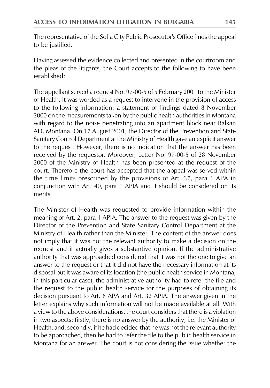The representative of the Sofia City Public Prosecutor's Office finds the appeal to be justified.

Having assessed the evidence collected and presented in the courtroom and the pleas of the litigants, the Court accepts to the following to have been established:

The appellant served a request No. 97-00-5 of 5 February 2001 to the Minister of Health. It was worded as a request to intervene in the provision of access to the following information: a statement of findings dated 8 November 2000 on the measurements taken by the public health authorities in Montana with regard to the noise penetrating into an apartment block near Balkan AD, Montana. On 17 August 2001, the Director of the Prevention and State Sanitary Control Department at the Ministry of Health gave an explicit answer to the request. However, there is no indication that the answer has been received by the requestor. Moreover, Letter No. 97-00-5 of 28 November 2000 of the Ministry of Health has been presented at the request of the court. Therefore the court has accepted that the appeal was served within the time limits prescribed by the provisions of Art. 37, para 1 APA in conjunction with Art. 40, para 1 APIA and it should be considered on its merits.

The Minister of Health was requested to provide information within the meaning of Art. 2, para 1 APIA. The answer to the request was given by the Director of the Prevention and State Sanitary Control Department at the Ministry of Health rather than the Minister. The content of the answer does not imply that it was not the relevant authority to make a decision on the request and it actually gives a substantive opinion. If the administrative authority that was approached considered that it was not the one to give an answer to the request or that it did not have the necessary information at its disposal but it was aware of its location (the public health service in Montana, in this particular case), the administrative authority had to refer the file and the request to the public health service for the purposes of obtaining its decision pursuant to Art. 8 APA and Art. 32 APIA. The answer given in the letter explains why such information will not be made available at all. With a view to the above considerations, the court considers that there is a violation in two aspects: firstly, there is no answer by the authority, i.e. the Minister of Health, and, secondly, if he had decided that he was not the relevant authority to be approached, then he had to refer the file to the public health service in Montana for an answer. The court is not considering the issue whether the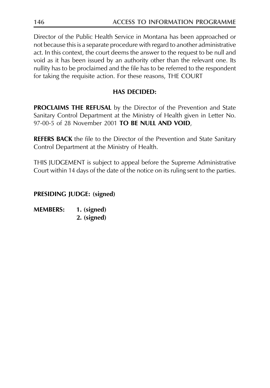Director of the Public Health Service in Montana has been approached or not because this is a separate procedure with regard to another administrative act. In this context, the court deems the answer to the request to be null and void as it has been issued by an authority other than the relevant one. Its nullity has to be proclaimed and the file has to be referred to the respondent for taking the requisite action. For these reasons, THE COURT

# **HAS DECIDED:**

**PROCLAIMS THE REFUSAL** by the Director of the Prevention and State Sanitary Control Department at the Ministry of Health given in Letter No. 97-00-5 of 28 November 2001 TO BE NULL AND VOID,

**REFERS BACK** the file to the Director of the Prevention and State Sanitary Control Department at the Ministry of Health.

THIS JUDGEMENT is subject to appeal before the Supreme Administrative Court within 14 days of the date of the notice on its ruling sent to the parties.

# **PRESIDING JUDGE: (signed)**

**MEMBERS:** 1. (signed) 2. (signed)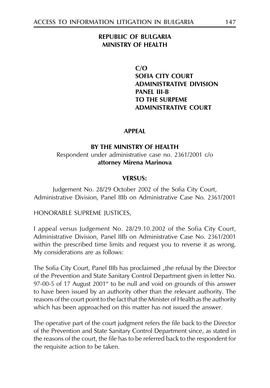#### **REPUBLIC OF BULGARIA MINISTRY OF HEALTH**

 $C/O$ **SOFIA CITY COURT ADMINISTRATIVE DIVISION PANEL III-B** TO THE SURPEME **ADMINISTRATIVE COURT** 

#### **APPFAI**

#### BY THE MINISTRY OF HEALTH

#### Respondent under administrative case no. 2361/2001 c/o attorney Mirena Marinova

#### **VERSUS:**

Judgement No. 28/29 October 2002 of the Sofia City Court, Administrative Division, Panel IIIb on Administrative Case No. 2361/2001

#### HONORABLE SUPREME JUSTICES,

I appeal versus Judgement No. 28/29.10.2002 of the Sofia City Court, Administrative Division, Panel IIIb on Administrative Case No. 2361/2001 within the prescribed time limits and request you to reverse it as wrong. My considerations are as follows:

The Sofia City Court, Panel IIIb has proclaimed "the refusal by the Director of the Prevention and State Sanitary Control Department given in letter No. 97-00-5 of 17 August 2001" to be null and void on grounds of this answer to have been issued by an authority other than the relevant authority. The reasons of the court point to the fact that the Minister of Health as the authority which has been approached on this matter has not issued the answer.

The operative part of the court judgment refers the file back to the Director of the Prevention and State Sanitary Control Department since, as stated in the reasons of the court, the file has to be referred back to the respondent for the requisite action to be taken.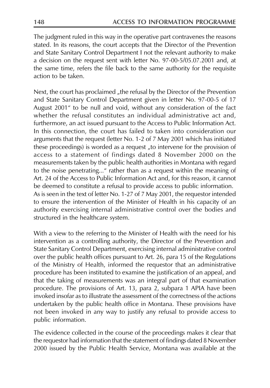The judgment ruled in this way in the operative part contravenes the reasons stated. In its reasons, the court accepts that the Director of the Prevention and State Sanitary Control Department I not the relevant authority to make a decision on the request sent with letter No. 97-00-5/05.07.2001 and, at the same time, refers the file back to the same authority for the requisite action to be taken.

Next, the court has proclaimed "the refusal by the Director of the Prevention and State Sanitary Control Department given in letter No. 97-00-5 of 17 August 2001" to be null and void, without any consideration of the fact whether the refusal constitutes an individual administrative act and, furthermore, an act issued pursuant to the Access to Public Information Act. In this connection, the court has failed to taken into consideration our arguments that the request (letter No. 1-2 of 7 May 2001 which has initiated these proceedings) is worded as a request "to intervene for the provision of access to a statement of findings dated 8 November 2000 on the measurements taken by the public health authorities in Montana with regard to the noise penetrating..." rather than as a request within the meaning of Art. 24 of the Access to Public Information Act and, for this reason, it cannot be deemed to constitute a refusal to provide access to public information. As is seen in the text of letter No. 1-27 of 7 May 2001, the requestor intended to ensure the intervention of the Minister of Health in his capacity of an authority exercising internal administrative control over the bodies and structured in the healthcare system.

With a view to the referring to the Minister of Health with the need for his intervention as a controlling authority, the Director of the Prevention and State Sanitary Control Department, exercising internal administrative control over the public health offices pursuant to Art. 26, para 15 of the Regulations of the Ministry of Health, informed the requestor that an administrative procedure has been instituted to examine the justification of an appeal, and that the taking of measurements was an integral part of that examination procedure. The provisions of Art. 13, para 2, subpara 1 APIA have been invoked insofar as to illustrate the assessment of the correctness of the actions undertaken by the public health office in Montana. These provisions have not been invoked in any way to justify any refusal to provide access to public information.

The evidence collected in the course of the proceedings makes it clear that the requestor had information that the statement of findings dated 8 November 2000 issued by the Public Health Service, Montana was available at the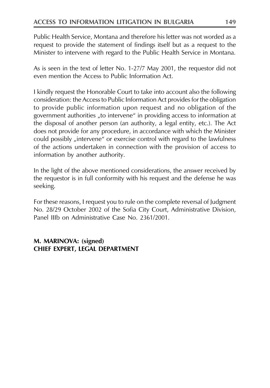Public Health Service, Montana and therefore his letter was not worded as a request to provide the statement of findings itself but as a request to the Minister to intervene with regard to the Public Health Service in Montana.

As is seen in the text of letter No. 1-27/7 May 2001, the requestor did not even mention the Access to Public Information Act.

I kindly request the Honorable Court to take into account also the following consideration: the Access to Public Information Act provides for the obligation to provide public information upon request and no obligation of the government authorities "to intervene" in providing access to information at the disposal of another person (an authority, a legal entity, etc.). The Act does not provide for any procedure, in accordance with which the Minister could possibly "intervene" or exercise control with regard to the lawfulness of the actions undertaken in connection with the provision of access to information by another authority.

In the light of the above mentioned considerations, the answer received by the requestor is in full conformity with his request and the defense he was seeking.

For these reasons, I request you to rule on the complete reversal of Judgment No. 28/29 October 2002 of the Sofia City Court, Administrative Division, Panel IIIb on Administrative Case No. 2361/2001.

# M. MARINOVA: (signed) CHIEF EXPERT, LEGAL DEPARTMENT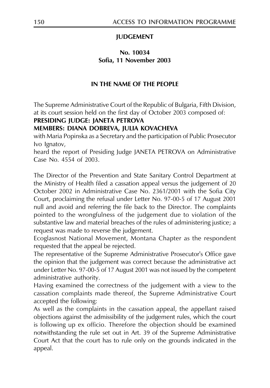## **JUDGEMENT**

# No. 10034 Sofia. 11 November 2003

### IN THE NAME OF THE PEOPLE

The Supreme Administrative Court of the Republic of Bulgaria, Fifth Division, at its court session held on the first day of October 2003 composed of:

#### PRESIDING JUDGE: JANETA PETROVA

#### MEMBERS: DIANA DOBREVA, JULIA KOVACHEVA

with Maria Popinska as a Secretary and the participation of Public Prosecutor Ivo Ignatov,

heard the report of Presiding Judge JANETA PETROVA on Administrative Case No. 4554 of 2003.

The Director of the Prevention and State Sanitary Control Department at the Ministry of Health filed a cassation appeal versus the judgement of 20 October 2002 in Administrative Case No. 2361/2001 with the Sofia City Court, proclaiming the refusal under Letter No. 97-00-5 of 17 August 2001 null and avoid and referring the file back to the Director. The complaints pointed to the wrongfulness of the judgement due to violation of the substantive law and material breaches of the rules of administering justice; a request was made to reverse the judgement.

Ecoglasnost National Movement, Montana Chapter as the respondent requested that the appeal be rejected.

The representative of the Supreme Administrative Prosecutor's Office gave the opinion that the judgement was correct because the administrative act under Letter No. 97-00-5 of 17 August 2001 was not issued by the competent administrative authority.

Having examined the correctness of the judgement with a view to the cassation complaints made thereof, the Supreme Administrative Court accepted the following:

As well as the complaints in the cassation appeal, the appellant raised objections against the admissibility of the judgement rules, which the court is following up ex officio. Therefore the objection should be examined notwithstanding the rule set out in Art. 39 of the Supreme Administrative Court Act that the court has to rule only on the grounds indicated in the appeal.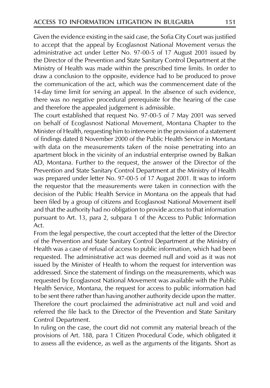Given the evidence existing in the said case, the Sofia City Court was justified to accept that the appeal by Ecoglasnost National Movement versus the administrative act under Letter No. 97-00-5 of 17 August 2001 issued by the Director of the Prevention and State Sanitary Control Department at the Ministry of Health was made within the prescribed time limits. In order to draw a conclusion to the opposite, evidence had to be produced to prove the communication of the act, which was the commencement date of the 14-day time limit for serving an appeal. In the absence of such evidence, there was no negative procedural prerequisite for the hearing of the case and therefore the appealed judgement is admissible.

The court established that request No. 97-00-5 of 7 May 2001 was served on behalf of Ecoglasnost National Movement, Montana Chapter to the Minister of Health, requesting him to intervene in the provision of a statement of findings dated 8 November 2000 of the Public Health Service in Montana with data on the measurements taken of the noise penetrating into an apartment block in the vicinity of an industrial enterprise owned by Balkan AD, Montana. Further to the request, the answer of the Director of the Prevention and State Sanitary Control Department at the Ministry of Health was prepared under letter No. 97-00-5 of 17 August 2001. It was to inform the requestor that the measurements were taken in connection with the decision of the Public Health Service in Montana on the appeals that had been filed by a group of citizens and Ecoglasnost National Movement itself and that the authority had no obligation to provide access to that information pursuant to Art. 13, para 2, subpara 1 of the Access to Public Information  $Act$ 

From the legal perspective, the court accepted that the letter of the Director of the Prevention and State Sanitary Control Department at the Ministry of Health was a case of refusal of access to public information, which had been requested. The administrative act was deemed null and void as it was not issued by the Minister of Health to whom the request for intervention was addressed. Since the statement of findings on the measurements, which was requested by Ecoglasnost National Movement was available with the Public Health Service, Montana, the request for access to public information had to be sent there rather than having another authority decide upon the matter. Therefore the court proclaimed the administrative act null and void and referred the file back to the Director of the Prevention and State Sanitary Control Department.

In ruling on the case, the court did not commit any material breach of the provisions of Art. 188, para 1 Citizen Procedural Code, which obligated it to assess all the evidence, as well as the arguments of the litigants. Short as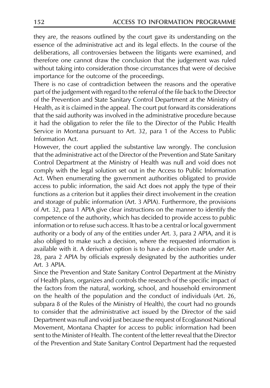they are, the reasons outlined by the court gave its understanding on the essence of the administrative act and its legal effects. In the course of the deliberations, all controversies between the litigants were examined, and therefore one cannot draw the conclusion that the judgement was ruled without taking into consideration those circumstances that were of decisive importance for the outcome of the proceedings.

There is no case of contradiction between the reasons and the operative part of the judgement with regard to the referral of the file back to the Director of the Prevention and State Sanitary Control Department at the Ministry of Health, as it is claimed in the appeal. The court put forward its considerations that the said authority was involved in the administrative procedure because it had the obligation to refer the file to the Director of the Public Health Service in Montana pursuant to Art. 32, para 1 of the Access to Public Information Act.

However, the court applied the substantive law wrongly. The conclusion that the administrative act of the Director of the Prevention and State Sanitary Control Department at the Ministry of Health was null and void does not comply with the legal solution set out in the Access to Public Information Act. When enumerating the government authorities obligated to provide access to public information, the said Act does not apply the type of their functions as a criterion but it applies their direct involvement in the creation and storage of public information (Art. 3 APIA). Furthermore, the provisions of Art. 32, para 1 APIA give clear instructions on the manner to identify the competence of the authority, which has decided to provide access to public information or to refuse such access. It has to be a central or local government authority or a body of any of the entities under Art. 3, para 2 APIA, and it is also obliged to make such a decision, where the requested information is available with it. A derivative option is to have a decision made under Art. 28, para 2 APIA by officials expressly designated by the authorities under Art. 3 APIA.

Since the Prevention and State Sanitary Control Department at the Ministry of Health plans, organizes and controls the research of the specific impact of the factors from the natural, working, school, and household environment on the health of the population and the conduct of individuals (Art. 26, subpara 8 of the Rules of the Ministry of Health), the court had no grounds to consider that the administrative act issued by the Director of the said Department was null and void just because the request of Ecoglasnost National Movement, Montana Chapter for access to public information had been sent to the Minister of Health. The content of the letter reveal that the Director of the Prevention and State Sanitary Control Department had the requested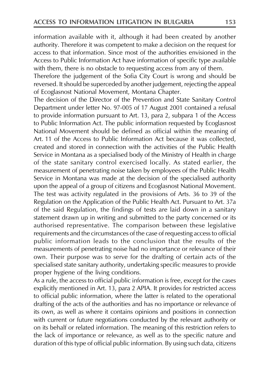information available with it, although it had been created by another authority. Therefore it was competent to make a decision on the request for access to that information. Since most of the authorities envisioned in the Access to Public Information Act have information of specific type available with them, there is no obstacle to requesting access from any of them.

Therefore the judgement of the Sofia City Court is wrong and should be reversed. It should be superceded by another judgement, rejecting the appeal of Ecoglasnost National Movement, Montana Chapter.

The decision of the Director of the Prevention and State Sanitary Control Department under letter No. 97-005 of 17 August 2001 contained a refusal to provide information pursuant to Art. 13, para 2, subpara 1 of the Access to Public Information Act. The public information requested by Ecoglasnost National Movement should be defined as official within the meaning of Art, 11 of the Access to Public Information Act because it was collected. created and stored in connection with the activities of the Public Health Service in Montana as a specialised body of the Ministry of Health in charge of the state sanitary control exercised locally. As stated earlier, the measurement of penetrating noise taken by employees of the Public Health Service in Montana was made at the decision of the specialised authority upon the appeal of a group of citizens and Ecoglasnost National Movement. The test was activity regulated in the provisions of Arts. 36 to 39 of the Regulation on the Application of the Public Health Act. Pursuant to Art. 37a of the said Regulation, the findings of tests are laid down in a sanitary statement drawn up in writing and submitted to the party concerned or its authorised representative. The comparison between these legislative requirements and the circumstances of the case of requesting access to official public information leads to the conclusion that the results of the measurements of penetrating noise had no importance or relevance of their own. Their purpose was to serve for the drafting of certain acts of the specialised state sanitary authority, undertaking specific measures to provide proper hygiene of the living conditions.

As a rule, the access to official public information is free, except for the cases explicitly mentioned in Art. 13, para 2 APIA. It provides for restricted access to official public information, where the latter is related to the operational drafting of the acts of the authorities and has no importance or relevance of its own, as well as where it contains opinions and positions in connection with current or future negotiations conducted by the relevant authority or on its behalf or related information. The meaning of this restriction refers to the lack of importance or relevance, as well as to the specific nature and duration of this type of official public information. By using such data, citizens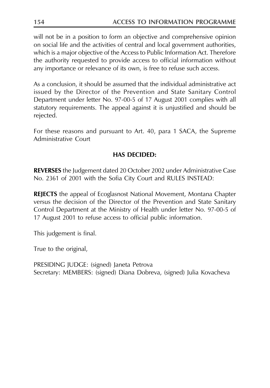will not be in a position to form an objective and comprehensive opinion on social life and the activities of central and local government authorities, which is a major objective of the Access to Public Information Act. Therefore the authority requested to provide access to official information without any importance or relevance of its own, is free to refuse such access.

As a conclusion, it should be assumed that the individual administrative act issued by the Director of the Prevention and State Sanitary Control Department under letter No. 97-00-5 of 17 August 2001 complies with all statutory requirements. The appeal against it is unjustified and should be rejected.

For these reasons and pursuant to Art. 40, para 1 SACA, the Supreme Administrative Court

# **HAS DECIDED:**

**REVERSES** the Judgement dated 20 October 2002 under Administrative Case No. 2361 of 2001 with the Sofia City Court and RULES INSTEAD:

**REJECTS** the appeal of Ecoglasnost National Movement, Montana Chapter versus the decision of the Director of the Prevention and State Sanitary Control Department at the Ministry of Health under letter No. 97-00-5 of 17 August 2001 to refuse access to official public information.

This judgement is final.

True to the original,

PRESIDING JUDGE: (signed) Janeta Petrova Secretary: MEMBERS: (signed) Diana Dobreva, (signed) Julia Kovacheva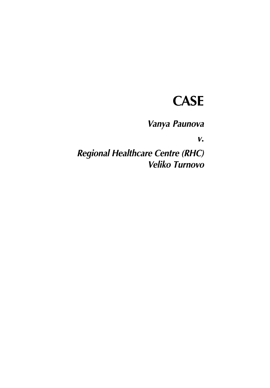# **CASE**

Vanya Paunova

 $V_{\bullet}$ 

Regional Healthcare Centre (RHC) **Veliko Turnovo**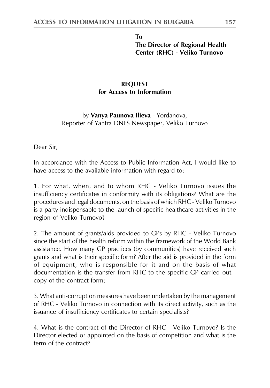To The Director of Regional Health Center (RHC) - Veliko Turnovo

# **REQUEST** for Access to Information

by **Vanya Paunova Ilieva** - Yordanova, Reporter of Yantra DNES Newspaper, Veliko Turnovo

Dear Sir,

In accordance with the Access to Public Information Act, I would like to have access to the available information with regard to:

1. For what, when, and to whom RHC - Veliko Turnovo issues the insufficiency certificates in conformity with its obligations? What are the procedures and legal documents, on the basis of which RHC - Veliko Turnovo is a party indispensable to the launch of specific healthcare activities in the region of Veliko Turnovo?

2. The amount of grants/aids provided to GPs by RHC - Veliko Turnovo since the start of the health reform within the framework of the World Bank assistance. How many GP practices (by communities) have received such grants and what is their specific form? After the aid is provided in the form of equipment, who is responsible for it and on the basis of what documentation is the transfer from RHC to the specific GP carried out copy of the contract form;

3. What anti-corruption measures have been undertaken by the management of RHC - Veliko Turnovo in connection with its direct activity, such as the issuance of insufficiency certificates to certain specialists?

4. What is the contract of the Director of RHC - Veliko Turnovo? Is the Director elected or appointed on the basis of competition and what is the term of the contract?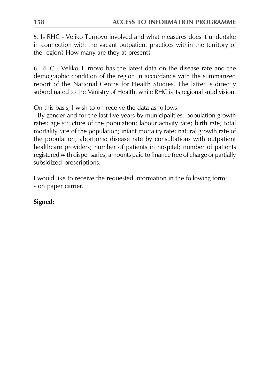5. Is RHC - Veliko Turnovo involved and what measures does it undertake in connection with the vacant outpatient practices within the territory of the region? How many are they at present?

6. RHC - Veliko Turnovo has the latest data on the disease rate and the demographic condition of the region in accordance with the summarized report of the National Centre for Health Studies. The latter is directly subordinated to the Ministry of Health, while RHC is its regional subdivision.

On this basis, I wish to on receive the data as follows:

- By gender and for the last five years by municipalities: population growth rates; age structure of the population; labour activity rate; birth rate; total mortality rate of the population; infant mortality rate; natural growth rate of the population; abortions; disease rate by consultations with outpatient healthcare providers; number of patients in hospital; number of patients registered with dispensaries; amounts paid to finance free of charge or partially subsidized prescriptions.

I would like to receive the requested information in the following form: - on paper carrier.

# Signed: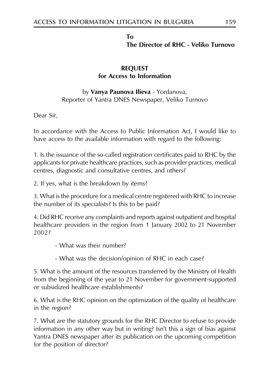#### **Το** The Director of RHC - Veliko Turnovo

# **REQUEST** for Access to Information

# by **Vanya Paunova Ilieva** - Yordanova, Reporter of Yantra DNES Newspaper, Veliko Turnovo

Dear Sir,

In accordance with the Access to Public Information Act, I would like to have access to the available information with regard to the following:

1. Is the issuance of the so-called registration certificates paid to RHC by the applicants for private healthcare practices, such as provider practices, medical centres, diagnostic and consultative centres, and others?

2. If yes, what is the breakdown by items?

3. What is the procedure for a medical centre registered with RHC to increase the number of its specialists? Is this to be paid?

4. Did RHC receive any complaints and reports against outpatient and hospital healthcare providers in the region from 1 January 2002 to 21 November 20023

- What was their number?
- What was the decision/opinion of RHC in each case?

5. What is the amount of the resources transferred by the Ministry of Health from the beginning of the year to 21 November for government-supported or subsidized healthcare establishments?

6. What is the RHC opinion on the optimization of the quality of healthcare in the region?

7. What are the statutory grounds for the RHC Director to refuse to provide information in any other way but in writing? Isn't this a sign of bias against Yantra DNES newspaper after its publication on the upcoming competition for the position of director?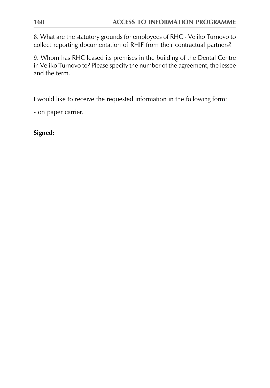8. What are the statutory grounds for employees of RHC - Veliko Turnovo to collect reporting documentation of RHIF from their contractual partners?

9. Whom has RHC leased its premises in the building of the Dental Centre in Veliko Turnovo to? Please specify the number of the agreement, the lessee and the term.

I would like to receive the requested information in the following form:

- on paper carrier.

Signed: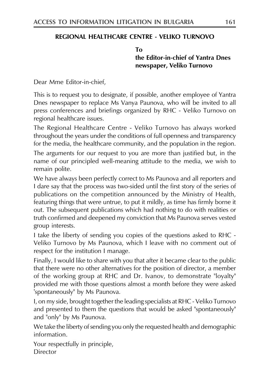# REGIONAL HEALTHCARE CENTRE - VELIKO TURNOVO

TΩ the Editor-in-chief of Yantra Dnes newspaper, Veliko Turnovo

Dear Mme Editor-in-chief,

This is to request you to designate, if possible, another employee of Yantra Dnes newspaper to replace Ms Vanya Paunova, who will be invited to all press conferences and briefings organized by RHC - Veliko Turnovo on regional healthcare issues.

The Regional Healthcare Centre - Veliko Turnovo has always worked throughout the years under the conditions of full openness and transparency for the media, the healthcare community, and the population in the region.

The arguments for our request to you are more than justified but, in the name of our principled well-meaning attitude to the media, we wish to remain polite.

We have always been perfectly correct to Ms Paunova and all reporters and I dare say that the process was two-sided until the first story of the series of publications on the competition announced by the Ministry of Health, featuring things that were untrue, to put it mildly, as time has firmly borne it out. The subsequent publications which had nothing to do with realities or truth confirmed and deepened my conviction that Ms Paunova serves vested group interests.

I take the liberty of sending you copies of the questions asked to RHC -Veliko Turnovo by Ms Paunova, which I leave with no comment out of respect for the institution I manage.

Finally, I would like to share with you that after it became clear to the public that there were no other alternatives for the position of director, a member of the working group at RHC and Dr. Ivanov, to demonstrate "loyalty" provided me with those questions almost a month before they were asked 'spontaneously" by Ms Paunova.

I, on my side, brought together the leading specialists at RHC - Veliko Turnovo and presented to them the questions that would be asked "spontaneously" and "only" by Ms Paunova.

We take the liberty of sending you only the requested health and demographic information.

Your respectfully in principle, Director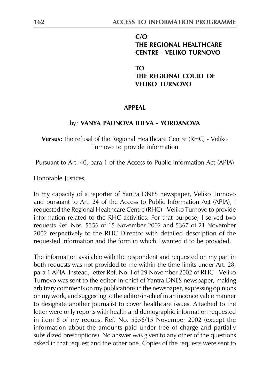#### $C/O$ THE REGIONAL HEALTHCARE **CENTRE - VELIKO TURNOVO**

TΩ THE REGIONAL COURT OF **VEHKO TURNOVO** 

#### **APPFAI**

#### by: VANYA PAUNOVA ILIEVA - YORDANOVA

Versus: the refusal of the Regional Healthcare Centre (RHC) - Veliko Turnovo to provide information

Pursuant to Art. 40, para 1 of the Access to Public Information Act (APIA)

Honorable Justices,

In my capacity of a reporter of Yantra DNES newspaper, Veliko Turnovo and pursuant to Art. 24 of the Access to Public Information Act (APIA), I requested the Regional Healthcare Centre (RHC) - Veliko Turnovo to provide information related to the RHC activities. For that purpose, I served two requests Ref. Nos. 5356 of 15 November 2002 and 5367 of 21 November 2002 respectively to the RHC Director with detailed description of the requested information and the form in which I wanted it to be provided.

The information available with the respondent and requested on my part in both requests was not provided to me within the time limits under Art. 28, para 1 APIA. Instead, letter Ref. No. I of 29 November 2002 of RHC - Veliko Turnovo was sent to the editor-in-chief of Yantra DNES newspaper, making arbitrary comments on my publications in the newspaper, expressing opinions on my work, and suggesting to the editor-in-chief in an inconceivable manner to designate another journalist to cover healthcare issues. Attached to the letter were only reports with health and demographic information requested in item 6 of my request Ref. No. 5356/15 November 2002 (except the information about the amounts paid under free of charge and partially subsidized prescriptions). No answer was given to any other of the questions asked in that request and the other one. Copies of the requests were sent to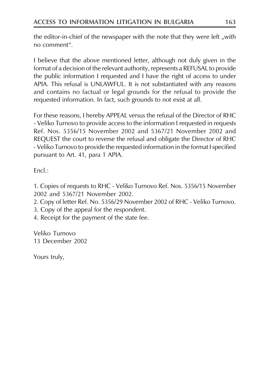the editor-in-chief of the newspaper with the note that they were left, with no comment".

I believe that the above mentioned letter, although not duly given in the format of a decision of the relevant authority, represents a REFUSAL to provide the public information I requested and I have the right of access to under APIA. This refusal is UNLAWFUL. It is not substantiated with any reasons and contains no factual or legal grounds for the refusal to provide the requested information. In fact, such grounds to not exist at all.

For these reasons, I hereby APPEAL versus the refusal of the Director of RHC - Veliko Turnovo to provide access to the information I requested in requests Ref. Nos. 5356/15 November 2002 and 5367/21 November 2002 and REOUEST the court to reverse the refusal and obligate the Director of RHC - Veliko Turnovo to provide the requested information in the format I specified pursuant to Art. 41, para 1 APIA.

 $Fncl.$ :

1. Copies of requests to RHC - Veliko Turnovo Ref. Nos. 5356/15 November 2002 and 5367/21 November 2002.

2. Copy of letter Ref. No. 5356/29 November 2002 of RHC - Veliko Turnovo.

3. Copy of the appeal for the respondent.

4. Receipt for the payment of the state fee.

Veliko Turnovo 13 December 2002

Yours truly,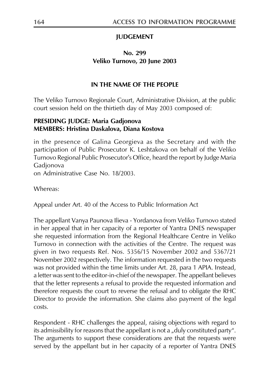# **JUDGEMENT**

# No. 299 Veliko Turnovo, 20 June 2003

#### IN THE NAME OF THE PEOPLE

The Veliko Turnovo Regionale Court, Administrative Division, at the public court session held on the thirtieth day of May 2003 composed of:

## PRESIDING JUDGE: Maria Gadjonova **MEMBERS: Hristina Daskalova, Diana Kostova**

in the presence of Galina Georgieva as the Secretary and with the participation of Public Prosecutor K. Leshtakova on behalf of the Veliko Turnovo Regional Public Prosecutor's Office, heard the report by Judge Maria Gadjonova on Administrative Case No. 18/2003

Whereas:

Appeal under Art. 40 of the Access to Public Information Act

The appellant Vanya Paunova Ilieva - Yordanova from Veliko Turnovo stated in her appeal that in her capacity of a reporter of Yantra DNES newspaper she requested information from the Regional Healthcare Centre in Veliko Turnovo in connection with the activities of the Centre. The request was given in two requests Ref. Nos. 5356/15 November 2002 and 5367/21 November 2002 respectively. The information requested in the two requests was not provided within the time limits under Art. 28, para 1 APIA. Instead, a letter was sent to the editor-in-chief of the newspaper. The appellant believes that the letter represents a refusal to provide the requested information and therefore requests the court to reverse the refusal and to obligate the RHC Director to provide the information. She claims also payment of the legal costs.

Respondent - RHC challenges the appeal, raising objections with regard to its admissibility for reasons that the appellant is not a "duly constituted party". The arguments to support these considerations are that the requests were served by the appellant but in her capacity of a reporter of Yantra DNES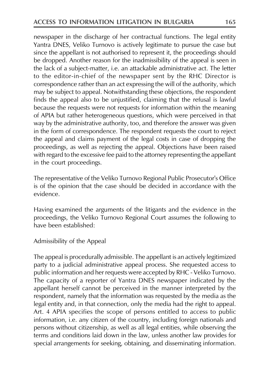newspaper in the discharge of her contractual functions. The legal entity Yantra DNES, Veliko Turnovo is actively legitimate to pursue the case but since the appellant is not authorised to represent it, the proceedings should be dropped. Another reason for the inadmissibility of the appeal is seen in the lack of a subject-matter, i.e. an attackable administrative act. The letter to the editor-in-chief of the newspaper sent by the RHC Director is correspondence rather than an act expressing the will of the authority, which may be subject to appeal. Notwithstanding these objections, the respondent finds the appeal also to be unjustified, claiming that the refusal is lawful because the requests were not requests for information within the meaning of APIA but rather heterogeneous questions, which were perceived in that way by the administrative authority, too, and therefore the answer was given in the form of correspondence. The respondent requests the court to reject the appeal and claims payment of the legal costs in case of dropping the proceedings, as well as rejecting the appeal. Objections have been raised with regard to the excessive fee paid to the attorney representing the appellant in the court proceedings.

The representative of the Veliko Turnovo Regional Public Prosecutor's Office is of the opinion that the case should be decided in accordance with the evidence.

Having examined the arguments of the litigants and the evidence in the proceedings, the Veliko Turnovo Regional Court assumes the following to have been established:

Admissibility of the Appeal

The appeal is procedurally admissible. The appellant is an actively legitimized party to a judicial administrative appeal process. She requested access to public information and her requests were accepted by RHC - Veliko Turnovo. The capacity of a reporter of Yantra DNES newspaper indicated by the appellant herself cannot be perceived in the manner interpreted by the respondent, namely that the information was requested by the media as the legal entity and, in that connection, only the media had the right to appeal. Art. 4 APIA specifies the scope of persons entitled to access to public information, i.e. any citizen of the country, including foreign nationals and persons without citizenship, as well as all legal entities, while observing the terms and conditions laid down in the law, unless another law provides for special arrangements for seeking, obtaining, and disseminating information.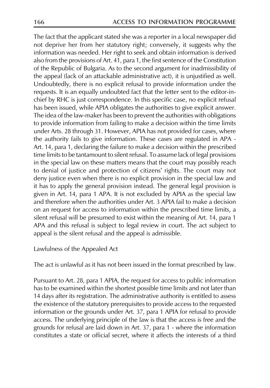The fact that the applicant stated she was a reporter in a local newspaper did not deprive her from her statutory right; conversely, it suggests why the information was needed. Her right to seek and obtain information is derived also from the provisions of Art. 41, para 1, the first sentence of the Constitution of the Republic of Bulgaria. As to the second argument for inadmissibility of the appeal (lack of an attackable administrative act), it is unjustified as well. Undoubtedly, there is no explicit refusal to provide information under the requests. It is an equally undoubted fact that the letter sent to the editor-inchief by RHC is just correspondence. In this specific case, no explicit refusal has been issued, while APIA obligates the authorities to give explicit answer. The idea of the law-maker has been to prevent the authorities with obligations to provide information from failing to make a decision within the time limits under Arts. 28 through 31. However, APIA has not provided for cases, where the authority fails to give information. These cases are regulated in APA -Art. 14, para 1, declaring the failure to make a decision within the prescribed time limits to be tantamount to silent refusal. To assume lack of legal provisions in the special law on these matters means that the court may possibly reach to denial of justice and protection of citizens' rights. The court may not deny justice even when there is no explicit provision in the special law and it has to apply the general provision instead. The general legal provision is given in Art. 14, para 1 APA. It is not excluded by APIA as the special law and therefore when the authorities under Art. 3 APIA fail to make a decision on an request for access to information within the prescribed time limits, a silent refusal will be presumed to exist within the meaning of Art. 14, para 1 APA and this refusal is subject to legal review in court. The act subject to appeal is the silent refusal and the appeal is admissible.

Lawfulness of the Appealed Act

The act is unlawful as it has not been issued in the format prescribed by law.

Pursuant to Art. 28, para 1 APIA, the request for access to public information has to be examined within the shortest possible time limits and not later than 14 days after its registration. The administrative authority is entitled to assess the existence of the statutory prerequisites to provide access to the requested information or the grounds under Art. 37, para 1 APIA for refusal to provide access. The underlying principle of the law is that the access is free and the grounds for refusal are laid down in Art. 37, para 1 - where the information constitutes a state or official secret, where it affects the interests of a third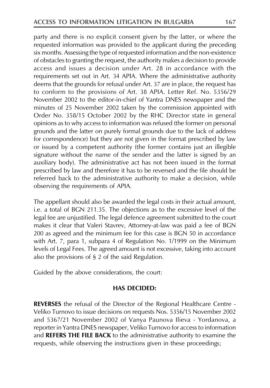party and there is no explicit consent given by the latter, or where the requested information was provided to the applicant during the preceding six months. Assessing the type of requested information and the non-existence of obstacles to granting the request, the authority makes a decision to provide access and issues a decision under Art. 28 in accordance with the requirements set out in Art. 34 APIA. Where the administrative authority deems that the grounds for refusal under Art. 37 are in place, the request has to conform to the provisions of Art. 38 APIA. Letter Ref. No. 5356/29 November 2002 to the editor-in-chief of Yantra DNES newspaper and the minutes of 25 November 2002 taken by the commission appointed with Order No. 358/15 October 2002 by the RHC Director state in general opinions as to why access to information was refused (the former on personal grounds and the latter on purely formal grounds due to the lack of address for correspondence) but they are not given in the format prescribed by law or issued by a competent authority (the former contains just an illegible signature without the name of the sender and the latter is signed by an auxiliary body). The administrative act has not been issued in the format prescribed by law and therefore it has to be reversed and the file should be referred back to the administrative authority to make a decision, while observing the requirements of APIA.

The appellant should also be awarded the legal costs in their actual amount, i.e. a total of BGN 211.35. The objections as to the excessive level of the legal fee are unjustified. The legal defence agreement submitted to the court makes it clear that Valeri Stavrev, Attorney-at-law was paid a fee of BGN 200 as agreed and the minimum fee for this case is BGN 50 in accordance with Art. 7, para 1, subpara 4 of Regulation No. 1/1999 on the Minimum levels of Legal Fees. The agreed amount is not excessive, taking into account also the provisions of  $\S$  2 of the said Regulation.

Guided by the above considerations, the court:

#### **HAS DECIDED:**

REVERSES the refusal of the Director of the Regional Healthcare Centre -Veliko Turnovo to issue decisions on requests Nos. 5356/15 November 2002 and 5367/21 November 2002 of Vanya Paunova Ilieva - Yordanova, a reporter in Yantra DNES newspaper, Veliko Turnovo for access to information and REFERS THE FILE BACK to the administrative authority to examine the requests, while observing the instructions given in these proceedings;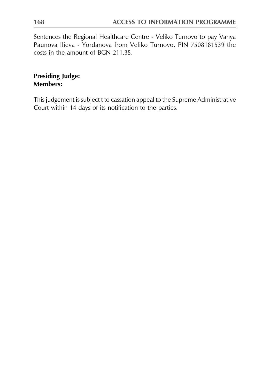Sentences the Regional Healthcare Centre - Veliko Turnovo to pay Vanya Paunova Ilieva - Yordanova from Veliko Turnovo, PIN 7508181539 the costs in the amount of BGN 211.35.

# **Presiding Judge: Members:**

This judgement is subject t to cassation appeal to the Supreme Administrative Court within 14 days of its notification to the parties.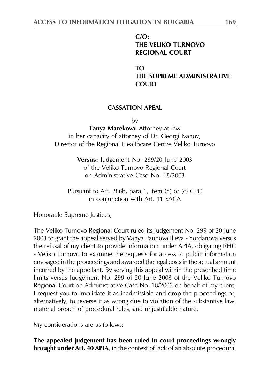#### $C/O$ : THE VELIKO TURNOVO **REGIONAL COURT**

TΩ

THE SUPREME ADMINISTRATIVE **COURT** 

## **CASSATION APEAL**

by

Tanya Marekova, Attorney-at-law in her capacity of attorney of Dr. Georgi Ivanov, Director of the Regional Healthcare Centre Veliko Turnovo

> Versus: Judgement No. 299/20 June 2003 of the Veliko Turnovo Regional Court on Administrative Case No. 18/2003

Pursuant to Art. 286b, para 1, item (b) or (c) CPC in conjunction with Art. 11 SACA

Honorable Supreme Justices,

The Veliko Turnovo Regional Court ruled its Judgement No. 299 of 20 June 2003 to grant the appeal served by Vanya Paunova Ilieva - Yordanova versus the refusal of my client to provide information under APIA, obligating RHC - Veliko Turnovo to examine the requests for access to public information envisaged in the proceedings and awarded the legal costs in the actual amount incurred by the appellant. By serving this appeal within the prescribed time limits versus Judgement No. 299 of 20 June 2003 of the Veliko Turnovo Regional Court on Administrative Case No. 18/2003 on behalf of my client, I request you to invalidate it as inadmissible and drop the proceedings or, alternatively, to reverse it as wrong due to violation of the substantive law, material breach of procedural rules, and unjustifiable nature.

My considerations are as follows:

The appealed judgement has been ruled in court proceedings wrongly **brought under Art. 40 APIA**, in the context of lack of an absolute procedural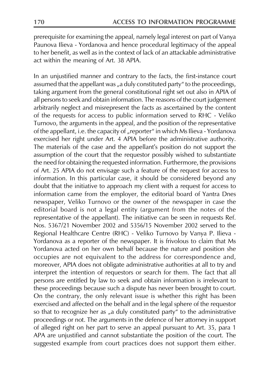prerequisite for examining the appeal, namely legal interest on part of Vanya Paunova Ilieva - Yordanova and hence procedural legitimacy of the appeal to her benefit, as well as in the context of lack of an attackable administrative act within the meaning of Art. 38 APIA.

In an unjustified manner and contrary to the facts, the first-instance court assumed that the appellant was "a duly constituted party" to the proceedings, taking argument from the general constitutional right set out also in APIA of all persons to seek and obtain information. The reasons of the court judgement arbitrarily neglect and misrepresent the facts as ascertained by the content of the requests for access to public information served to RHC - Veliko Turnovo, the arguments in the appeal, and the position of the representative of the appellant, i.e. the capacity of "reporter" in which Ms Ilieva - Yordanova exercised her right under Art. 4 APIA before the administrative authority. The materials of the case and the appellant's position do not support the assumption of the court that the requestor possibly wished to substantiate the need for obtaining the requested information. Furthermore, the provisions of Art. 25 APIA do not envisage such a feature of the request for access to information. In this particular case, it should be considered beyond any doubt that the initiative to approach my client with a request for access to information came from the employer, the editorial board of Yantra Dnes newspaper, Veliko Turnovo or the owner of the newspaper in case the editorial board is not a legal entity (argument from the notes of the representative of the appellant). The initiative can be seen in requests Ref. Nos. 5367/21 November 2002 and 5356/15 November 2002 served to the Regional Healthcare Centre (RHC) - Veliko Turnovo by Vanya P. Ilieva -Yordanova as a reporter of the newspaper. It is frivolous to claim that Ms Yordanova acted on her own behalf because the nature and position she occupies are not equivalent to the address for correspondence and, moreover, APIA does not obligate administrative authorities at all to try and interpret the intention of requestors or search for them. The fact that all persons are entitled by law to seek and obtain information is irrelevant to these proceedings because such a dispute has never been brought to court. On the contrary, the only relevant issue is whether this right has been exercised and affected on the behalf and in the legal sphere of the requestor so that to recognize her as "a duly constituted party" to the administrative proceedings or not. The arguments in the defence of her attorney in support of alleged right on her part to serve an appeal pursuant to Art. 35, para 1 APA are unjustified and cannot substantiate the position of the court. The suggested example from court practices does not support them either.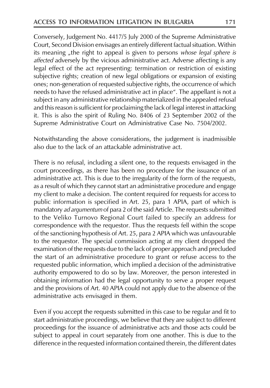Conversely, Judgement No. 4417/5 July 2000 of the Supreme Administrative Court, Second Division envisages an entirely different factual situation. Within its meaning "the right to appeal is given to persons whose legal sphere is affected adversely by the vicious administrative act. Adverse affecting is any legal effect of the act representing: termination or restriction of existing subjective rights; creation of new legal obligations or expansion of existing ones; non-generation of requested subjective rights, the occurrence of which needs to have the refused administrative act in place". The appellant is not a subject in any administrative relationship materialized in the appealed refusal and this reason is sufficient for proclaiming the lack of legal interest in attacking it. This is also the spirit of Ruling No. 8406 of 23 September 2002 of the Supreme Administrative Court on Administrative Case No. 7504/2002.

Notwithstanding the above considerations, the judgement is inadmissible also due to the lack of an attackable administrative act.

There is no refusal, including a silent one, to the requests envisaged in the court proceedings, as there has been no procedure for the issuance of an administrative act. This is due to the irregularity of the form of the requests, as a result of which they cannot start an administrative procedure and engage my client to make a decision. The content required for requests for access to public information is specified in Art. 25, para 1 APIA, part of which is mandatory ad argumentum of para 2 of the said Article. The requests submitted to the Veliko Turnovo Regional Court failed to specify an address for correspondence with the requestor. Thus the requests fell within the scope of the sanctioning hypothesis of Art. 25, para 2 APIA which was unfavourable to the requestor. The special commission acting at my client dropped the examination of the requests due to the lack of proper approach and precluded the start of an administrative procedure to grant or refuse access to the requested public information, which implied a decision of the administrative authority empowered to do so by law. Moreover, the person interested in obtaining information had the legal opportunity to serve a proper request and the provisions of Art. 40 APIA could not apply due to the absence of the administrative acts envisaged in them.

Even if you accept the requests submitted in this case to be regular and fit to start administrative proceedings, we believe that they are subject to different proceedings for the issuance of administrative acts and those acts could be subject to appeal in court separately from one another. This is due to the difference in the requested information contained therein, the different dates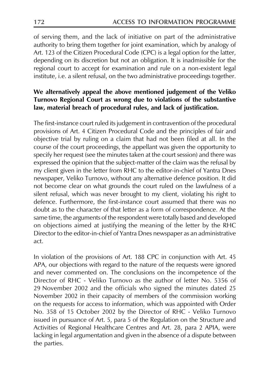of serving them, and the lack of initiative on part of the administrative authority to bring them together for joint examination, which by analogy of Art. 123 of the Citizen Procedural Code (CPC) is a legal option for the latter, depending on its discretion but not an obligation. It is inadmissible for the regional court to accept for examination and rule on a non-existent legal institute, i.e. a silent refusal, on the two administrative proceedings together.

# We alternatively appeal the above mentioned judgement of the Veliko Turnovo Regional Court as wrong due to violations of the substantive law, material breach of procedural rules, and lack of justification.

The first-instance court ruled its judgement in contravention of the procedural provisions of Art. 4 Citizen Procedural Code and the principles of fair and objective trial by ruling on a claim that had not been filed at all. In the course of the court proceedings, the appellant was given the opportunity to specify her request (see the minutes taken at the court session) and there was expressed the opinion that the subject-matter of the claim was the refusal by my client given in the letter from RHC to the editor-in-chief of Yantra Dnes newspaper, Veliko Turnovo, without any alternative defence position. It did not become clear on what grounds the court ruled on the lawfulness of a silent refusal, which was never brought to my client, violating his right to defence. Furthermore, the first-instance court assumed that there was no doubt as to the character of that letter as a form of correspondence. At the same time, the arguments of the respondent were totally based and developed on objections aimed at justifying the meaning of the letter by the RHC Director to the editor-in-chief of Yantra Dnes newspaper as an administrative act.

In violation of the provisions of Art. 188 CPC in conjunction with Art. 45 APA, our objections with regard to the nature of the requests were ignored and never commented on. The conclusions on the incompetence of the Director of RHC - Veliko Turnovo as the author of letter No. 5356 of 29 November 2002 and the officials who signed the minutes dated 25 November 2002 in their capacity of members of the commission working on the requests for access to information, which was appointed with Order No. 358 of 15 October 2002 by the Director of RHC - Veliko Turnovo issued in pursuance of Art. 5, para 5 of the Regulation on the Structure and Activities of Regional Healthcare Centres and Art. 28, para 2 APIA, were lacking in legal argumentation and given in the absence of a dispute between the parties.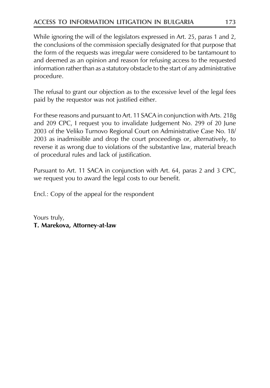While ignoring the will of the legislators expressed in Art. 25, paras 1 and 2, the conclusions of the commission specially designated for that purpose that the form of the requests was irregular were considered to be tantamount to and deemed as an opinion and reason for refusing access to the requested information rather than as a statutory obstacle to the start of any administrative procedure.

The refusal to grant our objection as to the excessive level of the legal fees paid by the requestor was not justified either.

For these reasons and pursuant to Art. 11 SACA in conjunction with Arts. 218g and 209 CPC, I request you to invalidate Judgement No. 299 of 20 June 2003 of the Veliko Turnovo Regional Court on Administrative Case No. 18/ 2003 as inadmissible and drop the court proceedings or, alternatively, to reverse it as wrong due to violations of the substantive law, material breach of procedural rules and lack of justification.

Pursuant to Art. 11 SACA in conjunction with Art. 64, paras 2 and 3 CPC, we request you to award the legal costs to our benefit.

Encl.: Copy of the appeal for the respondent

Yours truly, T. Marekova, Attorney-at-law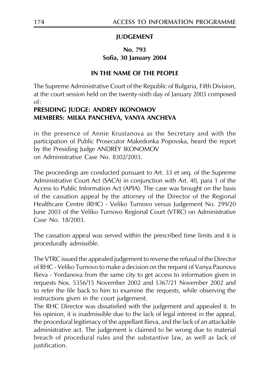# **JUDGEMENT**

# No. 793 Sofia, 30 January 2004

#### IN THE NAME OF THE PEOPLE

The Supreme Administrative Court of the Republic of Bulgaria, Fifth Division, at the court session held on the twenty-sixth day of January 2003 composed  $\alpha$ f.

## PRESIDING JUDGE: ANDREY IKONOMOV MEMBERS: MILKA PANCHEVA, VANYA ANCHEVA

in the presence of Annie Krustanova as the Secretary and with the participation of Public Prosecutor Makedonka Popovska, heard the report by the Presiding Judge ANDREY IKONOMOV on Administrative Case No. 8302/2003.

The proceedings are conducted pursuant to Art. 33 et seq. of the Supreme Administrative Court Act (SACA) in conjunction with Art. 40, para 1 of the Access to Public Information Act (APIA). The case was brought on the basis of the cassation appeal by the attorney of the Director of the Regional Healthcare Centre (RHC) - Veliko Turnovo versus Judgement No. 299/20 June 2003 of the Veliko Turnovo Regional Court (VTRC) on Administrative Case No. 18/2003.

The cassation appeal was served within the prescribed time limits and it is procedurally admissible.

The VTRC issued the appealed judgement to reverse the refusal of the Director of RHC - Veliko Turnovo to make a decision on the request of Vanya Paunova Ilieva - Yordanova from the same city to get access to information given in requests Nos. 5356/15 November 2002 and 5367/21 November 2002 and to refer the file back to him to examine the requests, while observing the instructions given in the court judgement.

The RHC Director was dissatisfied with the judgement and appealed it. In his opinion, it is inadmissible due to the lack of legal interest in the appeal, the procedural legitimacy of the appellant Ilieva, and the lack of an attackable administrative act. The judgement is claimed to be wrong due to material breach of procedural rules and the substantive law, as well as lack of justification.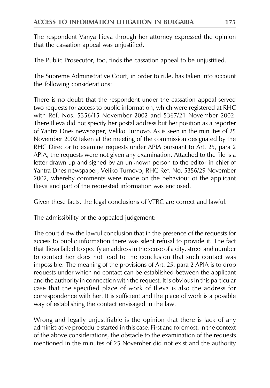The respondent Vanya Ilieva through her attorney expressed the opinion that the cassation appeal was unjustified.

The Public Prosecutor, too, finds the cassation appeal to be unjustified.

The Supreme Administrative Court, in order to rule, has taken into account the following considerations:

There is no doubt that the respondent under the cassation appeal served two requests for access to public information, which were registered at RHC with Ref. Nos. 5356/15 November 2002 and 5367/21 November 2002. There Ilieva did not specify her postal address but her position as a reporter of Yantra Dnes newspaper, Veliko Turnovo. As is seen in the minutes of 25 November 2002 taken at the meeting of the commission designated by the RHC Director to examine requests under APIA pursuant to Art. 25, para 2 APIA, the requests were not given any examination. Attached to the file is a letter drawn up and signed by an unknown person to the editor-in-chief of Yantra Dnes newspaper, Veliko Turnovo, RHC Ref. No. 5356/29 November 2002, whereby comments were made on the behaviour of the applicant Ilieva and part of the requested information was enclosed.

Given these facts, the legal conclusions of VTRC are correct and lawful.

The admissibility of the appealed judgement:

The court drew the lawful conclusion that in the presence of the requests for access to public information there was silent refusal to provide it. The fact that Ilieva failed to specify an address in the sense of a city, street and number to contact her does not lead to the conclusion that such contact was impossible. The meaning of the provisions of Art. 25, para 2 APIA is to drop requests under which no contact can be established between the applicant and the authority in connection with the request. It is obvious in this particular case that the specified place of work of Ilieva is also the address for correspondence with her. It is sufficient and the place of work is a possible way of establishing the contact envisaged in the law.

Wrong and legally unjustifiable is the opinion that there is lack of any administrative procedure started in this case. First and foremost, in the context of the above considerations, the obstacle to the examination of the requests mentioned in the minutes of 25 November did not exist and the authority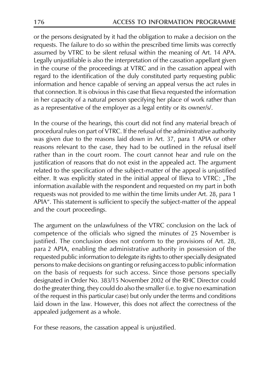or the persons designated by it had the obligation to make a decision on the requests. The failure to do so within the prescribed time limits was correctly assumed by VTRC to be silent refusal within the meaning of Art. 14 APA. Legally unjustifiable is also the interpretation of the cassation appellant given in the course of the proceedings at VTRC and in the cassation appeal with regard to the identification of the duly constituted party requesting public information and hence capable of serving an appeal versus the act rules in that connection. It is obvious in this case that Ilieva requested the information in her capacity of a natural person specifying her place of work rather than as a representative of the employer as a legal entity or its owner/s/.

In the course of the hearings, this court did not find any material breach of procedural rules on part of VTRC. If the refusal of the administrative authority was given due to the reasons laid down in Art. 37, para 1 APIA or other reasons relevant to the case, they had to be outlined in the refusal itself rather than in the court room. The court cannot hear and rule on the justification of reasons that do not exist in the appealed act. The argument related to the specification of the subject-matter of the appeal is unjustified either. It was explicitly stated in the initial appeal of Ilieva to VTRC: "The information available with the respondent and requested on my part in both requests was not provided to me within the time limits under Art. 28, para 1 APIA". This statement is sufficient to specify the subject-matter of the appeal and the court proceedings.

The argument on the unlawfulness of the VTRC conclusion on the lack of competence of the officials who signed the minutes of 25 November is justified. The conclusion does not conform to the provisions of Art. 28, para 2 APIA, enabling the administrative authority in possession of the requested public information to delegate its rights to other specially designated persons to make decisions on granting or refusing access to public information on the basis of requests for such access. Since those persons specially designated in Order No. 383/15 November 2002 of the RHC Director could do the greater thing, they could do also the smaller (i.e. to give no examination of the request in this particular case) but only under the terms and conditions laid down in the law. However, this does not affect the correctness of the appealed judgement as a whole.

For these reasons, the cassation appeal is unjustified.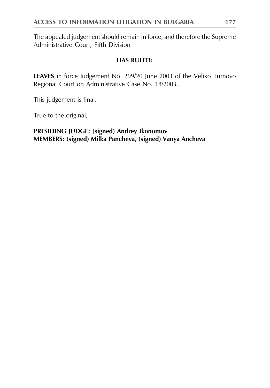The appealed judgement should remain in force, and therefore the Supreme Administrative Court, Fifth Division

#### **HAS RULED:**

LEAVES in force Judgement No. 299/20 June 2003 of the Veliko Turnovo Regional Court on Administrative Case No. 18/2003.

This judgement is final.

True to the original,

## PRESIDING JUDGE: (signed) Andrey Ikonomov MEMBERS: (signed) Milka Pancheva, (signed) Vanya Ancheva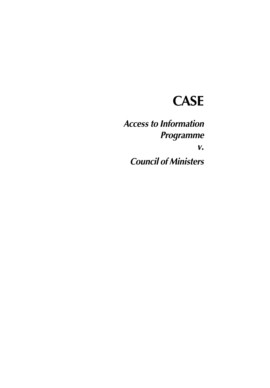# **CASE**

**Access to Information Programme**  $V_{\bullet}$ **Council of Ministers**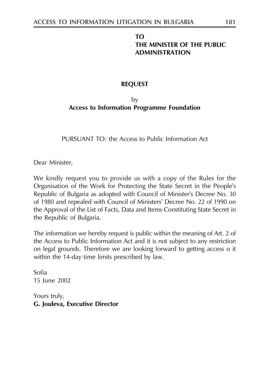# **TO** THE MINISTER OF THE PUBLIC **ADMINISTRATION**

#### **REQUEST**

# $b$ v **Access to Information Programme Foundation**

PURSUANT TO: the Access to Public Information Act

Dear Minister,

We kindly request you to provide us with a copy of the Rules for the Organisation of the Work for Protecting the State Secret in the People's Republic of Bulgaria as adopted with Council of Minister's Decree No. 30 of 1980 and repealed with Council of Ministers' Decree No. 22 of 1990 on the Approval of the List of Facts, Data and Items Constituting State Secret in the Republic of Bulgaria.

The information we hereby request is public within the meaning of Art. 2 of the Access to Public Information Act and it is not subject to any restriction on legal grounds. Therefore we are looking forward to getting access o it within the 14-day time limits prescribed by law.

Sofia 15 June 2002

Yours truly, G. Jouleva, Executive Director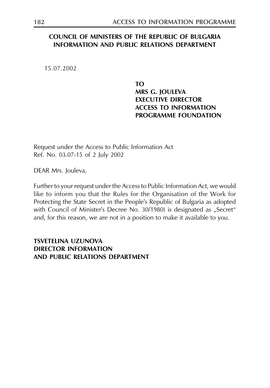#### **COUNCIL OF MINISTERS OF THE REPUBLIC OF BULGARIA INFORMATION AND PUBLIC RELATIONS DEPARTMENT**

15.07.2002

TΩ MRS G. JOULEVA **EXECUTIVE DIRECTOR ACCESS TO INFORMATION PROGRAMME FOUNDATION** 

Request under the Access to Public Information Act Ref. No. 03.07-15 of 2 July 2002

DEAR Mrs. Jouleva,

Further to your request under the Access to Public Information Act, we would like to inform you that the Rules for the Organisation of the Work for Protecting the State Secret in the People's Republic of Bulgaria as adopted with Council of Minister's Decree No. 30/1980) is designated as "Secret" and, for this reason, we are not in a position to make it available to you.

**TSVETELINA UZUNOVA DIRECTOR INFORMATION** AND PUBLIC RELATIONS DEPARTMENT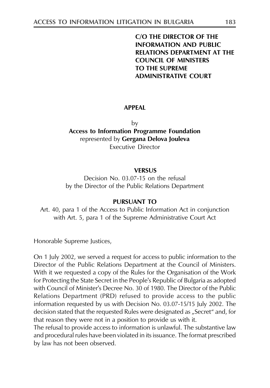**C/O THE DIRECTOR OF THE INFORMATION AND PUBLIC RELATIONS DEPARTMENT AT THE COUNCIL OF MINISTERS TO THE SUPREME ADMINISTRATIVE COURT** 

#### **APPFAI**

by **Access to Information Programme Foundation** represented by Gergana Delova Jouleva **Executive Director** 

#### **VERSUS**

Decision No. 03.07-15 on the refusal by the Director of the Public Relations Department

#### PURSUANT TO

Art. 40, para 1 of the Access to Public Information Act in conjunction with Art. 5, para 1 of the Supreme Administrative Court Act

Honorable Supreme Justices,

On 1 July 2002, we served a request for access to public information to the Director of the Public Relations Department at the Council of Ministers. With it we requested a copy of the Rules for the Organisation of the Work for Protecting the State Secret in the People's Republic of Bulgaria as adopted with Council of Minister's Decree No. 30 of 1980. The Director of the Public Relations Department (PRD) refused to provide access to the public information requested by us with Decision No. 03.07-15/15 July 2002. The decision stated that the requested Rules were designated as "Secret" and, for that reason they were not in a position to provide us with it.

The refusal to provide access to information is unlawful. The substantive law and procedural rules have been violated in its issuance. The format prescribed by law has not been observed.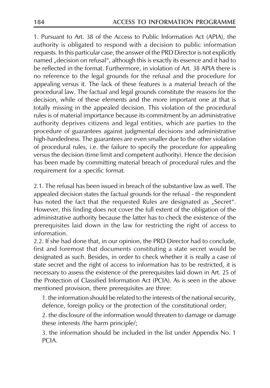1. Pursuant to Art. 38 of the Access to Public Information Act (APIA), the authority is obligated to respond with a decision to public information requests. In this particular case, the answer of the PRD Director is not explicitly named "decision on refusal", although this is exactly its essence and it had to be reflected in the format. Furthermore, in violation of Art. 38 APIA there is no reference to the legal grounds for the refusal and the procedure for appealing versus it. The lack of these features is a material breach of the procedural law. The factual and legal grounds constitute the reasons for the decision, while of these elements and the more important one at that is totally missing in the appealed decision. This violation of the procedural rules is of material importance because its commitment by an administrative authority deprives citizens and legal entities, which are parties to the procedure of guarantees against judgmental decisions and administrative high-handedness. The guarantees are even smaller due to the other violation of procedural rules, i.e. the failure to specify the procedure for appealing versus the decision (time limit and competent authority). Hence the decision has been made by committing material breach of procedural rules and the requirement for a specific format.

2.1 The refusal has been issued in breach of the substantive law as well. The appealed decision states the factual grounds for the refusal - the respondent has noted the fact that the requested Rules are designated as "Secret". However, this finding does not cover the full extent of the obligation of the administrative authority because the latter has to check the existence of the prerequisites laid down in the law for restricting the right of access to information.

2.2. If she had done that, in our opinion, the PRD Director had to conclude, first and foremost that documents constituting a state secret would be designated as such. Besides, in order to check whether it is really a case of state secret and the right of access to information has to be restricted, it is necessary to assess the existence of the prerequisites laid down in Art. 25 of the Protection of Classified Information Act (PCIA). As is seen in the above mentioned provision, there prerequisites are three:

1. the information should be related to the interests of the national security, defence, foreign policy or the protection of the constitutional order;

2. the disclosure of the information would threaten to damage or damage these interests /the harm principle/;

3. the information should be included in the list under Appendix No. 1 **PCIA** 

184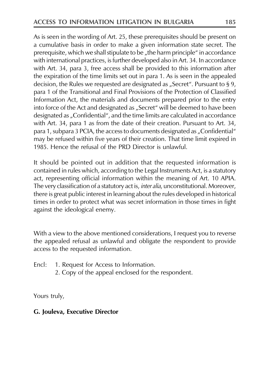As is seen in the wording of Art. 25, these prerequisites should be present on a cumulative basis in order to make a given information state secret. The prerequisite, which we shall stipulate to be "the harm principle" in accordance with international practices, is further developed also in Art. 34. In accordance with Art. 34, para 3, free access shall be provided to this information after the expiration of the time limits set out in para 1. As is seen in the appealed decision, the Rules we requested are designated as "Secret". Pursuant to § 9, para 1 of the Transitional and Final Provisions of the Protection of Classified Information Act, the materials and documents prepared prior to the entry into force of the Act and designated as "Secret" will be deemed to have been designated as "Confidential", and the time limits are calculated in accordance with Art. 34, para 1 as from the date of their creation. Pursuant to Art. 34, para 1, subpara 3 PCIA, the access to documents designated as "Confidential" may be refused within five years of their creation. That time limit expired in 1985. Hence the refusal of the PRD Director is unlawful.

It should be pointed out in addition that the requested information is contained in rules which, according to the Legal Instruments Act, is a statutory act, representing official information within the meaning of Art. 10 APIA. The very classification of a statutory act is, *inter alia*, unconstitutional. Moreover, there is great public interest in learning about the rules developed in historical times in order to protect what was secret information in those times in fight against the ideological enemy.

With a view to the above mentioned considerations, I request you to reverse the appealed refusal as unlawful and obligate the respondent to provide access to the requested information.

Encl: 1. Request for Access to Information.

2. Copy of the appeal enclosed for the respondent.

Yours truly,

#### G. Jouleva, Executive Director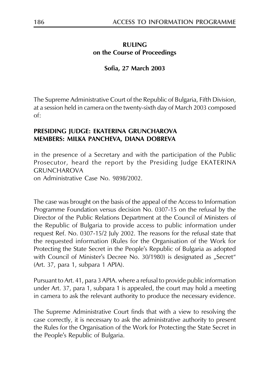#### **RULING** on the Course of Proceedings

#### Sofia, 27 March 2003

The Supreme Administrative Court of the Republic of Bulgaria, Fifth Division, at a session held in camera on the twenty-sixth day of March 2003 composed  $\alpha f$ :

#### PRESIDING JUDGE: EKATERINA GRUNCHAROVA MEMBERS: MILKA PANCHEVA, DIANA DOBREVA

in the presence of a Secretary and with the participation of the Public Prosecutor, heard the report by the Presiding Judge EKATERINA **GRUNCHAROVA** 

on Administrative Case No. 9898/2002.

The case was brought on the basis of the appeal of the Access to Information Programme Foundation versus decision No. 0307-15 on the refusal by the Director of the Public Relations Department at the Council of Ministers of the Republic of Bulgaria to provide access to public information under request Ref. No. 0307-15/2 July 2002. The reasons for the refusal state that the requested information (Rules for the Organisation of the Work for Protecting the State Secret in the People's Republic of Bulgaria as adopted with Council of Minister's Decree No. 30/1980) is designated as "Secret" (Art. 37, para 1, subpara 1 APIA).

Pursuant to Art. 41, para 3 APIA. where a refusal to provide public information under Art. 37, para 1, subpara 1 is appealed, the court may hold a meeting in camera to ask the relevant authority to produce the necessary evidence.

The Supreme Administrative Court finds that with a view to resolving the case correctly, it is necessary to ask the administrative authority to present the Rules for the Organisation of the Work for Protecting the State Secret in the People's Republic of Bulgaria.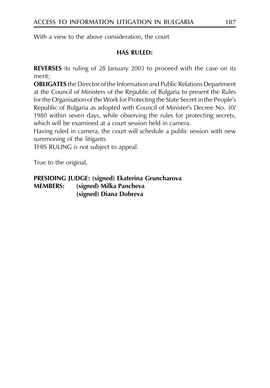With a view to the above consideration, the court

#### **HAS RULED:**

**REVERSES** its ruling of 28 January 2003 to proceed with the case on its merit:

**OBLIGATES** the Director of the Information and Public Relations Department at the Council of Ministers of the Republic of Bulgaria to present the Rules for the Organisation of the Work for Protecting the State Secret in the People's Republic of Bulgaria as adopted with Council of Minister's Decree No. 30/ 1980 within seven days, while observing the rules for protecting secrets, which will be examined at a court session held in camera.

Having ruled in camera, the court will schedule a public session with new summoning of the litigants.

THIS RULING is not subject to appeal.

True to the original,

**PRESIDING JUDGE:** (signed) Ekaterina Gruncharova (signed) Milka Pancheva **MEMBERS:** (signed) Diana Dobreva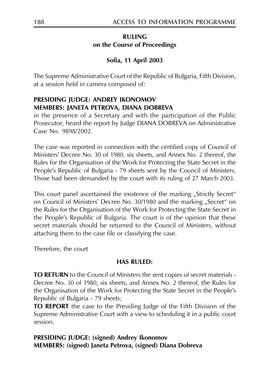#### **RULING** on the Course of Proceedings

# Sofia, 11 April 2003

The Supreme Administrative Court of the Republic of Bulgaria, Fifth Division, at a session held in camera composed of:

# PRESIDING IUDGE: ANDREY IKONOMOV MEMBERS: JANETA PETROVA, DIANA DOBREVA

in the presence of a Secretary and with the participation of the Public Prosecutor, heard the report by Judge DIANA DOBREVA on Administrative Case No. 9898/2002.

The case was reported in connection with the certified copy of Council of Ministers' Decree No. 30 of 1980, six sheets, and Annex No. 2 thereof, the Rules for the Organisation of the Work for Protecting the State Secret in the People's Republic of Bulgaria - 79 sheets sent by the Council of Ministers. Those had been demanded by the court with its ruling of 27 March 2003.

This court panel ascertained the existence of the marking "Strictly Secret" on Council of Ministers' Decree No. 30/1980 and the marking "Secret" on the Rules for the Organisation of the Work for Protecting the State Secret in the People's Republic of Bulgaria. The court is of the opinion that these secret materials should be returned to the Council of Ministers, without attaching them to the case file or classifying the case.

Therefore, the court

#### **HAS RULED:**

TO RETURN to the Council of Ministers the sent copies of secret materials -Decree No. 30 of 1980, six sheets, and Annex No. 2 thereof, the Rules for the Organisation of the Work for Protecting the State Secret in the People's Republic of Bulgaria - 79 sheets;

**TO REPORT** the case to the Presiding Judge of the Fifth Division of the Supreme Administrative Court with a view to scheduling it in a public court session.

# **PRESIDING JUDGE: (signed) Andrey Ikonomov** MEMBERS: (signed) Janeta Petrova, (signed) Diana Dobreva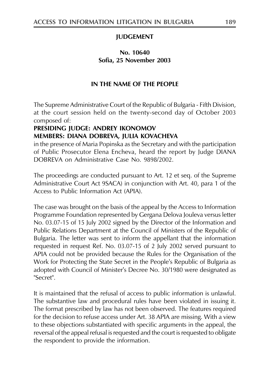#### **JUDGEMENT**

#### No. 10640 Sofia. 25 November 2003

#### IN THE NAME OF THE PEOPLE

The Supreme Administrative Court of the Republic of Bulgaria - Fifth Division, at the court session held on the twenty-second day of October 2003 composed of:

# PRESIDING JUDGE: ANDREY IKONOMOV MEMBERS: DIANA DOBREVA, JULIA KOVACHEVA

in the presence of Maria Popinska as the Secretary and with the participation of Public Prosecutor Elena Encheva, heard the report by Judge DIANA DOBREVA on Administrative Case No. 9898/2002.

The proceedings are conducted pursuant to Art. 12 et seq. of the Supreme Administrative Court Act 9SACA) in conjunction with Art. 40, para 1 of the Access to Public Information Act (APIA).

The case was brought on the basis of the appeal by the Access to Information Programme Foundation represented by Gergana Delova Jouleva versus letter No. 03.07-15 of 15 July 2002 signed by the Director of the Information and Public Relations Department at the Council of Ministers of the Republic of Bulgaria. The letter was sent to inform the appellant that the information requested in request Ref. No. 03.07-15 of 2 July 2002 served pursuant to APIA could not be provided because the Rules for the Organisation of the Work for Protecting the State Secret in the People's Republic of Bulgaria as adopted with Council of Minister's Decree No. 30/1980 were designated as "Secret".

It is maintained that the refusal of access to public information is unlawful. The substantive law and procedural rules have been violated in issuing it. The format prescribed by law has not been observed. The features required for the decision to refuse access under Art. 38 APIA are missing. With a view to these objections substantiated with specific arguments in the appeal, the reversal of the appeal refusal is requested and the court is requested to obligate the respondent to provide the information.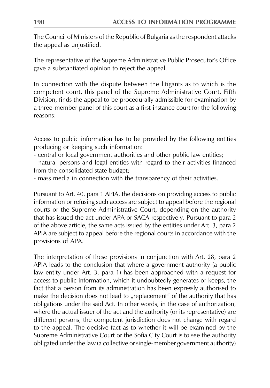The Council of Ministers of the Republic of Bulgaria as the respondent attacks the appeal as unjustified.

The representative of the Supreme Administrative Public Prosecutor's Office gave a substantiated opinion to reject the appeal.

In connection with the dispute between the litigants as to which is the competent court, this panel of the Supreme Administrative Court, Fifth Division, finds the appeal to be procedurally admissible for examination by a three-member panel of this court as a first-instance court for the following reasons:

Access to public information has to be provided by the following entities producing or keeping such information:

- central or local government authorities and other public law entities;

- natural persons and legal entities with regard to their activities financed from the consolidated state budget;

- mass media in connection with the transparency of their activities.

Pursuant to Art. 40, para 1 APIA, the decisions on providing access to public information or refusing such access are subject to appeal before the regional courts or the Supreme Administrative Court, depending on the authority that has issued the act under APA or SACA respectively. Pursuant to para 2 of the above article, the same acts issued by the entities under Art. 3, para 2 APIA are subject to appeal before the regional courts in accordance with the provisions of APA.

The interpretation of these provisions in conjunction with Art. 28, para 2 APIA leads to the conclusion that where a government authority (a public law entity under Art. 3, para 1) has been approached with a request for access to public information, which it undoubtedly generates or keeps, the fact that a person from its administration has been expressly authorised to make the decision does not lead to "replacement" of the authority that has obligations under the said Act. In other words, in the case of authorization, where the actual issuer of the act and the authority (or its representative) are different persons, the competent jurisdiction does not change with regard to the appeal. The decisive fact as to whether it will be examined by the Supreme Administrative Court or the Sofia City Court is to see the authority obligated under the law (a collective or single-member government authority)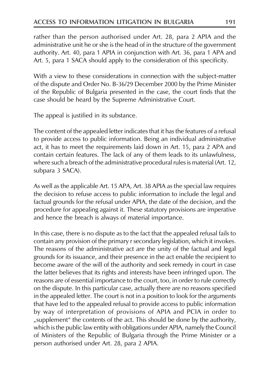rather than the person authorised under Art. 28, para 2 APIA and the administrative unit he or she is the head of in the structure of the government authority. Art. 40, para 1 APIA in conjunction with Art. 36, para 1 APA and Art. 5, para 1 SACA should apply to the consideration of this specificity.

With a view to these considerations in connection with the subject-matter of the dispute and Order No. B-36/29 December 2000 by the Prime Minister of the Republic of Bulgaria presented in the case, the court finds that the case should be heard by the Supreme Administrative Court.

The appeal is justified in its substance.

The content of the appealed letter indicates that it has the features of a refusal to provide access to public information. Being an individual administrative act, it has to meet the requirements laid down in Art. 15, para 2 APA and contain certain features. The lack of any of them leads to its unlawfulness, where such a breach of the administrative procedural rules is material (Art. 12, subpara 3 SACA).

As well as the applicable Art. 15 APA, Art. 38 APIA as the special law requires the decision to refuse access to public information to include the legal and factual grounds for the refusal under APIA, the date of the decision, and the procedure for appealing against it. These statutory provisions are imperative and hence the breach is always of material importance.

In this case, there is no dispute as to the fact that the appealed refusal fails to contain any provision of the primary r secondary legislation, which it invokes. The reasons of the administrative act are the unity of the factual and legal grounds for its issuance, and their presence in the act enable the recipient to become aware of the will of the authority and seek remedy in court in case the latter believes that its rights and interests have been infringed upon. The reasons are of essential importance to the court, too, in order to rule correctly on the dispute. In this particular case, actually there are no reasons specified in the appealed letter. The court is not in a position to look for the arguments that have led to the appealed refusal to provide access to public information by way of interpretation of provisions of APIA and PCIA in order to "supplement" the contents of the act. This should be done by the authority, which is the public law entity with obligations under APIA, namely the Council of Ministers of the Republic of Bulgaria through the Prime Minister or a person authorised under Art. 28, para 2 APIA.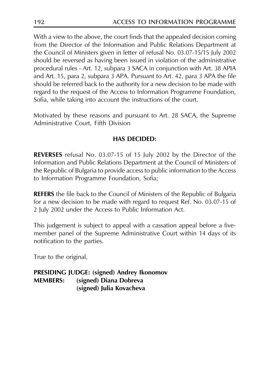With a view to the above, the court finds that the appealed decision coming from the Director of the Information and Public Relations Department at the Council of Ministers given in letter of refusal No. 03.07-15/15 July 2002 should be reversed as having been issued in violation of the administrative procedural rules - Art. 12, subpara 3 SACA in conjunction with Art. 38 APIA and Art. 15, para 2, subpara 3 APA. Pursuant to Art. 42, para 3 APA the file should be referred back to the authority for a new decision to be made with regard to the request of the Access to Information Programme Foundation, Sofia, while taking into account the instructions of the court.

Motivated by these reasons and pursuant to Art. 28 SACA, the Supreme Administrative Court, Fifth Division

#### **HAS DECIDED:**

REVERSES refusal No. 03.07-15 of 15 July 2002 by the Director of the Information and Public Relations Department at the Council of Ministers of the Republic of Bulgaria to provide access to public information to the Access to Information Programme Foundation, Sofia;

**REFERS** the file back to the Council of Ministers of the Republic of Bulgaria for a new decision to be made with regard to request Ref. No. 03.07-15 of 2 July 2002 under the Access to Public Information Act.

This judgement is subject to appeal with a cassation appeal before a fivemember panel of the Supreme Administrative Court within 14 days of its notification to the parties.

True to the original,

**PRESIDING JUDGE: (signed) Andrey Ikonomov MEMBERS:** (signed) Diana Dobreva (signed) Julia Kovacheva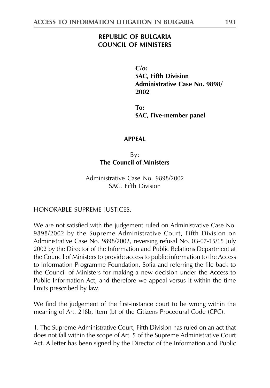#### **REPUBLIC OF BULGARIA COUNCIL OF MINISTERS**

 $C/\alpha$ : **SAC. Fifth Division** Administrative Case No. 9898/ 2002

To: SAC, Five-member panel

#### **APPFAI**

 $By:$ **The Council of Ministers** 

Administrative Case No. 9898/2002 SAC, Fifth Division

HONORABLE SUPREME JUSTICES,

We are not satisfied with the judgement ruled on Administrative Case No. 9898/2002 by the Supreme Administrative Court, Fifth Division on Administrative Case No. 9898/2002, reversing refusal No. 03-07-15/15 July 2002 by the Director of the Information and Public Relations Department at the Council of Ministers to provide access to public information to the Access to Information Programme Foundation, Sofia and referring the file back to the Council of Ministers for making a new decision under the Access to Public Information Act, and therefore we appeal versus it within the time limits prescribed by law.

We find the judgement of the first-instance court to be wrong within the meaning of Art. 218b, item (b) of the Citizens Procedural Code (CPC).

1. The Supreme Administrative Court, Fifth Division has ruled on an act that does not fall within the scope of Art. 5 of the Supreme Administrative Court Act. A letter has been signed by the Director of the Information and Public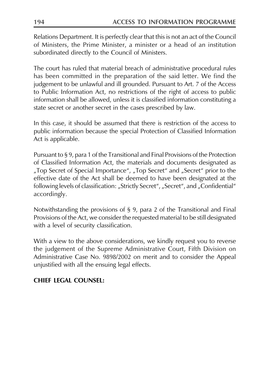Relations Department. It is perfectly clear that this is not an act of the Council of Ministers, the Prime Minister, a minister or a head of an institution subordinated directly to the Council of Ministers.

The court has ruled that material breach of administrative procedural rules has been committed in the preparation of the said letter. We find the judgement to be unlawful and ill grounded. Pursuant to Art. 7 of the Access to Public Information Act, no restrictions of the right of access to public information shall be allowed, unless it is classified information constituting a state secret or another secret in the cases prescribed by law.

In this case, it should be assumed that there is restriction of the access to public information because the special Protection of Classified Information Act is applicable.

Pursuant to §9, para 1 of the Transitional and Final Provisions of the Protection of Classified Information Act, the materials and documents designated as "Top Secret of Special Importance", "Top Secret" and "Secret" prior to the effective date of the Act shall be deemed to have been designated at the following levels of classification: "Strictly Secret", "Secret", and "Confidential" accordingly.

Notwithstanding the provisions of  $\S$  9, para 2 of the Transitional and Final Provisions of the Act, we consider the requested material to be still designated with a level of security classification.

With a view to the above considerations, we kindly request you to reverse the judgement of the Supreme Administrative Court, Fifth Division on Administrative Case No. 9898/2002 on merit and to consider the Appeal unjustified with all the ensuing legal effects.

#### **CHIEF LEGAL COUNSEL:**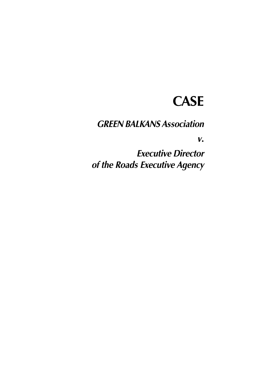# **CASE**

**GREEN BALKANS Association** 

 $V_{\bullet}$ 

**Executive Director** of the Roads Executive Agency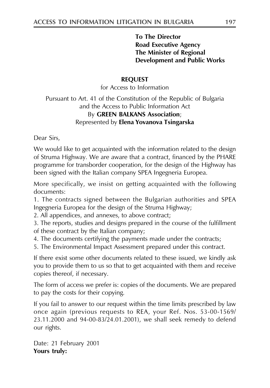#### **To The Director Road Executive Agency** The Minister of Regional **Development and Public Works**

#### **REOUEST**

for Access to Information

Pursuant to Art. 41 of the Constitution of the Republic of Bulgaria and the Access to Public Information Act By GREEN BALKANS Association; Represented by Elena Yovanova Tsingarska

Dear Sirs,

We would like to get acquainted with the information related to the design of Struma Highway. We are aware that a contract, financed by the PHARE programme for transborder cooperation, for the design of the Highway has been signed with the Italian company SPEA Ingegneria Europea.

More specifically, we insist on getting acquainted with the following documents:

1. The contracts signed between the Bulgarian authorities and SPEA Ingegneria Europea for the design of the Struma Highway;

2. All appendices, and annexes, to above contract;

3. The reports, studies and designs prepared in the course of the fulfillment of these contract by the Italian company;

4. The documents certifying the payments made under the contracts;

5. The Environmental Impact Assessment prepared under this contract.

If there exist some other documents related to these issued, we kindly ask you to provide them to us so that to get acquainted with them and receive copies thereof, if necessary.

The form of access we prefer is: copies of the documents. We are prepared to pay the costs for their copying.

If you fail to answer to our request within the time limits prescribed by law once again (previous requests to REA, your Ref. Nos. 53-00-1569/ 23.11.2000 and 94-00-83/24.01.2001), we shall seek remedy to defend our rights.

Date: 21 February 2001 Yours truly: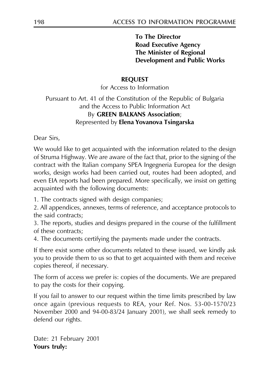#### **To The Director Road Executive Agency** The Minister of Regional **Development and Public Works**

#### **REOUEST**

for Access to Information

#### Pursuant to Art. 41 of the Constitution of the Republic of Bulgaria and the Access to Public Information Act By GREEN BALKANS Association; Represented by Elena Yovanova Tsingarska

Dear Sirs,

We would like to get acquainted with the information related to the design of Struma Highway. We are aware of the fact that, prior to the signing of the contract with the Italian company SPEA Ingegneria Europea for the design works, design works had been carried out, routes had been adopted, and even EIA reports had been prepared. More specifically, we insist on getting acquainted with the following documents:

1. The contracts signed with design companies;

2. All appendices, annexes, terms of reference, and acceptance protocols to the said contracts;

3. The reports, studies and designs prepared in the course of the fulfillment of these contracts;

4. The documents certifying the payments made under the contracts.

If there exist some other documents related to these issued, we kindly ask you to provide them to us so that to get acquainted with them and receive copies thereof, if necessary.

The form of access we prefer is: copies of the documents. We are prepared to pay the costs for their copying.

If you fail to answer to our request within the time limits prescribed by law once again (previous requests to REA, your Ref. Nos. 53-00-1570/23 November 2000 and 94-00-83/24 January 2001), we shall seek remedy to defend our rights.

Date: 21 February 2001 Yours truly: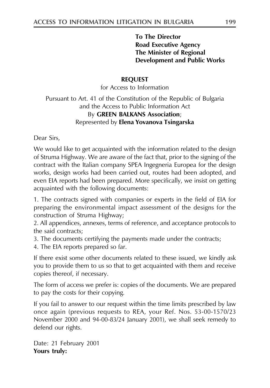#### **To The Director Road Executive Agency** The Minister of Regional **Development and Public Works**

#### **REOUEST**

for Access to Information

Pursuant to Art. 41 of the Constitution of the Republic of Bulgaria and the Access to Public Information Act By GREEN BALKANS Association; Represented by Elena Yovanova Tsingarska

Dear Sirs,

We would like to get acquainted with the information related to the design of Struma Highway. We are aware of the fact that, prior to the signing of the contract with the Italian company SPEA Ingegneria Europea for the design works, design works had been carried out, routes had been adopted, and even EIA reports had been prepared. More specifically, we insist on getting acquainted with the following documents:

1. The contracts signed with companies or experts in the field of EIA for preparing the environmental impact assessment of the designs for the construction of Struma Highway;

2. All appendices, annexes, terms of reference, and acceptance protocols to the said contracts:

3. The documents certifying the payments made under the contracts;

4. The EIA reports prepared so far.

If there exist some other documents related to these issued, we kindly ask you to provide them to us so that to get acquainted with them and receive copies thereof, if necessary.

The form of access we prefer is: copies of the documents. We are prepared to pay the costs for their copying.

If you fail to answer to our request within the time limits prescribed by law once again (previous requests to REA, your Ref. Nos. 53-00-1570/23 November 2000 and 94-00-83/24 January 2001), we shall seek remedy to defend our rights.

Date: 21 February 2001 Yours truly: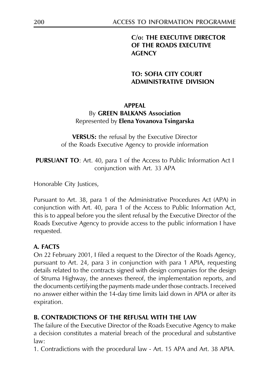# C/o: THE EXECUTIVE DIRECTOR OF THE ROADS EXECUTIVE **AGENCY**

#### **TO: SOFIA CITY COURT ADMINISTRATIVE DIVISION**

#### **APPFAI**

# By GREEN BALKANS Association Represented by Elena Yovanova Tsingarska

**VERSUS:** the refusal by the Executive Director of the Roads Executive Agency to provide information

**PURSUANT TO:** Art. 40, para 1 of the Access to Public Information Act I conjunction with Art. 33 APA

Honorable City Justices,

Pursuant to Art. 38, para 1 of the Administrative Procedures Act (APA) in conjunction with Art. 40, para 1 of the Access to Public Information Act, this is to appeal before you the silent refusal by the Executive Director of the Roads Executive Agency to provide access to the public information I have requested.

# A. FACTS

On 22 February 2001, I filed a request to the Director of the Roads Agency, pursuant to Art. 24, para 3 in conjunction with para 1 APIA, requesting details related to the contracts signed with design companies for the design of Struma Highway, the annexes thereof, the implementation reports, and the documents certifying the payments made under those contracts. I received no answer either within the 14-day time limits laid down in APIA or after its expiration.

# **B. CONTRADICTIONS OF THE REFUSAL WITH THE LAW**

The failure of the Executive Director of the Roads Executive Agency to make a decision constitutes a material breach of the procedural and substantive  $law:$ 

1. Contradictions with the procedural law - Art. 15 APA and Art. 38 APIA.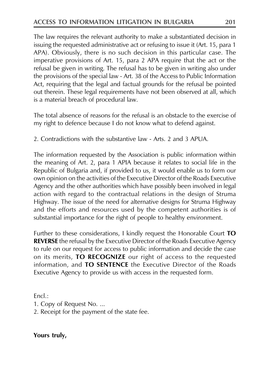The law requires the relevant authority to make a substantiated decision in issuing the requested administrative act or refusing to issue it (Art. 15, para 1 APA). Obviously, there is no such decision in this particular case. The imperative provisions of Art. 15, para 2 APA require that the act or the refusal be given in writing. The refusal has to be given in writing also under the provisions of the special law - Art. 38 of the Access to Public Information Act, requiring that the legal and factual grounds for the refusal be pointed out therein. These legal requirements have not been observed at all, which is a material breach of procedural law.

The total absence of reasons for the refusal is an obstacle to the exercise of my right to defence because I do not know what to defend against.

2. Contradictions with the substantive law - Arts. 2 and 3 APUA.

The information requested by the Association is public information within the meaning of Art. 2, para 1 APIA because it relates to social life in the Republic of Bulgaria and, if provided to us, it would enable us to form our own opinion on the activities of the Executive Director of the Roads Executive Agency and the other authorities which have possibly been involved in legal action with regard to the contractual relations in the design of Struma Highway. The issue of the need for alternative designs for Struma Highway and the efforts and resources used by the competent authorities is of substantial importance for the right of people to healthy environment.

Further to these considerations, I kindly request the Honorable Court TO **REVERSE** the refusal by the Executive Director of the Roads Executive Agency to rule on our request for access to public information and decide the case on its merits, TO RECOGNIZE our right of access to the requested information, and TO SENTENCE the Executive Director of the Roads Executive Agency to provide us with access in the requested form.

 $Fncl.$ :

- 1. Copy of Request No. ...
- 2. Receipt for the payment of the state fee.

Yours truly,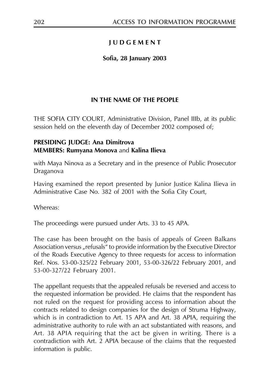# **IUDGEMENT**

#### Sofia, 28 January 2003

# IN THE NAME OF THE PEOPLE

THE SOFIA CITY COURT, Administrative Division, Panel IIIb, at its public session held on the eleventh day of December 2002 composed of;

#### **PRESIDING JUDGE: Ana Dimitrova MEMBERS: Rumyana Monova and Kalina Ilieva**

with Maya Ninova as a Secretary and in the presence of Public Prosecutor Draganova

Having examined the report presented by Junior Justice Kalina Ilieva in Administrative Case No. 382 of 2001 with the Sofia City Court,

Whereas:

The proceedings were pursued under Arts. 33 to 45 APA.

The case has been brought on the basis of appeals of Green Balkans Association versus "refusals" to provide information by the Executive Director of the Roads Executive Agency to three requests for access to information Ref. Nos. 53-00-325/22 February 2001, 53-00-326/22 February 2001, and 53-00-327/22 February 2001.

The appellant requests that the appealed refusals be reversed and access to the requested information be provided. He claims that the respondent has not ruled on the request for providing access to information about the contracts related to design companies for the design of Struma Highway, which is in contradiction to Art. 15 APA and Art. 38 APIA, requiring the administrative authority to rule with an act substantiated with reasons, and Art. 38 APIA requiring that the act be given in writing. There is a contradiction with Art. 2 APIA because of the claims that the requested information is public.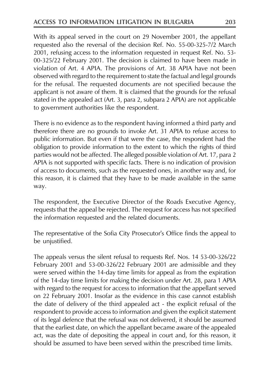With its appeal served in the court on 29 November 2001, the appellant requested also the reversal of the decision Ref. No. 55-00-325-7/2 March 2001, refusing access to the information requested in request Ref. No. 53-00-325/22 February 2001. The decision is claimed to have been made in violation of Art. 4 APIA. The provisions of Art. 38 APIA have not been observed with regard to the requirement to state the factual and legal grounds for the refusal. The requested documents are not specified because the applicant is not aware of them. It is claimed that the grounds for the refusal stated in the appealed act (Art. 3, para 2, subpara 2 APIA) are not applicable to government authorities like the respondent.

There is no evidence as to the respondent having informed a third party and therefore there are no grounds to invoke Art. 31 APIA to refuse access to public information. But even if that were the case, the respondent had the obligation to provide information to the extent to which the rights of third parties would not be affected. The alleged possible violation of Art. 17, para 2 APIA is not supported with specific facts. There is no indication of provision of access to documents, such as the requested ones, in another way and, for this reason, it is claimed that they have to be made available in the same way.

The respondent, the Executive Director of the Roads Executive Agency, requests that the appeal be rejected. The request for access has not specified the information requested and the related documents.

The representative of the Sofia City Prosecutor's Office finds the appeal to be unjustified.

The appeals versus the silent refusal to requests Ref. Nos. 14 53-00-326/22 February 2001 and 53-00-326/22 February 2001 are admissible and they were served within the 14-day time limits for appeal as from the expiration of the 14-day time limits for making the decision under Art. 28, para 1 APIA with regard to the request for access to information that the appellant served on 22 February 2001. Insofar as the evidence in this case cannot establish the date of delivery of the third appealed act - the explicit refusal of the respondent to provide access to information and given the explicit statement of its legal defence that the refusal was not delivered, it should be assumed that the earliest date, on which the appellant became aware of the appealed act, was the date of depositing the appeal in court and, for this reason, it should be assumed to have been served within the prescribed time limits.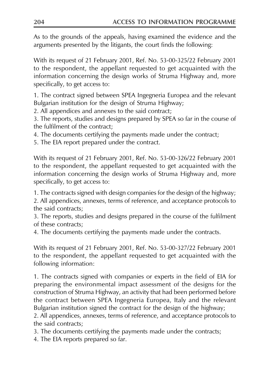As to the grounds of the appeals, having examined the evidence and the arguments presented by the litigants, the court finds the following:

With its request of 21 February 2001, Ref. No. 53-00-325/22 February 2001 to the respondent, the appellant requested to get acquainted with the information concerning the design works of Struma Highway and, more specifically, to get access to:

1. The contract signed between SPEA Ingegneria Europea and the relevant Bulgarian institution for the design of Struma Highway;

2. All appendices and annexes to the said contract;

3. The reports, studies and designs prepared by SPEA so far in the course of the fulfilment of the contract;

4. The documents certifying the payments made under the contract;

5. The EIA report prepared under the contract.

With its request of 21 February 2001, Ref. No. 53-00-326/22 February 2001 to the respondent, the appellant requested to get acquainted with the information concerning the design works of Struma Highway and, more specifically, to get access to:

1. The contracts signed with design companies for the design of the highway;

2. All appendices, annexes, terms of reference, and acceptance protocols to the said contracts:

3. The reports, studies and designs prepared in the course of the fulfilment of these contracts:

4. The documents certifying the payments made under the contracts.

With its request of 21 February 2001, Ref. No. 53-00-327/22 February 2001 to the respondent, the appellant requested to get acquainted with the following information:

1. The contracts signed with companies or experts in the field of EIA for preparing the environmental impact assessment of the designs for the construction of Struma Highway, an activity that had been performed before the contract between SPEA Ingegneria Europea, Italy and the relevant Bulgarian institution signed the contract for the design of the highway;

2. All appendices, annexes, terms of reference, and acceptance protocols to the said contracts;

3. The documents certifying the payments made under the contracts;

4. The EIA reports prepared so far.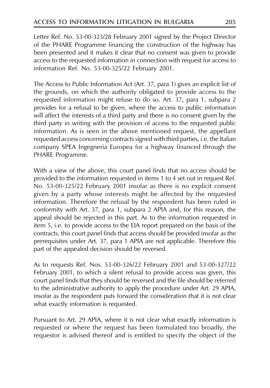Letter Ref. No. 53-00-323/28 February 2001 signed by the Project Director of the PHARE Programme financing the construction of the highway has been presented and it makes it clear that no consent was given to provide access to the requested information in connection with request for access to information Ref. No. 53-00-325/22 February 2001.

The Access to Public Information Act (Art. 37, para 1) gives an explicit list of the grounds, on which the authority obligated to provide access to the requested information might refuse to do so. Art. 37, para 1, subpara 2 provides for a refusal to be given, where the access to public information will affect the interests of a third party and there is no consent given by the third party in writing with the provision of access to the requested public information. As is seen in the above mentioned request, the appellant requested access concerning contracts signed with third parties, i.e. the Italian company SPEA Ingegneria Europea for a highway financed through the PHARE Programme.

With a view of the above, this court panel finds that no access should be provided to the information requested in items 1 to 4 set out in request Ref. No. 53-00-325/22 February 2001 insofar as there is no explicit consent given by a party whose interests might be affected by the requested information. Therefore the refusal by the respondent has been ruled in conformity with Art. 37, para 1, subpara 2 APIA and, for this reason, the appeal should be rejected in this part. As to the information requested in item 5, i.e. to provide access to the EIA report prepared on the basis of the contracts, this court panel finds that access should be provided insofar as the prerequisites under Art. 37, para 1 APIA are not applicable. Therefore this part of the appealed decision should be reversed.

As to requests Ref. Nos. 53-00-326/22 February 2001 and 53-00-327/22 February 2001, to which a silent refusal to provide access was given, this court panel finds that they should be reversed and the file should be referred to the administrative authority to apply the procedure under Art. 29 APIA, insofar as the respondent puts forward the consideration that it is not clear what exactly information is requested.

Pursuant to Art. 29 APIA, where it is not clear what exactly information is requested or where the request has been formulated too broadly, the requestor is advised thereof and is entitled to specify the object of the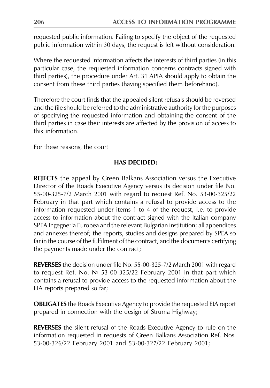requested public information. Failing to specify the object of the requested public information within 30 days, the request is left without consideration.

Where the requested information affects the interests of third parties (in this particular case, the requested information concerns contracts signed with third parties), the procedure under Art. 31 APIA should apply to obtain the consent from these third parties (having specified them beforehand).

Therefore the court finds that the appealed silent refusals should be reversed and the file should be referred to the administrative authority for the purposes of specifying the requested information and obtaining the consent of the third parties in case their interests are affected by the provision of access to this information.

For these reasons, the court

#### **HAS DECIDED:**

**REJECTS** the appeal by Green Balkans Association versus the Executive Director of the Roads Executive Agency versus its decision under file No. 55-00-325-7/2 March 2001 with regard to request Ref. No. 53-00-325/22 February in that part which contains a refusal to provide access to the information requested under items 1 to 4 of the request, i.e. to provide access to information about the contract signed with the Italian company SPEA Ingegneria Europea and the relevant Bulgarian institution; all appendices and annexes thereof; the reports, studies and designs prepared by SPEA so far in the course of the fulfilment of the contract, and the documents certifying the payments made under the contract;

REVERSES the decision under file No. 55-00-325-7/2 March 2001 with regard to request Ref. No.  $N$  53-00-325/22 February 2001 in that part which contains a refusal to provide access to the requested information about the EIA reports prepared so far;

**OBLIGATES** the Roads Executive Agency to provide the requested EIA report prepared in connection with the design of Struma Highway;

**REVERSES** the silent refusal of the Roads Executive Agency to rule on the information requested in requests of Green Balkans Association Ref. Nos. 53-00-326/22 February 2001 and 53-00-327/22 February 2001;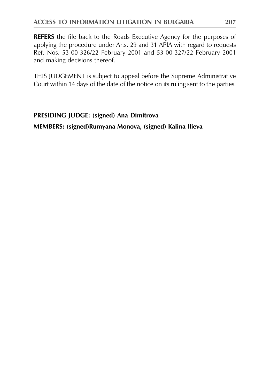**REFERS** the file back to the Roads Executive Agency for the purposes of applying the procedure under Arts. 29 and 31 APIA with regard to requests Ref. Nos. 53-00-326/22 February 2001 and 53-00-327/22 February 2001 and making decisions thereof.

THIS JUDGEMENT is subject to appeal before the Supreme Administrative Court within 14 days of the date of the notice on its ruling sent to the parties.

# PRESIDING JUDGE: (signed) Ana Dimitrova

MEMBERS: (signed)Rumyana Monova, (signed) Kalina Ilieva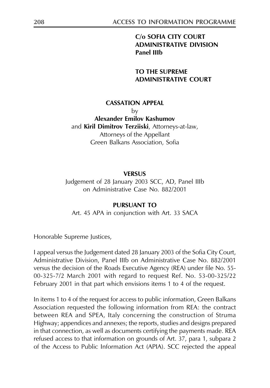#### C/o SOFIA CITY COURT **ADMINISTRATIVE DIVISION Panel IIIb**

**TO THE SUPREME ADMINISTRATIVE COURT** 

#### **CASSATION APPEAL**

hv

**Alexander Emilov Kashumov** and Kiril Dimitrov Terziiski, Attorneys-at-law, Attorneys of the Appellant Green Balkans Association, Sofia

#### **VERSUS**

Judgement of 28 January 2003 SCC, AD, Panel IIIb on Administrative Case No. 882/2001

#### PURSUANT TO

Art. 45 APA in conjunction with Art. 33 SACA

Honorable Supreme Justices,

I appeal versus the Judgement dated 28 January 2003 of the Sofia City Court, Administrative Division, Panel IIIb on Administrative Case No. 882/2001 versus the decision of the Roads Executive Agency (REA) under file No. 55-00-325-7/2 March 2001 with regard to request Ref. No. 53-00-325/22 February 2001 in that part which envisions items 1 to 4 of the request.

In items 1 to 4 of the request for access to public information, Green Balkans Association requested the following information from REA: the contract between REA and SPEA, Italy concerning the construction of Struma Highway; appendices and annexes; the reports, studies and designs prepared in that connection, as well as documents certifying the payments made. REA refused access to that information on grounds of Art. 37, para 1, subpara 2 of the Access to Public Information Act (APIA). SCC rejected the appeal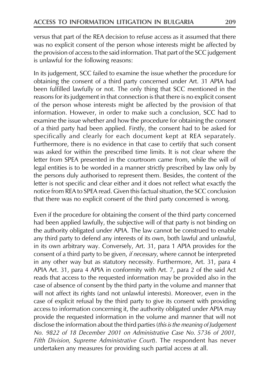versus that part of the REA decision to refuse access as it assumed that there was no explicit consent of the person whose interests might be affected by the provision of access to the said information. That part of the SCC judgement is unlawful for the following reasons:

In its judgement, SCC failed to examine the issue whether the procedure for obtaining the consent of a third party concerned under Art. 31 APIA had been fulfilled lawfully or not. The only thing that SCC mentioned in the reasons for its judgement in that connection is that there is no explicit consent of the person whose interests might be affected by the provision of that information. However, in order to make such a conclusion, SCC had to examine the issue whether and how the procedure for obtaining the consent of a third party had been applied. Firstly, the consent had to be asked for specifically and clearly for each document kept at REA separately. Furthermore, there is no evidence in that case to certify that such consent was asked for within the prescribed time limits. It is not clear where the letter from SPEA presented in the courtroom came from, while the will of legal entities is to be worded in a manner strictly prescribed by law only by the persons duly authorised to represent them. Besides, the content of the letter is not specific and clear either and it does not reflect what exactly the notice from REA to SPEA read. Given this factual situation, the SCC conclusion that there was no explicit consent of the third party concerned is wrong.

Even if the procedure for obtaining the consent of the third party concerned had been applied lawfully, the subjective will of that party is not binding on the authority obligated under APIA. The law cannot be construed to enable any third party to defend any interests of its own, both lawful and unlawful, in its own arbitrary way. Conversely, Art. 31, para 1 APIA provides for the consent of a third party to be given, *if necessary*, where cannot be interpreted in any other way but as statutory necessity. Furthermore, Art. 31, para 4 APIA Art. 31, para 4 APIA in conformity with Art. 7, para 2 of the said Act reads that access to the requested information may be provided also in the case of absence of consent by the third party in the volume and manner that will not affect its rights (and not unlawful interests). Moreover, even in the case of explicit refusal by the third party to give its consent with providing access to information concerning it, the authority obligated under APIA may provide the requested information in the volume and manner that will not disclose the information about the third parties (this is the meaning of Judgement No. 9822 of 18 December 2001 on Administrative Case No. 5736 of 2001, Fifth Division, Supreme Administrative Court). The respondent has never undertaken any measures for providing such partial access at all.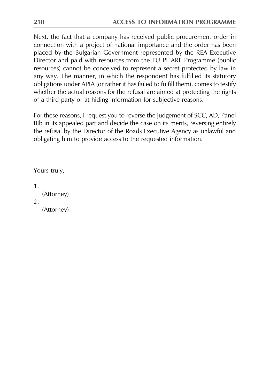Next, the fact that a company has received public procurement order in connection with a project of national importance and the order has been placed by the Bulgarian Government represented by the REA Executive Director and paid with resources from the EU PHARE Programme (public resources) cannot be conceived to represent a secret protected by law in any way. The manner, in which the respondent has fulfilled its statutory obligations under APIA (or rather it has failed to fulfill them), comes to testify whether the actual reasons for the refusal are aimed at protecting the rights of a third party or at hiding information for subjective reasons.

For these reasons, I request you to reverse the judgement of SCC, AD, Panel IIIb in its appealed part and decide the case on its merits, reversing entirely the refusal by the Director of the Roads Executive Agency as unlawful and obligating him to provide access to the requested information.

Yours truly,

 $\mathbf{1}$ (Attorney) 2. (Attorney)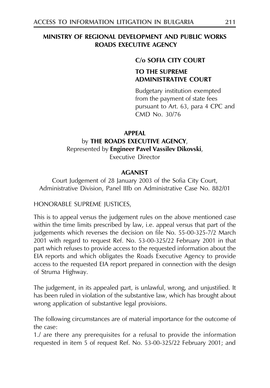#### MINISTRY OF REGIONAL DEVELOPMENT AND PUBLIC WORKS **ROADS EXECUTIVE AGENCY**

#### C/o SOFIA CITY COURT

# **TO THE SUPREME ADMINISTRATIVE COURT**

Budgetary institution exempted from the payment of state fees pursuant to Art. 63, para 4 CPC and CMD No. 30/76

#### **APPEAL**

#### by THE ROADS EXECUTIVE AGENCY, Represented by Engineer Pavel Vassilev Dikovski, Executive Director

#### **AGANIST**

Court Judgement of 28 January 2003 of the Sofia City Court, Administrative Division, Panel IIIb on Administrative Case No. 882/01

HONORABLE SUPREME JUSTICES,

This is to appeal versus the judgement rules on the above mentioned case within the time limits prescribed by law, i.e. appeal versus that part of the judgements which reverses the decision on file No. 55-00-325-7/2 March 2001 with regard to request Ref. No. 53-00-325/22 February 2001 in that part which refuses to provide access to the requested information about the EIA reports and which obligates the Roads Executive Agency to provide access to the requested EIA report prepared in connection with the design of Struma Highway.

The judgement, in its appealed part, is unlawful, wrong, and unjustified. It has been ruled in violation of the substantive law, which has brought about wrong application of substantive legal provisions.

The following circumstances are of material importance for the outcome of the case:

1./ are there any prerequisites for a refusal to provide the information requested in item 5 of request Ref. No. 53-00-325/22 February 2001; and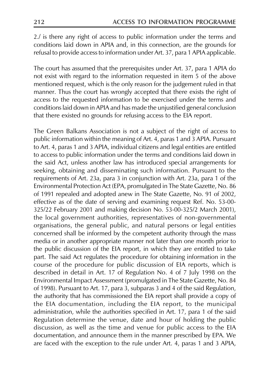2./ is there any right of access to public information under the terms and conditions laid down in APIA and, in this connection, are the grounds for refusal to provide access to information under Art. 37, para 1 APIA applicable.

The court has assumed that the prerequisites under Art. 37, para 1 APIA do not exist with regard to the information requested in item 5 of the above mentioned request, which is the only reason for the judgement ruled in that manner. Thus the court has wrongly accepted that there exists the right of access to the requested information to be exercised under the terms and conditions laid down in APIA and has made the unjustified general conclusion that there existed no grounds for refusing access to the EIA report.

The Green Balkans Association is not a subject of the right of access to public information within the meaning of Art. 4, paras 1 and 3 APIA. Pursuant to Art. 4, paras 1 and 3 APIA, individual citizens and legal entities are entitled to access to public information under the terms and conditions laid down in the said Act, unless another law has introduced special arrangements for seeking, obtaining and disseminating such information. Pursuant to the requirements of Art. 23a, para 3 in conjunction with Art. 23a, para 1 of the Environmental Protection Act (EPA, promulgated in The State Gazette, No. 86 of 1991 repealed and adopted anew in The State Gazette, No. 91 of 2002, effective as of the date of serving and examining request Ref. No. 53-00-325/22 February 2001 and making decision No. 53-00-325/2 March 2001), the local government authorities, representatives of non-governmental organisations, the general public, and natural persons or legal entities concerned shall be informed by the competent authority through the mass media or in another appropriate manner not later than one month prior to the public discussion of the EIA report, in which they are entitled to take part. The said Act regulates the procedure for obtaining information in the course of the procedure for public discussion of EIA reports, which is described in detail in Art. 17 of Regulation No. 4 of 7 July 1998 on the Environmental Impact Assessment (promulgated in The State Gazette, No. 84 of 1998). Pursuant to Art. 17, para 3, subparas 3 and 4 of the said Regulation, the authority that has commissioned the EIA report shall provide a copy of the EIA documentation, including the EIA report, to the municipal administration, while the authorities specified in Art. 17, para 1 of the said Regulation determine the venue, date and hour of holding the public discussion, as well as the time and venue for public access to the EIA documentation, and announce them in the manner prescribed by EPA. We are faced with the exception to the rule under Art. 4, paras 1 and 3 APIA,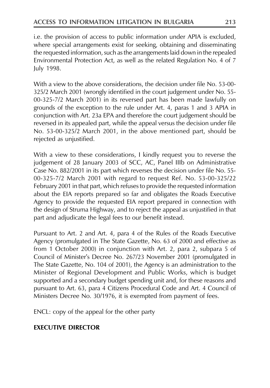i.e. the provision of access to public information under APIA is excluded, where special arrangements exist for seeking, obtaining and disseminating the requested information, such as the arrangements laid down in the repealed Environmental Protection Act, as well as the related Regulation No. 4 of 7 July 1998.

With a view to the above considerations, the decision under file No. 53-00-325/2 March 2001 (wrongly identified in the court judgement under No. 55-00-325-7/2 March 2001) in its reversed part has been made lawfully on grounds of the exception to the rule under Art. 4, paras 1 and 3 APIA in conjunction with Art. 23a EPA and therefore the court judgement should be reversed in its appealed part, while the appeal versus the decision under file No. 53-00-325/2 March 2001, in the above mentioned part, should be rejected as unjustified.

With a view to these considerations, I kindly request you to reverse the judgement of 28 January 2003 of SCC, AC, Panel IIIb on Administrative Case No. 882/2001 in its part which reverses the decision under file No. 55-00-325-7/2 March 2001 with regard to request Ref. No. 53-00-325/22 February 2001 in that part, which refuses to provide the requested information about the EIA reports prepared so far and obligates the Roads Executive Agency to provide the requested EIA report prepared in connection with the design of Struma Highway, and to reject the appeal as unjustified in that part and adjudicate the legal fees to our benefit instead.

Pursuant to Art. 2 and Art. 4, para 4 of the Rules of the Roads Executive Agency (promulgated in The State Gazette, No. 63 of 2000 and effective as from 1 October 2000) in conjunction with Art. 2, para 2, subpara 5 of Council of Minister's Decree No. 267/23 November 2001 (promulgated in The State Gazette, No. 104 of 2001), the Agency is an administration to the Minister of Regional Development and Public Works, which is budget supported and a secondary budget spending unit and, for these reasons and pursuant to Art. 63, para 4 Citizens Procedural Code and Art. 4 Council of Ministers Decree No. 30/1976, it is exempted from payment of fees.

ENCL: copy of the appeal for the other party

# **FXECUTIVE DIRECTOR**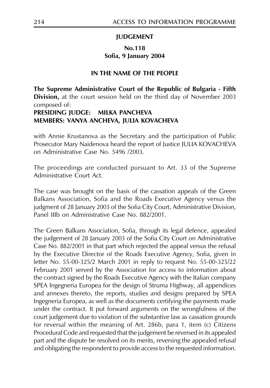#### **JUDGEMENT**

#### **No.118** Sofia, 9 January 2004

#### IN THE NAME OF THE PEOPLE

The Supreme Administrative Court of the Republic of Bulgaria - Fifth Division, at the court session held on the third day of November 2003 composed of: **PRESIDING JUDGE: MILKA PANCHEVA** 

# MEMBERS: VANYA ANCHEVA, JULIA KOVACHEVA

with Annie Krustanova as the Secretary and the participation of Public Prosecutor Mary Naidenova heard the report of Justice JULIA KOVACHEVA on Administrative Case No. 5496 /2003.

The proceedings are conducted pursuant to Art. 33 of the Supreme Administrative Court Act.

The case was brought on the basis of the cassation appeals of the Green Balkans Association, Sofia and the Roads Executive Agency versus the judgment of 28 January 2003 of the Sofia City Court, Administrative Division, Panel IIIb on Administrative Case No. 882/2001

The Green Balkans Association, Sofia, through its legal defence, appealed the judgement of 28 January 2003 of the Sofia City Court on Administrative Case No. 882/2001 in that part which rejected the appeal versus the refusal by the Executive Director of the Roads Executive Agency, Sofia, given in letter No. 55-00-325/2 March 2001 in reply to request No. 55-00-325/22 February 2001 served by the Association for access to information about the contract signed by the Roads Executive Agency with the Italian company SPEA Ingegneria Europea for the design of Struma Highway, all appendices and annexes thereto, the reports, studies and designs prepared by SPEA Ingegneria Europea, as well as the documents certifying the payments made under the contract. It put forward arguments on the wrongfulness of the court judgement due to violation of the substantive law as cassation grounds for reversal within the meaning of Art. 286b, para 1, item (c) Citizens Procedural Code and requested that the judgement be reversed in its appealed part and the dispute be resolved on its merits, reversing the appealed refusal and obligating the respondent to provide access to the requested information.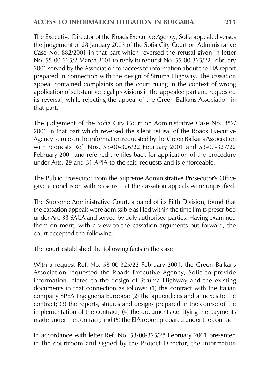The Executive Director of the Roads Executive Agency, Sofia appealed versus the judgement of 28 January 2003 of the Sofia City Court on Administrative Case No. 882/2001 in that part which reversed the refusal given in letter No. 55-00-325/2 March 2001 in reply to request No. 55-00-325/22 February 2001 served by the Association for access to information about the EIA report prepared in connection with the design of Struma Highway. The cassation appeal contained complaints on the court ruling in the context of wrong application of substantive legal provisions in the appealed part and requested its reversal, while rejecting the appeal of the Green Balkans Association in that part.

The judgement of the Sofia City Court on Administrative Case No. 882/ 2001 in that part which reversed the silent refusal of the Roads Executive Agency to rule on the information requested by the Green Balkans Association with requests Ref. Nos. 53-00-326/22 February 2001 and 53-00-327/22 February 2001 and referred the files back for application of the procedure under Arts. 29 and 31 APIA to the said requests and is enforceable.

The Public Prosecutor from the Supreme Administrative Prosecutor's Office gave a conclusion with reasons that the cassation appeals were unjustified.

The Supreme Administrative Court, a panel of its Fifth Division, found that the cassation appeals were admissible as filed within the time limits prescribed under Art. 33 SACA and served by duly authorised parties. Having examined them on merit, with a view to the cassation arguments put forward, the court accepted the following:

The court established the following facts in the case:

With a request Ref. No. 53-00-325/22 February 2001, the Green Balkans Association requested the Roads Executive Agency, Sofia to provide information related to the design of Struma Highway and the existing documents in that connection as follows: (1) the contract with the Italian company SPEA Ingegneria Europea; (2) the appendices and annexes to the contract; (3) the reports, studies and designs prepared in the course of the implementation of the contract; (4) the documents certifying the payments made under the contract; and (5) the EIA report prepared under the contract.

In accordance with letter Ref. No. 53-00-325/28 February 2001 presented in the courtroom and signed by the Project Director, the information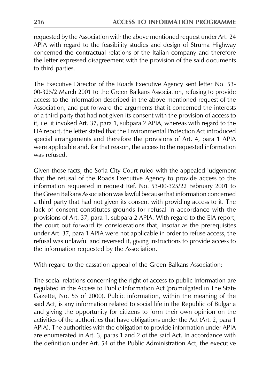requested by the Association with the above mentioned request under Art. 24 APIA with regard to the feasibility studies and design of Struma Highway concerned the contractual relations of the Italian company and therefore the letter expressed disagreement with the provision of the said documents to third parties.

The Executive Director of the Roads Executive Agency sent letter No. 53-00-325/2 March 2001 to the Green Balkans Association, refusing to provide access to the information described in the above mentioned request of the Association, and put forward the arguments that it concerned the interests of a third party that had not given its consent with the provision of access to it, i.e. it invoked Art. 37, para 1, subpara 2 APIA, whereas with regard to the EIA report, the letter stated that the Environmental Protection Act introduced special arrangements and therefore the provisions of Art. 4, para 1 APIA were applicable and, for that reason, the access to the requested information was refused.

Given those facts, the Sofia City Court ruled with the appealed judgement that the refusal of the Roads Executive Agency to provide access to the information requested in request Ref. No. 53-00-325/22 February 2001 to the Green Balkans Association was lawful because that information concerned a third party that had not given its consent with providing access to it. The lack of consent constitutes grounds for refusal in accordance with the provisions of Art. 37, para 1, subpara 2 APIA. With regard to the EIA report, the court out forward its considerations that, insofar as the prerequisites under Art. 37, para 1 APIA were not applicable in order to refuse access, the refusal was unlawful and reversed it, giving instructions to provide access to the information requested by the Association.

With regard to the cassation appeal of the Green Balkans Association:

The social relations concerning the right of access to public information are regulated in the Access to Public Information Act (promulgated in The State Gazette, No. 55 of 2000). Public information, within the meaning of the said Act, is any information related to social life in the Republic of Bulgaria and giving the opportunity for citizens to form their own opinion on the activities of the authorities that have obligations under the Act (Art. 2, para 1 APIA). The authorities with the obligation to provide information under APIA are enumerated in Art. 3, paras 1 and 2 of the said Act. In accordance with the definition under Art. 54 of the Public Administration Act, the executive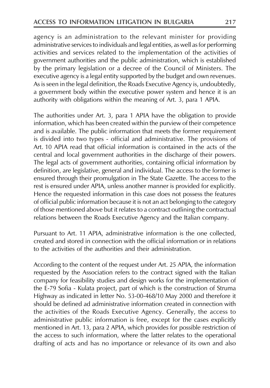agency is an administration to the relevant minister for providing administrative services to individuals and legal entities, as well as for performing activities and services related to the implementation of the activities of government authorities and the public administration, which is established by the primary legislation or a decree of the Council of Ministers. The executive agency is a legal entity supported by the budget and own revenues. As is seen in the legal definition, the Roads Executive Agency is, undoubtedly, a government body within the executive power system and hence it is an authority with obligations within the meaning of Art. 3, para 1 APIA.

The authorities under Art. 3, para 1 APIA have the obligation to provide information, which has been created within the purview of their competence and is available. The public information that meets the former requirement is divided into two types - official and administrative. The provisions of Art. 10 APIA read that official information is contained in the acts of the central and local government authorities in the discharge of their powers. The legal acts of government authorities, containing official information by definition, are legislative, general and individual. The access to the former is ensured through their promulgation in The State Gazette. The access to the rest is ensured under APIA, unless another manner is provided for explicitly. Hence the requested information in this case does not possess the features of official public information because it is not an act belonging to the category of those mentioned above but it relates to a contract outlining the contractual relations between the Roads Executive Agency and the Italian company.

Pursuant to Art. 11 APIA, administrative information is the one collected, created and stored in connection with the official information or in relations to the activities of the authorities and their administration.

According to the content of the request under Art. 25 APIA, the information requested by the Association refers to the contract signed with the Italian company for feasibility studies and design works for the implementation of the E-79 Sofia - Kulata project, part of which is the construction of Struma Highway as indicated in letter No. 53-00-468/10 May 2000 and therefore it should be defined ad administrative information created in connection with the activities of the Roads Executive Agency. Generally, the access to administrative public information is free, except for the cases explicitly mentioned in Art. 13, para 2 APIA, which provides for possible restriction of the access to such information, where the latter relates to the operational drafting of acts and has no importance or relevance of its own and also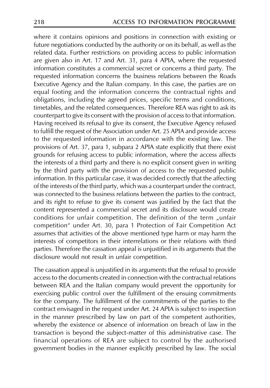where it contains opinions and positions in connection with existing or future negotiations conducted by the authority or on its behalf, as well as the related data. Further restrictions on providing access to public information are given also in Art. 17 and Art.  $31$ , para  $\frac{3}{4}$  APIA, where the requested information constitutes a commercial secret or concerns a third party. The requested information concerns the business relations between the Roads Executive Agency and the Italian company. In this case, the parties are on equal footing and the information concerns the contractual rights and obligations, including the agreed prices, specific terms and conditions, timetables, and the related consequences. Therefore REA was right to ask its counterpart to give its consent with the provision of access to that information. Having received its refusal to give its consent, the Executive Agency refused to fulfill the request of the Association under Art. 25 APIA and provide access to the requested information in accordance with the existing law. The provisions of Art. 37, para 1, subpara 2 APIA state explicitly that there exist grounds for refusing access to public information, where the access affects the interests of a third party and there is no explicit consent given in writing by the third party with the provision of access to the requested public information. In this particular case, it was decided correctly that the affecting of the interests of the third party, which was a counterpart under the contract, was connected to the business relations between the parties to the contract, and its right to refuse to give its consent was justified by the fact that the content represented a commercial secret and its disclosure would create conditions for unfair competition. The definition of the term "unfair competition" under Art. 30, para 1 Protection of Fair Competition Act assumes that activities of the above mentioned type harm or may harm the interests of competitors in their interrelations or their relations with third parties. Therefore the cassation appeal is unjustified in its arguments that the disclosure would not result in unfair competition.

The cassation appeal is unjustified in its arguments that the refusal to provide access to the documents created in connection with the contractual relations between REA and the Italian company would prevent the opportunity for exercising public control over the fulfillment of the ensuing commitments for the company. The fulfillment of the commitments of the parties to the contract envisaged in the request under Art. 24 APIA is subject to inspection in the manner prescribed by law on part of the competent authorities, whereby the existence or absence of information on breach of law in the transaction is beyond the subject-matter of this administrative case. The financial operations of REA are subject to control by the authorised government bodies in the manner explicitly prescribed by law. The social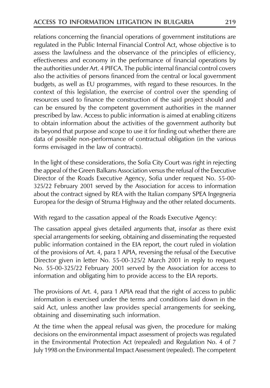relations concerning the financial operations of government institutions are regulated in the Public Internal Financial Control Act, whose objective is to assess the lawfulness and the observance of the principles of efficiency, effectiveness and economy in the performance of financial operations by the authorities under Art. 4 PIFCA. The public internal financial control covers also the activities of persons financed from the central or local government budgets, as well as EU programmes, with regard to these resources. In the context of this legislation, the exercise of control over the spending of resources used to finance the construction of the said project should and can be ensured by the competent government authorities in the manner prescribed by law. Access to public information is aimed at enabling citizens to obtain information about the activities of the government authority but its beyond that purpose and scope to use it for finding out whether there are data of possible non-performance of contractual obligation (in the various forms envisaged in the law of contracts).

In the light of these considerations, the Sofia City Court was right in rejecting the appeal of the Green Balkans Association versus the refusal of the Executive Director of the Roads Executive Agency, Sofia under request No. 55-00-325/22 February 2001 served by the Association for access to information about the contract signed by REA with the Italian company SPEA Ingegneria Europea for the design of Struma Highway and the other related documents.

With regard to the cassation appeal of the Roads Executive Agency:

The cassation appeal gives detailed arguments that, insofar as there exist special arrangements for seeking, obtaining and disseminating the requested public information contained in the EIA report, the court ruled in violation of the provisions of Art. 4, para 1 APIA, reversing the refusal of the Executive Director given in letter No. 55-00-325/2 March 2001 in reply to request No. 55-00-325/22 February 2001 served by the Association for access to information and obligating him to provide access to the EIA reports.

The provisions of Art. 4, para 1 APIA read that the right of access to public information is exercised under the terms and conditions laid down in the said Act, unless another law provides special arrangements for seeking, obtaining and disseminating such information.

At the time when the appeal refusal was given, the procedure for making decisions on the environmental impact assessment of projects was regulated in the Environmental Protection Act (repealed) and Regulation No. 4 of 7 July 1998 on the Environmental Impact Assessment (repealed). The competent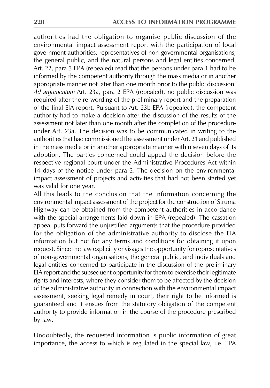authorities had the obligation to organise public discussion of the environmental impact assessment report with the participation of local government authorities, representatives of non-governmental organisations, the general public, and the natural persons and legal entities concerned. Art. 22, para 3 EPA (repealed) read that the persons under para 1 had to be informed by the competent authority through the mass media or in another appropriate manner not later than one month prior to the public discussion. Ad argumentum Art. 23a, para 2 EPA (repealed), no public discussion was required after the re-wording of the preliminary report and the preparation of the final EIA report. Pursuant to Art. 23b EPA (repealed), the competent authority had to make a decision after the discussion of the results of the assessment not later than one month after the completion of the procedure under Art. 23a. The decision was to be communicated in writing to the authorities that had commissioned the assessment under Art. 21 and published in the mass media or in another appropriate manner within seven days of its adoption. The parties concerned could appeal the decision before the respective regional court under the Administrative Procedures Act within 14 days of the notice under para 2. The decision on the environmental impact assessment of projects and activities that had not been started yet was valid for one year.

All this leads to the conclusion that the information concerning the environmental impact assessment of the project for the construction of Struma Highway can be obtained from the competent authorities in accordance with the special arrangements laid down in EPA (repealed). The cassation appeal puts forward the unjustified arguments that the procedure provided for the obligation of the administrative authority to disclose the EIA information but not for any terms and conditions for obtaining it upon request. Since the law explicitly envisages the opportunity for representatives of non-governmental organisations, the general public, and individuals and legal entities concerned to participate in the discussion of the preliminary EIA report and the subsequent opportunity for them to exercise their legitimate rights and interests, where they consider them to be affected by the decision of the administrative authority in connection with the environmental impact assessment, seeking legal remedy in court, their right to be informed is guaranteed and it ensues from the statutory obligation of the competent authority to provide information in the course of the procedure prescribed by law.

Undoubtedly, the requested information is public information of great importance, the access to which is regulated in the special law, i.e. EPA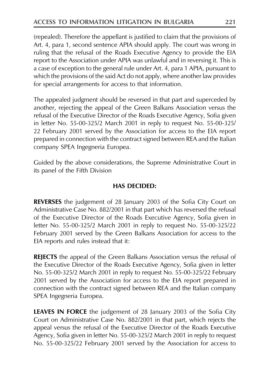(repealed). Therefore the appellant is justified to claim that the provisions of Art. 4, para 1, second sentence APIA should apply. The court was wrong in ruling that the refusal of the Roads Executive Agency to provide the EIA report to the Association under APIA was unlawful and in reversing it. This is a case of exception to the general rule under Art. 4, para 1 APIA, pursuant to which the provisions of the said Act do not apply, where another law provides for special arrangements for access to that information.

The appealed judgment should be reversed in that part and superceded by another, rejecting the appeal of the Green Balkans Association versus the refusal of the Executive Director of the Roads Executive Agency, Sofia given in letter No. 55-00-325/2 March 2001 in reply to request No. 55-00-325/ 22 February 2001 served by the Association for access to the EIA report prepared in connection with the contract signed between REA and the Italian company SPEA Ingegneria Europea.

Guided by the above considerations, the Supreme Administrative Court in its panel of the Fifth Division

# **HAS DECIDED:**

**REVERSES** the judgement of 28 January 2003 of the Sofia City Court on Administrative Case No. 882/2001 in that part which has reversed the refusal of the Executive Director of the Roads Executive Agency, Sofia given in letter No. 55-00-325/2 March 2001 in reply to request No. 55-00-325/22 February 2001 served by the Green Balkans Association for access to the EIA reports and rules instead that it:

**REJECTS** the appeal of the Green Balkans Association versus the refusal of the Executive Director of the Roads Executive Agency, Sofia given in letter No. 55-00-325/2 March 2001 in reply to request No. 55-00-325/22 February 2001 served by the Association for access to the EIA report prepared in connection with the contract signed between REA and the Italian company SPEA Ingegneria Europea.

**LEAVES IN FORCE** the judgement of 28 January 2003 of the Sofia City Court on Administrative Case No. 882/2001 in that part, which rejects the appeal versus the refusal of the Executive Director of the Roads Executive Agency, Sofia given in letter No. 55-00-325/2 March 2001 in reply to request No. 55-00-325/22 February 2001 served by the Association for access to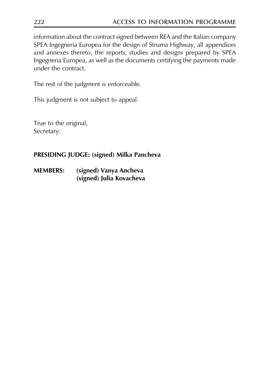information about the contract signed between REA and the Italian company SPEA Ingegneria Europea for the design of Struma Highway, all appendices and annexes thereto, the reports, studies and designs prepared by SPEA Ingegneria Europea, as well as the documents certifying the payments made under the contract.

The rest of the judgment is enforceable.

This judgment is not subject to appeal.

True to the original, Secretary:

# PRESIDING JUDGE: (signed) Milka Pancheva

(signed) Vanya Ancheva **MEMBERS:** (signed) Julia Kovacheva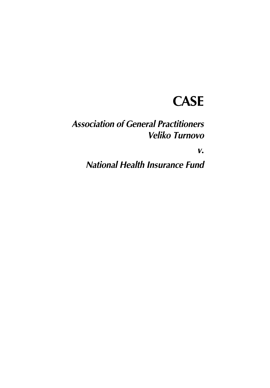# **CASE**

# **Association of General Practitioners Veliko Turnovo**

 $V_{\bullet}$ 

**National Health Insurance Fund**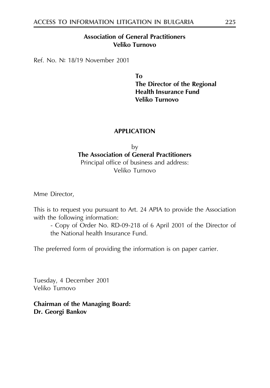### **Association of General Practitioners** Veliko Turnovo

Ref. No. № 18/19 November 2001

**Το** The Director of the Regional **Health Insurance Fund** Veliko Turnovo

### **APPLICATION**

bv The Association of General Practitioners Principal office of business and address: Veliko Turnovo

Mme Director,

This is to request you pursuant to Art. 24 APIA to provide the Association with the following information:

- Copy of Order No. RD-09-218 of 6 April 2001 of the Director of the National health Insurance Fund.

The preferred form of providing the information is on paper carrier.

Tuesday, 4 December 2001 Veliko Turnovo

**Chairman of the Managing Board:** Dr. Georgi Bankov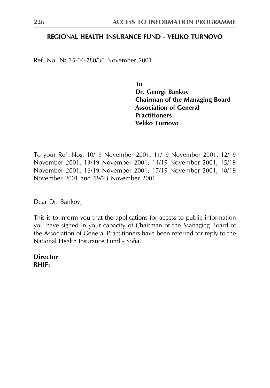### REGIONAL HEALTH INSURANCE FUND - VELIKO TURNOVO

Ref. No. № 35-04-780/30 November 2001

**Το** Dr. Georgi Bankov **Chairman of the Managing Board Association of General Practitioners** Veliko Turnovo

To your Ref. Nos. 10/19 November 2001, 11/19 November 2001, 12/19 November 2001, 13/19 November 2001, 14/19 November 2001, 15/19 November 2001, 16/19 November 2001, 17/19 November 2001, 18/19 November 2001 and 19/23 November 2001

Dear Dr. Bankov,

This is to inform you that the applications for access to public information you have signed in your capacity of Chairman of the Managing Board of the Association of General Practitioners have been referred for reply to the National Health Insurance Fund - Sofia

**Director RHIF:**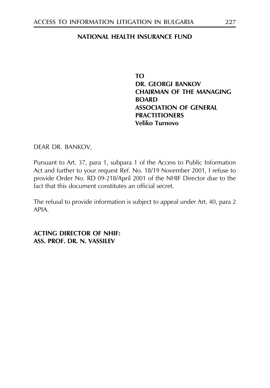### NATIONAL HEALTH INSURANCE FUND

**TO DR. GEORGI BANKOV CHAIRMAN OF THE MANAGING ROARD ASSOCIATION OF GENERAL PRACTITIONERS** Veliko Turnovo

DEAR DR. BANKOV,

Pursuant to Art. 37, para 1, subpara 1 of the Access to Public Information Act and further to your request Ref. No. 18/19 November 2001, I refuse to provide Order No. RD 09-218/April 2001 of the NHIF Director due to the fact that this document constitutes an official secret

The refusal to provide information is subject to appeal under Art. 40, para 2 APIA.

**ACTING DIRECTOR OF NHIF:** ASS. PROF. DR. N. VASSILEV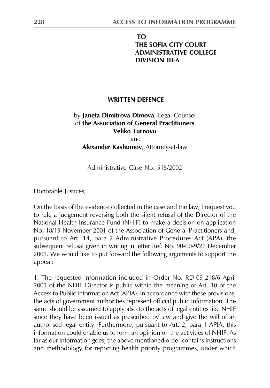# **TO** THE SOFIA CITY COURT **ADMINISTRATIVE COLLEGE DIVISION III-A**

### **WRITTEN DEFENCE**

# by Janeta Dimitrova Dimova, Legal Counsel of the Association of General Practitioners Veliko Turnovo

and

Alexander Kashumov, Attorney-at-law

Administrative Case No. 515/2002

Honorable Justices,

On the basis of the evidence collected in the case and the law, I request you to rule a judgement reversing both the silent refusal of the Director of the National Health Insurance Fund (NHIF) to make a decision on application No. 18/19 November 2001 of the Association of General Practitioners and, pursuant to Art. 14, para 2 Administrative Procedures Act (APA), the subsequent refusal given in writing in letter Ref. No. 90-00-9/27 December 2001. We would like to put forward the following arguments to support the appeal:

1. The requested information included in Order No. RD-09-218/6 April 2001 of the NHIF Director is public within the meaning of Art. 10 of the Access to Public Information Act (APIA). In accordance with these provisions, the acts of government authorities represent official public information. The same should be assumed to apply also to the acts of legal entities like NHIF since they have been issued as prescribed by law and give the will of an authorised legal entity. Furthermore, pursuant to Art. 2, para 1 APIA, this information could enable us to form an opinion on the activities of NHIF. As far as our information goes, the above mentioned order contains instructions and methodology for reporting health priority programmes, under which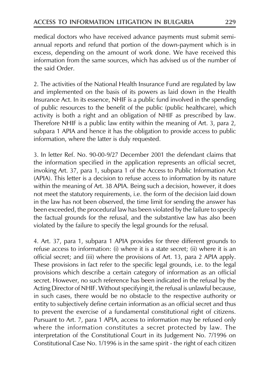medical doctors who have received advance payments must submit semiannual reports and refund that portion of the down-payment which is in excess, depending on the amount of work done. We have received this information from the same sources, which has advised us of the number of the said Order.

2. The activities of the National Health Insurance Fund are regulated by law and implemented on the basis of its powers as laid down in the Health Insurance Act. In its essence, NHIF is a public fund involved in the spending of public resources to the benefit of the public (public healthcare), which activity is both a right and an obligation of NHIF as prescribed by law. Therefore NHIF is a public law entity within the meaning of Art. 3, para 2, subpara 1 APIA and hence it has the obligation to provide access to public information, where the latter is duly requested.

3. In letter Ref. No. 90-00-9/27 December 2001 the defendant claims that the information specified in the application represents an official secret, invoking Art. 37, para 1, subpara 1 of the Access to Public Information Act (APIA). This letter is a decision to refuse access to information by its nature within the meaning of Art. 38 APIA. Being such a decision, however, it does not meet the statutory requirements, i.e. the form of the decision laid down in the law has not been observed, the time limit for sending the answer has been exceeded, the procedural law has been violated by the failure to specify the factual grounds for the refusal, and the substantive law has also been violated by the failure to specify the legal grounds for the refusal.

4. Art. 37, para 1, subpara 1 APIA provides for three different grounds to refuse access to information: (i) where it is a state secret; (ii) where it is an official secret; and (iii) where the provisions of Art. 13, para 2 APIA apply. These provisions in fact refer to the specific legal grounds, i.e. to the legal provisions which describe a certain category of information as an official secret. However, no such reference has been indicated in the refusal by the Acting Director of NHIF. Without specifying it, the refusal is unlawful because, in such cases, there would be no obstacle to the respective authority or entity to subjectively define certain information as an official secret and thus to prevent the exercise of a fundamental constitutional right of citizens. Pursuant to Art. 7, para 1 APIA, access to information may be refused only where the information constitutes a secret protected by law. The interpretation of the Constitutional Court in its Judgement No. 7/1996 on Constitutional Case No. 1/1996 is in the same spirit - the right of each citizen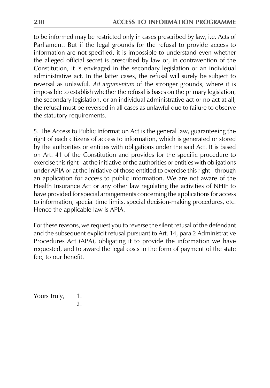to be informed may be restricted only in cases prescribed by law, i.e. Acts of Parliament. But if the legal grounds for the refusal to provide access to information are not specified, it is impossible to understand even whether the alleged official secret is prescribed by law or, in contravention of the Constitution, it is envisaged in the secondary legislation or an individual administrative act. In the latter cases, the refusal will surely be subject to reversal as unlawful. Ad argumentum of the stronger grounds, where it is impossible to establish whether the refusal is bases on the primary legislation, the secondary legislation, or an individual administrative act or no act at all, the refusal must be reversed in all cases as unlawful due to failure to observe the statutory requirements.

5. The Access to Public Information Act is the general law, guaranteeing the right of each citizens of access to information, which is generated or stored by the authorities or entities with obligations under the said Act. It is based on Art. 41 of the Constitution and provides for the specific procedure to exercise this right - at the initiative of the authorities or entities with obligations under APIA or at the initiative of those entitled to exercise this right - through an application for access to public information. We are not aware of the Health Insurance Act or any other law regulating the activities of NHIF to have provided for special arrangements concerning the applications for access to information, special time limits, special decision-making procedures, etc. Hence the applicable law is APIA.

For these reasons, we request you to reverse the silent refusal of the defendant and the subsequent explicit refusal pursuant to Art. 14, para 2 Administrative Procedures Act (APA), obligating it to provide the information we have requested, and to award the legal costs in the form of payment of the state fee, to our benefit.

Yours truly, 1.  $\mathfrak{D}$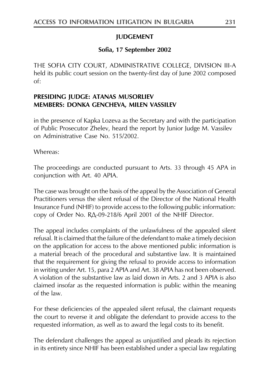# **JUDGEMENT**

# Sofia, 17 September 2002

THE SOFIA CITY COURT, ADMINISTRATIVE COLLEGE, DIVISION III-A held its public court session on the twenty-first day of June 2002 composed  $\alpha$ f

# PRESIDING JUDGE: ATANAS MUSORLIEV **MEMBERS: DONKA GENCHEVA, MILEN VASSILEV**

in the presence of Kapka Lozeva as the Secretary and with the participation of Public Prosecutor Zhelev, heard the report by Junior Judge M. Vassilev on Administrative Case No. 515/2002.

Whereas:

The proceedings are conducted pursuant to Arts. 33 through 45 APA in conjunction with Art. 40 APIA.

The case was brought on the basis of the appeal by the Association of General Practitioners versus the silent refusal of the Director of the National Health Insurance Fund (NHIF) to provide access to the following public information: copy of Order No. RA-09-218/6 April 2001 of the NHIF Director.

The appeal includes complaints of the unlawfulness of the appealed silent refusal. It is claimed that the failure of the defendant to make a timely decision on the application for access to the above mentioned public information is a material breach of the procedural and substantive law. It is maintained that the requirement for giving the refusal to provide access to information in writing under Art. 15, para 2 APIA and Art. 38 APIA has not been observed. A violation of the substantive law as laid down in Arts. 2 and 3 APIA is also claimed insofar as the requested information is public within the meaning of the law

For these deficiencies of the appealed silent refusal, the claimant requests the court to reverse it and obligate the defendant to provide access to the requested information, as well as to award the legal costs to its benefit.

The defendant challenges the appeal as unjustified and pleads its rejection in its entirety since NHIF has been established under a special law regulating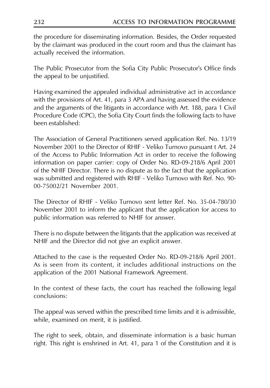the procedure for disseminating information. Besides, the Order requested by the claimant was produced in the court room and thus the claimant has actually received the information.

The Public Prosecutor from the Sofia City Public Prosecutor's Office finds the appeal to be unjustified.

Having examined the appealed individual administrative act in accordance with the provisions of Art. 41, para 3 APA and having assessed the evidence and the arguments of the litigants in accordance with Art. 188, para 1 Civil Procedure Code (CPC), the Sofia City Court finds the following facts to have been established:

The Association of General Practitioners served application Ref. No. 13/19 November 2001 to the Director of RHIF - Veliko Turnovo pursuant t Art. 24 of the Access to Public Information Act in order to receive the following information on paper carrier: copy of Order No. RD-09-218/6 April 2001 of the NHIF Director. There is no dispute as to the fact that the application was submitted and registered with RHIF - Veliko Turnovo with Ref. No. 90-00-75002/21 November 2001

The Director of RHIF - Veliko Turnovo sent letter Ref. No. 35-04-780/30 November 2001 to inform the applicant that the application for access to public information was referred to NHIF for answer.

There is no dispute between the litigants that the application was received at NHIF and the Director did not give an explicit answer.

Attached to the case is the requested Order No. RD-09-218/6 April 2001. As is seen from its content, it includes additional instructions on the application of the 2001 National Framework Agreement.

In the context of these facts, the court has reached the following legal conclusions:

The appeal was served within the prescribed time limits and it is admissible, while, examined on merit, it is justified.

The right to seek, obtain, and disseminate information is a basic human right. This right is enshrined in Art. 41, para 1 of the Constitution and it is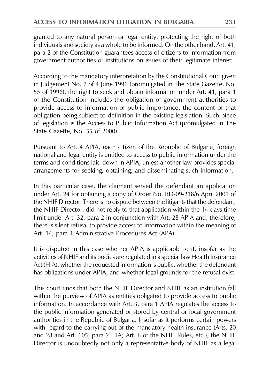granted to any natural person or legal entity, protecting the right of both individuals and society as a whole to be informed. On the other hand, Art. 41, para 2 of the Constitution guarantees access of citizens to information from government authorities or institutions on issues of their legitimate interest.

According to the mandatory interpretation by the Constitutional Court given in Judgement No. 7 of 4 June 1996 (promulgated in The State Gazette, No. 55 of 1996), the right to seek and obtain information under Art. 41, para 1 of the Constitution includes the obligation of government authorities to provide access to information of public importance, the content of that obligation being subject to definition in the existing legislation. Such piece of legislation is the Access to Public Information Act (promulgated in The State Gazette, No. 55 of 2000).

Pursuant to Art. 4 APIA, each citizen of the Republic of Bulgaria, foreign national and legal entity is entitled to access to public information under the terms and conditions laid down in APIA, unless another law provides special arrangements for seeking, obtaining, and disseminating such information.

In this particular case, the claimant served the defendant an application under Art. 24 for obtaining a copy of Order No. RD-09-218/6 April 2001 of the NHIF Director. There is no dispute between the litigants that the defendant, the NHIF Director, did not reply to that application within the 14-days time limit under Art. 32, para 2 in conjunction with Art. 28 APIA and, therefore, there is silent refusal to provide access to information within the meaning of Art. 14, para 1 Administrative Procedures Act (APA).

It is disputed in this case whether APIA is applicable to it, insofar as the activities of NHIF and its bodies are regulated in a special law Health Insurance Act (HIA), whether the requested information is public, whether the defendant has obligations under APIA, and whether legal grounds for the refusal exist.

This court finds that both the NHIF Director and NHIF as an institution fall within the purview of APIA as entities obligated to provide access to public information. In accordance with Art. 3, para 1 APIA regulates the access to the public information generated or stored by central or local government authorities in the Republic of Bulgaria. Insofar as it performs certain powers with regard to the carrying out of the mandatory health insurance (Arts. 20) and 28 and Art. 105, para 2 HIA; Art. 6 of the NHIF Rules, etc.), the NHIF Director is undoubtedly not only a representative body of NHIF as a legal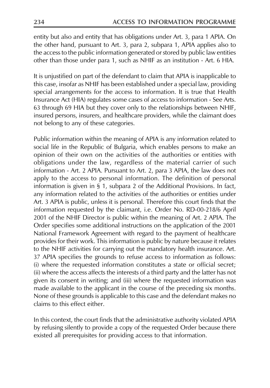entity but also and entity that has obligations under Art. 3, para 1 APIA. On the other hand, pursuant to Art. 3, para 2, subpara 1, APIA applies also to the access to the public information generated or stored by public law entities other than those under para 1, such as NHIF as an institution - Art. 6 HIA.

It is unjustified on part of the defendant to claim that APIA is inapplicable to this case, insofar as NHIF has been established under a special law, providing special arrangements for the access to information. It is true that Health Insurance Act (HIA) regulates some cases of access to information - See Arts. 63 through 69 HIA but they cover only to the relationships between NHIF, insured persons, insurers, and healthcare providers, while the claimant does not belong to any of these categories.

Public information within the meaning of APIA is any information related to social life in the Republic of Bulgaria, which enables persons to make an opinion of their own on the activities of the authorities or entities with obligations under the law, regardless of the material carrier of such information - Art. 2 APIA. Pursuant to Art. 2, para 3 APIA, the law does not apply to the access to personal information. The definition of personal information is given in § 1, subpara 2 of the Additional Provisions. In fact, any information related to the activities of the authorities or entities under Art. 3 APIA is public, unless it is personal. Therefore this court finds that the information requested by the claimant, i.e. Order No. RD-00-218/6 April 2001 of the NHIF Director is public within the meaning of Art. 2 APIA. The Order specifies some additional instructions on the application of the 2001 National Framework Agreement with regard to the payment of healthcare provides for their work. This information is public by nature because it relates to the NHIF activities for carrying out the mandatory health insurance. Art. 37 APIA specifies the grounds to refuse access to information as follows: (i) where the requested information constitutes a state or official secret; (ii) where the access affects the interests of a third party and the latter has not given its consent in writing; and (iii) where the requested information was made available to the applicant in the course of the preceding six months. None of these grounds is applicable to this case and the defendant makes no claims to this effect either

In this context, the court finds that the administrative authority violated APIA by refusing silently to provide a copy of the requested Order because there existed all prerequisites for providing access to that information.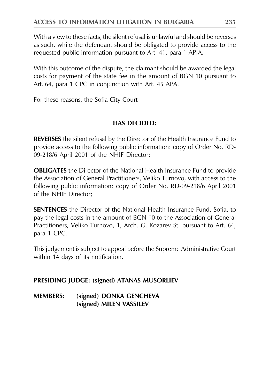With a view to these facts, the silent refusal is unlawful and should be reverses as such, while the defendant should be obligated to provide access to the requested public information pursuant to Art. 41, para 1 APIA.

With this outcome of the dispute, the claimant should be awarded the legal costs for payment of the state fee in the amount of BGN 10 pursuant to Art. 64, para 1 CPC in conjunction with Art. 45 APA.

For these reasons, the Sofia City Court

# **HAS DECIDED:**

**REVERSES** the silent refusal by the Director of the Health Insurance Fund to provide access to the following public information: copy of Order No. RD-09-218/6 April 2001 of the NHIF Director;

**OBLIGATES** the Director of the National Health Insurance Fund to provide the Association of General Practitioners, Veliko Turnovo, with access to the following public information: copy of Order No. RD-09-218/6 April 2001 of the NHIF Director;

**SENTENCES** the Director of the National Health Insurance Fund, Sofia, to pay the legal costs in the amount of BGN 10 to the Association of General Practitioners, Veliko Turnovo, 1, Arch. G. Kozarev St. pursuant to Art. 64, para 1 CPC.

This judgement is subject to appeal before the Supreme Administrative Court within 14 days of its notification.

# PRESIDING JUDGE: (signed) ATANAS MUSORLIEV

**MEMBERS:** (signed) DONKA GENCHEVA (signed) MILEN VASSILEV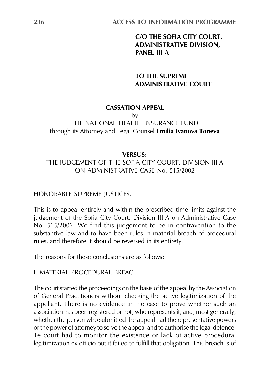# C/O THE SOFIA CITY COURT, **ADMINISTRATIVE DIVISION, PANEL III-A**

# **TO THE SUPREME ADMINISTRATIVE COURT**

### **CASSATION APPEAL**

#### by THE NATIONAL HEALTH INSURANCE FUND through its Attorney and Legal Counsel **Emilia Ivanova Toneva**

### **VERSUS:**

# THE JUDGEMENT OF THE SOFIA CITY COURT, DIVISION III-A ON ADMINISTRATIVE CASE No. 515/2002

### HONORABLE SUPREME JUSTICES,

This is to appeal entirely and within the prescribed time limits against the judgement of the Sofia City Court, Division III-A on Administrative Case No. 515/2002. We find this judgement to be in contravention to the substantive law and to have been rules in material breach of procedural rules, and therefore it should be reversed in its entirety.

The reasons for these conclusions are as follows:

### I. MATERIAL PROCEDURAL BREACH

The court started the proceedings on the basis of the appeal by the Association of General Practitioners without checking the active legitimization of the appellant. There is no evidence in the case to prove whether such an association has been registered or not, who represents it, and, most generally, whether the person who submitted the appeal had the representative powers or the power of attorney to serve the appeal and to authorise the legal defence. Te court had to monitor the existence or lack of active procedural legitimization ex officio but it failed to fulfill that obligation. This breach is of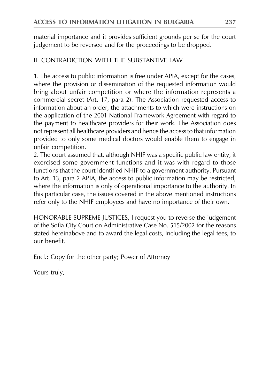material importance and it provides sufficient grounds per se for the court judgement to be reversed and for the proceedings to be dropped.

# IL CONTRADICTION WITH THE SUBSTANTIVE LAW

1. The access to public information is free under APIA, except for the cases, where the provision or dissemination of the requested information would bring about unfair competition or where the information represents a commercial secret (Art. 17, para 2). The Association requested access to information about an order, the attachments to which were instructions on the application of the 2001 National Framework Agreement with regard to the payment to healthcare providers for their work. The Association does not represent all healthcare providers and hence the access to that information provided to only some medical doctors would enable them to engage in unfair competition.

2. The court assumed that, although NHIF was a specific public law entity, it exercised some government functions and it was with regard to those functions that the court identified NHIF to a government authority. Pursuant to Art. 13, para 2 APIA, the access to public information may be restricted, where the information is only of operational importance to the authority. In this particular case, the issues covered in the above mentioned instructions refer only to the NHIF employees and have no importance of their own.

HONORABLE SUPREME JUSTICES, I request you to reverse the judgement of the Sofia City Court on Administrative Case No. 515/2002 for the reasons stated hereinabove and to award the legal costs, including the legal fees, to our benefit.

Encl.: Copy for the other party; Power of Attorney

Yours truly,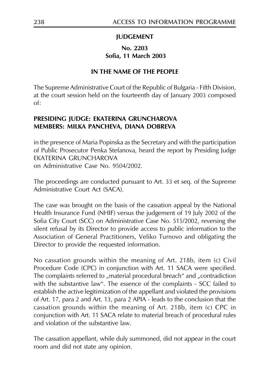# **JUDGEMENT**

# No. 2203 Sofia, 11 March 2003

# IN THE NAME OF THE PEOPLE

The Supreme Administrative Court of the Republic of Bulgaria - Fifth Division, at the court session held on the fourteenth day of January 2003 composed  $\alpha$ f

# PRESIDING JUDGE: EKATERINA GRUNCHAROVA **MEMBERS: MILKA PANCHEVA, DIANA DOBREVA**

in the presence of Maria Popinska as the Secretary and with the participation of Public Prosecutor Penka Stefanova, heard the report by Presiding Judge EKATERINA GRUNCHAROVA on Administrative Case No. 9504/2002.

The proceedings are conducted pursuant to Art. 33 et seq. of the Supreme Administrative Court Act (SACA).

The case was brought on the basis of the cassation appeal by the National Health Insurance Fund (NHIF) versus the judgement of 19 July 2002 of the Sofia City Court (SCC) on Administrative Case No. 515/2002, reversing the silent refusal by its Director to provide access to public information to the Association of General Practitioners, Veliko Turnovo and obligating the Director to provide the requested information.

No cassation grounds within the meaning of Art. 218b, item (c) Civil Procedure Code (CPC) in conjunction with Art. 11 SACA were specified. The complaints referred to "material procedural breach" and "contradiction with the substantive law". The essence of the complaints - SCC failed to establish the active legitimization of the appellant and violated the provisions of Art. 17, para 2 and Art. 13, para 2 APIA - leads to the conclusion that the cassation grounds within the meaning of Art. 218b, item (c) CPC in conjunction with Art. 11 SACA relate to material breach of procedural rules and violation of the substantive law.

The cassation appellant, while duly summoned, did not appear in the court room and did not state any opinion.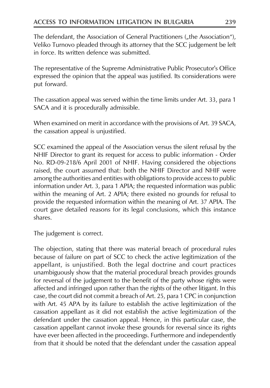The defendant, the Association of General Practitioners ("the Association"), Veliko Turnovo pleaded through its attorney that the SCC judgement be left in force. Its written defence was submitted.

The representative of the Supreme Administrative Public Prosecutor's Office expressed the opinion that the appeal was justified. Its considerations were put forward.

The cassation appeal was served within the time limits under Art. 33, para 1 SACA and it is procedurally admissible.

When examined on merit in accordance with the provisions of Art. 39 SACA, the cassation appeal is unjustified.

SCC examined the appeal of the Association versus the silent refusal by the NHIF Director to grant its request for access to public information - Order No. RD-09-218/6 April 2001 of NHIF. Having considered the objections raised, the court assumed that: both the NHIF Director and NHIF were among the authorities and entities with obligations to provide access to public information under Art. 3, para 1 APIA; the requested information was public within the meaning of Art. 2 APIA; there existed no grounds for refusal to provide the requested information within the meaning of Art. 37 APIA. The court gave detailed reasons for its legal conclusions, which this instance shares.

The judgement is correct.

The objection, stating that there was material breach of procedural rules because of failure on part of SCC to check the active legitimization of the appellant, is unjustified. Both the legal doctrine and court practices unambiguously show that the material procedural breach provides grounds for reversal of the judgement to the benefit of the party whose rights were affected and infringed upon rather than the rights of the other litigant. In this case, the court did not commit a breach of Art. 25, para 1 CPC in conjunction with Art. 45 APA by its failure to establish the active legitimization of the cassation appellant as it did not establish the active legitimization of the defendant under the cassation appeal. Hence, in this particular case, the cassation appellant cannot invoke these grounds for reversal since its rights have ever been affected in the proceedings. Furthermore and independently from that it should be noted that the defendant under the cassation appeal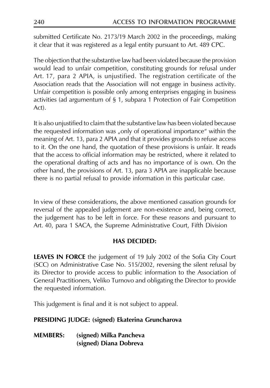submitted Certificate No. 2173/19 March 2002 in the proceedings, making it clear that it was registered as a legal entity pursuant to Art. 489 CPC.

The objection that the substantive law had been violated because the provision would lead to unfair competition, constituting grounds for refusal under Art. 17, para 2 APIA, is unjustified. The registration certificate of the Association reads that the Association will not engage in business activity. Unfair competition is possible only among enterprises engaging in business activities (ad argumentum of § 1, subpara 1 Protection of Fair Competition Act).

It is also unjustified to claim that the substantive law has been violated because the requested information was "only of operational importance" within the meaning of Art. 13, para 2 APIA and that it provides grounds to refuse access to it. On the one hand, the quotation of these provisions is unfair. It reads that the access to official information may be restricted, where it related to the operational drafting of acts and has no importance of is own. On the other hand, the provisions of Art. 13, para 3 APIA are inapplicable because there is no partial refusal to provide information in this particular case.

In view of these considerations, the above mentioned cassation grounds for reversal of the appealed judgement are non-existence and, being correct, the judgement has to be left in force. For these reasons and pursuant to Art. 40, para 1 SACA, the Supreme Administrative Court, Fifth Division

# **HAS DECIDED:**

**LEAVES IN FORCE** the judgement of 19 July 2002 of the Sofia City Court (SCC) on Administrative Case No. 515/2002, reversing the silent refusal by its Director to provide access to public information to the Association of General Practitioners, Veliko Turnovo and obligating the Director to provide the requested information.

This judgement is final and it is not subject to appeal.

# PRESIDING JUDGE: (signed) Ekaterina Gruncharova

**MEMBERS:** (signed) Milka Pancheva (signed) Diana Dobreva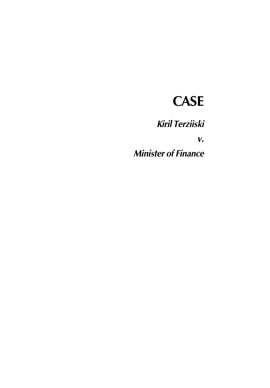# **CASE**

**Kiril Terziiski** 

 $V_{\bullet}$ 

**Minister of Finance**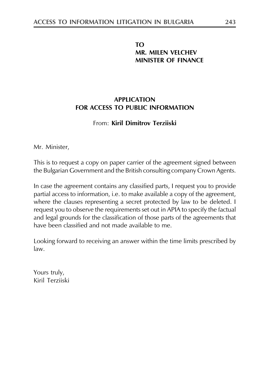# TΩ **MR. MILEN VELCHEV MINISTER OF FINANCE**

# ΑΡΡΗ ΙΣΑΤΙΩΝ FOR ACCESS TO PUBLIC INFORMATION

# From: Kiril Dimitrov Terzijski

Mr. Minister,

This is to request a copy on paper carrier of the agreement signed between the Bulgarian Government and the British consulting company Crown Agents.

In case the agreement contains any classified parts, I request you to provide partial access to information, i.e. to make available a copy of the agreement, where the clauses representing a secret protected by law to be deleted. I request you to observe the requirements set out in APIA to specify the factual and legal grounds for the classification of those parts of the agreements that have been classified and not made available to me

Looking forward to receiving an answer within the time limits prescribed by  $law.$ 

Yours truly, Kiril Terziiski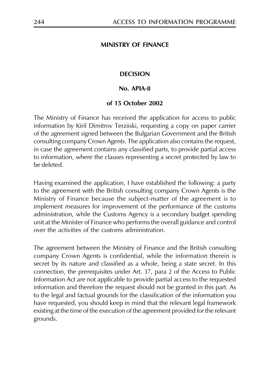### **MINISTRY OF FINANCE**

### **DECISION**

### No. APIA-8

### of 15 October 2002

The Ministry of Finance has received the application for access to public information by Kiril Dimitrov Terziiski, requesting a copy on paper carrier of the agreement signed between the Bulgarian Government and the British consulting company Crown Agents. The application also contains the request, in case the agreement contains any classified parts, to provide partial access to information, where the clauses representing a secret protected by law to be deleted.

Having examined the application, I have established the following: a party to the agreement with the British consulting company Crown Agents is the Ministry of Finance because the subject-matter of the agreement is to implement measures for improvement of the performance of the customs administration, while the Customs Agency is a secondary budget spending unit at the Minister of Finance who performs the overall guidance and control over the activities of the customs administration.

The agreement between the Ministry of Finance and the British consulting company Crown Agents is confidential, while the information therein is secret by its nature and classified as a whole, being a state secret. In this connection, the prerequisites under Art. 37, para 2 of the Access to Public Information Act are not applicable to provide partial access to the requested information and therefore the request should not be granted in this part. As to the legal and factual grounds for the classification of the information you have requested, you should keep in mind that the relevant legal framework existing at the time of the execution of the agreement provided for the relevant grounds.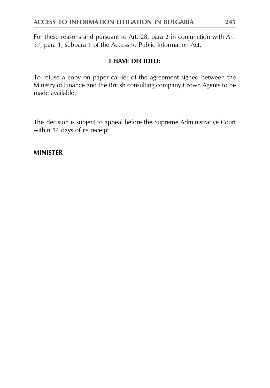For these reasons and pursuant to Art. 28, para 2 in conjunction with Art. 37, para 1, subpara 1 of the Access to Public Information Act,

# **I HAVE DECIDED:**

To refuse a copy on paper carrier of the agreement signed between the Ministry of Finance and the British consulting company Crown Agents to be made available.

This decision is subject to appeal before the Supreme Administrative Court within 14 days of its receipt.

### **MINISTER**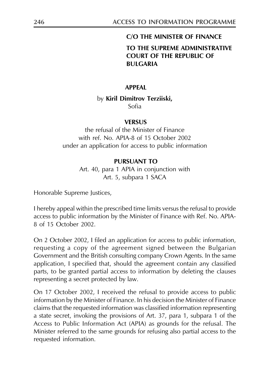### **C/O THE MINISTER OF FINANCE**

# TO THE SUPREME ADMINISTRATIVE COURT OF THE REPUBLIC OF **BULGARIA**

### **APPEAL**

### by Kiril Dimitrov Terziiski, Sofia

### **VERSUS**

the refusal of the Minister of Finance with ref. No. APIA-8 of 15 October 2002 under an application for access to public information

### PURSUANT TO

Art. 40, para 1 APIA in conjunction with Art. 5, subpara 1 SACA

Honorable Supreme Justices,

I hereby appeal within the prescribed time limits versus the refusal to provide access to public information by the Minister of Finance with Ref. No. APIA-8 of 15 October 2002.

On 2 October 2002, I filed an application for access to public information, requesting a copy of the agreement signed between the Bulgarian Government and the British consulting company Crown Agents. In the same application, I specified that, should the agreement contain any classified parts, to be granted partial access to information by deleting the clauses representing a secret protected by law.

On 17 October 2002, I received the refusal to provide access to public information by the Minister of Finance. In his decision the Minister of Finance claims that the requested information was classified information representing a state secret, invoking the provisions of Art. 37, para 1, subpara 1 of the Access to Public Information Act (APIA) as grounds for the refusal. The Minister referred to the same grounds for refusing also partial access to the requested information.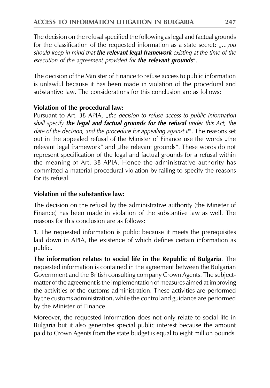The decision on the refusal specified the following as legal and factual grounds for the classification of the requested information as a state secret:  $_{n}...$ you should keep in mind that **the relevant legal framework** existing at the time of the execution of the agreement provided for the relevant grounds".

The decision of the Minister of Finance to refuse access to public information is unlawful because it has been made in violation of the procedural and substantive law. The considerations for this conclusion are as follows:

# Violation of the procedural law:

Pursuant to Art. 38 APIA, "the decision to refuse access to public information shall specify **the legal and factual grounds for the refusal** under this Act, the date of the decision, and the procedure for appealing against it". The reasons set out in the appealed refusal of the Minister of Finance use the words "the relevant legal framework" and "the relevant grounds". These words do not represent specification of the legal and factual grounds for a refusal within the meaning of Art. 38 APIA. Hence the administrative authority has committed a material procedural violation by failing to specify the reasons for its refusal.

# Violation of the substantive law:

The decision on the refusal by the administrative authority (the Minister of Finance) has been made in violation of the substantive law as well. The reasons for this conclusion are as follows:

1. The requested information is public because it meets the prerequisites laid down in APIA, the existence of which defines certain information as public.

The information relates to social life in the Republic of Bulgaria. The requested information is contained in the agreement between the Bulgarian Government and the British consulting company Crown Agents. The subjectmatter of the agreement is the implementation of measures aimed at improving the activities of the customs administration. These activities are performed by the customs administration, while the control and guidance are performed by the Minister of Finance.

Moreover, the requested information does not only relate to social life in Bulgaria but it also generates special public interest because the amount paid to Crown Agents from the state budget is equal to eight million pounds.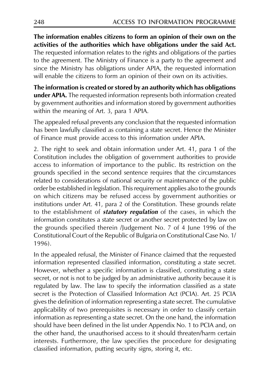The information enables citizens to form an opinion of their own on the activities of the authorities which have obligations under the said Act. The requested information relates to the rights and obligations of the parties to the agreement. The Ministry of Finance is a party to the agreement and since the Ministry has obligations under APIA, the requested information will enable the citizens to form an opinion of their own on its activities.

The information is created or stored by an authority which has obligations under APIA. The requested information represents both information created by government authorities and information stored by government authorities within the meaning of Art. 3, para 1 APIA.

The appealed refusal prevents any conclusion that the requested information has been lawfully classified as containing a state secret. Hence the Minister of Finance must provide access to this information under APIA.

2. The right to seek and obtain information under Art. 41, para 1 of the Constitution includes the obligation of government authorities to provide access to information of importance to the public. Its restriction on the grounds specified in the second sentence requires that the circumstances related to considerations of national security or maintenance of the public order be established in legislation. This requirement applies also to the grounds on which citizens may be refused access by government authorities or institutions under Art. 41, para 2 of the Constitution. These grounds relate to the establishment of *statutory regulation* of the cases, in which the information constitutes a state secret or another secret protected by law on the grounds specified therein /Judgement No. 7 of 4 June 1996 of the Constitutional Court of the Republic of Bulgaria on Constitutional Case No. 1/ 1996)

In the appealed refusal, the Minister of Finance claimed that the requested information represented classified information, constituting a state secret. However, whether a specific information is classified, constituting a state secret, or not is not to be judged by an administrative authority because it is regulated by law. The law to specify the information classified as a state secret is the Protection of Classified Information Act (PCIA). Art. 25 PCIA gives the definition of information representing a state secret. The cumulative applicability of two prerequisites is necessary in order to classify certain information as representing a state secret. On the one hand, the information should have been defined in the list under Appendix No. 1 to PCIA and, on the other hand, the unauthorised access to it should threaten/harm certain interests. Furthermore, the law specifies the procedure for designating classified information, putting security signs, storing it, etc.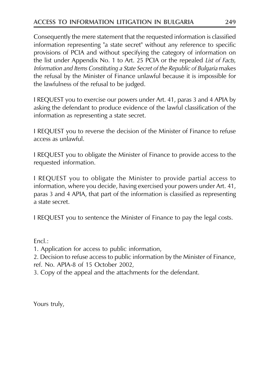Consequently the mere statement that the requested information is classified information representing "a state secret" without any reference to specific provisions of PCIA and without specifying the category of information on the list under Appendix No. 1 to Art. 25 PCIA or the repealed List of Facts, Information and Items Constituting a State Secret of the Republic of Bulgaria makes the refusal by the Minister of Finance unlawful because it is impossible for the lawfulness of the refusal to be judged.

I REQUEST you to exercise our powers under Art. 41, paras 3 and 4 APIA by asking the defendant to produce evidence of the lawful classification of the information as representing a state secret.

I REQUEST you to reverse the decision of the Minister of Finance to refuse access as unlawful.

I REQUEST you to obligate the Minister of Finance to provide access to the requested information.

I REQUEST you to obligate the Minister to provide partial access to information, where you decide, having exercised your powers under Art. 41, paras 3 and 4 APIA, that part of the information is classified as representing a state secret.

I REQUEST you to sentence the Minister of Finance to pay the legal costs.

 $Encl$ .:

1. Application for access to public information,

2. Decision to refuse access to public information by the Minister of Finance, ref. No. APIA-8 of 15 October 2002,

3. Copy of the appeal and the attachments for the defendant.

Yours truly,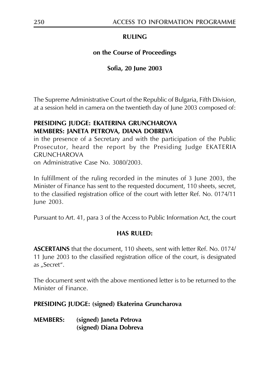# **RULING**

# on the Course of Proceedings

# Sofia, 20 June 2003

The Supreme Administrative Court of the Republic of Bulgaria, Fifth Division, at a session held in camera on the twentieth day of June 2003 composed of:

# PRESIDING JUDGE: EKATERINA GRUNCHAROVA MEMBERS: JANETA PETROVA, DIANA DOBREVA

in the presence of a Secretary and with the participation of the Public Prosecutor, heard the report by the Presiding Judge EKATERIA **GRUNCHAROVA** 

on Administrative Case No. 3080/2003.

In fulfillment of the ruling recorded in the minutes of 3 June 2003, the Minister of Finance has sent to the requested document, 110 sheets, secret, to the classified registration office of the court with letter Ref. No. 0174/11 lune 2003.

Pursuant to Art. 41, para 3 of the Access to Public Information Act, the court

# **HAS RULED:**

**ASCERTAINS** that the document, 110 sheets, sent with letter Ref. No. 0174/ 11 June 2003 to the classified registration office of the court, is designated as "Secret".

The document sent with the above mentioned letter is to be returned to the Minister of Finance

PRESIDING JUDGE: (signed) Ekaterina Gruncharova

| <b>MEMBERS:</b> | (signed) Janeta Petrova |
|-----------------|-------------------------|
|                 | (signed) Diana Dobreva  |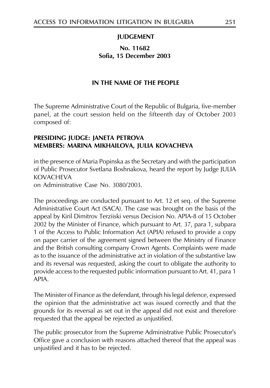### **JUDGEMENT**

### No. 11682 Sofia, 15 December 2003

### IN THE NAME OF THE PEOPLE

The Supreme Administrative Court of the Republic of Bulgaria, five-member panel, at the court session held on the fifteenth day of October 2003 composed of:

### PRESIDING JUDGE: JANETA PETROVA MEMBERS: MARINA MIKHAILOVA, JULIA KOVACHEVA

in the presence of Maria Popinska as the Secretary and with the participation of Public Prosecutor Svetlana Boshnakova, heard the report by Judge JULIA **KOVACHEVA** 

on Administrative Case No. 3080/2003.

The proceedings are conducted pursuant to Art. 12 et seq. of the Supreme Administrative Court Act (SACA). The case was brought on the basis of the appeal by Kiril Dimitrov Terziiski versus Decision No. APIA-8 of 15 October 2002 by the Minister of Finance, which pursuant to Art. 37, para 1, subpara 1 of the Access to Public Information Act (APIA) refused to provide a copy on paper carrier of the agreement signed between the Ministry of Finance and the British consulting company Crown Agents. Complaints were made as to the issuance of the administrative act in violation of the substantive law and its reversal was requested, asking the court to obligate the authority to provide access to the requested public information pursuant to Art. 41, para 1 APIA.

The Minister of Finance as the defendant, through his legal defence, expressed the opinion that the administrative act was issued correctly and that the grounds for its reversal as set out in the appeal did not exist and therefore requested that the appeal be rejected as unjustified.

The public prosecutor from the Supreme Administrative Public Prosecutor's Office gave a conclusion with reasons attached thereof that the appeal was unjustified and it has to be rejected.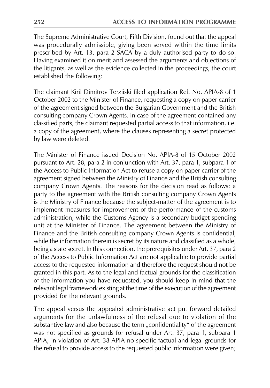The Supreme Administrative Court, Fifth Division, found out that the appeal was procedurally admissible, giving been served within the time limits prescribed by Art. 13, para 2 SACA by a duly authorised party to do so. Having examined it on merit and assessed the arguments and objections of the litigants, as well as the evidence collected in the proceedings, the court established the following:

The claimant Kiril Dimitrov Terziiski filed application Ref. No. APIA-8 of 1 October 2002 to the Minister of Finance, requesting a copy on paper carrier of the agreement signed between the Bulgarian Government and the British consulting company Crown Agents. In case of the agreement contained any classified parts, the claimant requested partial access to that information, i.e. a copy of the agreement, where the clauses representing a secret protected by law were deleted.

The Minister of Finance issued Decision No. APIA-8 of 15 October 2002 pursuant to Art. 28, para 2 in conjunction with Art. 37, para 1, subpara 1 of the Access to Public Information Act to refuse a copy on paper carrier of the agreement signed between the Ministry of Finance and the British consulting company Crown Agents. The reasons for the decision read as follows: a party to the agreement with the British consulting company Crown Agents is the Ministry of Finance because the subject-matter of the agreement is to implement measures for improvement of the performance of the customs administration, while the Customs Agency is a secondary budget spending unit at the Minister of Finance. The agreement between the Ministry of Finance and the British consulting company Crown Agents is confidential, while the information therein is secret by its nature and classified as a whole, being a state secret. In this connection, the prerequisites under Art. 37, para 2 of the Access to Public Information Act are not applicable to provide partial access to the requested information and therefore the request should not be granted in this part. As to the legal and factual grounds for the classification of the information you have requested, you should keep in mind that the relevant legal framework existing at the time of the execution of the agreement provided for the relevant grounds.

The appeal versus the appealed administrative act put forward detailed arguments for the unlawfulness of the refusal due to violation of the substantive law and also because the term "confidentiality" of the agreement was not specified as grounds for refusal under Art. 37, para 1, subpara 1 APIA; in violation of Art. 38 APIA no specific factual and legal grounds for the refusal to provide access to the requested public information were given;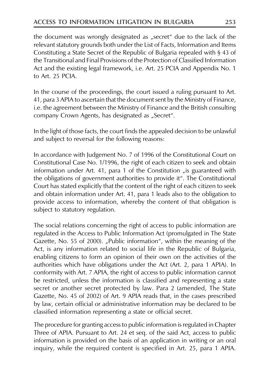the document was wrongly designated as "secret" due to the lack of the relevant statutory grounds both under the List of Facts, Information and Items Constituting a State Secret of the Republic of Bulgaria repealed with § 43 of the Transitional and Final Provisions of the Protection of Classified Information Act and the existing legal framework, i.e. Art. 25 PCIA and Appendix No. 1 to Art. 25 PCIA.

In the course of the proceedings, the court issued a ruling pursuant to Art. 41, para 3 APIA to ascertain that the document sent by the Ministry of Finance, i.e. the agreement between the Ministry of Finance and the British consulting company Crown Agents, has designated as "Secret".

In the light of those facts, the court finds the appealed decision to be unlawful and subject to reversal for the following reasons:

In accordance with Judgement No. 7 of 1996 of the Constitutional Court on Constitutional Case No. 1/1996, the right of each citizen to seek and obtain information under Art. 41, para 1 of the Constitution "is guaranteed with the obligations of government authorities to provide it". The Constitutional Court has stated explicitly that the content of the right of each citizen to seek and obtain information under Art. 41, para 1 leads also to the obligation to provide access to information, whereby the content of that obligation is subject to statutory regulation.

The social relations concerning the right of access to public information are regulated in the Access to Public Information Act (promulgated in The State Gazette, No. 55 of 2000). "Public information", within the meaning of the Act, is any information related to social life in the Republic of Bulgaria, enabling citizens to form an opinion of their own on the activities of the authorities which have obligations under the Act (Art. 2, para 1 APIA). In conformity with Art. 7 APIA, the right of access to public information cannot be restricted, unless the information is classified and representing a state secret or another secret protected by law. Para 2 (amended, The State Gazette, No. 45 of 2002) of Art. 9 APIA reads that, in the cases prescribed by law, certain official or administrative information may be declared to be classified information representing a state or official secret.

The procedure for granting access to public information is regulated in Chapter Three of APIA. Pursuant to Art. 24 et seq. of the said Act, access to public information is provided on the basis of an application in writing or an oral inquiry, while the required content is specified in Art. 25, para 1 APIA.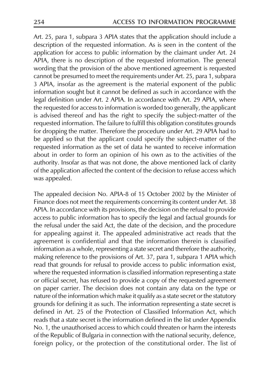Art. 25, para 1, subpara 3 APIA states that the application should include a description of the requested information. As is seen in the content of the application for access to public information by the claimant under Art. 24 APIA, there is no description of the requested information. The general wording that the provision of the above mentioned agreement is requested cannot be presumed to meet the requirements under Art. 25, para 1, subpara 3 APIA, insofar as the agreement is the material exponent of the public information sought but it cannot be defined as such in accordance with the legal definition under Art. 2 APIA. In accordance with Art. 29 APIA, where the requested for access to information is worded too generally, the applicant is advised thereof and has the right to specify the subject-matter of the requested information. The failure to fulfill this obligation constitutes grounds for dropping the matter. Therefore the procedure under Art. 29 APIA had to be applied so that the applicant could specify the subject-matter of the requested information as the set of data he wanted to receive information about in order to form an opinion of his own as to the activities of the authority. Insofar as that was not done, the above mentioned lack of clarity of the application affected the content of the decision to refuse access which was appealed.

The appealed decision No. APIA-8 of 15 October 2002 by the Minister of Finance does not meet the requirements concerning its content under Art. 38 APIA. In accordance with its provisions, the decision on the refusal to provide access to public information has to specify the legal and factual grounds for the refusal under the said Act, the date of the decision, and the procedure for appealing against it. The appealed administrative act reads that the agreement is confidential and that the information therein is classified information as a whole, representing a state secret and therefore the authority, making reference to the provisions of Art. 37, para 1, subpara 1 APIA which read that grounds for refusal to provide access to public information exist, where the requested information is classified information representing a state or official secret, has refused to provide a copy of the requested agreement on paper carrier. The decision does not contain any data on the type or nature of the information which make it qualify as a state secret or the statutory grounds for defining it as such. The information representing a state secret is defined in Art. 25 of the Protection of Classified Information Act, which reads that a state secret is the information defined in the list under Appendix No. 1, the unauthorised access to which could threaten or harm the interests of the Republic of Bulgaria in connection with the national security, defence, foreign policy, or the protection of the constitutional order. The list of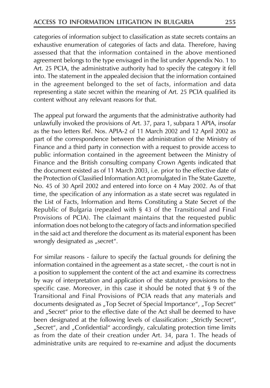categories of information subject to classification as state secrets contains an exhaustive enumeration of categories of facts and data. Therefore, having assessed that that the information contained in the above mentioned agreement belongs to the type envisaged in the list under Appendix No. 1 to Art. 25 PCIA, the administrative authority had to specify the category it fell into. The statement in the appealed decision that the information contained in the agreement belonged to the set of facts, information and data representing a state secret within the meaning of Art. 25 PCIA qualified its content without any relevant reasons for that.

The appeal put forward the arguments that the administrative authority had unlawfully invoked the provisions of Art. 37, para 1, subpara 1 APIA, insofar as the two letters Ref. Nos. APIA-2 of 11 March 2002 and 12 April 2002 as part of the correspondence between the administration of the Ministry of Finance and a third party in connection with a request to provide access to public information contained in the agreement between the Ministry of Finance and the British consulting company Crown Agents indicated that the document existed as of 11 March 2003, i.e. prior to the effective date of the Protection of Classified Information Act promulgated in The State Gazette, No. 45 of 30 April 2002 and entered into force on 4 May 2002. As of that time, the specification of any information as a state secret was regulated in the List of Facts, Information and Items Constituting a State Secret of the Republic of Bulgaria (repealed with § 43 of the Transitional and Final Provisions of PCIA). The claimant maintains that the requested public information does not belong to the category of facts and information specified in the said act and therefore the document as its material exponent has been wrongly designated as "secret".

For similar reasons - failure to specify the factual grounds for defining the information contained in the agreement as a state secret, - the court is not in a position to supplement the content of the act and examine its correctness by way of interpretation and application of the statutory provisions to the specific case. Moreover, in this case it should be noted that § 9 of the Transitional and Final Provisions of PCIA reads that any materials and documents designated as "Top Secret of Special Importance", "Top Secret" and "Secret" prior to the effective date of the Act shall be deemed to have been designated at the following levels of classification: "Strictly Secret", "Secret", and "Confidential" accordingly, calculating protection time limits as from the date of their creation under Art. 34, para 1. The heads of administrative units are required to re-examine and adjust the documents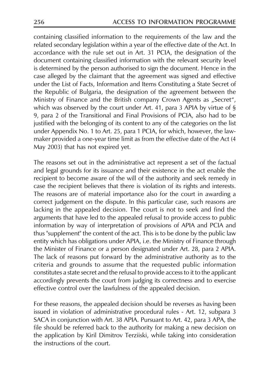containing classified information to the requirements of the law and the related secondary legislation within a year of the effective date of the Act. In accordance with the rule set out in Art. 31 PCIA, the designation of the document containing classified information with the relevant security level is determined by the person authorised to sign the document. Hence in the case alleged by the claimant that the agreement was signed and effective under the List of Facts, Information and Items Constituting a State Secret of the Republic of Bulgaria, the designation of the agreement between the Ministry of Finance and the British company Crown Agents as "Secret", which was observed by the court under Art. 41, para 3 APIA by virtue of  $\S$ 9, para 2 of the Transitional and Final Provisions of PCIA, also had to be justified with the belonging of its content to any of the categories on the list under Appendix No. 1 to Art. 25, para 1 PCIA, for which, however, the lawmaker provided a one-year time limit as from the effective date of the Act (4 May 2003) that has not expired yet.

The reasons set out in the administrative act represent a set of the factual and legal grounds for its issuance and their existence in the act enable the recipient to become aware of the will of the authority and seek remedy in case the recipient believes that there is violation of its rights and interests. The reasons are of material importance also for the court in awarding a correct judgement on the dispute. In this particular case, such reasons are lacking in the appealed decision. The court is not to seek and find the arguments that have led to the appealed refusal to provide access to public information by way of interpretation of provisions of APIA and PCIA and thus "supplement" the content of the act. This is to be done by the public law entity which has obligations under APIA, i.e. the Ministry of Finance through the Minister of Finance or a person designated under Art. 28, para 2 APIA. The lack of reasons put forward by the administrative authority as to the criteria and grounds to assume that the requested public information constitutes a state secret and the refusal to provide access to it to the applicant accordingly prevents the court from judging its correctness and to exercise effective control over the lawfulness of the appealed decision.

For these reasons, the appealed decision should be reverses as having been issued in violation of administrative procedural rules - Art. 12, subpara 3 SACA in conjunction with Art. 38 APIA. Pursuant to Art. 42, para 3 APA, the file should be referred back to the authority for making a new decision on the application by Kiril Dimitrov Terziiski, while taking into consideration the instructions of the court.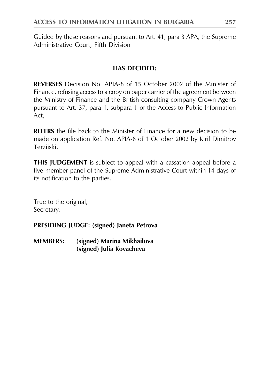Guided by these reasons and pursuant to Art. 41, para 3 APA, the Supreme Administrative Court, Fifth Division

# **HAS DECIDED:**

**REVERSES** Decision No. APIA-8 of 15 October 2002 of the Minister of Finance, refusing access to a copy on paper carrier of the agreement between the Ministry of Finance and the British consulting company Crown Agents pursuant to Art. 37, para 1, subpara 1 of the Access to Public Information Act;

**REFERS** the file back to the Minister of Finance for a new decision to be made on application Ref. No. APIA-8 of 1 October 2002 by Kiril Dimitrov Terzijski

**THIS JUDGEMENT** is subject to appeal with a cassation appeal before a five-member panel of the Supreme Administrative Court within 14 days of its notification to the parties.

True to the original, Secretary:

PRESIDING JUDGE: (signed) Janeta Petrova

**MEMBERS:** (signed) Marina Mikhailova (signed) Julia Kovacheva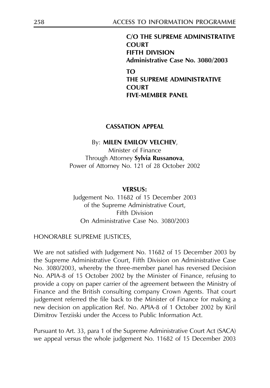C/O THE SUPREME ADMINISTRATIVE **COURT FIFTH DIVISION** Administrative Case No. 3080/2003  $T<sub>O</sub>$ THE SUPREME ADMINISTRATIVE **COURT FIVE-MEMBER PANEL** 

### **CASSATION APPEAL**

#### By: MILEN EMILOV VELCHEV,

Minister of Finance Through Attorney Sylvia Russanova, Power of Attorney No. 121 of 28 October 2002

#### **VERSUS:**

Judgement No. 11682 of 15 December 2003 of the Supreme Administrative Court, **Fifth Division** On Administrative Case No. 3080/2003

HONORABLE SUPREME JUSTICES,

We are not satisfied with Judgement No. 11682 of 15 December 2003 by the Supreme Administrative Court, Fifth Division on Administrative Case No. 3080/2003, whereby the three-member panel has reversed Decision No. APIA-8 of 15 October 2002 by the Minister of Finance, refusing to provide a copy on paper carrier of the agreement between the Ministry of Finance and the British consulting company Crown Agents. That court judgement referred the file back to the Minister of Finance for making a new decision on application Ref. No. APIA-8 of 1 October 2002 by Kiril Dimitrov Terzijski under the Access to Public Information Act.

Pursuant to Art. 33, para 1 of the Supreme Administrative Court Act (SACA) we appeal versus the whole judgement No. 11682 of 15 December 2003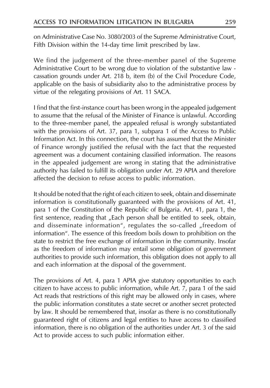on Administrative Case No. 3080/2003 of the Supreme Administrative Court, Fifth Division within the 14-day time limit prescribed by law.

We find the judgement of the three-member panel of the Supreme Administrative Court to be wrong due to violation of the substantive law cassation grounds under Art. 218 b, item (b) of the Civil Procedure Code, applicable on the basis of subsidiarity also to the administrative process by virtue of the relegating provisions of Art. 11 SACA.

I find that the first-instance court has been wrong in the appealed judgement to assume that the refusal of the Minister of Finance is unlawful. According to the three-member panel, the appealed refusal is wrongly substantiated with the provisions of Art. 37, para 1, subpara 1 of the Access to Public Information Act. In this connection, the court has assumed that the Minister of Finance wrongly justified the refusal with the fact that the requested agreement was a document containing classified information. The reasons in the appealed judgement are wrong in stating that the administrative authority has failed to fulfill its obligation under Art. 29 APIA and therefore affected the decision to refuse access to public information.

It should be noted that the right of each citizen to seek, obtain and disseminate information is constitutionally guaranteed with the provisions of Art. 41, para 1 of the Constitution of the Republic of Bulgaria. Art. 41, para 1, the first sentence, reading that "Each person shall be entitled to seek, obtain, and disseminate information", regulates the so-called "freedom of information". The essence of this freedom boils down to prohibition on the state to restrict the free exchange of information in the community. Insofar as the freedom of information may entail some obligation of government authorities to provide such information, this obligation does not apply to all and each information at the disposal of the government.

The provisions of Art. 4, para 1 APIA give statutory opportunities to each citizen to have access to public information, while Art. 7, para 1 of the said Act reads that restrictions of this right may be allowed only in cases, where the public information constitutes a state secret or another secret protected by law. It should be remembered that, insofar as there is no constitutionally guaranteed right of citizens and legal entities to have access to classified information, there is no obligation of the authorities under Art. 3 of the said Act to provide access to such public information either.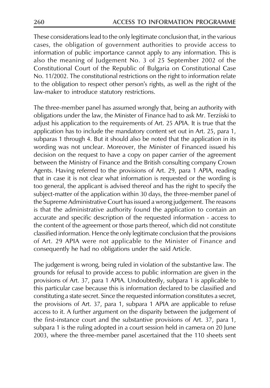These considerations lead to the only legitimate conclusion that, in the various cases, the obligation of government authorities to provide access to information of public importance cannot apply to any information. This is also the meaning of Judgement No. 3 of 25 September 2002 of the Constitutional Court of the Republic of Bulgaria on Constitutional Case No. 11/2002. The constitutional restrictions on the right to information relate to the obligation to respect other person's rights, as well as the right of the law-maker to introduce statutory restrictions.

The three-member panel has assumed wrongly that, being an authority with obligations under the law, the Minister of Finance had to ask Mr. Terziiski to adjust his application to the requirements of Art. 25 APIA. It is true that the application has to include the mandatory content set out in Art. 25, para 1, subparas 1 through 4. But it should also be noted that the application in its wording was not unclear. Moreover, the Minister of Financed issued his decision on the request to have a copy on paper carrier of the agreement between the Ministry of Finance and the British consulting company Crown Agents. Having referred to the provisions of Art. 29, para 1 APIA, reading that in case it is not clear what information is requested or the wording is too general, the applicant is advised thereof and has the right to specify the subject-matter of the application within 30 days, the three-member panel of the Supreme Administrative Court has issued a wrong judgement. The reasons is that the administrative authority found the application to contain an accurate and specific description of the requested information - access to the content of the agreement or those parts thereof, which did not constitute classified information. Hence the only legitimate conclusion that the provisions of Art. 29 APIA were not applicable to the Minister of Finance and consequently he had no obligations under the said Article.

The judgement is wrong, being ruled in violation of the substantive law. The grounds for refusal to provide access to public information are given in the provisions of Art. 37, para 1 APIA. Undoubtedly, subpara 1 is applicable to this particular case because this is information declared to be classified and constituting a state secret. Since the requested information constitutes a secret, the provisions of Art. 37, para 1, subpara 1 APIA are applicable to refuse access to it. A further argument on the disparity between the judgement of the first-instance court and the substantive provisions of Art. 37, para 1, subpara 1 is the ruling adopted in a court session held in camera on 20 June 2003, where the three-member panel ascertained that the 110 sheets sent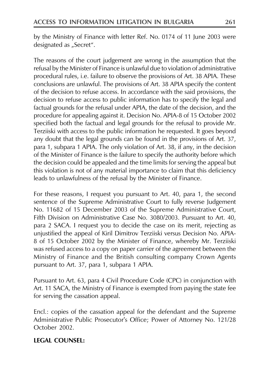by the Ministry of Finance with letter Ref. No. 0174 of 11 June 2003 were designated as "Secret".

The reasons of the court judgement are wrong in the assumption that the refusal by the Minister of Finance is unlawful due to violation of administrative procedural rules, i.e. failure to observe the provisions of Art. 38 APIA. These conclusions are unlawful. The provisions of Art. 38 APIA specify the content of the decision to refuse access. In accordance with the said provisions, the decision to refuse access to public information has to specify the legal and factual grounds for the refusal under APIA, the date of the decision, and the procedure for appealing against it. Decision No. APIA-8 of 15 October 2002 specified both the factual and legal grounds for the refusal to provide Mr. Terzijski with access to the public information he requested. It goes beyond any doubt that the legal grounds can be found in the provisions of Art. 37, para 1, subpara 1 APIA. The only violation of Art. 38, if any, in the decision of the Minister of Finance is the failure to specify the authority before which the decision could be appealed and the time limits for serving the appeal but this violation is not of any material importance to claim that this deficiency leads to unlawfulness of the refusal by the Minister of Finance.

For these reasons, I request you pursuant to Art. 40, para 1, the second sentence of the Supreme Administrative Court to fully reverse Judgement No. 11682 of 15 December 2003 of the Supreme Administrative Court, Fifth Division on Administrative Case No. 3080/2003. Pursuant to Art. 40, para 2 SACA. I request you to decide the case on its merit, rejecting as unjustified the appeal of Kiril Dimitrov Terziiski versus Decision No. APIA-8 of 15 October 2002 by the Minister of Finance, whereby Mr. Terziiski was refused access to a copy on paper carrier of the agreement between the Ministry of Finance and the British consulting company Crown Agents pursuant to Art. 37, para 1, subpara 1 APIA.

Pursuant to Art. 63, para 4 Civil Procedure Code (CPC) in conjunction with Art. 11 SACA, the Ministry of Finance is exempted from paying the state fee for serving the cassation appeal.

Encl.: copies of the cassation appeal for the defendant and the Supreme Administrative Public Prosecutor's Office; Power of Attorney No. 121/28 October 2002.

# **LEGAL COUNSEL:**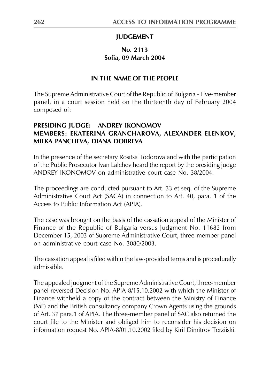## **JUDGEMENT**

## No. 2113 Sofia. 09 March 2004

## IN THE NAME OF THE PEOPLE

The Supreme Administrative Court of the Republic of Bulgaria - Five-member panel, in a court session held on the thirteenth day of February 2004 composed of:

#### **PRESIDING JUDGE: ANDREY IKONOMOV** MEMBERS: EKATERINA GRANCHAROVA, ALEXANDER ELENKOV, MILKA PANCHEVA, DIANA DOBREVA

In the presence of the secretary Rositsa Todorova and with the participation of the Public Prosecutor Ivan Lalchev heard the report by the presiding judge ANDREY IKONOMOV on administrative court case No. 38/2004.

The proceedings are conducted pursuant to Art. 33 et seq. of the Supreme Administrative Court Act (SACA) in connection to Art. 40, para. 1 of the Access to Public Information Act (APIA).

The case was brought on the basis of the cassation appeal of the Minister of Finance of the Republic of Bulgaria versus Judgment No. 11682 from December 15, 2003 of Supreme Administrative Court, three-member panel on administrative court case No. 3080/2003.

The cassation appeal is filed within the law-provided terms and is procedurally admissible

The appealed judgment of the Supreme Administrative Court, three-member panel reversed Decision No. APIA-8/15.10.2002 with which the Minister of Finance withheld a copy of the contract between the Ministry of Finance (MF) and the British consultancy company Crown Agents using the grounds of Art. 37 para.1 of APIA. The three-member panel of SAC also returned the court file to the Minister and obliged him to reconsider his decision on information request No. APIA-8/01.10.2002 filed by Kiril Dimitrov Terziiski.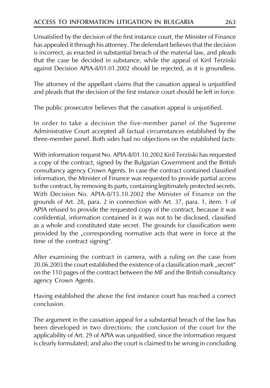Unsatisfied by the decision of the first instance court, the Minister of Finance has appealed it through his attorney. The defendant believes that the decision is incorrect, as enacted in substantial breach of the material law, and pleads that the case be decided in substance, while the appeal of Kiril Terziiski against Decision APIA-8/01.01.2002 should be rejected, as it is groundless.

The attorney of the appellant claims that the cassation appeal is unjustified and pleads that the decision of the first instance court should be left in force.

The public prosecutor believes that the cassation appeal is unjustified.

In order to take a decision the five-member panel of the Supreme Administrative Court accepted all factual circumstances established by the three-member panel. Both sides had no objections on the established facts:

With information request No. APIA-8/01.10.2002 Kiril Terziiski has requested a copy of the contract, signed by the Bulgarian Government and the British consultancy agency Crown Agents. In case the contract contained classified information, the Minister of Finance was requested to provide partial access to the contract, by removing its parts, containing legitimately protected secrets. With Decision No. APIA-8/15.10.2002 the Minister of Finance on the grounds of Art. 28, para. 2 in connection with Art. 37, para. 1, item. 1 of APIA refused to provide the requested copy of the contract, because it was confidential, information contained in it was not to be disclosed, classified as a whole and constituted state secret. The grounds for classification were provided by the "corresponding normative acts that were in force at the time of the contract signing".

After examining the contract in camera, with a ruling on the case from 20.06.2003 the court established the existence of a classification mark "secret" on the 110 pages of the contract between the MF and the British consultancy agency Crown Agents.

Having established the above the first instance court has reached a correct conclusion

The argument in the cassation appeal for a substantial breach of the law has been developed in two directions: the conclusion of the court for the applicability of Art. 29 of APIA was unjustified, since the information request is clearly formulated; and also the court is claimed to be wrong in concluding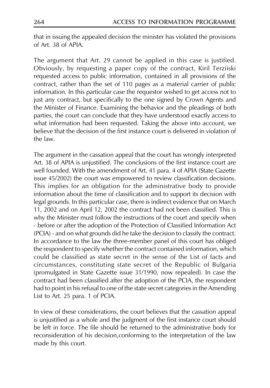that in issuing the appealed decision the minister has violated the provisions of Art. 38 of APIA.

The argument that Art. 29 cannot be applied in this case is justified. Obviously, by requesting a paper copy of the contract, Kiril Terziiski requested access to public information, contained in all provisions of the contract, rather than the set of 110 pages as a material carrier of public information. In this particular case the requestor wished to get access not to just any contract, but specifically to the one signed by Crown Agents and the Minister of Finance. Examining the behavior and the pleadings of both parties, the court can conclude that they have understood exactly access to what information had been requested. Taking the above into account, we believe that the decision of the first instance court is delivered in violation of the law

The argument in the cassation appeal that the court has wrongly interpreted Art. 38 of APIA is unjustified. The conclusions of the first instance court are well founded. With the amendment of Art. 41 para. 4 of APIA (State Gazette issue 45/2002) the court was empowered to review classification decisions. This implies for an obligation for the administrative body to provide information about the time of classification and to support its decision with legal grounds. In this particular case, there is indirect evidence that on March 11, 2002 and on April 12, 2002 the contract had not been classified. This is why the Minister must follow the instructions of the court and specify when - before or after the adoption of the Protection of Classified Information Act (PCIA) - and on what grounds did he take the decision to classify the contract. In accordance to the law the three-member panel of this court has obliged the respondent to specify whether the contract contained information, which could be classified as state secret in the sense of the List of facts and circumstances, constituting state secret of the Republic of Bulgaria (promulgated in State Gazette issue 31/1990, now repealed). In case the contract had been classified after the adoption of the PCIA, the respondent had to point in his refusal to one of the state secret categories in the Amending List to Art. 25 para. 1 of PCIA.

In view of these considerations, the court believes that the cassation appeal is unjustified as a whole and the judgment of the first instance court should be left in force. The file should be returned to the administrative body for reconsideration of his decision, conforming to the interpretation of the law made by this court.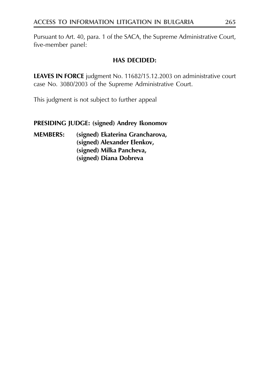Pursuant to Art. 40, para. 1 of the SACA, the Supreme Administrative Court, five-member panel:

# **HAS DECIDED:**

LEAVES IN FORCE judgment No. 11682/15.12.2003 on administrative court case No. 3080/2003 of the Supreme Administrative Court.

This judgment is not subject to further appeal

## PRESIDING JUDGE: (signed) Andrey Ikonomov

#### **MEMBERS:** (signed) Ekaterina Grancharova, (signed) Alexander Elenkov, (signed) Milka Pancheva, (signed) Diana Dobreva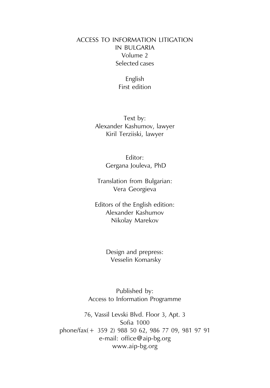# **ACCESS TO INFORMATION LITIGATION IN BULGARIA** Volume 2 Selected cases

English First edition

Text by: Alexander Kashumov, lawyer Kiril Terziiski, lawyer

> Editor: Gergana Jouleva, PhD

Translation from Bulgarian: Vera Georgieva

Editors of the English edition: Alexander Kashumov Nikolay Marekov

> Design and prepress: Vesselin Komarsky

Published by: Access to Information Programme

76, Vassil Levski Blvd. Floor 3, Apt. 3 Sofia 1000 phone/fax(+ 359 2) 988 50 62, 986 77 09, 981 97 91 e-mail: office@aip-bg.org www.aip-bg.org